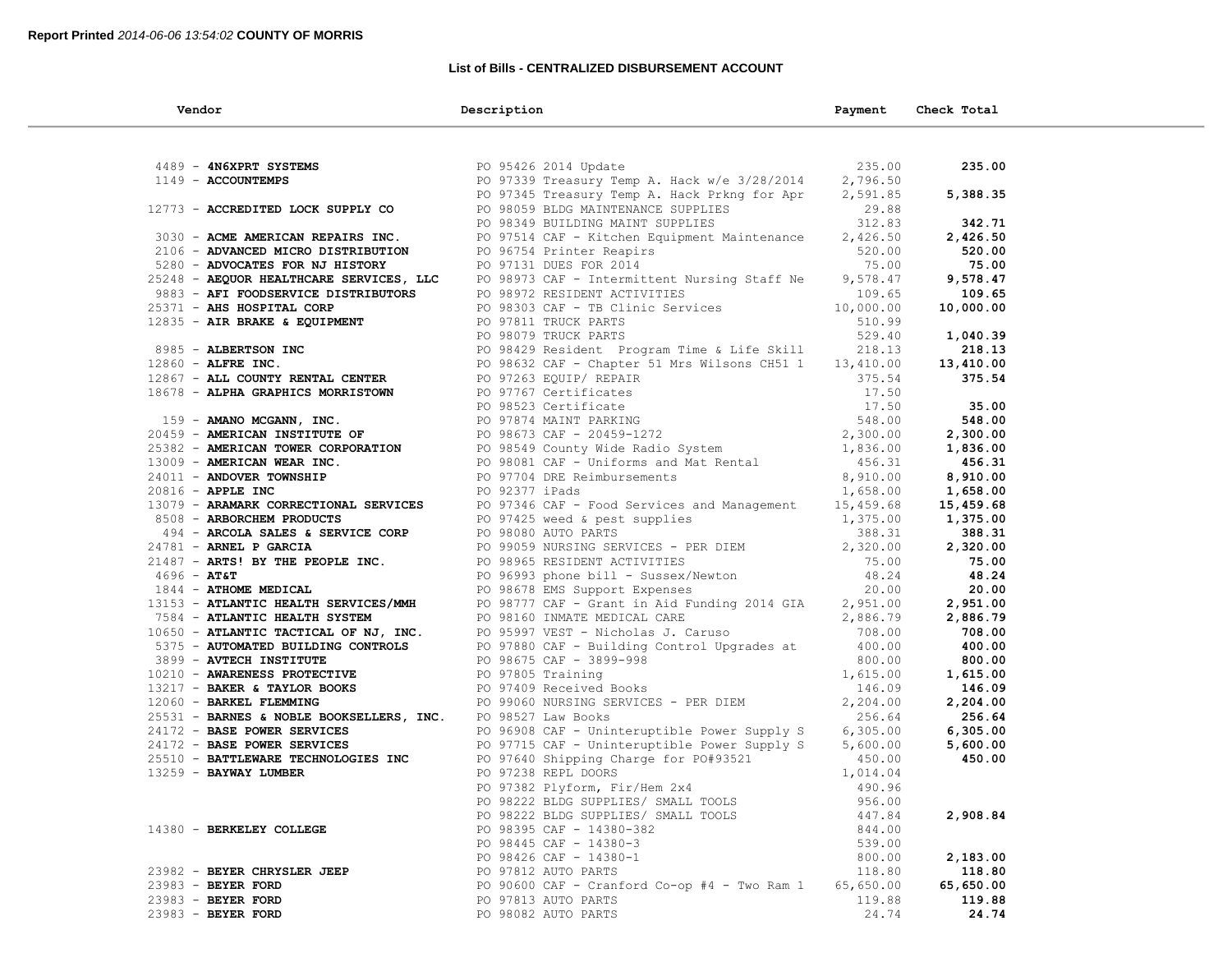### **List of Bills - CENTRALIZED DISBURSEMENT ACCOUNT**

| Vendor                                                      | Description                                                                                                                                                                                                                                                          | Payment             | Check Total         |  |
|-------------------------------------------------------------|----------------------------------------------------------------------------------------------------------------------------------------------------------------------------------------------------------------------------------------------------------------------|---------------------|---------------------|--|
|                                                             |                                                                                                                                                                                                                                                                      |                     |                     |  |
| 4489 - ANGXPRT SYSTEMS PO 95426 2014 Update                 |                                                                                                                                                                                                                                                                      | 235.00              | 235.00              |  |
| 1149 - ACCOUNTEMPS                                          | PO 97339 Treasury Temp A. Hack w/e 3/28/2014                                                                                                                                                                                                                         | 2,796.50            |                     |  |
|                                                             | PO 97345 Treasury Temp A. Hack Prkng for Apr                                                                                                                                                                                                                         | 2,591.85            | 5,388.35            |  |
|                                                             | 12773 - ACCREDITED LOCK SUPPLY CO<br>PO 98349 BUILDING MAINT SUPPLIES<br>PO 98349 BUILDING MAINT SUPPLIES                                                                                                                                                            | 29.88               |                     |  |
|                                                             |                                                                                                                                                                                                                                                                      | 312.83              | 342.71              |  |
| 3030 - ACME AMERICAN REPAIRS INC.                           | PO 97514 CAF - Kitchen Equipment Maintenance 2,426.50                                                                                                                                                                                                                |                     | 2,426.50            |  |
| 2106 - ADVANCED MICRO DISTRIBUTION PO 96754 Printer Reapirs | $520.00$<br>75.00                                                                                                                                                                                                                                                    |                     | 520.00              |  |
| 5280 - ADVOCATES FOR NJ HISTORY                             | PO 97131 DUES FOR 2014                                                                                                                                                                                                                                               |                     | 75.00               |  |
| 25248 - AEQUOR HEALTHCARE SERVICES, LLC                     | PO 98973 CAF - Intermittent Nursing Staff Ne                                                                                                                                                                                                                         | 9,578.47            | 9,578.47            |  |
|                                                             | 9883 - AFT FOODSERVICE DISTRIBUTORS<br>25371 - AHS HOSPITAL CORP<br>25371 - AHS HOSPITAL CORP<br>2835 - AIR BRAKE & EQUIPMENT<br>29.40                                                                                                                               |                     | 109.65              |  |
| 25371 - AHS HOSPITAL CORP                                   |                                                                                                                                                                                                                                                                      |                     | 10,000.00           |  |
|                                                             |                                                                                                                                                                                                                                                                      |                     |                     |  |
|                                                             |                                                                                                                                                                                                                                                                      |                     | 1,040.39            |  |
|                                                             |                                                                                                                                                                                                                                                                      |                     | 218.13              |  |
|                                                             |                                                                                                                                                                                                                                                                      |                     | 13,410.00           |  |
|                                                             |                                                                                                                                                                                                                                                                      |                     | 375.54              |  |
|                                                             |                                                                                                                                                                                                                                                                      |                     |                     |  |
|                                                             |                                                                                                                                                                                                                                                                      |                     | 35.00               |  |
|                                                             |                                                                                                                                                                                                                                                                      |                     | 548.00              |  |
|                                                             |                                                                                                                                                                                                                                                                      |                     | 2,300.00            |  |
|                                                             |                                                                                                                                                                                                                                                                      |                     | 1,836.00            |  |
|                                                             |                                                                                                                                                                                                                                                                      |                     | 456.31              |  |
|                                                             |                                                                                                                                                                                                                                                                      |                     | 8,910.00            |  |
|                                                             | 2003<br><b>ARE SOSTITAL CORP</b><br>2003.00 CAP = PD 98303 CAP = PD Climic Services<br>2003.<br>2003.00 CAP = PD 997811 FRUCK PARTS<br>2003.00 CAP = PD 997811 FRUCK PARTS<br>2004.00 CAP = ALL CONTY RENTAL CENTER<br>2004.00 EXECUTION PO 9786                     |                     | 1,658.00            |  |
|                                                             |                                                                                                                                                                                                                                                                      |                     | 15,459.68           |  |
|                                                             |                                                                                                                                                                                                                                                                      |                     | 1,375.00            |  |
|                                                             |                                                                                                                                                                                                                                                                      |                     | 388.31              |  |
|                                                             |                                                                                                                                                                                                                                                                      |                     | 2,320.00            |  |
|                                                             |                                                                                                                                                                                                                                                                      |                     | 75.00               |  |
|                                                             |                                                                                                                                                                                                                                                                      |                     | 48.24               |  |
|                                                             |                                                                                                                                                                                                                                                                      |                     | 20.00               |  |
|                                                             | PO 98160 INMATE MEDICAL CARE<br>10650 - <b>ATLANTIC TACTICAL OF NJ, INC.</b><br>5375 - <b>AUTOMATED BUILDING CONTROLS</b><br>5375 - <b>AUTOMATED BUILDING CONTROLS</b><br>5375 - <b>AUTOMATED BUILDING CONTROLS</b><br>5375 - <b>AUTOMATED BUILDING CONTROLS</b><br> |                     | 2,951.00            |  |
|                                                             |                                                                                                                                                                                                                                                                      |                     | 2,886.79            |  |
|                                                             |                                                                                                                                                                                                                                                                      |                     | 708.00              |  |
|                                                             |                                                                                                                                                                                                                                                                      |                     | 400.00              |  |
|                                                             |                                                                                                                                                                                                                                                                      |                     | 800.00              |  |
|                                                             |                                                                                                                                                                                                                                                                      |                     | 1,615.00            |  |
|                                                             |                                                                                                                                                                                                                                                                      |                     | 146.09              |  |
|                                                             | PO 99060 NURSING SERVICES - PER DIEM<br>PO 98527 Law Books                                                                                                                                                                                                           |                     | 2,204.00            |  |
| 25531 - BARNES & NOBLE BOOKSELLERS, INC. PO 98527 Law Books |                                                                                                                                                                                                                                                                      | 256.64              | 256.64              |  |
|                                                             | 24172 - BASE POWER SERVICES TO PO 96908 CAF - Uninteruptible Power Supply S 6,305.00                                                                                                                                                                                 |                     | 6,305.00            |  |
| 24172 - BASE POWER SERVICES                                 | PO 97715 CAF - Uninteruptible Power Supply S                                                                                                                                                                                                                         | 5,600.00            | 5,600.00            |  |
| 25510 - BATTLEWARE TECHNOLOGIES INC                         | PO 97640 Shipping Charge for PO#93521                                                                                                                                                                                                                                | 450.00              | 450.00              |  |
| $13259$ - BAYWAY LUMBER                                     | PO 97238 REPL DOORS<br>PO 97382 Plyform, Fir/Hem 2x4                                                                                                                                                                                                                 | 1,014.04            |                     |  |
|                                                             |                                                                                                                                                                                                                                                                      | 490.96              |                     |  |
|                                                             | PO 98222 BLDG SUPPLIES/ SMALL TOOLS                                                                                                                                                                                                                                  | 956.00              |                     |  |
|                                                             | PO 98222 BLDG SUPPLIES/ SMALL TOOLS                                                                                                                                                                                                                                  | 447.84              | 2,908.84            |  |
| 14380 - BERKELEY COLLEGE                                    | PO 98395 CAF - 14380-382                                                                                                                                                                                                                                             | 844.00              |                     |  |
|                                                             | PO 98445 CAF - 14380-3<br>PO 98426 CAF - 14380-1                                                                                                                                                                                                                     | 539.00              |                     |  |
|                                                             |                                                                                                                                                                                                                                                                      | 800.00              | 2,183.00            |  |
| 23982 - BEYER CHRYSLER JEEP                                 | PO 97812 AUTO PARTS<br>PO 90600 CAF - Cranford Co-op #4 - Two Ram 1                                                                                                                                                                                                  | 118.80              | 118.80              |  |
| 23983 - BEYER FORD<br>23983 - BEYER FORD                    | PO 97813 AUTO PARTS                                                                                                                                                                                                                                                  | 65,650.00<br>119.88 | 65,650.00<br>119.88 |  |
| 23983 - BEYER FORD                                          | PO 98082 AUTO PARTS                                                                                                                                                                                                                                                  |                     | 24.74               |  |
|                                                             |                                                                                                                                                                                                                                                                      | 24.74               |                     |  |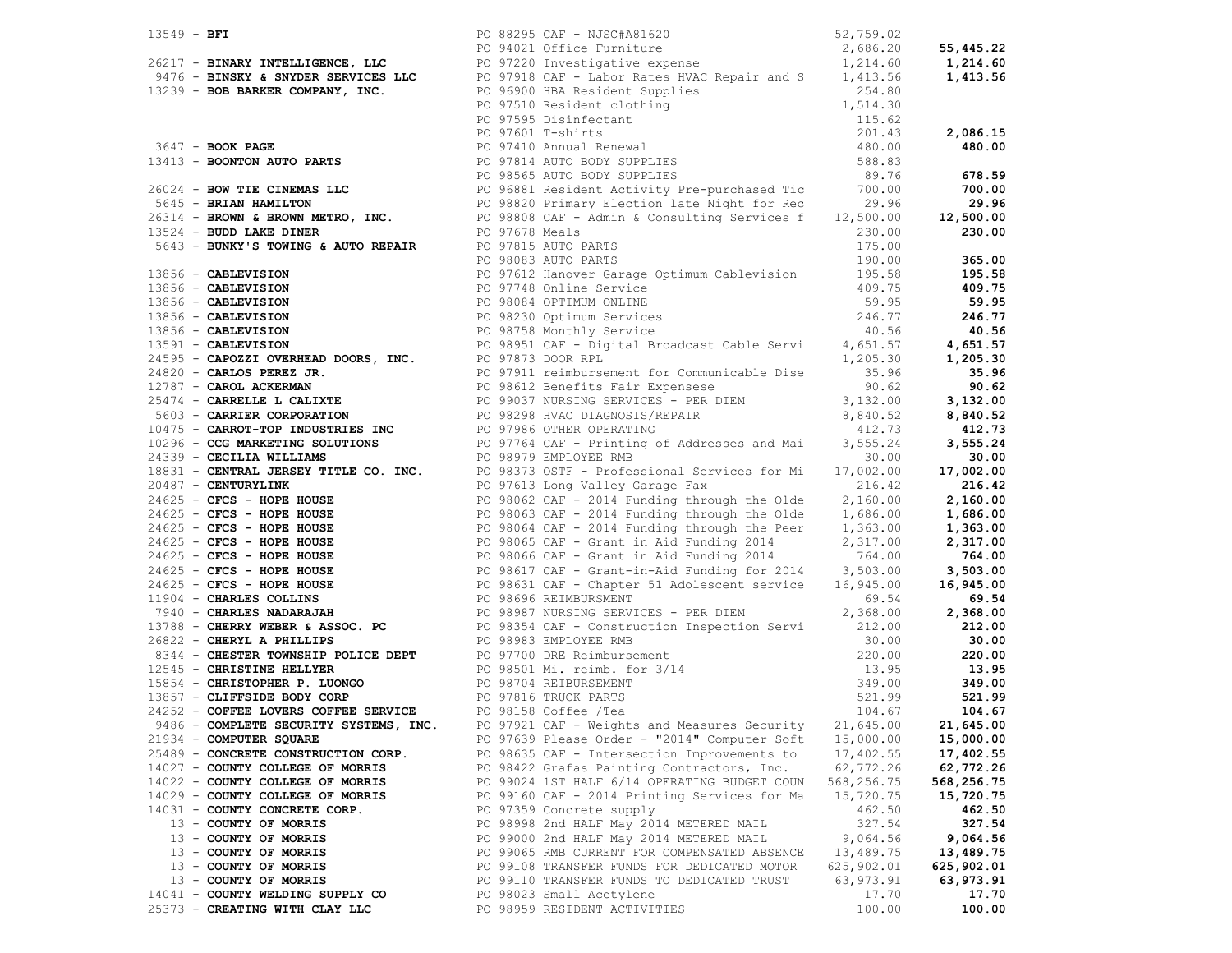|                                     |  | 13549 - BFI<br>26217 - BINARY INTELLIGENCE, LLC<br>26217 - BINARY INTELLIGENCE, LLC<br>26217 - BINARY INTELLIGENCE, LLC<br>276 - BINSKY & SNYDER SERVICES LLC<br>276 - BINSKY & SNYDER SERVICES LLC<br>2847 - BOOR PARER COMPANY, INC.<br>2              |            |                  |
|-------------------------------------|--|----------------------------------------------------------------------------------------------------------------------------------------------------------------------------------------------------------------------------------------------------------|------------|------------------|
|                                     |  |                                                                                                                                                                                                                                                          |            |                  |
|                                     |  |                                                                                                                                                                                                                                                          |            |                  |
|                                     |  |                                                                                                                                                                                                                                                          |            |                  |
|                                     |  |                                                                                                                                                                                                                                                          |            |                  |
|                                     |  |                                                                                                                                                                                                                                                          |            |                  |
|                                     |  |                                                                                                                                                                                                                                                          |            |                  |
|                                     |  |                                                                                                                                                                                                                                                          |            |                  |
|                                     |  |                                                                                                                                                                                                                                                          |            |                  |
|                                     |  |                                                                                                                                                                                                                                                          |            |                  |
|                                     |  |                                                                                                                                                                                                                                                          |            |                  |
|                                     |  |                                                                                                                                                                                                                                                          |            | 700.00           |
|                                     |  |                                                                                                                                                                                                                                                          |            | 29.96            |
|                                     |  |                                                                                                                                                                                                                                                          |            | 12,500.00        |
|                                     |  |                                                                                                                                                                                                                                                          |            | 230.00           |
|                                     |  |                                                                                                                                                                                                                                                          |            |                  |
|                                     |  | 26024 - BOW TIE CINEMAS LLC<br>26314 - BRIAN HAMILTON<br>26314 - BROWN & BROWN METRO, INC.<br>26314 - BROWN & BROWN METRO, INC.<br>26314 - BROWN & BROWN METRO, INC.<br>29.96<br>230.00<br>230.00<br>230.00<br>230.00<br>230.00<br>230.00<br>230.00<br>2 |            |                  |
|                                     |  | PO 98083 AUTO PARTS                                                                                                                                                                                                                                      | 190.00     | 365.00           |
|                                     |  |                                                                                                                                                                                                                                                          |            | 195.58<br>409.75 |
|                                     |  |                                                                                                                                                                                                                                                          |            |                  |
|                                     |  |                                                                                                                                                                                                                                                          |            |                  |
|                                     |  |                                                                                                                                                                                                                                                          |            |                  |
|                                     |  |                                                                                                                                                                                                                                                          |            |                  |
|                                     |  |                                                                                                                                                                                                                                                          |            |                  |
|                                     |  |                                                                                                                                                                                                                                                          |            |                  |
|                                     |  |                                                                                                                                                                                                                                                          |            |                  |
|                                     |  |                                                                                                                                                                                                                                                          |            |                  |
|                                     |  |                                                                                                                                                                                                                                                          |            |                  |
|                                     |  |                                                                                                                                                                                                                                                          |            |                  |
|                                     |  |                                                                                                                                                                                                                                                          |            |                  |
|                                     |  |                                                                                                                                                                                                                                                          |            |                  |
|                                     |  |                                                                                                                                                                                                                                                          |            |                  |
|                                     |  |                                                                                                                                                                                                                                                          |            |                  |
|                                     |  |                                                                                                                                                                                                                                                          |            |                  |
|                                     |  |                                                                                                                                                                                                                                                          |            |                  |
|                                     |  |                                                                                                                                                                                                                                                          |            |                  |
|                                     |  |                                                                                                                                                                                                                                                          |            |                  |
|                                     |  |                                                                                                                                                                                                                                                          |            |                  |
|                                     |  |                                                                                                                                                                                                                                                          |            |                  |
|                                     |  |                                                                                                                                                                                                                                                          |            |                  |
|                                     |  |                                                                                                                                                                                                                                                          |            |                  |
|                                     |  |                                                                                                                                                                                                                                                          |            |                  |
|                                     |  |                                                                                                                                                                                                                                                          |            |                  |
|                                     |  |                                                                                                                                                                                                                                                          |            |                  |
|                                     |  |                                                                                                                                                                                                                                                          |            |                  |
|                                     |  |                                                                                                                                                                                                                                                          |            |                  |
|                                     |  |                                                                                                                                                                                                                                                          |            |                  |
|                                     |  |                                                                                                                                                                                                                                                          |            |                  |
|                                     |  | 56413 <b>areney or FORD and Proposition (1995)</b> and the specific street in the specific street in the specific street in the specific street in the specific street in the specific street in the specific street in the specif                       |            |                  |
|                                     |  |                                                                                                                                                                                                                                                          |            |                  |
|                                     |  |                                                                                                                                                                                                                                                          |            |                  |
|                                     |  | 9486 - COMPLETE SECURITY SYSTEMS, INC. PO 97921 CAF - Weights and Measures Security 21,645.00                                                                                                                                                            |            | 21,645.00        |
| 21934 - COMPUTER SQUARE             |  | PO 97639 Please Order - "2014" Computer Soft                                                                                                                                                                                                             | 15,000.00  | 15,000.00        |
| 25489 - CONCRETE CONSTRUCTION CORP. |  | PO 98635 CAF - Intersection Improvements to                                                                                                                                                                                                              | 17,402.55  | 17,402.55        |
| 14027 - COUNTY COLLEGE OF MORRIS    |  | PO 98422 Grafas Painting Contractors, Inc.                                                                                                                                                                                                               | 62,772.26  | 62,772.26        |
| 14022 - COUNTY COLLEGE OF MORRIS    |  | PO 99024 1ST HALF 6/14 OPERATING BUDGET COUN                                                                                                                                                                                                             | 568,256.75 | 568,256.75       |
| 14029 - COUNTY COLLEGE OF MORRIS    |  | PO 99160 CAF - 2014 Printing Services for Ma                                                                                                                                                                                                             | 15,720.75  | 15,720.75        |
| 14031 - COUNTY CONCRETE CORP.       |  | PO 97359 Concrete supply                                                                                                                                                                                                                                 | 462.50     | 462.50           |
| 13 - COUNTY OF MORRIS               |  | PO 98998 2nd HALF May 2014 METERED MAIL                                                                                                                                                                                                                  | 327.54     | 327.54           |
| 13 - COUNTY OF MORRIS               |  | PO 99000 2nd HALF May 2014 METERED MAIL                                                                                                                                                                                                                  | 9,064.56   | 9,064.56         |
| 13 - COUNTY OF MORRIS               |  | PO 99065 RMB CURRENT FOR COMPENSATED ABSENCE                                                                                                                                                                                                             | 13,489.75  | 13,489.75        |
| 13 - COUNTY OF MORRIS               |  | PO 99108 TRANSFER FUNDS FOR DEDICATED MOTOR                                                                                                                                                                                                              | 625,902.01 | 625,902.01       |
| 13 - COUNTY OF MORRIS               |  | PO 99110 TRANSFER FUNDS TO DEDICATED TRUST                                                                                                                                                                                                               | 63,973.91  | 63,973.91        |
| 14041 - COUNTY WELDING SUPPLY CO    |  | PO 98023 Small Acetylene                                                                                                                                                                                                                                 | 17.70      | 17.70            |
| 25373 - CREATING WITH CLAY LLC      |  | PO 98959 RESIDENT ACTIVITIES                                                                                                                                                                                                                             | 100.00     | 100.00           |
|                                     |  |                                                                                                                                                                                                                                                          |            |                  |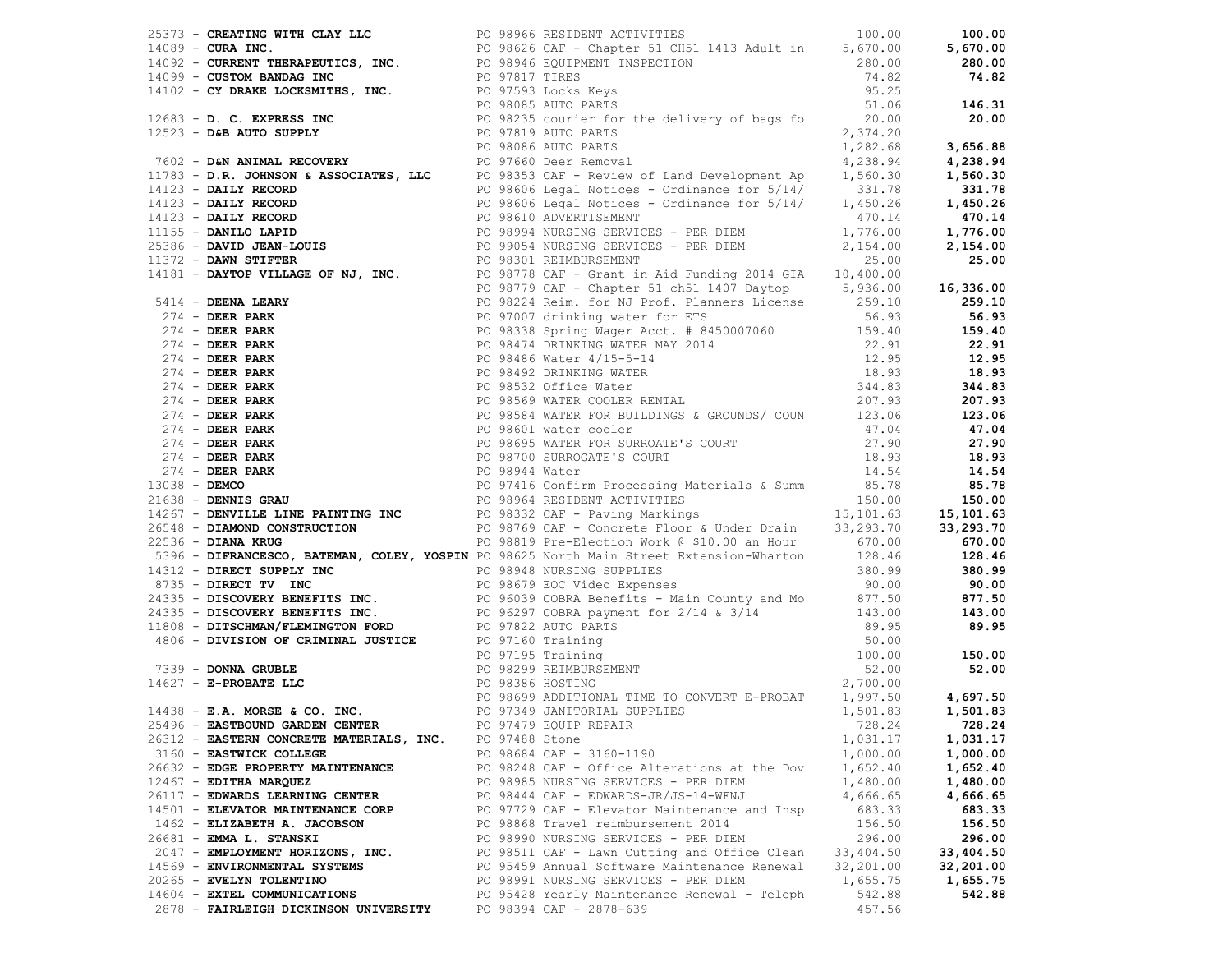| 2.1131 - Characteristics, Dec. 10.21 and 10.21 and 10.21 and 10.21 and 10.22 and 10.22 and 10.22 and 10.22 and 10.22 and 10.22 and 10.23 and 10.23 and 10.23 and 10.23 and 10.23 and 10.23 and 10.23 and 10.23 and 10.23 and |                |                                              |           |           |
|------------------------------------------------------------------------------------------------------------------------------------------------------------------------------------------------------------------------------|----------------|----------------------------------------------|-----------|-----------|
|                                                                                                                                                                                                                              |                |                                              |           |           |
|                                                                                                                                                                                                                              |                |                                              |           |           |
|                                                                                                                                                                                                                              |                |                                              |           |           |
| 25496 - EASTBOUND GARDEN CENTER PO 97479 EQUIP REPAIR                                                                                                                                                                        |                |                                              |           |           |
| 26312 - EASTERN CONCRETE MATERIALS, INC.                                                                                                                                                                                     | PO 97488 Stone |                                              | 1,031.17  | 1,031.17  |
| 3160 - EASTWICK COLLEGE                                                                                                                                                                                                      |                | PO 98684 CAF - 3160-1190                     | 1,000.00  | 1,000.00  |
| 26632 - EDGE PROPERTY MAINTENANCE                                                                                                                                                                                            |                | PO 98248 CAF - Office Alterations at the Dov | 1,652.40  | 1,652.40  |
| $12467$ - EDITHA MARQUEZ                                                                                                                                                                                                     |                | PO 98985 NURSING SERVICES - PER DIEM         | 1,480.00  | 1,480.00  |
| 26117 - EDWARDS LEARNING CENTER                                                                                                                                                                                              |                | PO 98444 CAF - EDWARDS-JR/JS-14-WFNJ         | 4,666.65  | 4,666.65  |
| 14501 - ELEVATOR MAINTENANCE CORP                                                                                                                                                                                            |                | PO 97729 CAF - Elevator Maintenance and Insp | 683.33    | 683.33    |
| 1462 - ELIZABETH A. JACOBSON                                                                                                                                                                                                 |                | PO 98868 Travel reimbursement 2014           | 156.50    | 156.50    |
| 26681 - EMMA L. STANSKI                                                                                                                                                                                                      |                |                                              |           |           |
|                                                                                                                                                                                                                              |                | PO 98990 NURSING SERVICES - PER DIEM         | 296.00    | 296.00    |
| 2047 - EMPLOYMENT HORIZONS, INC.                                                                                                                                                                                             |                | PO 98511 CAF - Lawn Cutting and Office Clean | 33,404.50 | 33,404.50 |
| 14569 - ENVIRONMENTAL SYSTEMS                                                                                                                                                                                                |                | PO 95459 Annual Software Maintenance Renewal | 32,201.00 | 32,201.00 |
| 20265 - EVELYN TOLENTINO                                                                                                                                                                                                     |                | PO 98991 NURSING SERVICES - PER DIEM         | 1,655.75  | 1,655.75  |
| 14604 - EXTEL COMMUNICATIONS                                                                                                                                                                                                 |                | PO 95428 Yearly Maintenance Renewal - Teleph | 542.88    | 542.88    |
| 2878 - FAIRLEIGH DICKINSON UNIVERSITY                                                                                                                                                                                        |                | PO 98394 CAF - 2878-639                      | 457.56    |           |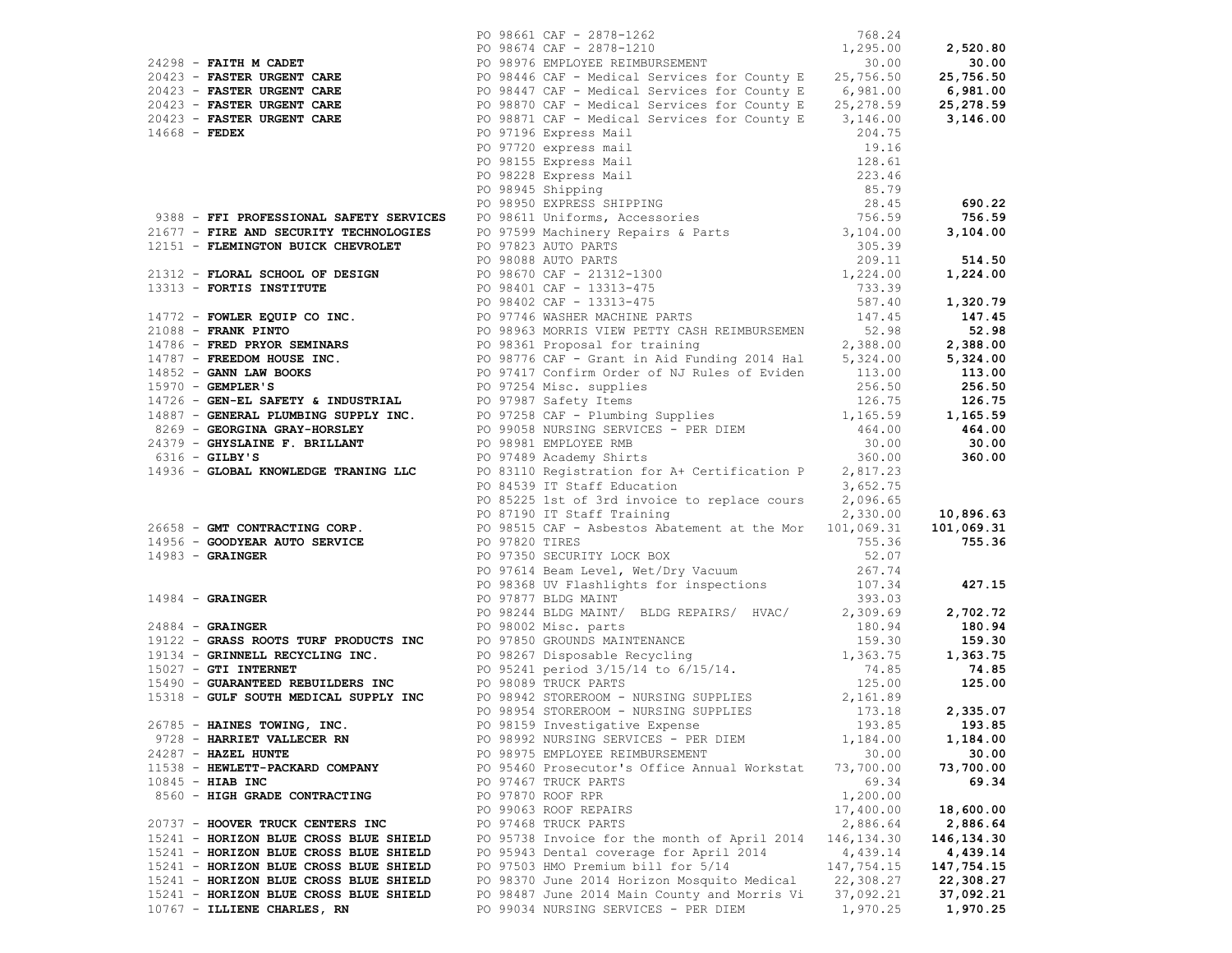|                                                                                                                                                                                                                                                          |  |                                              |             | 690.22        |
|----------------------------------------------------------------------------------------------------------------------------------------------------------------------------------------------------------------------------------------------------------|--|----------------------------------------------|-------------|---------------|
|                                                                                                                                                                                                                                                          |  |                                              |             |               |
|                                                                                                                                                                                                                                                          |  |                                              |             |               |
|                                                                                                                                                                                                                                                          |  |                                              |             |               |
|                                                                                                                                                                                                                                                          |  |                                              |             |               |
|                                                                                                                                                                                                                                                          |  |                                              |             |               |
|                                                                                                                                                                                                                                                          |  |                                              |             |               |
|                                                                                                                                                                                                                                                          |  |                                              |             |               |
|                                                                                                                                                                                                                                                          |  |                                              |             |               |
|                                                                                                                                                                                                                                                          |  |                                              |             |               |
|                                                                                                                                                                                                                                                          |  |                                              |             |               |
| 21299 - PAITR MORRIT CARR 10 98612 ΔT - 2376-1102<br>21299 - <b>PAITRE WORDER CARR 1000 - 2121-1225</b><br>2123-3 <b>- PAITRE WORDER CARR 1000 - 2121-2125</b><br>2123-3 <b>- PAITRE WORDER CARR 1000 - 2131-213</b><br>2023 <b>- PAITRE WORDER CARR</b> |  |                                              |             |               |
|                                                                                                                                                                                                                                                          |  |                                              |             |               |
|                                                                                                                                                                                                                                                          |  |                                              |             |               |
|                                                                                                                                                                                                                                                          |  |                                              |             |               |
|                                                                                                                                                                                                                                                          |  |                                              |             |               |
|                                                                                                                                                                                                                                                          |  |                                              |             |               |
|                                                                                                                                                                                                                                                          |  |                                              |             |               |
|                                                                                                                                                                                                                                                          |  |                                              |             |               |
|                                                                                                                                                                                                                                                          |  |                                              |             |               |
| 14936 - GLOBAL KNOWLEDGE TRANING LLC $10$ 83110 Registration for A+ Certification P $2,817.23$<br>PO 83123 IT SILE figure cours $2,036.63$<br>26658 - GMT CONTRACTING CORP.<br>PO 83225 1st of 3rd anvoice to replace cours $2,036.$                     |  |                                              |             |               |
|                                                                                                                                                                                                                                                          |  |                                              |             |               |
|                                                                                                                                                                                                                                                          |  |                                              |             |               |
|                                                                                                                                                                                                                                                          |  |                                              |             |               |
|                                                                                                                                                                                                                                                          |  |                                              |             |               |
|                                                                                                                                                                                                                                                          |  |                                              |             |               |
|                                                                                                                                                                                                                                                          |  |                                              |             |               |
|                                                                                                                                                                                                                                                          |  |                                              |             |               |
|                                                                                                                                                                                                                                                          |  |                                              |             |               |
|                                                                                                                                                                                                                                                          |  |                                              |             |               |
|                                                                                                                                                                                                                                                          |  |                                              |             |               |
|                                                                                                                                                                                                                                                          |  |                                              |             |               |
|                                                                                                                                                                                                                                                          |  |                                              |             |               |
|                                                                                                                                                                                                                                                          |  |                                              |             |               |
|                                                                                                                                                                                                                                                          |  |                                              |             |               |
|                                                                                                                                                                                                                                                          |  |                                              |             |               |
|                                                                                                                                                                                                                                                          |  |                                              |             |               |
|                                                                                                                                                                                                                                                          |  |                                              |             |               |
| 26785 - HAINES TOWING, INC.                                                                                                                                                                                                                              |  | PO 98159 Investigative Expense               |             | 193.85 193.85 |
| 9728 - HARRIET VALLECER RN                                                                                                                                                                                                                               |  | PO 98992 NURSING SERVICES - PER DIEM         | 1,184.00    | 1,184.00      |
| $24287$ - HAZEL HUNTE                                                                                                                                                                                                                                    |  | PO 98975 EMPLOYEE REIMBURSEMENT              | 30.00       | 30.00         |
| 11538 - HEWLETT-PACKARD COMPANY                                                                                                                                                                                                                          |  | PO 95460 Prosecutor's Office Annual Workstat | 73,700.00   | 73,700.00     |
| $10845$ - HIAB INC                                                                                                                                                                                                                                       |  | PO 97467 TRUCK PARTS                         | 69.34       | 69.34         |
| 8560 - HIGH GRADE CONTRACTING                                                                                                                                                                                                                            |  | PO 97870 ROOF RPR                            | 1,200.00    |               |
|                                                                                                                                                                                                                                                          |  | PO 99063 ROOF REPAIRS                        | 17,400.00   | 18,600.00     |
| 20737 - HOOVER TRUCK CENTERS INC                                                                                                                                                                                                                         |  | PO 97468 TRUCK PARTS                         | 2,886.64    | 2,886.64      |
| 15241 - HORIZON BLUE CROSS BLUE SHIELD                                                                                                                                                                                                                   |  | PO 95738 Invoice for the month of April 2014 | 146, 134.30 | 146,134.30    |
| 15241 - HORIZON BLUE CROSS BLUE SHIELD                                                                                                                                                                                                                   |  | PO 95943 Dental coverage for April 2014      | 4,439.14    | 4,439.14      |
| 15241 - HORIZON BLUE CROSS BLUE SHIELD                                                                                                                                                                                                                   |  | PO 97503 HMO Premium bill for 5/14           | 147,754.15  | 147,754.15    |
| 15241 - HORIZON BLUE CROSS BLUE SHIELD                                                                                                                                                                                                                   |  | PO 98370 June 2014 Horizon Mosquito Medical  | 22,308.27   | 22,308.27     |
| 15241 - HORIZON BLUE CROSS BLUE SHIELD                                                                                                                                                                                                                   |  | PO 98487 June 2014 Main County and Morris Vi | 37,092.21   | 37,092.21     |
| 10767 - ILLIENE CHARLES, RN                                                                                                                                                                                                                              |  | PO 99034 NURSING SERVICES - PER DIEM         | 1,970.25    | 1,970.25      |
|                                                                                                                                                                                                                                                          |  |                                              |             |               |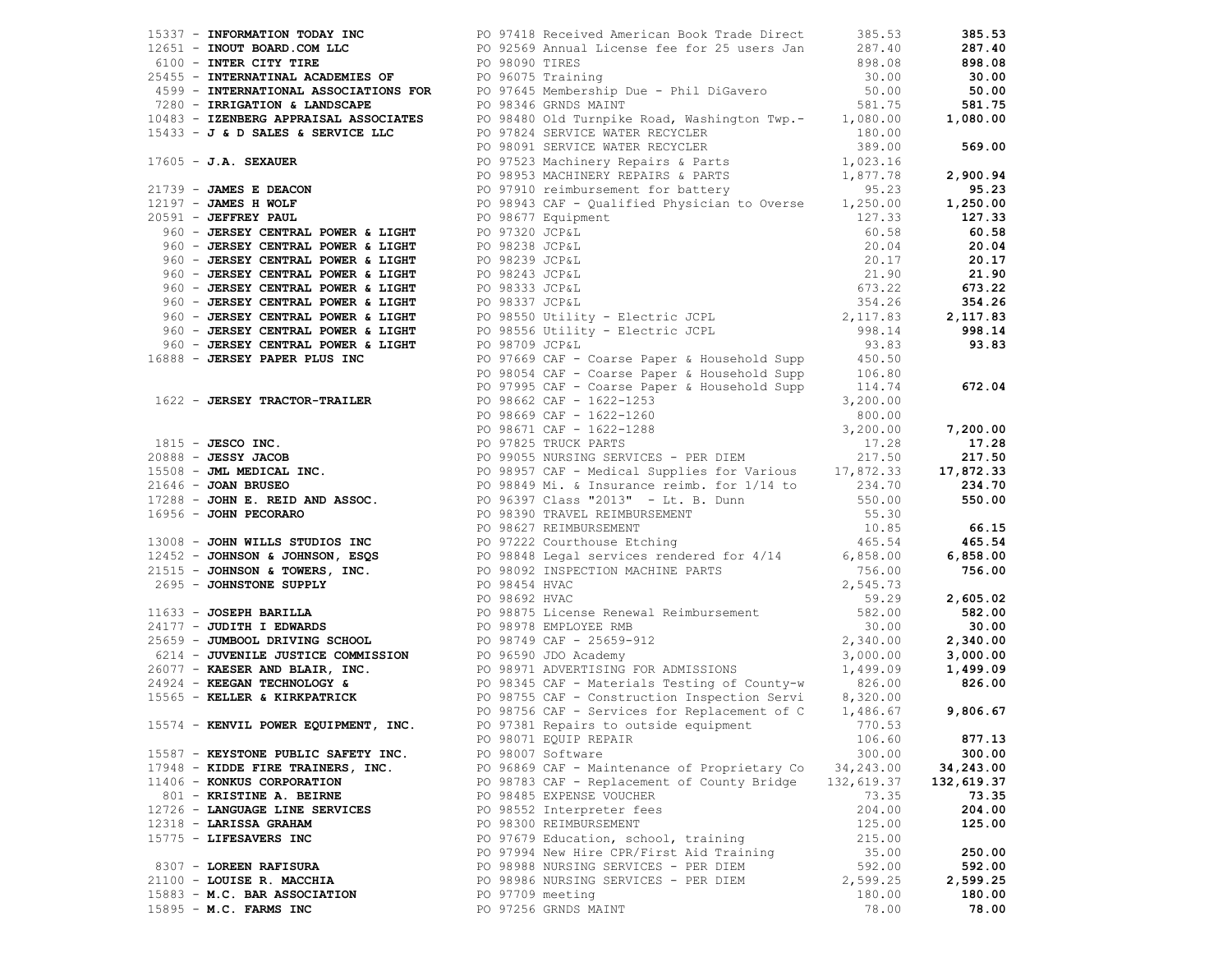| 15337 - INFORMATION TODAY INC <b>Example 2018</b> PO 97418 Received American Book Trade Direct 385.53                                                                                                                         |                                                         |          | 385.53     |
|-------------------------------------------------------------------------------------------------------------------------------------------------------------------------------------------------------------------------------|---------------------------------------------------------|----------|------------|
|                                                                                                                                                                                                                               |                                                         |          |            |
|                                                                                                                                                                                                                               |                                                         |          |            |
|                                                                                                                                                                                                                               |                                                         |          |            |
|                                                                                                                                                                                                                               |                                                         |          |            |
|                                                                                                                                                                                                                               |                                                         |          |            |
|                                                                                                                                                                                                                               |                                                         |          |            |
|                                                                                                                                                                                                                               |                                                         |          |            |
|                                                                                                                                                                                                                               |                                                         |          |            |
|                                                                                                                                                                                                                               |                                                         |          |            |
|                                                                                                                                                                                                                               |                                                         |          |            |
|                                                                                                                                                                                                                               |                                                         |          |            |
|                                                                                                                                                                                                                               |                                                         |          |            |
|                                                                                                                                                                                                                               |                                                         |          |            |
|                                                                                                                                                                                                                               |                                                         |          |            |
|                                                                                                                                                                                                                               |                                                         |          |            |
|                                                                                                                                                                                                                               |                                                         |          |            |
|                                                                                                                                                                                                                               |                                                         |          |            |
|                                                                                                                                                                                                                               |                                                         |          |            |
|                                                                                                                                                                                                                               |                                                         |          |            |
|                                                                                                                                                                                                                               |                                                         |          |            |
|                                                                                                                                                                                                                               |                                                         |          |            |
|                                                                                                                                                                                                                               |                                                         |          |            |
|                                                                                                                                                                                                                               |                                                         |          |            |
|                                                                                                                                                                                                                               |                                                         |          |            |
|                                                                                                                                                                                                                               |                                                         |          |            |
|                                                                                                                                                                                                                               |                                                         |          |            |
|                                                                                                                                                                                                                               |                                                         |          |            |
|                                                                                                                                                                                                                               |                                                         |          |            |
|                                                                                                                                                                                                                               |                                                         |          |            |
|                                                                                                                                                                                                                               |                                                         |          |            |
|                                                                                                                                                                                                                               |                                                         |          |            |
|                                                                                                                                                                                                                               |                                                         |          |            |
|                                                                                                                                                                                                                               |                                                         |          |            |
|                                                                                                                                                                                                                               |                                                         |          |            |
|                                                                                                                                                                                                                               |                                                         |          |            |
|                                                                                                                                                                                                                               |                                                         |          |            |
|                                                                                                                                                                                                                               |                                                         |          |            |
|                                                                                                                                                                                                                               |                                                         |          |            |
|                                                                                                                                                                                                                               |                                                         |          |            |
|                                                                                                                                                                                                                               |                                                         |          |            |
|                                                                                                                                                                                                                               |                                                         |          |            |
|                                                                                                                                                                                                                               |                                                         |          |            |
|                                                                                                                                                                                                                               |                                                         |          |            |
|                                                                                                                                                                                                                               |                                                         |          |            |
| 1702 - ANGELES VAN INCHER 10 1993 - The Most Line International Control (1993) - 189, 199 - 189, 199 - 189, 199 - 189, 199 - 189, 199 - 189, 199 - 189, 199 - 189, 199 - 189, 199 - 189, 199 - 189, 199 - 189, 199 - 189, 199 |                                                         |          |            |
|                                                                                                                                                                                                                               |                                                         |          |            |
|                                                                                                                                                                                                                               |                                                         |          |            |
|                                                                                                                                                                                                                               |                                                         |          |            |
|                                                                                                                                                                                                                               |                                                         |          |            |
| 15574 - KENVIL POWER EQUIPMENT, INC. PO 97381 Repairs to outside equipment 770.53                                                                                                                                             |                                                         |          |            |
|                                                                                                                                                                                                                               | PO 98071 EQUIP REPAIR                                   | 106.60   | 877.13     |
| 15587 - KEYSTONE PUBLIC SAFETY INC.                                                                                                                                                                                           | PO 98007 Software                                       | 300.00   | 300.00     |
| 17948 - KIDDE FIRE TRAINERS, INC.                                                                                                                                                                                             | PO 96869 CAF - Maintenance of Proprietary Co 34,243.00  |          | 34,243.00  |
| 11406 - KONKUS CORPORATION                                                                                                                                                                                                    | PO 98783 CAF - Replacement of County Bridge 132, 619.37 |          | 132,619.37 |
| 801 - KRISTINE A. BEIRNE                                                                                                                                                                                                      | PO 98485 EXPENSE VOUCHER                                | 73.35    | 73.35      |
| 12726 - LANGUAGE LINE SERVICES                                                                                                                                                                                                | PO 98552 Interpreter fees                               | 204.00   | 204.00     |
| 12318 - LARISSA GRAHAM                                                                                                                                                                                                        | PO 98300 REIMBURSEMENT                                  | 125.00   | 125.00     |
| 15775 - LIFESAVERS INC                                                                                                                                                                                                        | PO 97679 Education, school, training                    | 215.00   |            |
|                                                                                                                                                                                                                               | PO 97994 New Hire CPR/First Aid Training                | 35.00    | 250.00     |
| 8307 - LOREEN RAFISURA                                                                                                                                                                                                        | PO 98988 NURSING SERVICES - PER DIEM                    | 592.00   | 592.00     |
| 21100 - LOUISE R. MACCHIA                                                                                                                                                                                                     | PO 98986 NURSING SERVICES - PER DIEM                    | 2,599.25 | 2,599.25   |
| 15883 - M.C. BAR ASSOCIATION                                                                                                                                                                                                  | PO 97709 meeting                                        | 180.00   | 180.00     |
| 15895 - M.C. FARMS INC                                                                                                                                                                                                        | PO 97256 GRNDS MAINT                                    | 78.00    | 78.00      |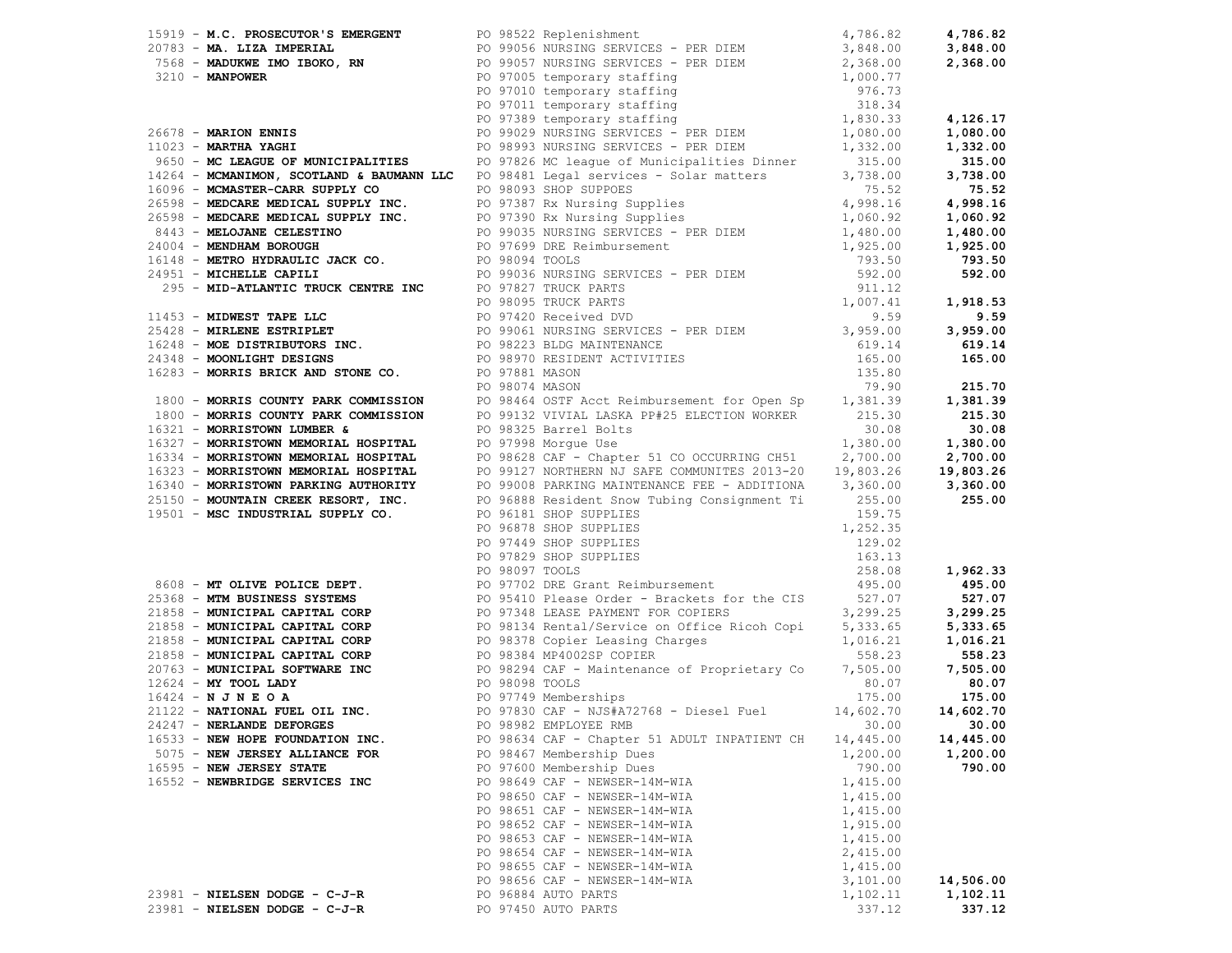| 19919 - N.C. PROSECUTOR S EMERGENT 19922 REPEIRENT 19923 REPEIRENT 19923 PORT 1994.820 4,786.82<br>2018 - MARION ENNES INDUSIVE SUBPARENT 19921 NUMBER SERVICES - PRE DIENT 19925 2.366.00 2.386.00<br>2019 - MARION ENNES<br>2019              |  |                                              |           |               |
|-------------------------------------------------------------------------------------------------------------------------------------------------------------------------------------------------------------------------------------------------|--|----------------------------------------------|-----------|---------------|
|                                                                                                                                                                                                                                                 |  |                                              |           |               |
|                                                                                                                                                                                                                                                 |  |                                              |           |               |
|                                                                                                                                                                                                                                                 |  |                                              |           |               |
|                                                                                                                                                                                                                                                 |  |                                              |           |               |
|                                                                                                                                                                                                                                                 |  |                                              |           |               |
| 16321 - MORRISTOWN LUMBER &<br>16327 - MORRISTOWN MEMORIAL HOSPITAL PO 98325 Barrel Bolts<br>16327 - MORRISTOWN MEMORIAL HOSPITAL PO 97998 Morgue Use<br>16334 - MORRISTOWN MEMORIAL HOSPITAL PO 98628 CAF - Chapter 51 CO OCCURRING            |  |                                              |           |               |
|                                                                                                                                                                                                                                                 |  |                                              |           |               |
|                                                                                                                                                                                                                                                 |  |                                              |           |               |
|                                                                                                                                                                                                                                                 |  |                                              |           |               |
|                                                                                                                                                                                                                                                 |  |                                              |           |               |
|                                                                                                                                                                                                                                                 |  |                                              |           |               |
|                                                                                                                                                                                                                                                 |  |                                              |           |               |
| 25150 <b>- MOUNTAIN CREEK RESORT, INC.</b> PO 96818 Resident Some Upilits (159.75.00<br>19501 <b>- MSC INDUSTRIAL SUPPLY CO.</b> PO 96141 SHOP SUPPLIES 1.252.35<br>PO 97449 SHOP SUPPLIES 1.63.13<br>PO 97449 SHOP SUPPLIES 129.02<br>PO 97629 |  |                                              |           |               |
|                                                                                                                                                                                                                                                 |  |                                              |           |               |
|                                                                                                                                                                                                                                                 |  |                                              |           |               |
|                                                                                                                                                                                                                                                 |  |                                              |           |               |
|                                                                                                                                                                                                                                                 |  |                                              |           |               |
|                                                                                                                                                                                                                                                 |  |                                              |           |               |
|                                                                                                                                                                                                                                                 |  |                                              |           |               |
|                                                                                                                                                                                                                                                 |  |                                              |           |               |
|                                                                                                                                                                                                                                                 |  |                                              |           |               |
|                                                                                                                                                                                                                                                 |  |                                              |           |               |
| 24247 - NERLANDE DEFORGES PO 98982 EMPLOYEE RMB                                                                                                                                                                                                 |  |                                              |           | $30.00$ 30.00 |
| 16533 - NEW HOPE FOUNDATION INC.                                                                                                                                                                                                                |  | PO 98634 CAF - Chapter 51 ADULT INPATIENT CH | 14,445.00 | 14,445.00     |
| 5075 - NEW JERSEY ALLIANCE FOR                                                                                                                                                                                                                  |  | PO 98467 Membership Dues                     | 1,200.00  | 1,200.00      |
| 16595 - NEW JERSEY STATE                                                                                                                                                                                                                        |  | PO 97600 Membership Dues                     | 790.00    | 790.00        |
| 16552 - NEWBRIDGE SERVICES INC                                                                                                                                                                                                                  |  | PO 98649 CAF - NEWSER-14M-WIA                | 1,415.00  |               |
|                                                                                                                                                                                                                                                 |  | PO 98650 CAF - NEWSER-14M-WIA                | 1,415.00  |               |
|                                                                                                                                                                                                                                                 |  | PO 98651 CAF - NEWSER-14M-WIA                | 1,415.00  |               |
|                                                                                                                                                                                                                                                 |  | PO 98652 CAF - NEWSER-14M-WIA                | 1,915.00  |               |
|                                                                                                                                                                                                                                                 |  | PO 98653 CAF - NEWSER-14M-WIA                | 1,415.00  |               |
|                                                                                                                                                                                                                                                 |  | PO 98654 CAF - NEWSER-14M-WIA                | 2,415.00  |               |
|                                                                                                                                                                                                                                                 |  | PO 98655 CAF - NEWSER-14M-WIA                | 1,415.00  |               |
|                                                                                                                                                                                                                                                 |  | PO 98656 CAF - NEWSER-14M-WIA                | 3,101.00  | 14,506.00     |
| 23981 - NIELSEN DODGE - C-J-R                                                                                                                                                                                                                   |  | PO 96884 AUTO PARTS                          | 1,102.11  | 1,102.11      |
| 23981 - NIELSEN DODGE - C-J-R                                                                                                                                                                                                                   |  | PO 97450 AUTO PARTS                          | 337.12    | 337.12        |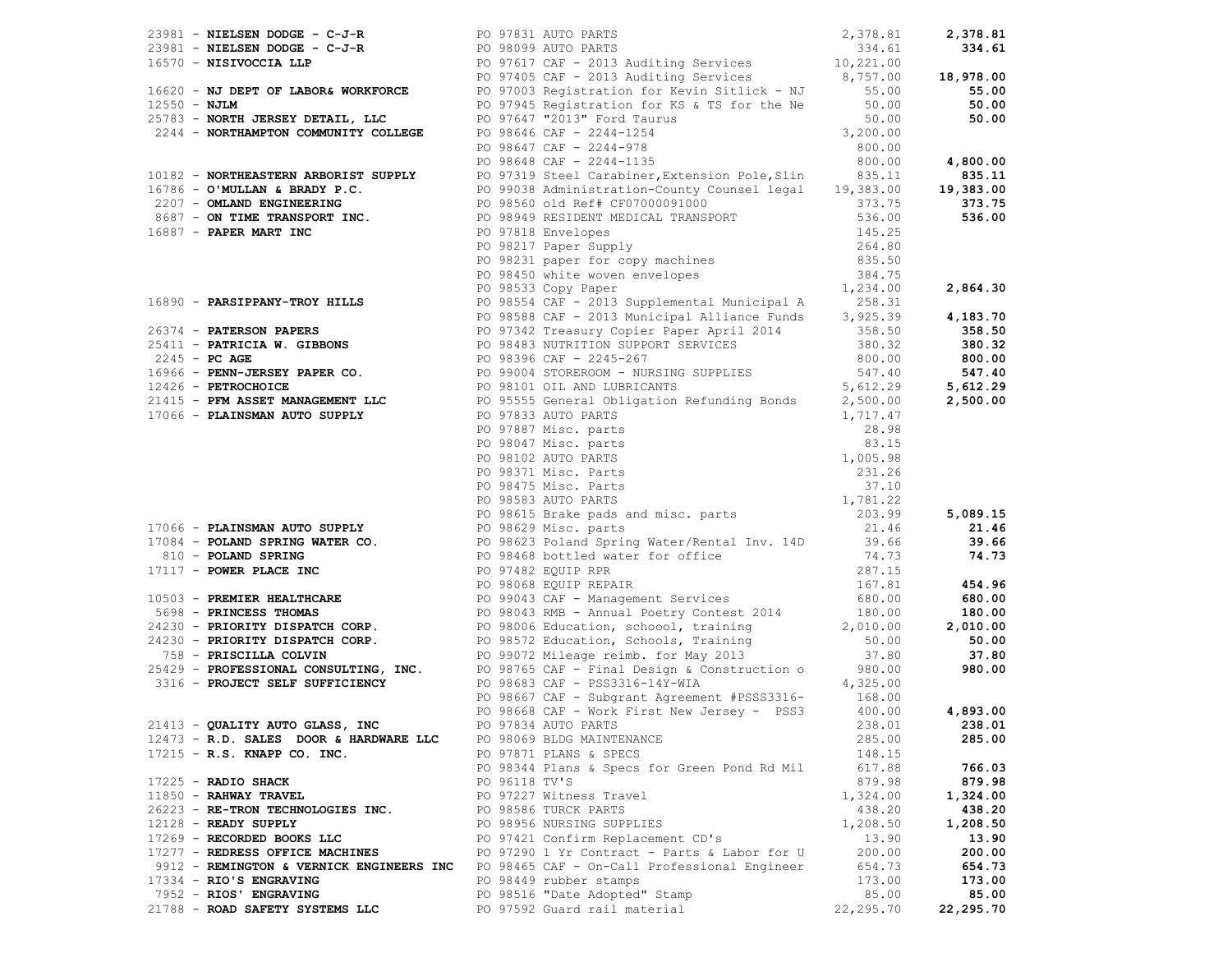| 1678 - NORTHER FRAMENT AREA CONTROL (1971) (1971) (1971) (1971) (1972) (1981) (1981) (1981) (1981) (1981) (1981) (1981) (1981) (1981) (1981) (1981) (1981) (1981) (1981) (1981) (1981) (1981) (1981) (1981) (1981) (1981) (19 |               |                                                                                                                  |           |               |
|-------------------------------------------------------------------------------------------------------------------------------------------------------------------------------------------------------------------------------|---------------|------------------------------------------------------------------------------------------------------------------|-----------|---------------|
|                                                                                                                                                                                                                               |               |                                                                                                                  |           |               |
|                                                                                                                                                                                                                               |               |                                                                                                                  |           |               |
|                                                                                                                                                                                                                               |               |                                                                                                                  |           |               |
| 21413 - QUALITY AUTO GLASS, INC                                                                                                                                                                                               |               | PO 97834 AUTO PARTS FOR THE STATE OF STATES IN THE STATE OF STATES IN THE STATE OF STATES IN THE STATE OF STATES |           | 238.01 238.01 |
| 12473 - R.D. SALES DOOR & HARDWARE LLC                                                                                                                                                                                        |               | PO 98069 BLDG MAINTENANCE                                                                                        | 285.00    | 285.00        |
| 17215 - R.S. KNAPP CO. INC.                                                                                                                                                                                                   |               | PO 97871 PLANS & SPECS                                                                                           | 148.15    |               |
|                                                                                                                                                                                                                               |               | PO 98344 Plans & Specs for Green Pond Rd Mil                                                                     | 617.88    | 766.03        |
| $17225$ - RADIO SHACK                                                                                                                                                                                                         | PO 96118 TV'S |                                                                                                                  | 879.98    | 879.98        |
| $11850$ - RAHWAY TRAVEL                                                                                                                                                                                                       |               | PO 97227 Witness Travel                                                                                          | 1,324.00  | 1,324.00      |
| 26223 - RE-TRON TECHNOLOGIES INC.                                                                                                                                                                                             |               | PO 98586 TURCK PARTS                                                                                             | 438.20    | 438.20        |
| $12128$ - READY SUPPLY                                                                                                                                                                                                        |               | PO 98956 NURSING SUPPLIES                                                                                        | 1,208.50  | 1,208.50      |
| 17269 - RECORDED BOOKS LLC                                                                                                                                                                                                    |               | PO 97421 Confirm Replacement CD's                                                                                | 13.90     | 13.90         |
| 17277 - REDRESS OFFICE MACHINES PO 97290 1 Yr Contract - Parts & Labor for U                                                                                                                                                  |               |                                                                                                                  | 200.00    | 200.00        |
|                                                                                                                                                                                                                               |               |                                                                                                                  | 654.73    |               |
| 9912 - REMINGTON & VERNICK ENGINEERS INC PO 98465 CAF - On-Call Professional Engineer                                                                                                                                         |               |                                                                                                                  |           | 654.73        |
| 17334 - RIO'S ENGRAVING                                                                                                                                                                                                       |               | PO 98449 rubber stamps                                                                                           | 173.00    | 173.00        |
| 7952 - RIOS' ENGRAVING                                                                                                                                                                                                        |               | PO 98516 "Date Adopted" Stamp                                                                                    | 85.00     | 85.00         |
| 21788 - ROAD SAFETY SYSTEMS LLC                                                                                                                                                                                               |               | PO 97592 Guard rail material                                                                                     | 22,295.70 | 22,295.70     |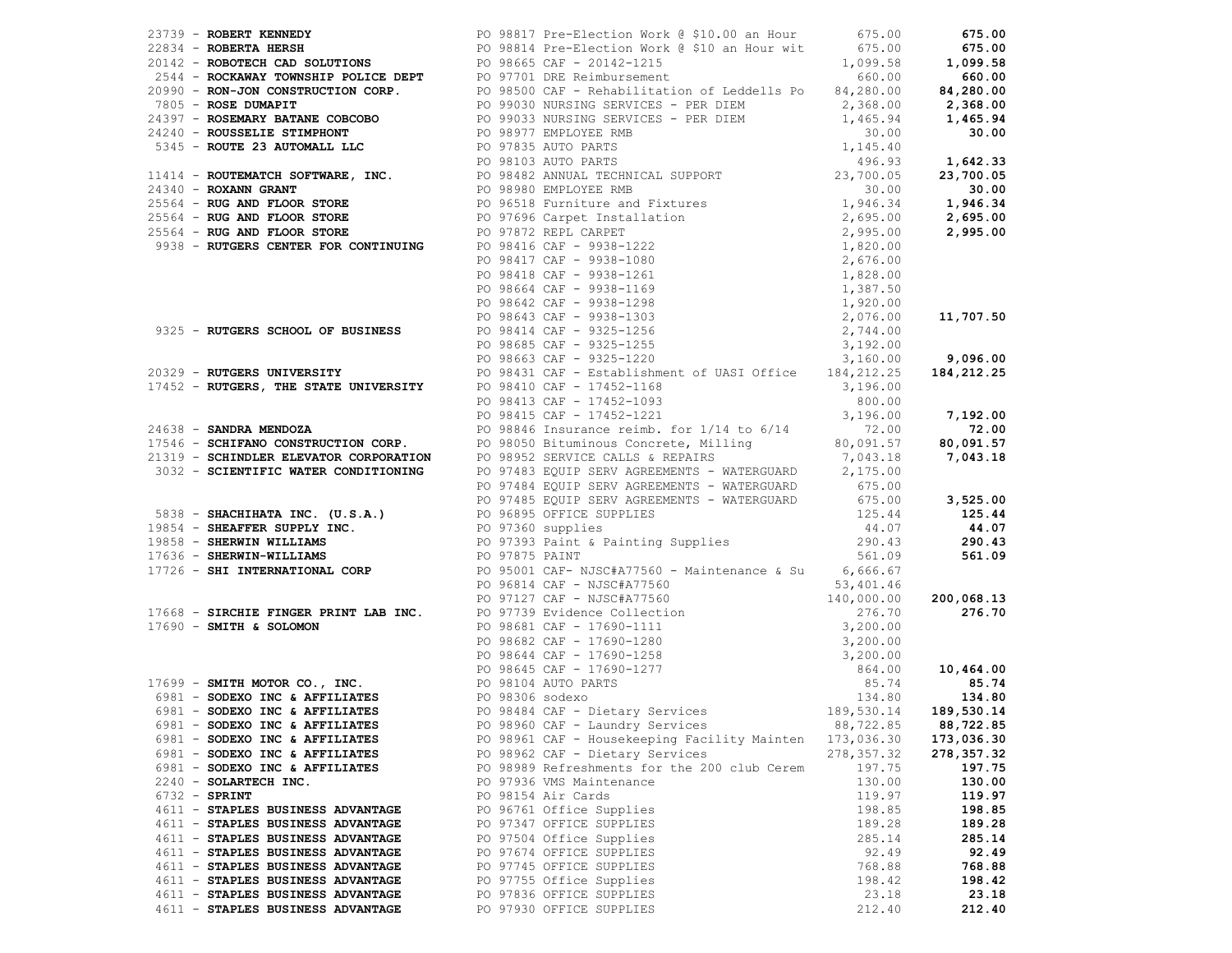| 27313 - ROMERY REMENT<br>27313 - ROMERY REMENT<br>27314 - ROMERY REMENT<br>27314 - ROMERY REMENT<br>27314 - ROMERY REMENT<br>27314 - ROMERY REMENT<br>27314 - ROMERY REMENT<br>27350 - ROMERY REMENT<br>27350 - ROMERY REMENT<br>27350 - ROME<br>3032 - SCIENTIFIC WATER CONDITIONING<br>2032 - SCIENTIFIC WATER CONDITIONING<br>2032 - SCIENTIFIC WATER CONDITIONING<br>2033 - SHACHIHATA INC. (U.S.A.)<br>2033 - SHACHIHATA INC. (U.S.A.)<br>2033 - SHACHIHATA INC. (U.S.A.)<br>2033 - S |                                                         |             |            |
|--------------------------------------------------------------------------------------------------------------------------------------------------------------------------------------------------------------------------------------------------------------------------------------------------------------------------------------------------------------------------------------------------------------------------------------------------------------------------------------------|---------------------------------------------------------|-------------|------------|
|                                                                                                                                                                                                                                                                                                                                                                                                                                                                                            |                                                         |             |            |
|                                                                                                                                                                                                                                                                                                                                                                                                                                                                                            |                                                         |             |            |
|                                                                                                                                                                                                                                                                                                                                                                                                                                                                                            |                                                         |             |            |
|                                                                                                                                                                                                                                                                                                                                                                                                                                                                                            |                                                         |             |            |
|                                                                                                                                                                                                                                                                                                                                                                                                                                                                                            |                                                         |             |            |
|                                                                                                                                                                                                                                                                                                                                                                                                                                                                                            |                                                         |             |            |
|                                                                                                                                                                                                                                                                                                                                                                                                                                                                                            |                                                         |             |            |
|                                                                                                                                                                                                                                                                                                                                                                                                                                                                                            |                                                         |             |            |
|                                                                                                                                                                                                                                                                                                                                                                                                                                                                                            |                                                         |             |            |
|                                                                                                                                                                                                                                                                                                                                                                                                                                                                                            |                                                         |             |            |
|                                                                                                                                                                                                                                                                                                                                                                                                                                                                                            |                                                         |             |            |
|                                                                                                                                                                                                                                                                                                                                                                                                                                                                                            |                                                         |             |            |
|                                                                                                                                                                                                                                                                                                                                                                                                                                                                                            |                                                         |             |            |
|                                                                                                                                                                                                                                                                                                                                                                                                                                                                                            |                                                         |             |            |
|                                                                                                                                                                                                                                                                                                                                                                                                                                                                                            |                                                         |             |            |
|                                                                                                                                                                                                                                                                                                                                                                                                                                                                                            |                                                         |             |            |
|                                                                                                                                                                                                                                                                                                                                                                                                                                                                                            |                                                         |             |            |
|                                                                                                                                                                                                                                                                                                                                                                                                                                                                                            |                                                         |             |            |
|                                                                                                                                                                                                                                                                                                                                                                                                                                                                                            |                                                         |             |            |
| 6981 - SODEXO INC & AFFILIATES                                                                                                                                                                                                                                                                                                                                                                                                                                                             | PO 98961 CAF - Housekeeping Facility Mainten 173,036.30 |             | 173,036.30 |
| 6981 - SODEXO INC & AFFILIATES                                                                                                                                                                                                                                                                                                                                                                                                                                                             | PO 98962 CAF - Dietary Services                         | 278, 357.32 | 278,357.32 |
| 6981 - SODEXO INC & AFFILIATES                                                                                                                                                                                                                                                                                                                                                                                                                                                             | PO 98989 Refreshments for the 200 club Cerem            | 197.75      | 197.75     |
| 2240 - SOLARTECH INC.                                                                                                                                                                                                                                                                                                                                                                                                                                                                      | PO 97936 VMS Maintenance                                | 130.00      | 130.00     |
| $6732 -$ SPRINT                                                                                                                                                                                                                                                                                                                                                                                                                                                                            | PO 98154 Air Cards                                      | 119.97      | 119.97     |
| 4611 - STAPLES BUSINESS ADVANTAGE                                                                                                                                                                                                                                                                                                                                                                                                                                                          | PO 96761 Office Supplies                                | 198.85      | 198.85     |
| 4611 - STAPLES BUSINESS ADVANTAGE                                                                                                                                                                                                                                                                                                                                                                                                                                                          | PO 97347 OFFICE SUPPLIES                                | 189.28      | 189.28     |
| 4611 - STAPLES BUSINESS ADVANTAGE                                                                                                                                                                                                                                                                                                                                                                                                                                                          | PO 97504 Office Supplies                                | 285.14      | 285.14     |
| 4611 - STAPLES BUSINESS ADVANTAGE                                                                                                                                                                                                                                                                                                                                                                                                                                                          | PO 97674 OFFICE SUPPLIES                                | 92.49       | 92.49      |
|                                                                                                                                                                                                                                                                                                                                                                                                                                                                                            |                                                         |             |            |
| 4611 - STAPLES BUSINESS ADVANTAGE                                                                                                                                                                                                                                                                                                                                                                                                                                                          | PO 97745 OFFICE SUPPLIES                                | 768.88      | 768.88     |
| 4611 - STAPLES BUSINESS ADVANTAGE                                                                                                                                                                                                                                                                                                                                                                                                                                                          | PO 97755 Office Supplies                                | 198.42      | 198.42     |
| 4611 - STAPLES BUSINESS ADVANTAGE                                                                                                                                                                                                                                                                                                                                                                                                                                                          | PO 97836 OFFICE SUPPLIES                                | 23.18       | 23.18      |
| 4611 - STAPLES BUSINESS ADVANTAGE                                                                                                                                                                                                                                                                                                                                                                                                                                                          | PO 97930 OFFICE SUPPLIES                                | 212.40      | 212.40     |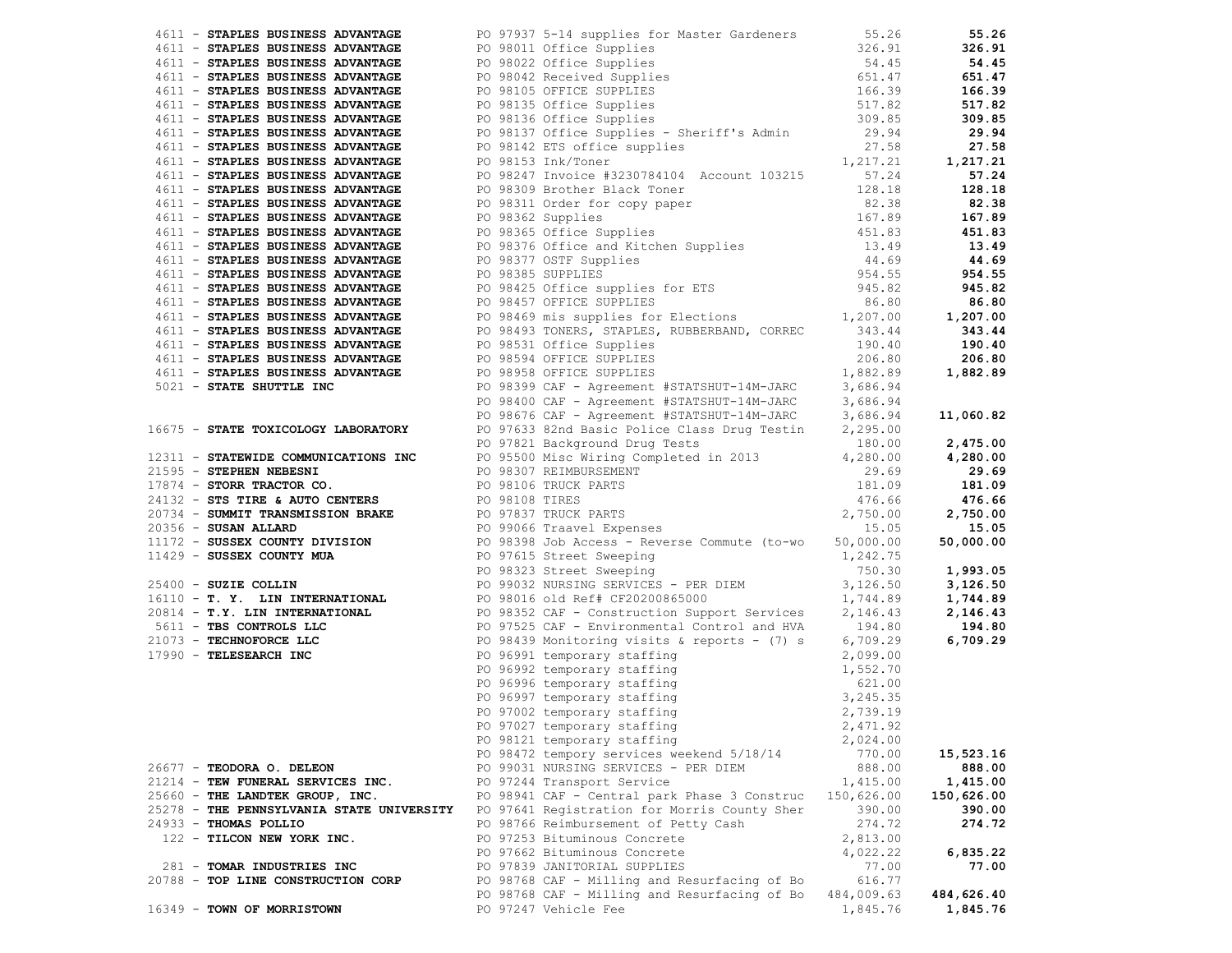| 4411 <b>STATLES BUSINESS ADVANTAGE</b><br><b>FOR 121 CALL STATLES ADVANTAGE</b><br><b>FOR 121 CALL STATLES ADVANTAGE</b><br><b>FOR 121 CALL STATLES ADVANTAGE</b><br><b>FOR 121 CALL STATLES ADVANTAGE</b><br><b>FOR 121 CALL STATLES ADVANTAGE</b><br><b>FOR 121 CALL ST</b> |  |                                                                                                                                                                                                                                             |            |            |
|-------------------------------------------------------------------------------------------------------------------------------------------------------------------------------------------------------------------------------------------------------------------------------|--|---------------------------------------------------------------------------------------------------------------------------------------------------------------------------------------------------------------------------------------------|------------|------------|
|                                                                                                                                                                                                                                                                               |  |                                                                                                                                                                                                                                             |            |            |
|                                                                                                                                                                                                                                                                               |  |                                                                                                                                                                                                                                             |            |            |
|                                                                                                                                                                                                                                                                               |  |                                                                                                                                                                                                                                             |            |            |
|                                                                                                                                                                                                                                                                               |  |                                                                                                                                                                                                                                             |            |            |
|                                                                                                                                                                                                                                                                               |  |                                                                                                                                                                                                                                             |            |            |
|                                                                                                                                                                                                                                                                               |  |                                                                                                                                                                                                                                             |            |            |
|                                                                                                                                                                                                                                                                               |  |                                                                                                                                                                                                                                             |            |            |
|                                                                                                                                                                                                                                                                               |  |                                                                                                                                                                                                                                             |            |            |
|                                                                                                                                                                                                                                                                               |  |                                                                                                                                                                                                                                             |            |            |
|                                                                                                                                                                                                                                                                               |  |                                                                                                                                                                                                                                             |            |            |
|                                                                                                                                                                                                                                                                               |  |                                                                                                                                                                                                                                             |            |            |
|                                                                                                                                                                                                                                                                               |  |                                                                                                                                                                                                                                             |            |            |
|                                                                                                                                                                                                                                                                               |  |                                                                                                                                                                                                                                             |            |            |
|                                                                                                                                                                                                                                                                               |  |                                                                                                                                                                                                                                             |            |            |
|                                                                                                                                                                                                                                                                               |  |                                                                                                                                                                                                                                             |            |            |
|                                                                                                                                                                                                                                                                               |  |                                                                                                                                                                                                                                             |            |            |
|                                                                                                                                                                                                                                                                               |  |                                                                                                                                                                                                                                             |            |            |
|                                                                                                                                                                                                                                                                               |  |                                                                                                                                                                                                                                             |            |            |
|                                                                                                                                                                                                                                                                               |  |                                                                                                                                                                                                                                             |            |            |
|                                                                                                                                                                                                                                                                               |  |                                                                                                                                                                                                                                             |            |            |
|                                                                                                                                                                                                                                                                               |  |                                                                                                                                                                                                                                             |            |            |
|                                                                                                                                                                                                                                                                               |  |                                                                                                                                                                                                                                             |            |            |
|                                                                                                                                                                                                                                                                               |  |                                                                                                                                                                                                                                             |            |            |
|                                                                                                                                                                                                                                                                               |  |                                                                                                                                                                                                                                             |            |            |
|                                                                                                                                                                                                                                                                               |  |                                                                                                                                                                                                                                             |            |            |
|                                                                                                                                                                                                                                                                               |  |                                                                                                                                                                                                                                             |            |            |
|                                                                                                                                                                                                                                                                               |  |                                                                                                                                                                                                                                             |            |            |
|                                                                                                                                                                                                                                                                               |  |                                                                                                                                                                                                                                             |            |            |
|                                                                                                                                                                                                                                                                               |  |                                                                                                                                                                                                                                             |            |            |
|                                                                                                                                                                                                                                                                               |  |                                                                                                                                                                                                                                             |            |            |
|                                                                                                                                                                                                                                                                               |  |                                                                                                                                                                                                                                             |            | 2,475.00   |
|                                                                                                                                                                                                                                                                               |  |                                                                                                                                                                                                                                             |            | 4,280.00   |
|                                                                                                                                                                                                                                                                               |  |                                                                                                                                                                                                                                             |            | 29.69      |
|                                                                                                                                                                                                                                                                               |  |                                                                                                                                                                                                                                             |            | 181.09     |
|                                                                                                                                                                                                                                                                               |  |                                                                                                                                                                                                                                             |            | 476.66     |
|                                                                                                                                                                                                                                                                               |  |                                                                                                                                                                                                                                             |            | 2,750.00   |
|                                                                                                                                                                                                                                                                               |  |                                                                                                                                                                                                                                             |            | 15.05      |
|                                                                                                                                                                                                                                                                               |  |                                                                                                                                                                                                                                             |            | 50,000.00  |
|                                                                                                                                                                                                                                                                               |  |                                                                                                                                                                                                                                             |            |            |
|                                                                                                                                                                                                                                                                               |  |                                                                                                                                                                                                                                             |            | 1,993.05   |
|                                                                                                                                                                                                                                                                               |  |                                                                                                                                                                                                                                             |            | 3,126.50   |
|                                                                                                                                                                                                                                                                               |  |                                                                                                                                                                                                                                             |            | 1,744.89   |
|                                                                                                                                                                                                                                                                               |  |                                                                                                                                                                                                                                             |            | 2,146.43   |
|                                                                                                                                                                                                                                                                               |  |                                                                                                                                                                                                                                             |            | 194.80     |
|                                                                                                                                                                                                                                                                               |  |                                                                                                                                                                                                                                             |            | 6,709.29   |
|                                                                                                                                                                                                                                                                               |  |                                                                                                                                                                                                                                             |            |            |
| 16675 - STATE TOXICOLOGY LABORATORY<br>2011 - STATE TOXICOLOGY LABORATORY<br>2011 - STATEWIDE COMMUNICATIONS INC<br>20131 - STATEWIDE COMMUNICATIONS INC<br>201395 - STEPHEN NEBESNI<br>201395 - STEPHEN NEBESNI<br>201395 - STEPHEN NEBE                                     |  | PO 96991 temporary staffing<br>PO 96992 temporary staffing<br>PO 96992 temporary staffing<br>PO 96996 temporary staffing<br>PO 96997 temporary staffing<br>PO 97022 temporary staffing<br>PO 97022 temporary staffing<br>PO 97027 temporary |            |            |
|                                                                                                                                                                                                                                                                               |  |                                                                                                                                                                                                                                             |            |            |
|                                                                                                                                                                                                                                                                               |  |                                                                                                                                                                                                                                             |            |            |
|                                                                                                                                                                                                                                                                               |  |                                                                                                                                                                                                                                             |            |            |
|                                                                                                                                                                                                                                                                               |  |                                                                                                                                                                                                                                             |            |            |
|                                                                                                                                                                                                                                                                               |  |                                                                                                                                                                                                                                             |            |            |
|                                                                                                                                                                                                                                                                               |  | PO 98121 temporary staffing                                                                                                                                                                                                                 | 2,024.00   |            |
|                                                                                                                                                                                                                                                                               |  | PO 98472 tempory services weekend 5/18/14                                                                                                                                                                                                   | 770.00     | 15,523.16  |
| 26677 - TEODORA O. DELEON                                                                                                                                                                                                                                                     |  | PO 99031 NURSING SERVICES - PER DIEM                                                                                                                                                                                                        | 888.00     | 888.00     |
| 21214 - TEW FUNERAL SERVICES INC.                                                                                                                                                                                                                                             |  | PO 97244 Transport Service                                                                                                                                                                                                                  | 1,415.00   | 1,415.00   |
| 25660 - THE LANDTEK GROUP, INC.                                                                                                                                                                                                                                               |  | PO 98941 CAF - Central park Phase 3 Construc                                                                                                                                                                                                | 150,626.00 | 150,626.00 |
| 25278 - THE PENNSYLVANIA STATE UNIVERSITY                                                                                                                                                                                                                                     |  | PO 97641 Registration for Morris County Sher                                                                                                                                                                                                | 390.00     | 390.00     |
| $24933 - THOMAS POLLIO$                                                                                                                                                                                                                                                       |  | PO 98766 Reimbursement of Petty Cash                                                                                                                                                                                                        | 274.72     | 274.72     |
| 122 - TILCON NEW YORK INC.                                                                                                                                                                                                                                                    |  | PO 97253 Bituminous Concrete                                                                                                                                                                                                                | 2,813.00   |            |
|                                                                                                                                                                                                                                                                               |  | PO 97662 Bituminous Concrete                                                                                                                                                                                                                | 4,022.22   | 6,835.22   |
| 281 - TOMAR INDUSTRIES INC                                                                                                                                                                                                                                                    |  | PO 97839 JANITORIAL SUPPLIES                                                                                                                                                                                                                | 77.00      | 77.00      |
| 20788 - TOP LINE CONSTRUCTION CORP                                                                                                                                                                                                                                            |  | PO 98768 CAF - Milling and Resurfacing of Bo                                                                                                                                                                                                | 616.77     |            |
|                                                                                                                                                                                                                                                                               |  | PO 98768 CAF - Milling and Resurfacing of Bo                                                                                                                                                                                                | 484,009.63 | 484,626.40 |
| 16349 - TOWN OF MORRISTOWN                                                                                                                                                                                                                                                    |  | PO 97247 Vehicle Fee                                                                                                                                                                                                                        | 1,845.76   | 1,845.76   |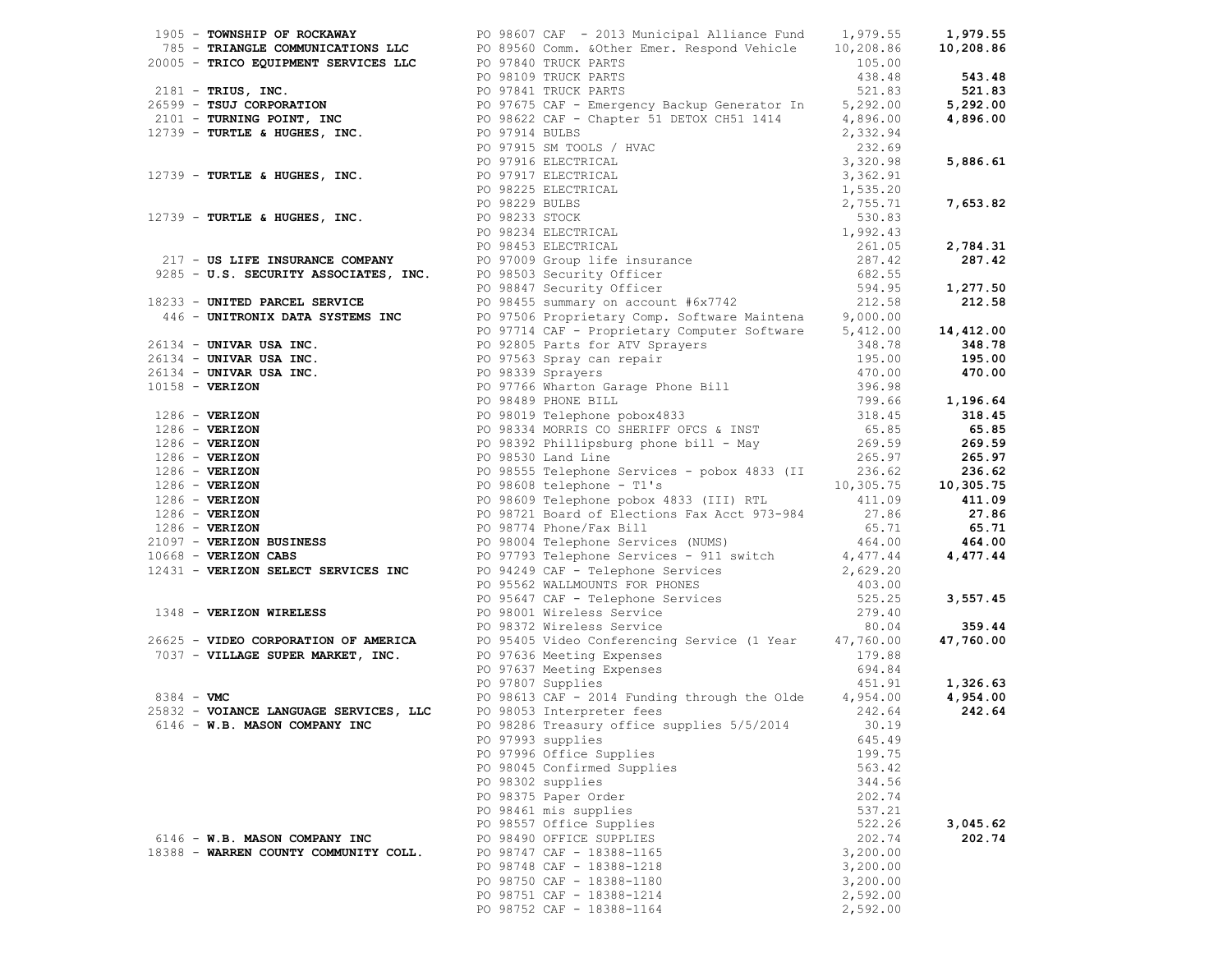| 1991) <b>CONSULT OF MODELLA (MODELLA DE CONSULTATION CONSULTING INTERNATION (1991)</b> 1993-1993<br>1993) TRANS MODELLA (MODELLA DE CONSULTATION PRINCIPAL AND CONSULTATION (1993) 1993-1994<br>1993) TRANS MODELLA (MODELLA DE CONSUL |                                                                                                                                                                                                                                                |          |          |
|----------------------------------------------------------------------------------------------------------------------------------------------------------------------------------------------------------------------------------------|------------------------------------------------------------------------------------------------------------------------------------------------------------------------------------------------------------------------------------------------|----------|----------|
|                                                                                                                                                                                                                                        |                                                                                                                                                                                                                                                |          |          |
|                                                                                                                                                                                                                                        |                                                                                                                                                                                                                                                |          |          |
|                                                                                                                                                                                                                                        |                                                                                                                                                                                                                                                |          |          |
|                                                                                                                                                                                                                                        |                                                                                                                                                                                                                                                |          |          |
|                                                                                                                                                                                                                                        |                                                                                                                                                                                                                                                |          |          |
|                                                                                                                                                                                                                                        |                                                                                                                                                                                                                                                |          |          |
|                                                                                                                                                                                                                                        |                                                                                                                                                                                                                                                |          |          |
|                                                                                                                                                                                                                                        |                                                                                                                                                                                                                                                |          |          |
|                                                                                                                                                                                                                                        |                                                                                                                                                                                                                                                |          |          |
|                                                                                                                                                                                                                                        |                                                                                                                                                                                                                                                |          |          |
|                                                                                                                                                                                                                                        |                                                                                                                                                                                                                                                |          |          |
|                                                                                                                                                                                                                                        |                                                                                                                                                                                                                                                |          |          |
|                                                                                                                                                                                                                                        |                                                                                                                                                                                                                                                |          |          |
|                                                                                                                                                                                                                                        |                                                                                                                                                                                                                                                |          |          |
|                                                                                                                                                                                                                                        |                                                                                                                                                                                                                                                |          |          |
|                                                                                                                                                                                                                                        |                                                                                                                                                                                                                                                |          |          |
|                                                                                                                                                                                                                                        |                                                                                                                                                                                                                                                |          |          |
|                                                                                                                                                                                                                                        |                                                                                                                                                                                                                                                |          |          |
|                                                                                                                                                                                                                                        |                                                                                                                                                                                                                                                |          |          |
|                                                                                                                                                                                                                                        |                                                                                                                                                                                                                                                |          |          |
|                                                                                                                                                                                                                                        |                                                                                                                                                                                                                                                |          |          |
|                                                                                                                                                                                                                                        |                                                                                                                                                                                                                                                |          |          |
|                                                                                                                                                                                                                                        |                                                                                                                                                                                                                                                |          |          |
|                                                                                                                                                                                                                                        |                                                                                                                                                                                                                                                |          |          |
|                                                                                                                                                                                                                                        |                                                                                                                                                                                                                                                |          |          |
|                                                                                                                                                                                                                                        |                                                                                                                                                                                                                                                |          |          |
|                                                                                                                                                                                                                                        |                                                                                                                                                                                                                                                |          |          |
|                                                                                                                                                                                                                                        |                                                                                                                                                                                                                                                |          |          |
|                                                                                                                                                                                                                                        |                                                                                                                                                                                                                                                |          |          |
|                                                                                                                                                                                                                                        |                                                                                                                                                                                                                                                |          |          |
|                                                                                                                                                                                                                                        |                                                                                                                                                                                                                                                |          |          |
|                                                                                                                                                                                                                                        |                                                                                                                                                                                                                                                |          |          |
|                                                                                                                                                                                                                                        |                                                                                                                                                                                                                                                |          |          |
|                                                                                                                                                                                                                                        |                                                                                                                                                                                                                                                |          |          |
|                                                                                                                                                                                                                                        |                                                                                                                                                                                                                                                |          |          |
|                                                                                                                                                                                                                                        |                                                                                                                                                                                                                                                |          |          |
|                                                                                                                                                                                                                                        |                                                                                                                                                                                                                                                |          |          |
|                                                                                                                                                                                                                                        |                                                                                                                                                                                                                                                |          |          |
|                                                                                                                                                                                                                                        |                                                                                                                                                                                                                                                |          |          |
|                                                                                                                                                                                                                                        |                                                                                                                                                                                                                                                |          |          |
|                                                                                                                                                                                                                                        |                                                                                                                                                                                                                                                |          |          |
|                                                                                                                                                                                                                                        |                                                                                                                                                                                                                                                |          |          |
|                                                                                                                                                                                                                                        |                                                                                                                                                                                                                                                |          |          |
|                                                                                                                                                                                                                                        |                                                                                                                                                                                                                                                |          |          |
|                                                                                                                                                                                                                                        |                                                                                                                                                                                                                                                |          |          |
|                                                                                                                                                                                                                                        |                                                                                                                                                                                                                                                |          |          |
|                                                                                                                                                                                                                                        | 7037 - VILLAGE SUPER MARKET, INC.<br>PO 97636 Meeting Expenses<br>PO 97637 Meeting Expenses<br>PO 97807 Supplies<br>PO 98613 CAF - 2014 Funding through the Olde<br>PO 98613 CAF - 2014 Funding through the Olde<br>4,954.00<br>4,954.00<br>4, |          |          |
|                                                                                                                                                                                                                                        |                                                                                                                                                                                                                                                |          |          |
|                                                                                                                                                                                                                                        |                                                                                                                                                                                                                                                |          |          |
|                                                                                                                                                                                                                                        |                                                                                                                                                                                                                                                |          |          |
|                                                                                                                                                                                                                                        |                                                                                                                                                                                                                                                |          |          |
|                                                                                                                                                                                                                                        | 25832 - VOIANCE LANGUAGE SERVICES, LLC DE 98053 Interpreter fees<br>6146 - W.B. MASON COMPANY INC DE PO 98286 Treasury office supplies 5/5/2014 30.19                                                                                          |          |          |
|                                                                                                                                                                                                                                        | PO 97993 supplies                                                                                                                                                                                                                              | 645.49   |          |
|                                                                                                                                                                                                                                        | PO 97996 Office Supplies                                                                                                                                                                                                                       | 199.75   |          |
|                                                                                                                                                                                                                                        | PO 98045 Confirmed Supplies                                                                                                                                                                                                                    | 563.42   |          |
|                                                                                                                                                                                                                                        | PO 98302 supplies                                                                                                                                                                                                                              | 344.56   |          |
|                                                                                                                                                                                                                                        | PO 98375 Paper Order                                                                                                                                                                                                                           | 202.74   |          |
|                                                                                                                                                                                                                                        | PO 98461 mis supplies                                                                                                                                                                                                                          | 537.21   |          |
|                                                                                                                                                                                                                                        | PO 98557 Office Supplies                                                                                                                                                                                                                       | 522.26   | 3,045.62 |
| 6146 - W.B. MASON COMPANY INC                                                                                                                                                                                                          | PO 98490 OFFICE SUPPLIES                                                                                                                                                                                                                       | 202.74   | 202.74   |
| 18388 - WARREN COUNTY COMMUNITY COLL.                                                                                                                                                                                                  | PO 98747 CAF - 18388-1165                                                                                                                                                                                                                      | 3,200.00 |          |
|                                                                                                                                                                                                                                        | PO 98748 CAF - 18388-1218                                                                                                                                                                                                                      | 3,200.00 |          |
|                                                                                                                                                                                                                                        |                                                                                                                                                                                                                                                |          |          |
|                                                                                                                                                                                                                                        | PO 98750 CAF - 18388-1180                                                                                                                                                                                                                      | 3,200.00 |          |
|                                                                                                                                                                                                                                        | PO 98751 CAF - 18388-1214                                                                                                                                                                                                                      | 2,592.00 |          |
|                                                                                                                                                                                                                                        | PO 98752 CAF - 18388-1164                                                                                                                                                                                                                      | 2,592.00 |          |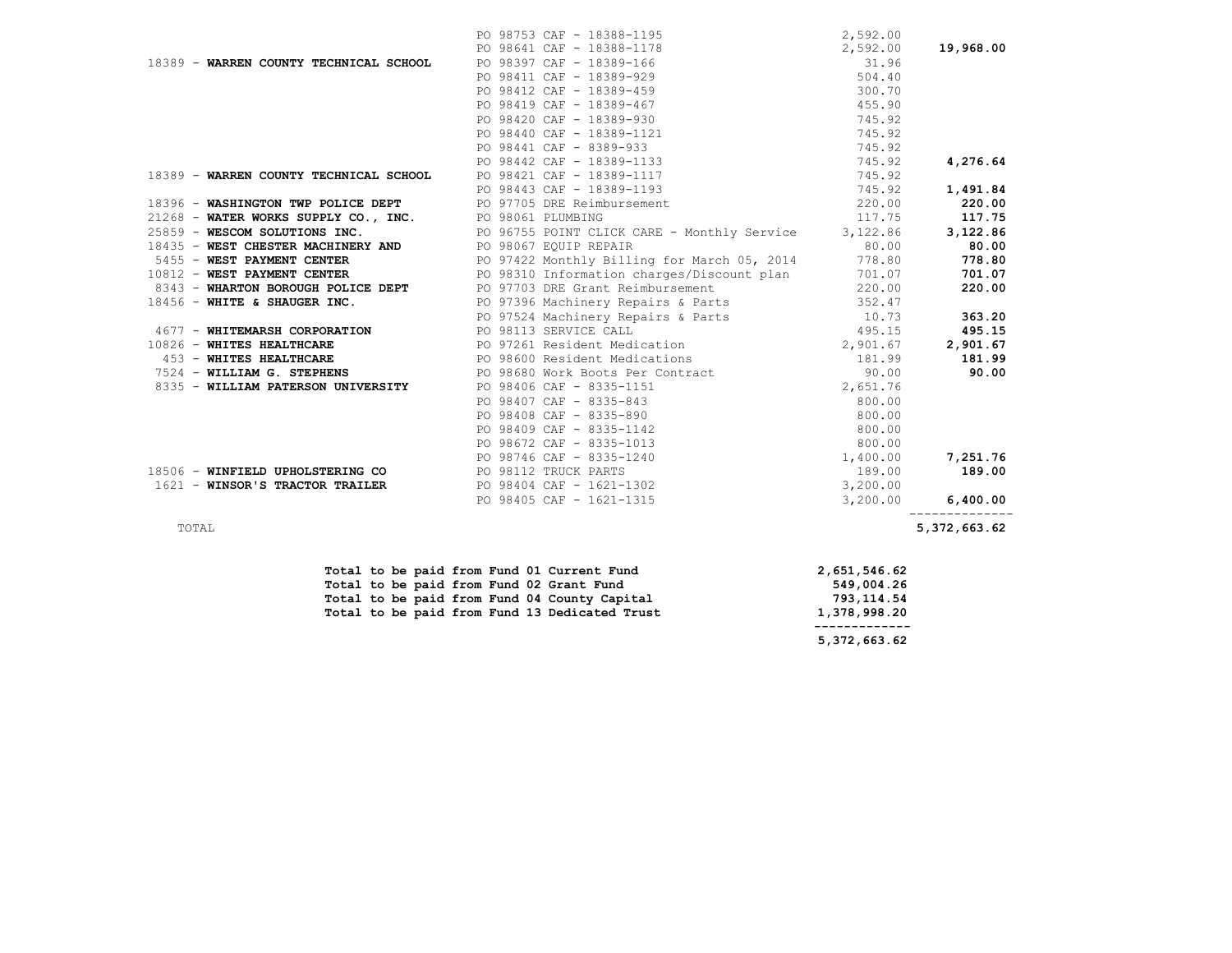|                                        | PO 98753 CAF - 18388-1195                                           | 2,592.00 |                            |
|----------------------------------------|---------------------------------------------------------------------|----------|----------------------------|
|                                        | PO 98641 CAF - 18388-1178                                           | 2,592.00 | 19,968.00                  |
| 18389 - WARREN COUNTY TECHNICAL SCHOOL | PO 98397 CAF - 18389-166                                            | 31.96    |                            |
|                                        | PO 98411 CAF - 18389-929                                            | 504.40   |                            |
|                                        | PO 98412 CAF - 18389-459                                            | 300.70   |                            |
|                                        | PO 98419 CAF - 18389-467                                            | 455.90   |                            |
|                                        | PO 98420 CAF - 18389-930                                            | 745.92   |                            |
|                                        | PO 98440 CAF - 18389-1121                                           | 745.92   |                            |
|                                        | PO 98441 CAF - 8389-933                                             | 745.92   |                            |
|                                        | PO 98442 CAF - 18389-1133                                           | 745.92   | 4,276.64                   |
| 18389 - WARREN COUNTY TECHNICAL SCHOOL | PO 98421 CAF - 18389-1117                                           | 745.92   |                            |
|                                        | PO 98443 CAF - 18389-1193                                           | 745.92   | 1,491.84                   |
| 18396 - WASHINGTON TWP POLICE DEPT     | PO 97705 DRE Reimbursement                                          | 220.00   | 220.00                     |
| 21268 - WATER WORKS SUPPLY CO., INC.   | PO 98061 PLUMBING                                                   | 117.75   | 117.75                     |
| 25859 - WESCOM SOLUTIONS INC.          | PO 96755 POINT CLICK CARE - Monthly Service 3,122.86                |          | 3,122.86                   |
| 18435 - WEST CHESTER MACHINERY AND     | PO 98067 EQUIP REPAIR                                               | 80.00    | 80.00                      |
| 5455 - WEST PAYMENT CENTER             | PO 97422 Monthly Billing for March 05, 2014 778.80                  |          | 778.80                     |
| 10812 - WEST PAYMENT CENTER            | PO 98310 Information charges/Discount plan 701.07                   |          | 701.07                     |
| 8343 - WHARTON BOROUGH POLICE DEPT     | PO 97703 DRE Grant Reimbursement 220.00                             |          | 220.00                     |
| 18456 - WHITE & SHAUGER INC.           | PO 97396 Machinery Repairs & Parts 352.47                           |          |                            |
|                                        | PO 97524 Machinery Repairs & Parts 10.73<br>PO 98113 SERVICE CALL 1 |          | 363.20                     |
| 4677 - WHITEMARSH CORPORATION          | PO 98113 SERVICE CALL                                               | 495.15   | 495.15                     |
| 10826 - WHITES HEALTHCARE              | PO 97261 Resident Medication 2,901.67                               |          | 2,901.67                   |
| 453 - WHITES HEALTHCARE                | PO 98600 Resident Medications                                       | 181.99   | 181.99                     |
| 7524 - WILLIAM G. STEPHENS             | PO 98680 Work Boots Per Contract                                    | 90.00    | 90.00                      |
| 8335 - WILLIAM PATERSON UNIVERSITY     | PO 98406 CAF - 8335-1151                                            | 2,651.76 |                            |
|                                        |                                                                     |          |                            |
|                                        |                                                                     |          |                            |
|                                        |                                                                     |          |                            |
|                                        |                                                                     |          |                            |
|                                        |                                                                     |          | 7,251.76                   |
| 18506 - WINFIELD UPHOLSTERING CO       |                                                                     |          | 189.00                     |
| 1621 - WINSOR'S TRACTOR TRAILER        |                                                                     |          |                            |
|                                        |                                                                     | 3,200.00 | 6,400.00<br>-------------- |
| TOTAL                                  |                                                                     |          | 5,372,663.62               |
|                                        |                                                                     |          |                            |

|  |  |  |  | Total to be paid from Fund 01 Current Fund    | 2,651,546.62 |  |
|--|--|--|--|-----------------------------------------------|--------------|--|
|  |  |  |  | Total to be paid from Fund 02 Grant Fund      | 549,004.26   |  |
|  |  |  |  | Total to be paid from Fund 04 County Capital  | 793,114.54   |  |
|  |  |  |  | Total to be paid from Fund 13 Dedicated Trust | 1,378,998.20 |  |
|  |  |  |  |                                               |              |  |

 **5,372,663.62**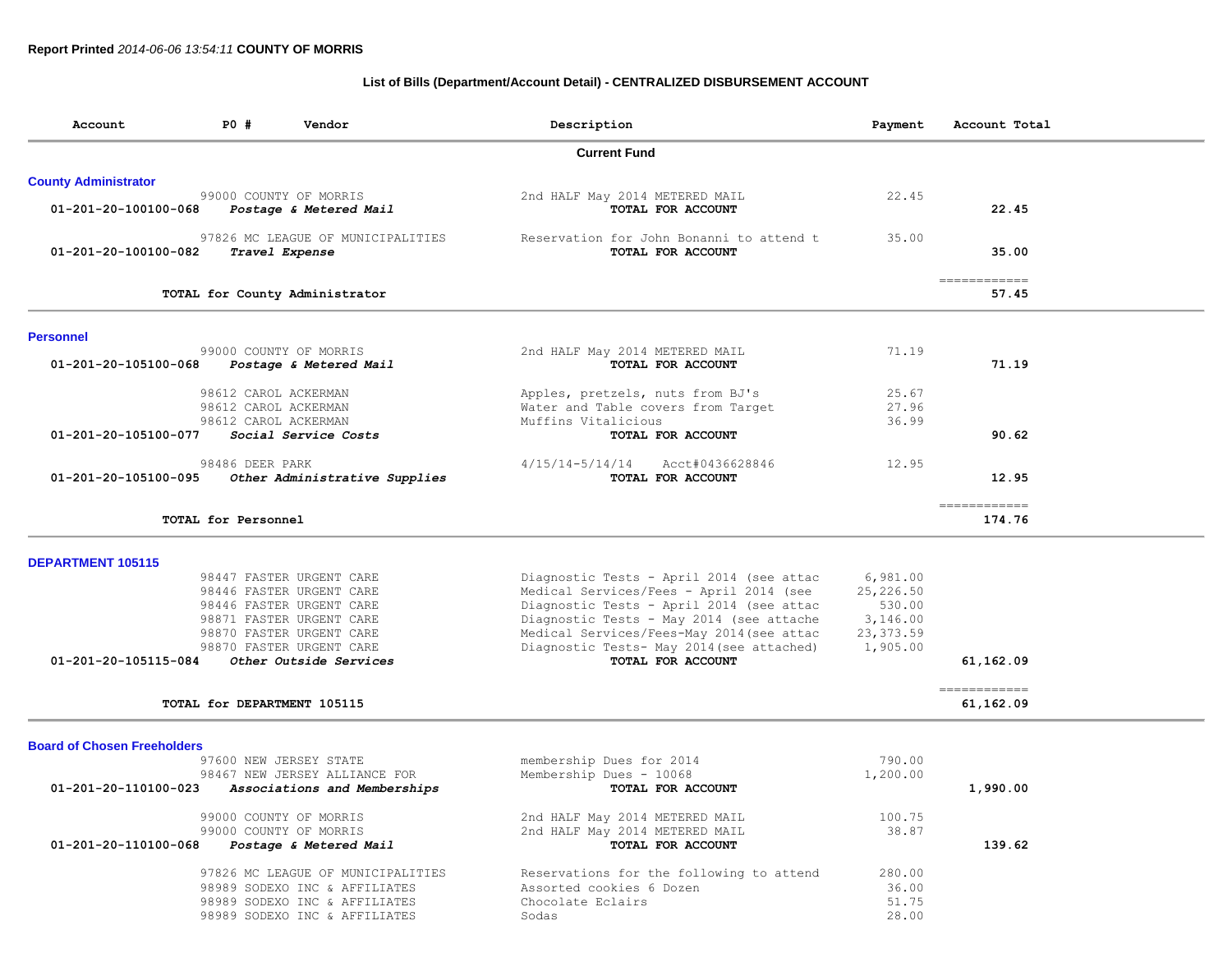## **List of Bills (Department/Account Detail) - CENTRALIZED DISBURSEMENT ACCOUNT**

| Account                            | <b>PO #</b>                                                          | Vendor                                                                                                                                                                                         | Description                                                                                                                                                                                                                                                                                | Payment                                                               | Account Total          |
|------------------------------------|----------------------------------------------------------------------|------------------------------------------------------------------------------------------------------------------------------------------------------------------------------------------------|--------------------------------------------------------------------------------------------------------------------------------------------------------------------------------------------------------------------------------------------------------------------------------------------|-----------------------------------------------------------------------|------------------------|
|                                    |                                                                      |                                                                                                                                                                                                | <b>Current Fund</b>                                                                                                                                                                                                                                                                        |                                                                       |                        |
| <b>County Administrator</b>        |                                                                      |                                                                                                                                                                                                |                                                                                                                                                                                                                                                                                            |                                                                       |                        |
| 01-201-20-100100-068               | 99000 COUNTY OF MORRIS                                               | Postage & Metered Mail                                                                                                                                                                         | 2nd HALF May 2014 METERED MAIL<br>TOTAL FOR ACCOUNT                                                                                                                                                                                                                                        | 22.45                                                                 | 22.45                  |
| 01-201-20-100100-082               | Travel Expense                                                       | 97826 MC LEAGUE OF MUNICIPALITIES                                                                                                                                                              | Reservation for John Bonanni to attend t<br>TOTAL FOR ACCOUNT                                                                                                                                                                                                                              | 35.00                                                                 | 35.00                  |
|                                    |                                                                      | TOTAL for County Administrator                                                                                                                                                                 |                                                                                                                                                                                                                                                                                            |                                                                       | ============<br>57.45  |
| <b>Personnel</b>                   |                                                                      |                                                                                                                                                                                                |                                                                                                                                                                                                                                                                                            |                                                                       |                        |
| 01-201-20-105100-068               | 99000 COUNTY OF MORRIS                                               | Postage & Metered Mail                                                                                                                                                                         | 2nd HALF May 2014 METERED MAIL<br>TOTAL FOR ACCOUNT                                                                                                                                                                                                                                        | 71.19                                                                 | 71.19                  |
|                                    | 98612 CAROL ACKERMAN<br>98612 CAROL ACKERMAN<br>98612 CAROL ACKERMAN |                                                                                                                                                                                                | Apples, pretzels, nuts from BJ's<br>Water and Table covers from Target<br>Muffins Vitalicious                                                                                                                                                                                              | 25.67<br>27.96<br>36.99                                               |                        |
| 01-201-20-105100-077               | 98486 DEER PARK                                                      | Social Service Costs                                                                                                                                                                           | TOTAL FOR ACCOUNT<br>$4/15/14 - 5/14/14$<br>Acct#0436628846                                                                                                                                                                                                                                | 12.95                                                                 | 90.62                  |
| 01-201-20-105100-095               |                                                                      | Other Administrative Supplies                                                                                                                                                                  | TOTAL FOR ACCOUNT                                                                                                                                                                                                                                                                          |                                                                       | 12.95                  |
|                                    | TOTAL for Personnel                                                  |                                                                                                                                                                                                |                                                                                                                                                                                                                                                                                            |                                                                       | ============<br>174.76 |
| <b>DEPARTMENT 105115</b>           |                                                                      |                                                                                                                                                                                                |                                                                                                                                                                                                                                                                                            |                                                                       |                        |
| 01-201-20-105115-084               |                                                                      | 98447 FASTER URGENT CARE<br>98446 FASTER URGENT CARE<br>98446 FASTER URGENT CARE<br>98871 FASTER URGENT CARE<br>98870 FASTER URGENT CARE<br>98870 FASTER URGENT CARE<br>Other Outside Services | Diagnostic Tests - April 2014 (see attac<br>Medical Services/Fees - April 2014 (see<br>Diagnostic Tests - April 2014 (see attac<br>Diagnostic Tests - May 2014 (see attache<br>Medical Services/Fees-May 2014 (see attac<br>Diagnostic Tests- May 2014 (see attached)<br>TOTAL FOR ACCOUNT | 6,981.00<br>25,226.50<br>530.00<br>3,146.00<br>23, 373.59<br>1,905.00 | 61,162.09              |
|                                    |                                                                      |                                                                                                                                                                                                |                                                                                                                                                                                                                                                                                            |                                                                       | -------------          |
|                                    | TOTAL for DEPARTMENT 105115                                          |                                                                                                                                                                                                |                                                                                                                                                                                                                                                                                            |                                                                       | 61,162.09              |
| <b>Board of Chosen Freeholders</b> | 97600 NEW JERSEY STATE                                               | 98467 NEW JERSEY ALLIANCE FOR                                                                                                                                                                  | membership Dues for 2014<br>Membership Dues - 10068                                                                                                                                                                                                                                        | 790.00<br>1,200.00                                                    |                        |
| 01-201-20-110100-023               |                                                                      | Associations and Memberships                                                                                                                                                                   | TOTAL FOR ACCOUNT                                                                                                                                                                                                                                                                          |                                                                       | 1,990.00               |
| 01-201-20-110100-068               | 99000 COUNTY OF MORRIS<br>99000 COUNTY OF MORRIS                     | Postage & Metered Mail                                                                                                                                                                         | 2nd HALF May 2014 METERED MAIL<br>2nd HALF May 2014 METERED MAIL<br>TOTAL FOR ACCOUNT                                                                                                                                                                                                      | 100.75<br>38.87                                                       | 139.62                 |
|                                    |                                                                      | 97826 MC LEAGUE OF MUNICIPALITIES<br>98989 SODEXO INC & AFFILIATES<br>98989 SODEXO INC & AFFILIATES<br>98989 SODEXO INC & AFFILIATES                                                           | Reservations for the following to attend<br>Assorted cookies 6 Dozen<br>Chocolate Eclairs<br>Sodas                                                                                                                                                                                         | 280.00<br>36.00<br>51.75<br>28.00                                     |                        |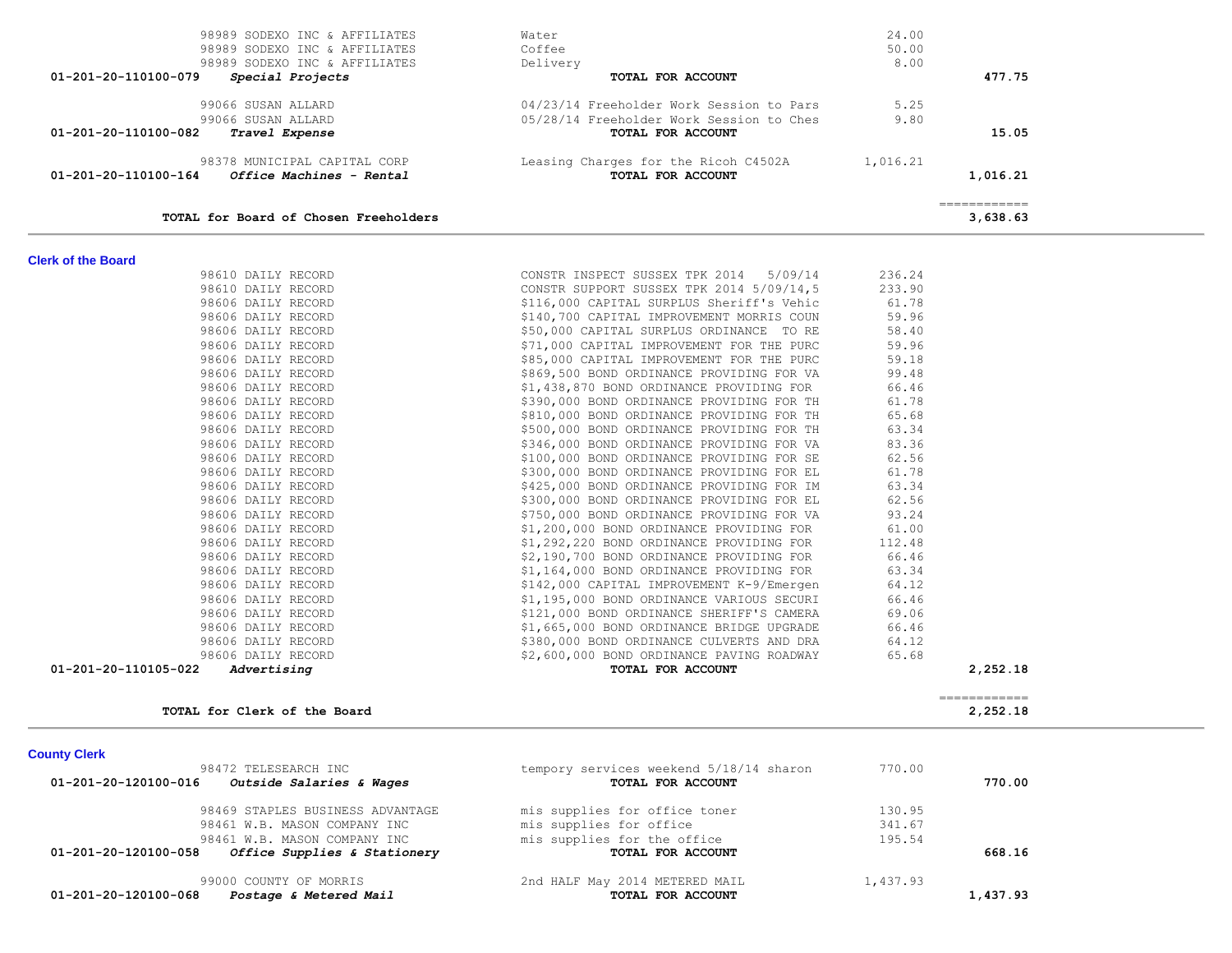| <b>County Clerk</b>                                  |                                         |          |          |
|------------------------------------------------------|-----------------------------------------|----------|----------|
| 98472 TELESEARCH INC                                 | tempory services weekend 5/18/14 sharon | 770.00   |          |
| 01-201-20-120100-016<br>Outside Salaries & Wages     | TOTAL FOR ACCOUNT                       |          | 770.00   |
| 98469 STAPLES BUSINESS ADVANTAGE                     | mis supplies for office toner           | 130.95   |          |
| 98461 W.B. MASON COMPANY INC                         | mis supplies for office                 | 341.67   |          |
| 98461 W.B. MASON COMPANY INC                         | mis supplies for the office             | 195.54   |          |
| 01-201-20-120100-058<br>Office Supplies & Stationery | TOTAL FOR ACCOUNT                       |          | 668.16   |
| 99000 COUNTY OF MORRIS                               | 2nd HALF May 2014 METERED MAIL          | 1,437.93 |          |
| 01-201-20-120100-068<br>Postage & Metered Mail       | TOTAL FOR ACCOUNT                       |          | 1,437.93 |

| VI-ZVI-ZV-IIVIVV-I04<br><i>Ullice Machines - Rentai</i> | TUIAL FUR ACCOUNT                                                                                                                                      |        | 1,010.21                                                                                                                                                                                                                                                                                                                                                                                                                                                                                           |
|---------------------------------------------------------|--------------------------------------------------------------------------------------------------------------------------------------------------------|--------|----------------------------------------------------------------------------------------------------------------------------------------------------------------------------------------------------------------------------------------------------------------------------------------------------------------------------------------------------------------------------------------------------------------------------------------------------------------------------------------------------|
| TOTAL for Board of Chosen Freeholders                   |                                                                                                                                                        |        | $\begin{array}{cccccccccc} \multicolumn{2}{c}{} & \multicolumn{2}{c}{} & \multicolumn{2}{c}{} & \multicolumn{2}{c}{} & \multicolumn{2}{c}{} & \multicolumn{2}{c}{} & \multicolumn{2}{c}{} & \multicolumn{2}{c}{} & \multicolumn{2}{c}{} & \multicolumn{2}{c}{} & \multicolumn{2}{c}{} & \multicolumn{2}{c}{} & \multicolumn{2}{c}{} & \multicolumn{2}{c}{} & \multicolumn{2}{c}{} & \multicolumn{2}{c}{} & \multicolumn{2}{c}{} & \multicolumn{2}{c}{} & \multicolumn{2}{c}{} & \mult$<br>3,638.63 |
| <b>Clerk of the Board</b>                               |                                                                                                                                                        |        |                                                                                                                                                                                                                                                                                                                                                                                                                                                                                                    |
| 98610 DAILY RECORD                                      | CONSTR INSPECT SUSSEX TPK 2014 5/09/14                                                                                                                 | 236.24 |                                                                                                                                                                                                                                                                                                                                                                                                                                                                                                    |
| 98610 DAILY RECORD                                      | CONSTR SUPPORT SUSSEX TPK 2014 5/09/14,5 233.90                                                                                                        |        |                                                                                                                                                                                                                                                                                                                                                                                                                                                                                                    |
| 98606 DAILY RECORD                                      | \$116,000 CAPITAL SURPLUS Sheriff's Vehic 61.78                                                                                                        |        |                                                                                                                                                                                                                                                                                                                                                                                                                                                                                                    |
| 98606 DAILY RECORD                                      | \$140,700 CAPITAL IMPROVEMENT MORRIS COUN                                                                                                              | 59.96  |                                                                                                                                                                                                                                                                                                                                                                                                                                                                                                    |
| 98606 DAILY RECORD                                      | \$50,000 CAPITAL SURPLUS ORDINANCE TO RE                                                                                                               | 58.40  |                                                                                                                                                                                                                                                                                                                                                                                                                                                                                                    |
| 98606 DAILY RECORD                                      | \$71,000 CAPITAL IMPROVEMENT FOR THE PURC                                                                                                              | 59.96  |                                                                                                                                                                                                                                                                                                                                                                                                                                                                                                    |
| 98606 DAILY RECORD                                      | \$85,000 CAPITAL IMPROVEMENT FOR THE PURC                                                                                                              | 59.18  |                                                                                                                                                                                                                                                                                                                                                                                                                                                                                                    |
| 98606 DAILY RECORD                                      | \$869,500 BOND ORDINANCE PROVIDING FOR VA                                                                                                              | 99.48  |                                                                                                                                                                                                                                                                                                                                                                                                                                                                                                    |
| 98606 DAILY RECORD                                      | \$1,438,870 BOND ORDINANCE PROVIDING FOR                                                                                                               | 66.46  |                                                                                                                                                                                                                                                                                                                                                                                                                                                                                                    |
| 98606 DAILY RECORD                                      | \$390,000 BOND ORDINANCE PROVIDING FOR TH                                                                                                              | 61.78  |                                                                                                                                                                                                                                                                                                                                                                                                                                                                                                    |
| 98606 DAILY RECORD                                      | \$810,000 BOND ORDINANCE PROVIDING FOR TH                                                                                                              | 65.68  |                                                                                                                                                                                                                                                                                                                                                                                                                                                                                                    |
| 98606 DAILY RECORD                                      | \$500,000 BOND ORDINANCE PROVIDING FOR TH                                                                                                              | 63.34  |                                                                                                                                                                                                                                                                                                                                                                                                                                                                                                    |
| 98606 DAILY RECORD                                      | \$346,000 BOND ORDINANCE PROVIDING FOR VA                                                                                                              | 83.36  |                                                                                                                                                                                                                                                                                                                                                                                                                                                                                                    |
| 98606 DAILY RECORD                                      | \$100,000 BOND ORDINANCE PROVIDING FOR SE                                                                                                              | 62.56  |                                                                                                                                                                                                                                                                                                                                                                                                                                                                                                    |
| 98606 DAILY RECORD                                      | \$300,000 BOND ORDINANCE PROVIDING FOR EL                                                                                                              | 61.78  |                                                                                                                                                                                                                                                                                                                                                                                                                                                                                                    |
| 98606 DAILY RECORD                                      | \$425,000 BOND ORDINANCE PROVIDING FOR IM                                                                                                              | 63.34  |                                                                                                                                                                                                                                                                                                                                                                                                                                                                                                    |
| 98606 DAILY RECORD                                      | \$300,000 BOND ORDINANCE PROVIDING FOR EL                                                                                                              | 62.56  |                                                                                                                                                                                                                                                                                                                                                                                                                                                                                                    |
| 98606 DAILY RECORD                                      | \$750,000 BOND ORDINANCE PROVIDING FOR VA                                                                                                              | 93.24  |                                                                                                                                                                                                                                                                                                                                                                                                                                                                                                    |
| 98606 DAILY RECORD                                      |                                                                                                                                                        |        |                                                                                                                                                                                                                                                                                                                                                                                                                                                                                                    |
| 98606 DAILY RECORD                                      |                                                                                                                                                        |        |                                                                                                                                                                                                                                                                                                                                                                                                                                                                                                    |
| 98606 DAILY RECORD                                      | $$1,200,000$ BOND ORDINANCE PROVIDING FOR 61.00<br>$$1,292,220$ BOND ORDINANCE PROVIDING FOR 112.48<br>$$2,190,700$ BOND ORDINANCE PROVIDING FOR 66.46 |        |                                                                                                                                                                                                                                                                                                                                                                                                                                                                                                    |
| 98606 DAILY RECORD                                      | \$1,164,000 BOND ORDINANCE PROVIDING FOR                                                                                                               | 63.34  |                                                                                                                                                                                                                                                                                                                                                                                                                                                                                                    |
| 98606 DAILY RECORD                                      | \$142,000 CAPITAL IMPROVEMENT K-9/Emergen                                                                                                              | 64.12  |                                                                                                                                                                                                                                                                                                                                                                                                                                                                                                    |
| 98606 DAILY RECORD                                      | \$1,195,000 BOND ORDINANCE VARIOUS SECURI                                                                                                              | 66.46  |                                                                                                                                                                                                                                                                                                                                                                                                                                                                                                    |
| 98606 DAILY RECORD                                      | \$121,000 BOND ORDINANCE SHERIFF'S CAMERA                                                                                                              | 69.06  |                                                                                                                                                                                                                                                                                                                                                                                                                                                                                                    |
| 98606 DAILY RECORD                                      | \$1,665,000 BOND ORDINANCE BRIDGE UPGRADE                                                                                                              | 66.46  |                                                                                                                                                                                                                                                                                                                                                                                                                                                                                                    |
| 98606 DAILY RECORD                                      | \$380,000 BOND ORDINANCE CULVERTS AND DRA                                                                                                              | 64.12  |                                                                                                                                                                                                                                                                                                                                                                                                                                                                                                    |
| 98606 DAILY RECORD                                      | \$2,600,000 BOND ORDINANCE PAVING ROADWAY                                                                                                              | 65.68  |                                                                                                                                                                                                                                                                                                                                                                                                                                                                                                    |
| 01-201-20-110105-022<br>Advertising                     | TOTAL FOR ACCOUNT                                                                                                                                      |        | 2,252.18                                                                                                                                                                                                                                                                                                                                                                                                                                                                                           |

| 98989 SODEXO INC & AFFILIATES                    | Water                                    | 24.00    |          |
|--------------------------------------------------|------------------------------------------|----------|----------|
| 98989 SODEXO INC & AFFILIATES                    | Coffee                                   | 50.00    |          |
| 98989 SODEXO INC & AFFILIATES                    | Delivery                                 | 8.00     |          |
| 01-201-20-110100-079<br>Special Projects         | TOTAL FOR ACCOUNT                        |          | 477.75   |
| 99066 SUSAN ALLARD                               | 04/23/14 Freeholder Work Session to Pars | 5.25     |          |
| 99066 SUSAN ALLARD                               | 05/28/14 Freeholder Work Session to Ches | 9.80     |          |
| 01-201-20-110100-082<br><i>Travel Expense</i>    | TOTAL FOR ACCOUNT                        |          | 15.05    |
| 98378 MUNICIPAL CAPITAL CORP                     | Leasing Charges for the Ricoh C4502A     | 1,016.21 |          |
| 01-201-20-110100-164<br>Office Machines - Rental | TOTAL FOR ACCOUNT                        |          | 1,016.21 |
|                                                  |                                          |          |          |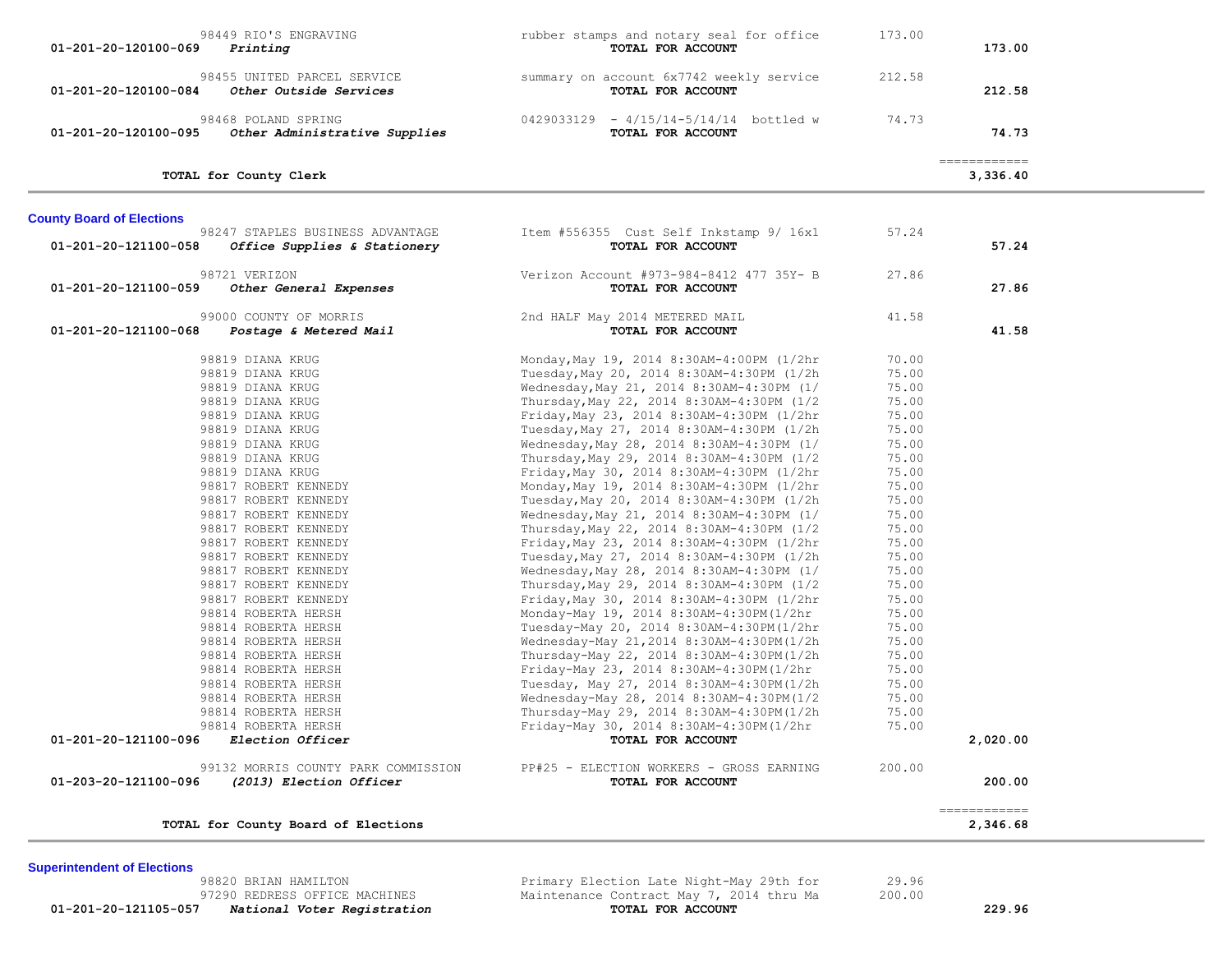| rubber stamps and notary seal for office<br>TOTAL FOR ACCOUNT                          | 173.00                                                                                                                                                                                                                                                                                                                                                                                | 173.00                                                                         |                                           |
|----------------------------------------------------------------------------------------|---------------------------------------------------------------------------------------------------------------------------------------------------------------------------------------------------------------------------------------------------------------------------------------------------------------------------------------------------------------------------------------|--------------------------------------------------------------------------------|-------------------------------------------|
| summary on account 6x7742 weekly service<br>TOTAL FOR ACCOUNT                          | 212.58                                                                                                                                                                                                                                                                                                                                                                                | 212.58                                                                         |                                           |
| 0429033129 - 4/15/14-5/14/14 bottled w<br>TOTAL FOR ACCOUNT                            | 74.73                                                                                                                                                                                                                                                                                                                                                                                 | 74.73                                                                          |                                           |
|                                                                                        |                                                                                                                                                                                                                                                                                                                                                                                       | 3,336.40                                                                       |                                           |
|                                                                                        |                                                                                                                                                                                                                                                                                                                                                                                       |                                                                                |                                           |
| Item #556355 Cust Self Inkstamp 9/ 16x1<br>TOTAL FOR ACCOUNT                           | 57.24                                                                                                                                                                                                                                                                                                                                                                                 | 57.24                                                                          |                                           |
| Verizon Account #973-984-8412 477 35Y- B<br>TOTAL FOR ACCOUNT                          | 27.86                                                                                                                                                                                                                                                                                                                                                                                 | 27.86                                                                          |                                           |
| 2nd HALF May 2014 METERED MAIL<br>TOTAL FOR ACCOUNT                                    | 41.58                                                                                                                                                                                                                                                                                                                                                                                 | 41.58                                                                          |                                           |
| Monday, May 19, 2014 8:30AM-4:00PM (1/2hr                                              | 70.00                                                                                                                                                                                                                                                                                                                                                                                 |                                                                                |                                           |
| Wednesday, May 21, 2014 8:30AM-4:30PM (1/<br>Thursday, May 22, 2014 8:30AM-4:30PM (1/2 | 75.00<br>75.00                                                                                                                                                                                                                                                                                                                                                                        |                                                                                |                                           |
| Friday, May 23, 2014 8:30AM-4:30PM (1/2hr<br>Tuesday, May 27, 2014 8:30AM-4:30PM (1/2h | 75.00<br>75.00                                                                                                                                                                                                                                                                                                                                                                        |                                                                                |                                           |
| Wednesday, May 28, 2014 8:30AM-4:30PM (1/<br>Thursday, May 29, 2014 8:30AM-4:30PM (1/2 | 75.00<br>75.00                                                                                                                                                                                                                                                                                                                                                                        |                                                                                |                                           |
| Friday, May 30, 2014 8:30AM-4:30PM (1/2hr<br>Monday, May 19, 2014 8:30AM-4:30PM (1/2hr | 75.00                                                                                                                                                                                                                                                                                                                                                                                 |                                                                                |                                           |
| Wednesday, May 21, 2014 8:30AM-4:30PM (1/                                              | 75.00                                                                                                                                                                                                                                                                                                                                                                                 |                                                                                |                                           |
| Friday, May 23, 2014 8:30AM-4:30PM (1/2hr                                              | 75.00                                                                                                                                                                                                                                                                                                                                                                                 |                                                                                |                                           |
| Wednesday, May 28, 2014 8:30AM-4:30PM (1/                                              | 75.00                                                                                                                                                                                                                                                                                                                                                                                 |                                                                                |                                           |
| Friday, May 30, 2014 8:30AM-4:30PM (1/2hr                                              | 75.00                                                                                                                                                                                                                                                                                                                                                                                 |                                                                                |                                           |
| Tuesday-May 20, 2014 8:30AM-4:30PM(1/2hr<br>Wednesday-May 21, 2014 8:30AM-4:30PM (1/2h | 75.00<br>75.00                                                                                                                                                                                                                                                                                                                                                                        |                                                                                |                                           |
| Thursday-May 22, 2014 8:30AM-4:30PM(1/2h<br>Friday-May 23, 2014 8:30AM-4:30PM(1/2hr    | 75.00<br>75.00                                                                                                                                                                                                                                                                                                                                                                        |                                                                                |                                           |
| Tuesday, May 27, 2014 8:30AM-4:30PM(1/2h<br>Wednesday-May 28, 2014 8:30AM-4:30PM (1/2  | 75.00<br>75.00                                                                                                                                                                                                                                                                                                                                                                        |                                                                                |                                           |
| Friday-May 30, 2014 8:30AM-4:30PM(1/2hr                                                | 75.00                                                                                                                                                                                                                                                                                                                                                                                 |                                                                                |                                           |
|                                                                                        |                                                                                                                                                                                                                                                                                                                                                                                       |                                                                                |                                           |
| TOTAL FOR ACCOUNT                                                                      |                                                                                                                                                                                                                                                                                                                                                                                       | 200.00                                                                         |                                           |
|                                                                                        |                                                                                                                                                                                                                                                                                                                                                                                       | 2,346.68                                                                       |                                           |
|                                                                                        | Tuesday, May 20, 2014 8:30AM-4:30PM (1/2h<br>Tuesday, May 20, 2014 8:30AM-4:30PM (1/2h<br>Thursday, May 22, 2014 8:30AM-4:30PM (1/2<br>Tuesday, May 27, 2014 8:30AM-4:30PM (1/2h<br>Thursday, May 29, 2014 8:30AM-4:30PM (1/2<br>Monday-May 19, 2014 8:30AM-4:30PM(1/2hr<br>Thursday-May 29, 2014 8:30AM-4:30PM(1/2h<br>TOTAL FOR ACCOUNT<br>PP#25 - ELECTION WORKERS - GROSS EARNING | 75.00<br>75.00<br>75.00<br>75.00<br>75.00<br>75.00<br>75.00<br>75.00<br>200.00 | ============<br>2,020.00<br>------------- |

**Superintendent of Elections** 98820 BRIAN HAMILTON Primary Election Late Night-May 29th for 29.96 97290 REDRESS OFFICE MACHINES Maintenance Contract May 7, 2014 thru Ma  $100.00$  **01-201-20-121105-057** *National Voter Registration* **TOTAL FOR ACCOUNT 229.96**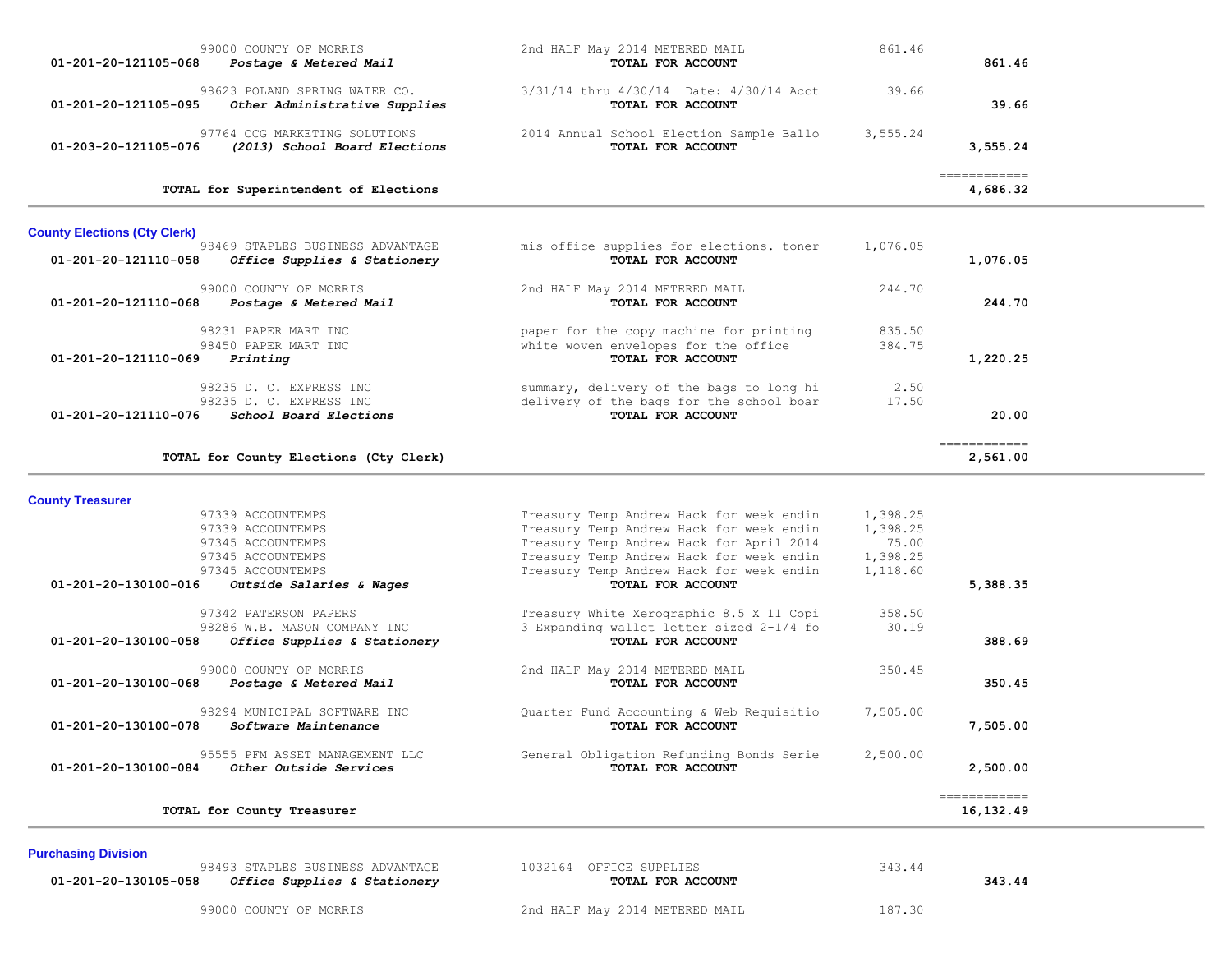| 99000 COUNTY OF MORRIS<br>01-201-20-121105-068<br>Postage & Metered Mail                             | 2nd HALF May 2014 METERED MAIL<br>TOTAL FOR ACCOUNT                                                              | 861.46           | 861.46                   |
|------------------------------------------------------------------------------------------------------|------------------------------------------------------------------------------------------------------------------|------------------|--------------------------|
| 98623 POLAND SPRING WATER CO.<br>01-201-20-121105-095<br>Other Administrative Supplies               | 3/31/14 thru 4/30/14 Date: 4/30/14 Acct<br>TOTAL FOR ACCOUNT                                                     | 39.66            | 39.66                    |
| 97764 CCG MARKETING SOLUTIONS<br>01-203-20-121105-076<br>(2013) School Board Elections               | 2014 Annual School Election Sample Ballo<br>TOTAL FOR ACCOUNT                                                    | 3,555.24         | 3,555.24                 |
| TOTAL for Superintendent of Elections                                                                |                                                                                                                  |                  | ============<br>4,686.32 |
| <b>County Elections (Cty Clerk)</b>                                                                  |                                                                                                                  |                  |                          |
| 98469 STAPLES BUSINESS ADVANTAGE<br>Office Supplies & Stationery<br>01-201-20-121110-058             | mis office supplies for elections. toner<br>TOTAL FOR ACCOUNT                                                    | 1,076.05         | 1,076.05                 |
| 99000 COUNTY OF MORRIS<br>01-201-20-121110-068<br>Postage & Metered Mail                             | 2nd HALF May 2014 METERED MAIL<br>TOTAL FOR ACCOUNT                                                              | 244.70           | 244.70                   |
| 98231 PAPER MART INC<br>98450 PAPER MART INC                                                         | paper for the copy machine for printing<br>white woven envelopes for the office                                  | 835.50<br>384.75 |                          |
| 01-201-20-121110-069<br>Printing                                                                     | TOTAL FOR ACCOUNT                                                                                                |                  | 1,220.25                 |
| 98235 D. C. EXPRESS INC<br>98235 D. C. EXPRESS INC<br>01-201-20-121110-076<br>School Board Elections | summary, delivery of the bags to long hi<br>delivery of the bags for the school boar<br><b>TOTAL FOR ACCOUNT</b> | 2.50<br>17.50    | 20.00                    |
| TOTAL for County Elections (Cty Clerk)                                                               |                                                                                                                  |                  | essessessess<br>2,561.00 |

 97339 ACCOUNTEMPS Treasury Temp Andrew Hack for week endin 1,398.25 97339 ACCOUNTEMPS Treasury Temp Andrew Hack for week endin 1,398.25 97345 ACCOUNTEMPS Treasury Temp Andrew Hack for April 2014 75.00 97345 ACCOUNTEMPS Treasury Temp Andrew Hack for week endin 1,398.25 97345 ACCOUNTEMPS Treasury Temp Andrew Hack for week endin 1,118.60  **01-201-20-130100-016** *Outside Salaries & Wages* **TOTAL FOR ACCOUNT 5,388.35** 97342 PATERSON PAPERS Treasury White Xerographic 8.5 X 11 Copi 358.50 98286 W.B. MASON COMPANY INC 3 Expanding wallet letter sized 2-1/4 fo 30.19  **01-201-20-130100-058** *Office Supplies & Stationery* **TOTAL FOR ACCOUNT 388.69** 99000 COUNTY OF MORRIS 199000 COUNTY OF MORRIS 199000 COUNTY 199000 COUNTY 199000 COUNTY 19900 2nd HALF May 2014 METERED MAIL 19900 2014 FOR ACCOUNT  **01-201-20-130100-068** *Postage & Metered Mail* **TOTAL FOR ACCOUNT 350.45** 98294 MUNICIPAL SOFTWARE INC (Quarter Fund Accounting & Web Requisitio 7,505.00<br> **01-201-20-130100-078** Software Maintenance (DI-201-20-130100-078 Software Maintenance  **01-201-20-130100-078** *Software Maintenance* **TOTAL FOR ACCOUNT 7,505.00** 95555 PFM ASSET MANAGEMENT LLC General Obligation Refunding Bonds Serie 2,500.00  **01-201-20-130100-084** *Other Outside Services* **TOTAL FOR ACCOUNT 2,500.00** ============ **TOTAL for County Treasurer 16,132.49**

#### **Purchasing Division**

**County Treasurer** 

98493 STAPLES BUSINESS ADVANTAGE 1032164 OFFICE SUPPLIES 343.44  **01-201-20-130105-058** *Office Supplies & Stationery* **TOTAL FOR ACCOUNT 343.44**

99000 COUNTY OF MORRIS THE SERVICE OF A 2nd HALF May 2014 METERED MAIL 187.30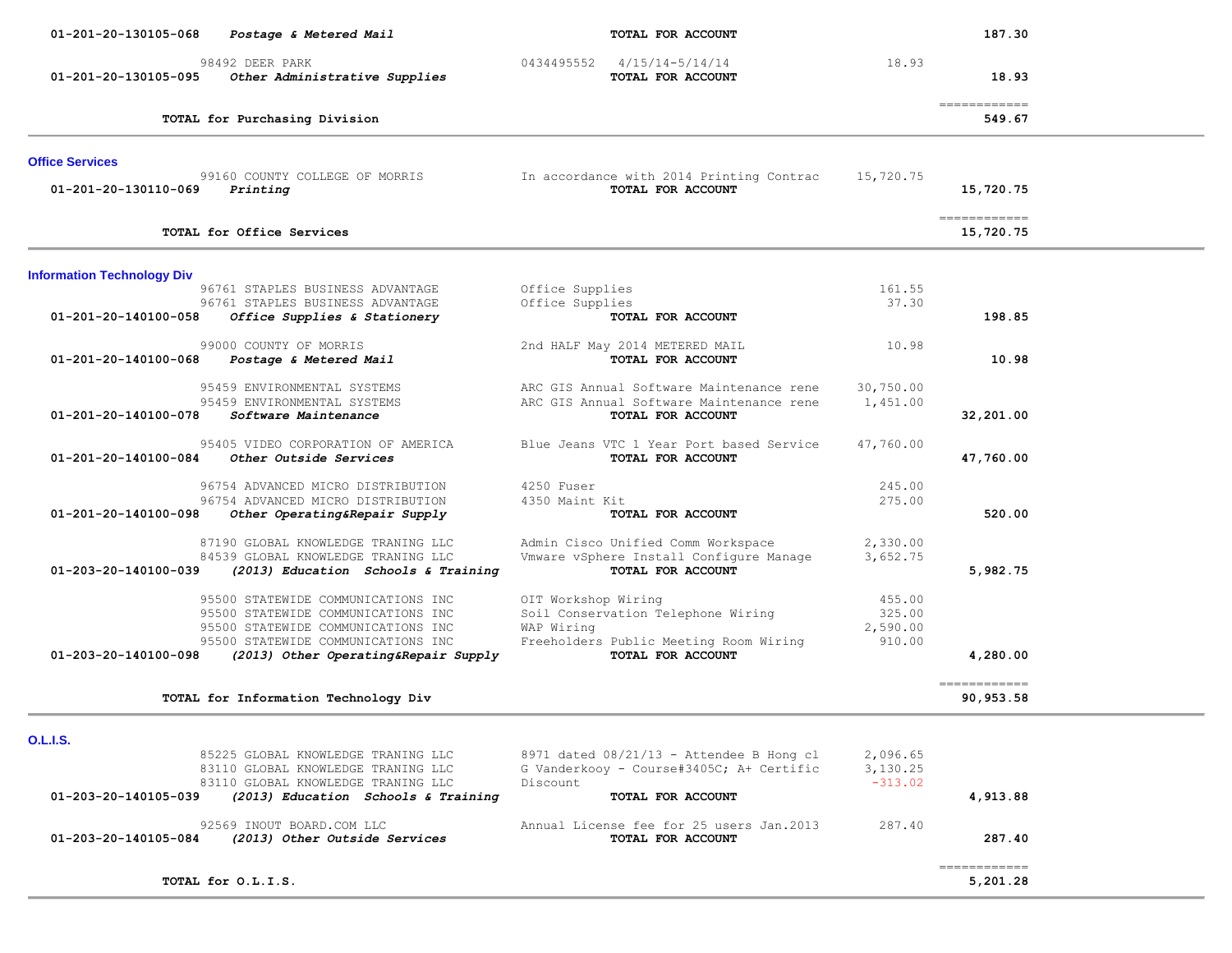| 01-201-20-130105-068<br>Postage & Metered Mail                                                    | TOTAL FOR ACCOUNT                                             |                       | 187.30                                |  |
|---------------------------------------------------------------------------------------------------|---------------------------------------------------------------|-----------------------|---------------------------------------|--|
| 98492 DEER PARK<br>01-201-20-130105-095<br>Other Administrative Supplies                          | 0434495552 4/15/14-5/14/14<br>TOTAL FOR ACCOUNT               | 18.93                 | 18.93                                 |  |
| TOTAL for Purchasing Division                                                                     |                                                               |                       | $=$ = = = = = = = = = = = =<br>549.67 |  |
| <b>Office Services</b>                                                                            |                                                               |                       |                                       |  |
| 99160 COUNTY COLLEGE OF MORRIS<br>01-201-20-130110-069<br>Printing                                | In accordance with 2014 Printing Contrac<br>TOTAL FOR ACCOUNT | 15,720.75             | 15,720.75                             |  |
| TOTAL for Office Services                                                                         |                                                               |                       | ============<br>15,720.75             |  |
| <b>Information Technology Div</b>                                                                 |                                                               |                       |                                       |  |
| 96761 STAPLES BUSINESS ADVANTAGE                                                                  | Office Supplies                                               | 161.55                |                                       |  |
| 96761 STAPLES BUSINESS ADVANTAGE<br>01-201-20-140100-058<br>Office Supplies & Stationery          | Office Supplies<br>TOTAL FOR ACCOUNT                          | 37.30                 | 198.85                                |  |
| 99000 COUNTY OF MORRIS<br>01-201-20-140100-068<br>Postage & Metered Mail                          | 2nd HALF May 2014 METERED MAIL<br>TOTAL FOR ACCOUNT           | 10.98                 | 10.98                                 |  |
| 95459 ENVIRONMENTAL SYSTEMS                                                                       | ARC GIS Annual Software Maintenance rene                      | 30,750.00             |                                       |  |
| 95459 ENVIRONMENTAL SYSTEMS<br>01-201-20-140100-078<br>Software Maintenance                       | ARC GIS Annual Software Maintenance rene<br>TOTAL FOR ACCOUNT | 1,451.00              | 32,201.00                             |  |
| 95405 VIDEO CORPORATION OF AMERICA<br>Other Outside Services<br>01-201-20-140100-084              | Blue Jeans VTC 1 Year Port based Service<br>TOTAL FOR ACCOUNT | 47,760.00             | 47,760.00                             |  |
| 96754 ADVANCED MICRO DISTRIBUTION                                                                 | 4250 Fuser                                                    | 245.00                |                                       |  |
| 96754 ADVANCED MICRO DISTRIBUTION<br>01-201-20-140100-098<br>Other Operating&Repair Supply        | 4350 Maint Kit<br>TOTAL FOR ACCOUNT                           | 275.00                | 520.00                                |  |
| 87190 GLOBAL KNOWLEDGE TRANING LLC                                                                | Admin Cisco Unified Comm Workspace                            | 2,330.00              |                                       |  |
| 84539 GLOBAL KNOWLEDGE TRANING LLC<br>01-203-20-140100-039<br>(2013) Education Schools & Training | Vmware vSphere Install Configure Manage<br>TOTAL FOR ACCOUNT  | 3,652.75              | 5,982.75                              |  |
| 95500 STATEWIDE COMMUNICATIONS INC                                                                | OIT Workshop Wiring                                           | 455.00                |                                       |  |
| 95500 STATEWIDE COMMUNICATIONS INC<br>95500 STATEWIDE COMMUNICATIONS INC                          | Soil Conservation Telephone Wiring<br>WAP Wiring              | 325.00<br>2,590.00    |                                       |  |
| 95500 STATEWIDE COMMUNICATIONS INC                                                                | Freeholders Public Meeting Room Wiring                        | 910.00                |                                       |  |
| 01-203-20-140100-098<br>(2013) Other Operating&Repair Supply                                      | TOTAL FOR ACCOUNT                                             |                       | 4,280.00                              |  |
| TOTAL for Information Technology Div                                                              |                                                               |                       | ============<br>90,953.58             |  |
| <b>O.L.I.S.</b>                                                                                   |                                                               |                       |                                       |  |
| 85225 GLOBAL KNOWLEDGE TRANING LLC                                                                | 8971 dated $08/21/13$ - Attendee B Hong cl                    | 2,096.65              |                                       |  |
| 83110 GLOBAL KNOWLEDGE TRANING LLC<br>83110 GLOBAL KNOWLEDGE TRANING LLC                          | G Vanderkooy - Course#3405C; A+ Certific<br>Discount          | 3,130.25<br>$-313.02$ |                                       |  |
| (2013) Education Schools & Training<br>01-203-20-140105-039                                       | TOTAL FOR ACCOUNT                                             |                       | 4,913.88                              |  |
| 92569 INOUT BOARD.COM LLC<br>01-203-20-140105-084<br>(2013) Other Outside Services                | Annual License fee for 25 users Jan.2013<br>TOTAL FOR ACCOUNT | 287.40                | 287.40                                |  |

 ============ **TOTAL for O.L.I.S. 5,201.28**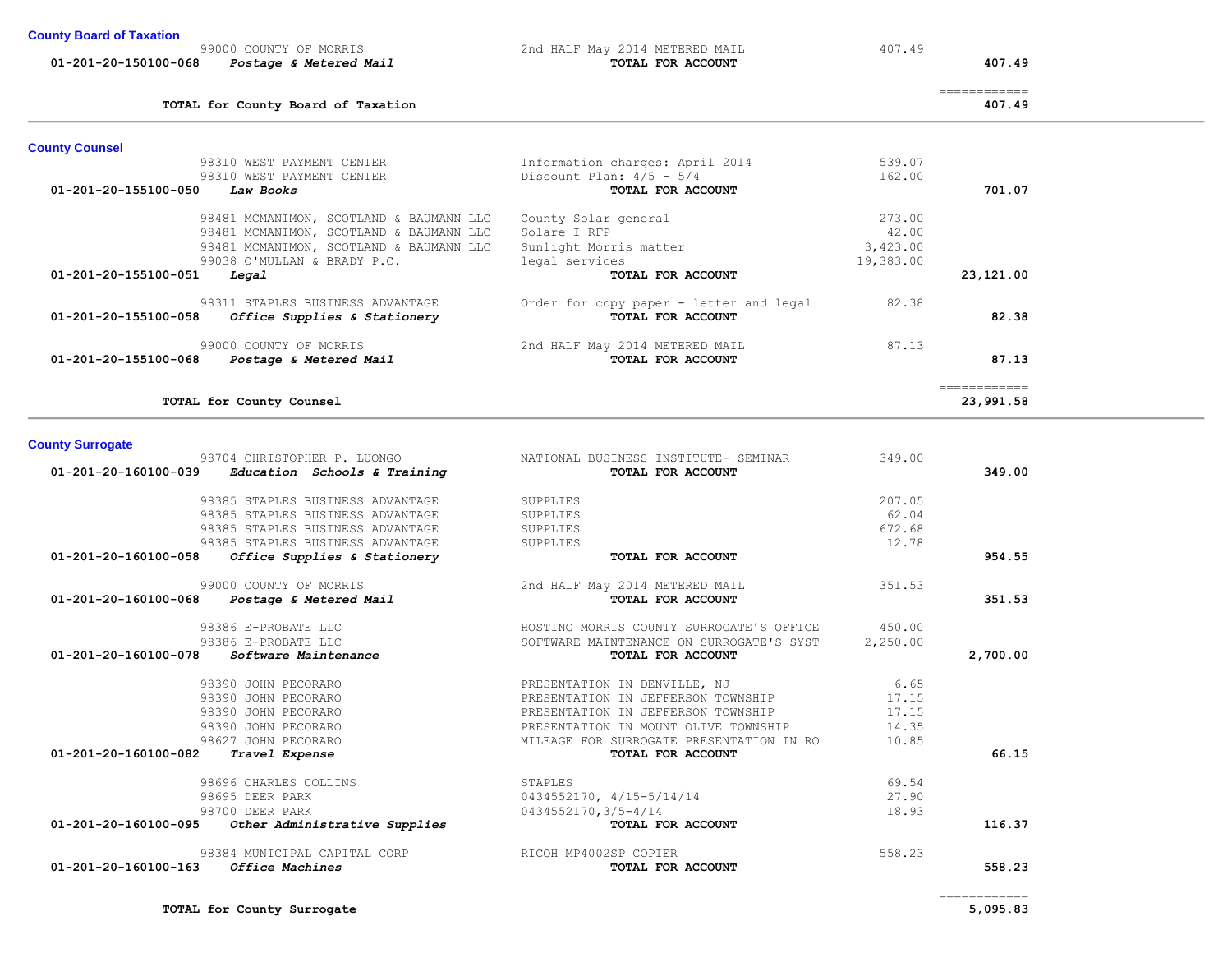| TOTAL for County Surrogate<br>and the contract of the contract of the contract of the contract of the contract of the contract of the contract of | 5,095.83 |
|---------------------------------------------------------------------------------------------------------------------------------------------------|----------|
|---------------------------------------------------------------------------------------------------------------------------------------------------|----------|

|                         | 98481 MCMANIMON, SCOTLAND & BAUMANN LLC<br>99038 O'MULLAN & BRADY P.C.                  | Sunlight Morris matter<br>legal services                           | 3,423.00<br>19,383.00 |                           |
|-------------------------|-----------------------------------------------------------------------------------------|--------------------------------------------------------------------|-----------------------|---------------------------|
| 01-201-20-155100-051    | Legal                                                                                   | TOTAL FOR ACCOUNT                                                  |                       | 23,121.00                 |
|                         | 98311 STAPLES BUSINESS ADVANTAGE<br>$01-201-20-155100-058$ Office Supplies & Stationery | Order for copy paper - letter and legal 82.38<br>TOTAL FOR ACCOUNT |                       | 82.38                     |
|                         | 99000 COUNTY OF MORRIS<br>01-201-20-155100-068 Postage & Metered Mail                   | 2nd HALF May 2014 METERED MAIL<br>TOTAL FOR ACCOUNT                | 87.13                 | 87.13                     |
|                         | TOTAL for County Counsel                                                                |                                                                    |                       | ============<br>23,991.58 |
| <b>County Surrogate</b> |                                                                                         |                                                                    |                       |                           |
|                         | 98704 CHRISTOPHER P. LUONGO<br>$01-201-20-160100-039$ Education Schools & Training      | NATIONAL BUSINESS INSTITUTE- SEMINAR<br>TOTAL FOR ACCOUNT          | 349.00                | 349.00                    |
|                         | 98385 STAPLES BUSINESS ADVANTAGE                                                        | SUPPLIES                                                           | 207.05                |                           |
|                         | 98385 STAPLES BUSINESS ADVANTAGE                                                        | SUPPLIES                                                           | 62.04                 |                           |
|                         | 98385 STAPLES BUSINESS ADVANTAGE                                                        | SUPPLIES                                                           | 672.68                |                           |
|                         | 98385 STAPLES BUSINESS ADVANTAGE                                                        | SUPPLIES                                                           | 12.78                 |                           |
| 01-201-20-160100-058    | Office Supplies & Stationery                                                            | TOTAL FOR ACCOUNT                                                  |                       | 954.55                    |
|                         | 99000 COUNTY OF MORRIS                                                                  | 2nd HALF May 2014 METERED MAIL                                     | 351.53                |                           |
|                         | 01-201-20-160100-068 Postage & Metered Mail                                             | TOTAL FOR ACCOUNT                                                  |                       | 351.53                    |
|                         | 98386 E-PROBATE LLC                                                                     | HOSTING MORRIS COUNTY SURROGATE'S OFFICE                           | 450.00                |                           |
|                         | 98386 E-PROBATE LLC                                                                     | SOFTWARE MAINTENANCE ON SURROGATE'S SYST                           | 2,250.00              |                           |
| 01-201-20-160100-078    | <i>Software Maintenance</i>                                                             | TOTAL FOR ACCOUNT                                                  |                       | 2,700.00                  |
|                         | 98390 JOHN PECORARO                                                                     | PRESENTATION IN DENVILLE, NJ                                       | 6.65                  |                           |
|                         | 98390 JOHN PECORARO                                                                     | PRESENTATION IN JEFFERSON TOWNSHIP                                 | 17.15                 |                           |
|                         | 98390 JOHN PECORARO                                                                     | PRESENTATION IN JEFFERSON TOWNSHIP                                 | 17.15                 |                           |
|                         | 98390 JOHN PECORARO                                                                     | PRESENTATION IN MOUNT OLIVE TOWNSHIP                               | 14.35                 |                           |
| 01-201-20-160100-082    | 98627 JOHN PECORARO<br>Travel Expense                                                   | MILEAGE FOR SURROGATE PRESENTATION IN RO<br>TOTAL FOR ACCOUNT      | 10.85                 | 66.15                     |
|                         |                                                                                         |                                                                    |                       |                           |
|                         | 98696 CHARLES COLLINS                                                                   | STAPLES                                                            | 69.54                 |                           |
|                         | 98695 DEER PARK                                                                         | 0434552170, 4/15-5/14/14                                           | 27.90                 |                           |
|                         | 98700 DEER PARK                                                                         | 0434552170, 3/5-4/14                                               | 18.93                 |                           |
|                         | $01-201-20-160100-095$ Other Administrative Supplies                                    | TOTAL FOR ACCOUNT                                                  |                       | 116.37                    |
|                         | 98384 MUNICIPAL CAPITAL CORP                                                            | RICOH MP4002SP COPIER                                              | 558.23                |                           |
|                         | 01-201-20-160100-163 Office Machines                                                    | TOTAL FOR ACCOUNT                                                  |                       | 558.23                    |
|                         |                                                                                         |                                                                    |                       |                           |

============

============

98310 WEST PAYMENT CENTER Discount Plan:  $\frac{4}{5}$  -  $\frac{5}{4}$ .<br>Discount Plan:  $\frac{4}{5}$  -  $\frac{5}{4}$ .

| <u>, sound of fundament</u> |                        |                                |        |
|-----------------------------|------------------------|--------------------------------|--------|
| 99000 COUNTY OF MORRIS      |                        | 2nd HALF May 2014 METERED MAIL | 407.49 |
| 01-201-20-150100-068        | Postage & Metered Mail | TOTAL FOR ACCOUNT              |        |

 **01-201-20-150100-068** *Postage & Metered Mail* **TOTAL FOR ACCOUNT 407.49**

**TOTAL for County Board of Taxation 407.49**

98310 WEST PAYMENT CENTER<br>162.00 98310 WEST PAYMENT CENTER<br>2000 Discount Plan: 4/5 - 5/4

 98481 MCMANIMON, SCOTLAND & BAUMANN LLC County Solar general 273.00 98481 MCMANIMON, SCOTLAND & BAUMANN LLC Solare I RFP 42.00

 **01-201-20-155100-050** *Law Books* **TOTAL FOR ACCOUNT 701.07**

**County Counsel**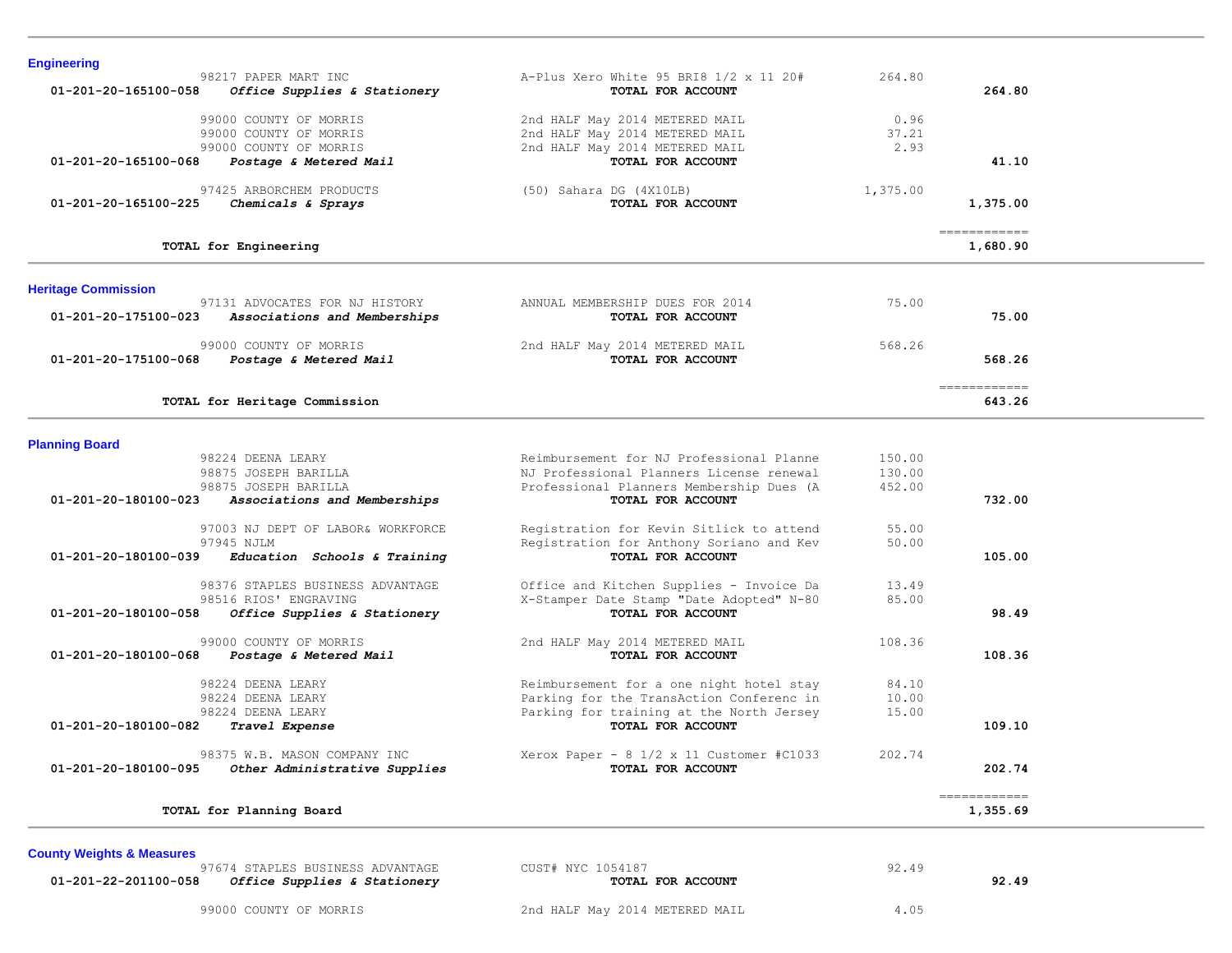| <b>Engineering</b>                                     |                                                                              |          |               |  |
|--------------------------------------------------------|------------------------------------------------------------------------------|----------|---------------|--|
| 98217 PAPER MART INC                                   | A-Plus Xero White 95 BRI8 1/2 x 11 20#                                       | 264.80   |               |  |
| 01-201-20-165100-058<br>Office Supplies & Stationery   | TOTAL FOR ACCOUNT                                                            |          | 264.80        |  |
| 99000 COUNTY OF MORRIS                                 | 2nd HALF May 2014 METERED MAIL                                               | 0.96     |               |  |
| 99000 COUNTY OF MORRIS                                 | 2nd HALF May 2014 METERED MAIL                                               | 37.21    |               |  |
| 99000 COUNTY OF MORRIS                                 | 2nd HALF May 2014 METERED MAIL                                               | 2.93     |               |  |
| 01-201-20-165100-068<br>Postage & Metered Mail         | TOTAL FOR ACCOUNT                                                            |          | 41.10         |  |
|                                                        |                                                                              |          |               |  |
| 97425 ARBORCHEM PRODUCTS                               | $(50)$ Sahara DG $(4X10LB)$                                                  | 1,375.00 |               |  |
| 01-201-20-165100-225<br>Chemicals & Sprays             | TOTAL FOR ACCOUNT                                                            |          | 1,375.00      |  |
|                                                        |                                                                              |          |               |  |
|                                                        |                                                                              |          | ============  |  |
| TOTAL for Engineering                                  |                                                                              |          | 1,680.90      |  |
| <b>Heritage Commission</b>                             |                                                                              |          |               |  |
| 97131 ADVOCATES FOR NJ HISTORY                         | ANNUAL MEMBERSHIP DUES FOR 2014                                              | 75.00    |               |  |
| 01-201-20-175100-023<br>Associations and Memberships   | TOTAL FOR ACCOUNT                                                            |          | 75.00         |  |
| 99000 COUNTY OF MORRIS                                 |                                                                              | 568.26   |               |  |
| 01-201-20-175100-068<br>Postage & Metered Mail         | 2nd HALF May 2014 METERED MAIL<br>TOTAL FOR ACCOUNT                          |          | 568.26        |  |
|                                                        |                                                                              |          |               |  |
|                                                        |                                                                              |          | ------------- |  |
| TOTAL for Heritage Commission                          |                                                                              |          | 643.26        |  |
|                                                        |                                                                              |          |               |  |
| <b>Planning Board</b>                                  |                                                                              |          |               |  |
| 98224 DEENA LEARY                                      | Reimbursement for NJ Professional Planne                                     | 150.00   |               |  |
| 98875 JOSEPH BARILLA                                   | NJ Professional Planners License renewal                                     | 130.00   |               |  |
| 98875 JOSEPH BARILLA<br>$01 - 201 - 20 - 180100 - 023$ | Professional Planners Membership Dues (A<br>TOTAL FOR ACCOUNT                | 452.00   | 732.00        |  |
| Associations and Memberships                           |                                                                              |          |               |  |
| 97003 NJ DEPT OF LABOR& WORKFORCE                      | Registration for Kevin Sitlick to attend                                     | 55.00    |               |  |
| 97945 NJLM                                             | Registration for Anthony Soriano and Kev                                     | 50.00    |               |  |
| Education Schools & Training<br>01-201-20-180100-039   | TOTAL FOR ACCOUNT                                                            |          | 105.00        |  |
|                                                        |                                                                              |          |               |  |
| 98376 STAPLES BUSINESS ADVANTAGE                       | Office and Kitchen Supplies - Invoice Da                                     | 13.49    |               |  |
| 98516 RIOS' ENGRAVING                                  | X-Stamper Date Stamp "Date Adopted" N-80                                     | 85.00    |               |  |
| 01-201-20-180100-058<br>Office Supplies & Stationery   | TOTAL FOR ACCOUNT                                                            |          | 98.49         |  |
| 99000 COUNTY OF MORRIS                                 | 2nd HALF May 2014 METERED MAIL                                               | 108.36   |               |  |
| 01-201-20-180100-068<br>Postage & Metered Mail         | TOTAL FOR ACCOUNT                                                            |          | 108.36        |  |
|                                                        |                                                                              |          |               |  |
| 98224 DEENA LEARY                                      | Reimbursement for a one night hotel stay                                     | 84.10    |               |  |
| 98224 DEENA LEARY                                      | Parking for the TransAction Conferenc in                                     | 10.00    |               |  |
| 98224 DEENA LEARY                                      | Parking for training at the North Jersey                                     | 15.00    |               |  |
| 01-201-20-180100-082<br>Travel Expense                 | TOTAL FOR ACCOUNT                                                            |          | 109.10        |  |
| 98375 W.B. MASON COMPANY INC                           |                                                                              | 202.74   |               |  |
| Other Administrative Supplies<br>01-201-20-180100-095  | Xerox Paper - $8 \frac{1}{2} \times 11$ Customer #C1033<br>TOTAL FOR ACCOUNT |          | 202.74        |  |
|                                                        |                                                                              |          |               |  |
|                                                        |                                                                              |          |               |  |
|                                                        |                                                                              |          | ------------  |  |

**County Weights & Measures**

97674 STAPLES BUSINESS ADVANTAGE CUST# NYC 1054187 92.49  **01-201-22-201100-058** *Office Supplies & Stationery* **TOTAL FOR ACCOUNT 92.49**

99000 COUNTY OF MORRIS 2nd HALF May 2014 METERED MAIL 4.05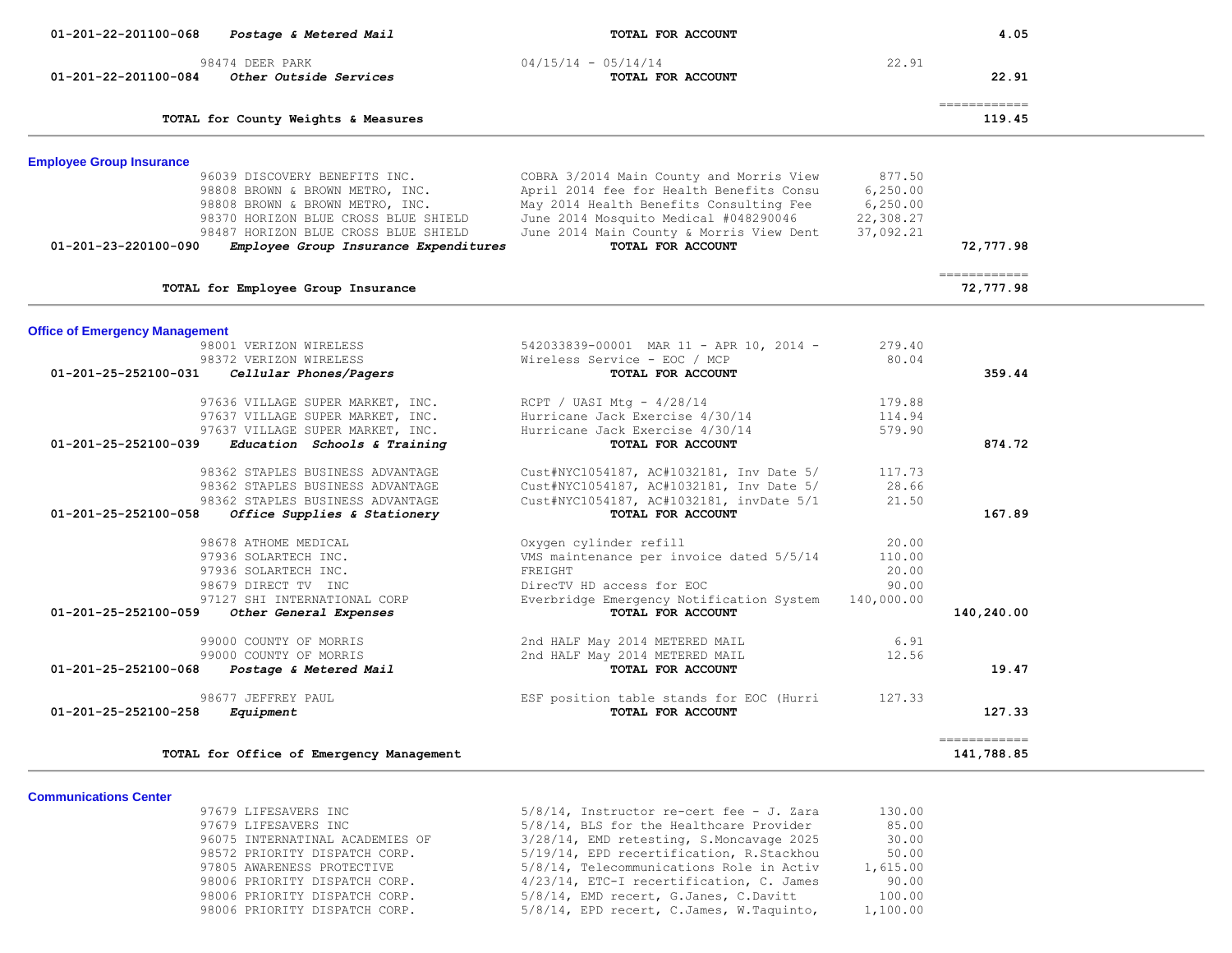| 01-201-22-201100-068<br>Postage & Metered Mail                                                                                              | TOTAL FOR ACCOUNT                                                                                                                                                        |                                               | 4.05                       |
|---------------------------------------------------------------------------------------------------------------------------------------------|--------------------------------------------------------------------------------------------------------------------------------------------------------------------------|-----------------------------------------------|----------------------------|
| 98474 DEER PARK<br>Other Outside Services<br>01-201-22-201100-084                                                                           | $04/15/14 - 05/14/14$<br>TOTAL FOR ACCOUNT                                                                                                                               | 22.91                                         | 22.91                      |
| TOTAL for County Weights & Measures                                                                                                         |                                                                                                                                                                          |                                               | ============<br>119.45     |
| <b>Employee Group Insurance</b>                                                                                                             |                                                                                                                                                                          |                                               |                            |
| 96039 DISCOVERY BENEFITS INC.<br>98808 BROWN & BROWN METRO, INC.<br>98808 BROWN & BROWN METRO, INC.<br>98370 HORIZON BLUE CROSS BLUE SHIELD | COBRA 3/2014 Main County and Morris View<br>April 2014 fee for Health Benefits Consu<br>May 2014 Health Benefits Consulting Fee<br>June 2014 Mosquito Medical #048290046 | 877.50<br>6, 250.00<br>6, 250.00<br>22,308.27 |                            |
| 98487 HORIZON BLUE CROSS BLUE SHIELD<br>Employee Group Insurance Expenditures<br>01-201-23-220100-090                                       | June 2014 Main County & Morris View Dent<br>TOTAL FOR ACCOUNT                                                                                                            | 37,092.21                                     | 72,777.98                  |
| TOTAL for Employee Group Insurance                                                                                                          |                                                                                                                                                                          |                                               | ============<br>72,777.98  |
|                                                                                                                                             |                                                                                                                                                                          |                                               |                            |
| <b>Office of Emergency Management</b><br>98001 VERIZON WIRELESS<br>98372 VERIZON WIRELESS                                                   | 542033839-00001 MAR 11 - APR 10, 2014 -<br>Wireless Service - EOC / MCP                                                                                                  | 279.40<br>80.04                               |                            |
| 01-201-25-252100-031<br>Cellular Phones/Pagers                                                                                              | TOTAL FOR ACCOUNT                                                                                                                                                        |                                               | 359.44                     |
| 97636 VILLAGE SUPER MARKET, INC.<br>97637 VILLAGE SUPER MARKET, INC.                                                                        | RCPT / UASI Mtg - $4/28/14$<br>Hurricane Jack Exercise 4/30/14                                                                                                           | 179.88<br>114.94                              |                            |
| 97637 VILLAGE SUPER MARKET, INC.<br>01-201-25-252100-039<br>Education Schools & Training                                                    | Hurricane Jack Exercise 4/30/14<br>TOTAL FOR ACCOUNT                                                                                                                     | 579.90                                        | 874.72                     |
| 98362 STAPLES BUSINESS ADVANTAGE                                                                                                            | Cust#NYC1054187, AC#1032181, Inv Date 5/                                                                                                                                 | 117.73                                        |                            |
| 98362 STAPLES BUSINESS ADVANTAGE                                                                                                            | Cust#NYC1054187, AC#1032181, Inv Date 5/                                                                                                                                 | 28.66                                         |                            |
| 98362 STAPLES BUSINESS ADVANTAGE<br>01-201-25-252100-058<br>Office Supplies & Stationery                                                    | Cust#NYC1054187, AC#1032181, invDate 5/1<br>TOTAL FOR ACCOUNT                                                                                                            | 21.50                                         | 167.89                     |
| 98678 ATHOME MEDICAL                                                                                                                        | Oxygen cylinder refill                                                                                                                                                   | 20.00                                         |                            |
| 97936 SOLARTECH INC.<br>97936 SOLARTECH INC.                                                                                                | VMS maintenance per invoice dated 5/5/14<br>FREIGHT                                                                                                                      | 110.00<br>20.00                               |                            |
| 98679 DIRECT TV INC                                                                                                                         | DirecTV HD access for EOC                                                                                                                                                | 90.00                                         |                            |
| 97127 SHI INTERNATIONAL CORP<br>01-201-25-252100-059<br>Other General Expenses                                                              | Everbridge Emergency Notification System<br>TOTAL FOR ACCOUNT                                                                                                            | 140,000.00                                    | 140,240.00                 |
| 99000 COUNTY OF MORRIS                                                                                                                      | 2nd HALF May 2014 METERED MAIL                                                                                                                                           | 6.91                                          |                            |
| 99000 COUNTY OF MORRIS<br>01-201-25-252100-068<br>Postage & Metered Mail                                                                    | 2nd HALF May 2014 METERED MAIL<br>TOTAL FOR ACCOUNT                                                                                                                      | 12.56                                         | 19.47                      |
| 98677 JEFFREY PAUL                                                                                                                          | ESF position table stands for EOC (Hurri                                                                                                                                 | 127.33                                        |                            |
| 01-201-25-252100-258<br>Equipment                                                                                                           | TOTAL FOR ACCOUNT                                                                                                                                                        |                                               | 127.33                     |
| TOTAL for Office of Emergency Management                                                                                                    |                                                                                                                                                                          |                                               | ============<br>141,788.85 |

#### **Communications Center**

| <b>Communications Center</b> |                                 |                                             |          |
|------------------------------|---------------------------------|---------------------------------------------|----------|
|                              | 97679 LIFESAVERS INC            | $5/8/14$ , Instructor re-cert fee - J. Zara | 130.00   |
|                              | 97679 LIFESAVERS INC            | 5/8/14, BLS for the Healthcare Provider     | 85.00    |
|                              | 96075 INTERNATINAL ACADEMIES OF | 3/28/14, EMD retesting, S.Moncavage 2025    | 30.00    |
|                              | 98572 PRIORITY DISPATCH CORP.   | 5/19/14, EPD recertification, R.Stackhou    | 50.00    |
|                              | 97805 AWARENESS PROTECTIVE      | 5/8/14, Telecommunications Role in Activ    | 1,615.00 |
|                              | 98006 PRIORITY DISPATCH CORP.   | 4/23/14, ETC-I recertification, C. James    | 90.00    |
|                              | 98006 PRIORITY DISPATCH CORP.   | 5/8/14, EMD recert, G.Janes, C.Davitt       | 100.00   |
|                              | 98006 PRIORITY DISPATCH CORP.   | 5/8/14, EPD recert, C.James, W.Taquinto,    | 1,100.00 |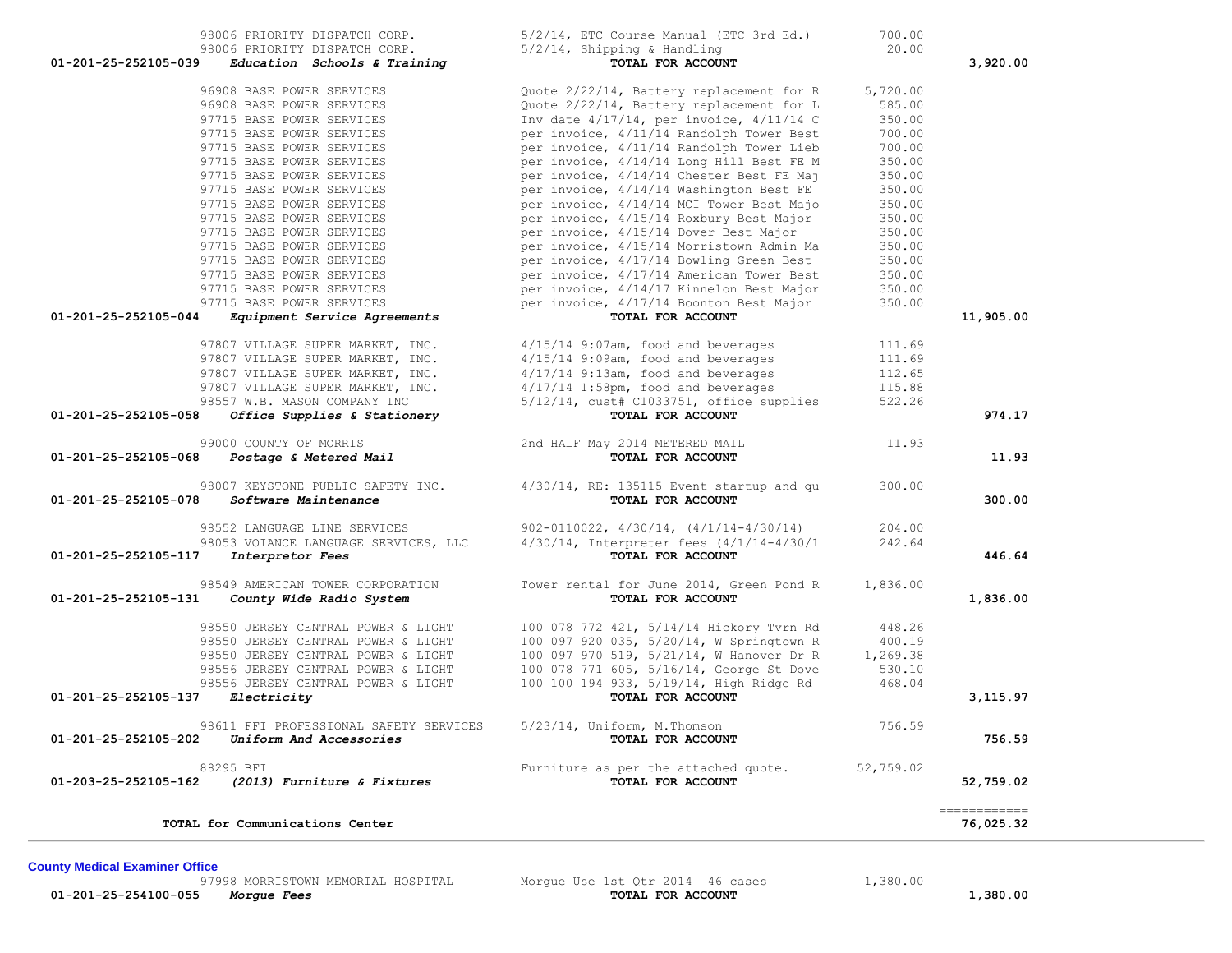**01-201-25-254100-055** *Morgue Fees* **TOTAL FOR ACCOUNT 1,380.00**

97998 MORRISTOWN MEMORIAL HOSPITAL Morgue Use 1st Qtr 2014 46 cases 1,380.00<br>Morque Fees 1,380.00

**County Medical Examiner Office**

| TOTAL for Communications Center                                                           |                                                                                      |                  | 76,025.32                 |
|-------------------------------------------------------------------------------------------|--------------------------------------------------------------------------------------|------------------|---------------------------|
| 88295 BFI<br>(2013) Furniture & Fixtures<br>01-203-25-252105-162                          | Furniture as per the attached quote.<br>TOTAL FOR ACCOUNT                            | 52,759.02        | 52,759.02<br>------------ |
| 98611 FFI PROFESSIONAL SAFETY SERVICES<br>01-201-25-252105-202<br>Uniform And Accessories | $5/23/14$ , Uniform, M.Thomson<br>TOTAL FOR ACCOUNT                                  | 756.59           | 756.59                    |
| 01-201-25-252105-137<br>Electricity                                                       | TOTAL FOR ACCOUNT                                                                    |                  | 3,115.97                  |
| 98556 JERSEY CENTRAL POWER & LIGHT                                                        | 100 100 194 933, 5/19/14, High Ridge Rd                                              | 468.04           |                           |
| 98556 JERSEY CENTRAL POWER & LIGHT                                                        | 100 078 771 605, 5/16/14, George St Dove                                             | 530.10           |                           |
| 98550 JERSEY CENTRAL POWER & LIGHT                                                        | 100 097 970 519, 5/21/14, W Hanover Dr R                                             | 1,269.38         |                           |
| 98550 JERSEY CENTRAL POWER & LIGHT<br>98550 JERSEY CENTRAL POWER & LIGHT                  | 100 078 772 421, 5/14/14 Hickory Tvrn Rd<br>100 097 920 035, 5/20/14, W Springtown R | 448.26<br>400.19 |                           |
| 01-201-25-252105-131<br>County Wide Radio System                                          | TOTAL FOR ACCOUNT                                                                    |                  | 1,836.00                  |
| 98549 AMERICAN TOWER CORPORATION                                                          | Tower rental for June 2014, Green Pond R                                             | 1,836.00         |                           |
| 98053 VOIANCE LANGUAGE SERVICES, LLC<br>01-201-25-252105-117<br>Interpretor Fees          | $4/30/14$ , Interpreter fees $(4/1/14-4/30/1$<br>TOTAL FOR ACCOUNT                   | 242.64           | 446.64                    |
| 98552 LANGUAGE LINE SERVICES                                                              | 902-0110022, 4/30/14, (4/1/14-4/30/14)                                               | 204.00           |                           |
| 01-201-25-252105-078<br>Software Maintenance                                              | TOTAL FOR ACCOUNT                                                                    |                  | 300.00                    |
| 98007 KEYSTONE PUBLIC SAFETY INC.                                                         | $4/30/14$ , RE: 135115 Event startup and qu                                          | 300.00           |                           |
| 99000 COUNTY OF MORRIS<br>01-201-25-252105-068<br>Postage & Metered Mail                  | 2nd HALF May 2014 METERED MAIL<br>TOTAL FOR ACCOUNT                                  | 11.93            | 11.93                     |
| 01-201-25-252105-058<br>Office Supplies & Stationery                                      | TOTAL FOR ACCOUNT                                                                    |                  | 974.17                    |
| 98557 W.B. MASON COMPANY INC                                                              | $5/12/14$ , cust# C1033751, office supplies                                          | 522.26           |                           |
| 97807 VILLAGE SUPER MARKET, INC.                                                          | $4/17/14$ 1:58pm, food and beverages                                                 | 115.88           |                           |
| 97807 VILLAGE SUPER MARKET, INC.                                                          | $4/17/14$ 9:13am, food and beverages                                                 | 112.65           |                           |
| 97807 VILLAGE SUPER MARKET, INC.<br>97807 VILLAGE SUPER MARKET, INC.                      | $4/15/14$ 9:07am, food and beverages<br>$4/15/14$ 9:09am, food and beverages         | 111.69<br>111.69 |                           |
|                                                                                           |                                                                                      |                  |                           |
| 01-201-25-252105-044<br>Equipment Service Agreements                                      | TOTAL FOR ACCOUNT                                                                    |                  | 11,905.00                 |
| 97715 BASE POWER SERVICES                                                                 | per invoice, 4/17/14 Boonton Best Major                                              | 350.00           |                           |
| 97715 BASE POWER SERVICES                                                                 | per invoice, 4/14/17 Kinnelon Best Major                                             | 350.00           |                           |
| 97715 BASE POWER SERVICES                                                                 | per invoice, 4/17/14 American Tower Best                                             | 350.00           |                           |
| 97715 BASE POWER SERVICES<br>97715 BASE POWER SERVICES                                    | per invoice, 4/15/14 Morristown Admin Ma<br>per invoice, 4/17/14 Bowling Green Best  | 350.00<br>350.00 |                           |
| 97715 BASE POWER SERVICES                                                                 | per invoice, 4/15/14 Dover Best Major                                                | 350.00           |                           |
| 97715 BASE POWER SERVICES                                                                 | per invoice, 4/15/14 Roxbury Best Major                                              | 350.00           |                           |
| 97715 BASE POWER SERVICES                                                                 | per invoice, 4/14/14 MCI Tower Best Majo                                             | 350.00           |                           |
| 97715 BASE POWER SERVICES                                                                 | per invoice, 4/14/14 Washington Best FE                                              | 350.00           |                           |
| 97715 BASE POWER SERVICES                                                                 | per invoice, 4/14/14 Chester Best FE Maj                                             | 350.00           |                           |
| 97715 BASE POWER SERVICES                                                                 | per invoice, 4/14/14 Long Hill Best FE M                                             | 350.00           |                           |
| 97715 BASE POWER SERVICES                                                                 | per invoice, 4/11/14 Randolph Tower Lieb                                             | 700.00           |                           |
| 97715 BASE POWER SERVICES                                                                 | per invoice, 4/11/14 Randolph Tower Best                                             | 700.00           |                           |
| 97715 BASE POWER SERVICES                                                                 | Inv date 4/17/14, per invoice, 4/11/14 C                                             | 350.00           |                           |
| 96908 BASE POWER SERVICES                                                                 | Quote 2/22/14, Battery replacement for L                                             | 585.00           |                           |
| 96908 BASE POWER SERVICES                                                                 | Quote 2/22/14, Battery replacement for R                                             | 5,720.00         |                           |

98006 PRIORITY DISPATCH CORP.<br>98006 PRIORITY DISPATCH CORP. 5/2/14, Shipping & Handling 3rd Ed.) 20.00

 **01-201-25-252105-039** *Education Schools & Training* **TOTAL FOR ACCOUNT 3,920.00**

98006 PRIORITY DISPATCH CORP.<br> **Education Schools & Training** 5/2/14, Shipping & Handling 20.000 POTAL FOR ACCOUNT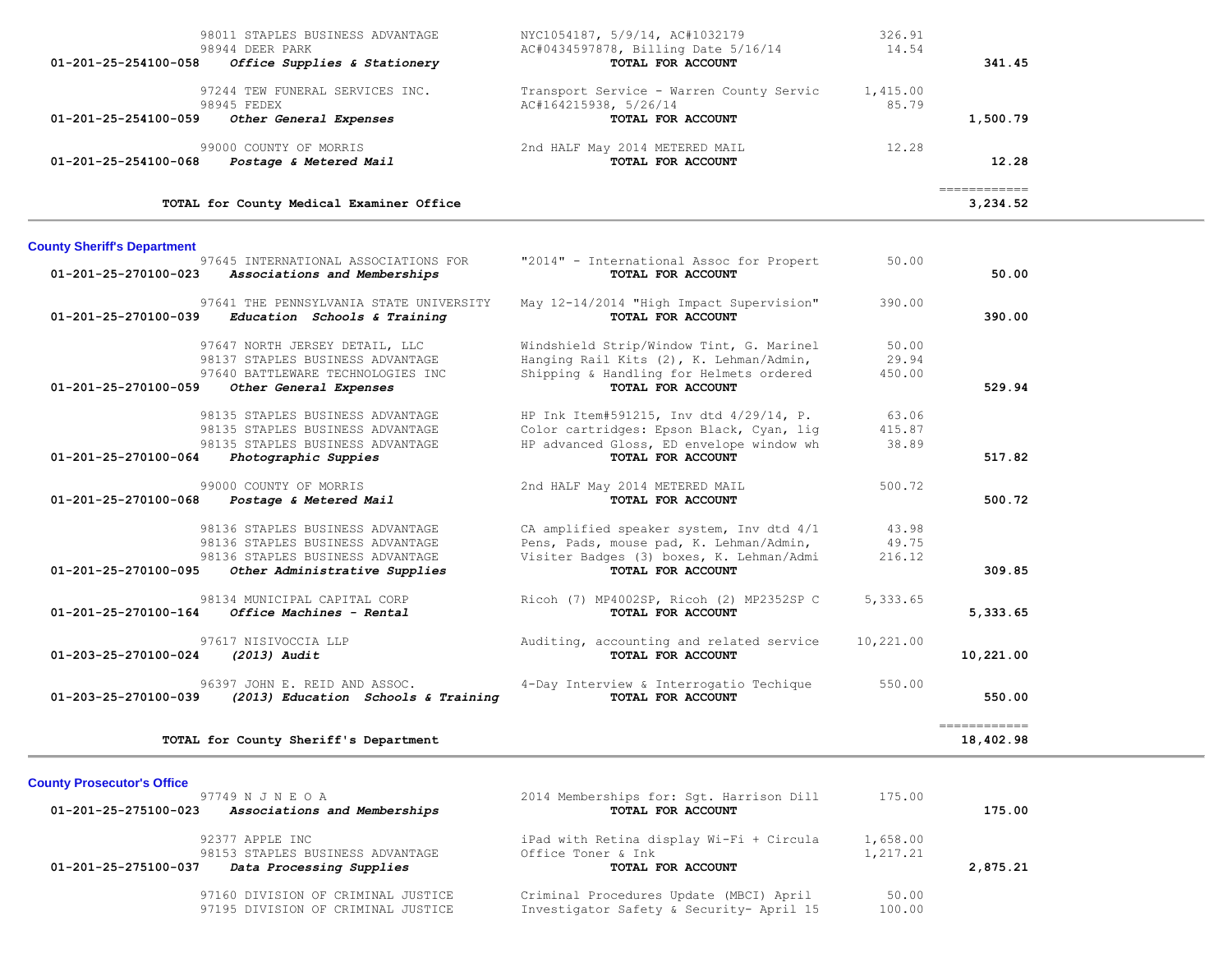| 98011 STAPLES BUSINESS ADVANTAGE<br>98944 DEER PARK<br>01-201-25-254100-058<br>Office Supplies & Stationery | NYC1054187, 5/9/14, AC#1032179<br>AC#0434597878, Billing Date 5/16/14<br>TOTAL FOR ACCOUNT | 326.91<br>14.54   | 341.45                   |
|-------------------------------------------------------------------------------------------------------------|--------------------------------------------------------------------------------------------|-------------------|--------------------------|
| 97244 TEW FUNERAL SERVICES INC.<br>98945 FEDEX<br>$01 - 201 - 25 - 254100 - 059$<br>Other General Expenses  | Transport Service - Warren County Servic<br>AC#164215938, 5/26/14<br>TOTAL FOR ACCOUNT     | 1,415.00<br>85.79 | 1,500.79                 |
| 99000 COUNTY OF MORRIS<br>01-201-25-254100-068<br>Postage & Metered Mail                                    | 2nd HALF May 2014 METERED MAIL<br><b>TOTAL FOR ACCOUNT</b>                                 | 12.28             | 12.28                    |
| TOTAL for County Medical Examiner Office                                                                    |                                                                                            |                   | ============<br>3.234.52 |

# **County Sheriff's Department**

| County Sheriff's Department    | 97645 INTERNATIONAL ASSOCIATIONS FOR                                    | "2014" - International Assoc for Propert                      | 50.00     |              |
|--------------------------------|-------------------------------------------------------------------------|---------------------------------------------------------------|-----------|--------------|
| $01 - 201 - 25 - 270100 - 023$ | Associations and Memberships                                            | TOTAL FOR ACCOUNT                                             |           | 50.00        |
| 01-201-25-270100-039           | 97641 THE PENNSYLVANIA STATE UNIVERSITY<br>Education Schools & Training | May 12-14/2014 "High Impact Supervision"<br>TOTAL FOR ACCOUNT | 390.00    | 390.00       |
|                                | 97647 NORTH JERSEY DETAIL, LLC                                          | Windshield Strip/Window Tint, G. Marinel                      | 50.00     |              |
|                                | 98137 STAPLES BUSINESS ADVANTAGE                                        | Hanging Rail Kits (2), K. Lehman/Admin,                       | 29.94     |              |
|                                | 97640 BATTLEWARE TECHNOLOGIES INC                                       | Shipping & Handling for Helmets ordered                       | 450.00    |              |
| 01-201-25-270100-059           | Other General Expenses                                                  | TOTAL FOR ACCOUNT                                             |           | 529.94       |
|                                | 98135 STAPLES BUSINESS ADVANTAGE                                        | HP Ink Item#591215, Inv dtd 4/29/14, P.                       | 63.06     |              |
|                                | 98135 STAPLES BUSINESS ADVANTAGE                                        | Color cartridges: Epson Black, Cyan, lig                      | 415.87    |              |
|                                | 98135 STAPLES BUSINESS ADVANTAGE                                        | HP advanced Gloss, ED envelope window wh                      | 38.89     |              |
| 01-201-25-270100-064           | Photographic Suppies                                                    | TOTAL FOR ACCOUNT                                             |           | 517.82       |
|                                | 99000 COUNTY OF MORRIS                                                  | 2nd HALF May 2014 METERED MAIL                                | 500.72    |              |
| 01-201-25-270100-068           | Postage & Metered Mail                                                  | TOTAL FOR ACCOUNT                                             |           | 500.72       |
|                                | 98136 STAPLES BUSINESS ADVANTAGE                                        | CA amplified speaker system, Inv dtd 4/1                      | 43.98     |              |
|                                | 98136 STAPLES BUSINESS ADVANTAGE                                        | Pens, Pads, mouse pad, K. Lehman/Admin,                       | 49.75     |              |
|                                | 98136 STAPLES BUSINESS ADVANTAGE                                        | Visiter Badges (3) boxes, K. Lehman/Admi                      | 216.12    |              |
| 01-201-25-270100-095           | Other Administrative Supplies                                           | TOTAL FOR ACCOUNT                                             |           | 309.85       |
|                                | 98134 MUNICIPAL CAPITAL CORP                                            | Ricoh (7) MP4002SP, Ricoh (2) MP2352SP C                      | 5,333.65  |              |
| 01-201-25-270100-164           | Office Machines - Rental                                                | TOTAL FOR ACCOUNT                                             |           | 5,333.65     |
|                                | 97617 NISIVOCCIA LLP                                                    | Auditing, accounting and related service                      | 10,221.00 |              |
| 01-203-25-270100-024           | $(2013)$ Audit                                                          | TOTAL FOR ACCOUNT                                             |           | 10,221.00    |
|                                | 96397 JOHN E. REID AND ASSOC.                                           | 4-Day Interview & Interrogatio Techique                       | 550.00    |              |
| 01-203-25-270100-039           | (2013) Education Schools & Training                                     | TOTAL FOR ACCOUNT                                             |           | 550.00       |
|                                |                                                                         |                                                               |           | ============ |
|                                | TOTAL for County Sheriff's Department                                   |                                                               |           | 18,402.98    |

# **County Prosecutor's Office**

| 97749 N J N E O A                                    | 2014 Memberships for: Sqt. Harrison Dill | 175.00   |          |
|------------------------------------------------------|------------------------------------------|----------|----------|
| Associations and Memberships<br>01-201-25-275100-023 | TOTAL FOR ACCOUNT                        |          | 175.00   |
| 92377 APPLE INC                                      | iPad with Retina display Wi-Fi + Circula | 1,658.00 |          |
| 98153 STAPLES BUSINESS ADVANTAGE                     | Office Toner & Ink                       | 1,217.21 |          |
| 01-201-25-275100-037<br>Data Processing Supplies     | TOTAL FOR ACCOUNT                        |          | 2,875.21 |
| 97160 DIVISION OF CRIMINAL JUSTICE                   | Criminal Procedures Update (MBCI) April  | 50.00    |          |
| 97195 DIVISION OF CRIMINAL JUSTICE                   | Investigator Safety & Security- April 15 | 100.00   |          |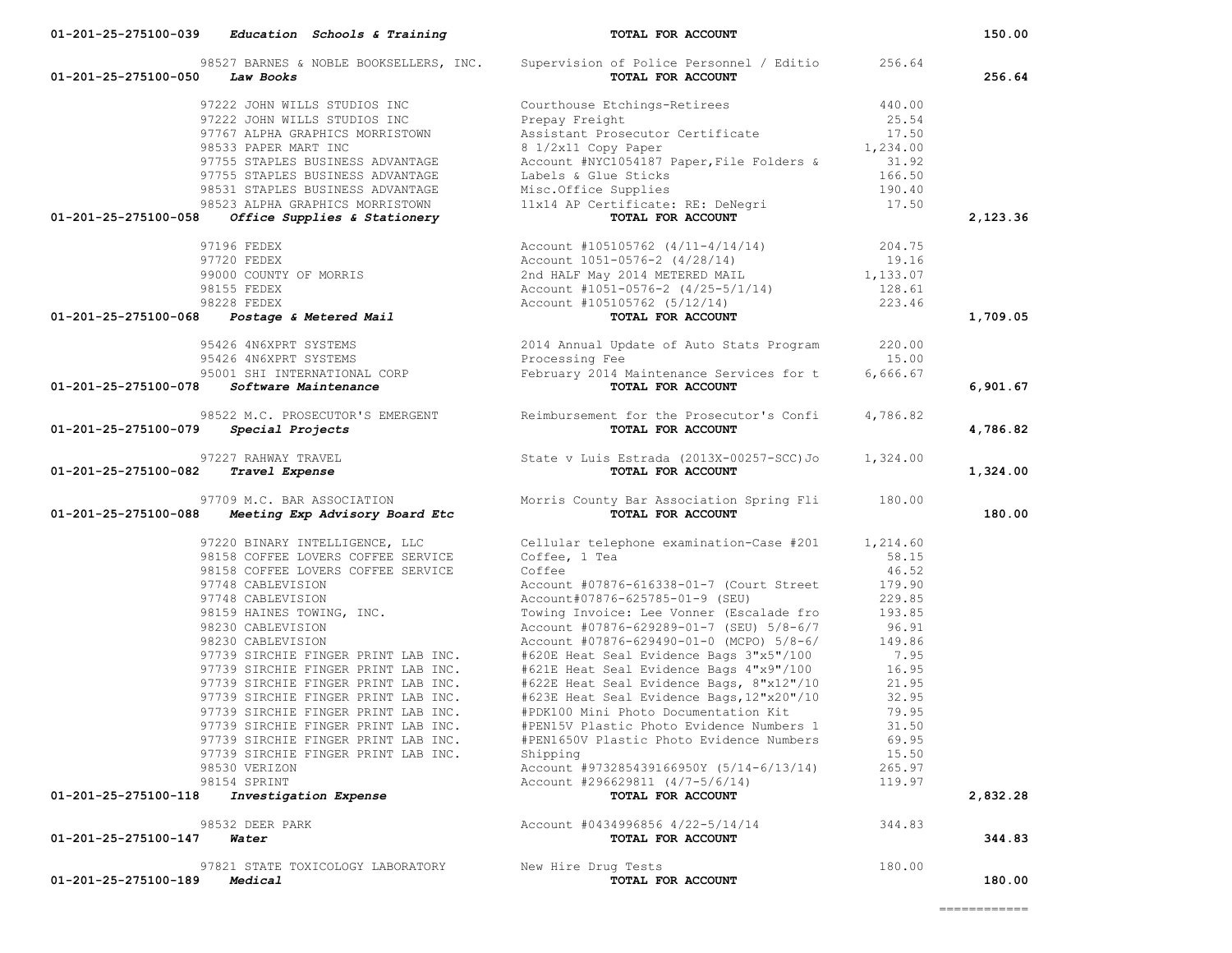| 01-201-25-275100-050<br>Law Books                                                                                                                                                                                                                             | 98527 BARNES & NOBLE BOOKSELLERS, INC. Supervision of Police Personnel / Editio<br>TOTAL FOR ACCOUNT                                                         | 256.64         | 256.64   |
|---------------------------------------------------------------------------------------------------------------------------------------------------------------------------------------------------------------------------------------------------------------|--------------------------------------------------------------------------------------------------------------------------------------------------------------|----------------|----------|
|                                                                                                                                                                                                                                                               | Courthouse Etchings-Retirees                                                                                                                                 | 440.00         |          |
| 97222 JOHN WILLS STUDIOS INC<br>97222 JOHN WILLS STUDIOS INC                                                                                                                                                                                                  | Prepay Freight                                                                                                                                               | 25.54          |          |
| 97767 ALPHA GRAPHICS MORRISTOWN                                                                                                                                                                                                                               | Prepay Freight<br>Assistant Prosecutor Certificate 17.50<br>8 1/2x11 Copy Paper 1,234.00                                                                     |                |          |
| 98533 PAPER MART INC                                                                                                                                                                                                                                          |                                                                                                                                                              |                |          |
| 97755 STAPLES BUSINESS ADVANTAGE                                                                                                                                                                                                                              | Account #NYC1054187 Paper, File Folders & 31.92<br>Account #NYC1054187 Paper, File Folders & 31.92                                                           |                |          |
| 97755 STAPLES BUSINESS ADVANTAGE                                                                                                                                                                                                                              |                                                                                                                                                              | 166.50         |          |
| 98531 STAPLES BUSINESS ADVANTAGE                                                                                                                                                                                                                              |                                                                                                                                                              | 190.40         |          |
| 98523 ALPHA GRAPHICS MORRISTOWN                                                                                                                                                                                                                               |                                                                                                                                                              | 17.50          |          |
| 01-201-25-275100-058<br>Office Supplies & Stationery                                                                                                                                                                                                          | Account #Nicrossis: 1990;<br>Labels & Glue Sticks<br>Misc.Office Supplies<br>11x14 AP Certificate: RE: DeNegri<br><b>TOTAL FOR ACCOUNT</b>                   |                | 2,123.36 |
|                                                                                                                                                                                                                                                               |                                                                                                                                                              |                |          |
|                                                                                                                                                                                                                                                               |                                                                                                                                                              |                |          |
|                                                                                                                                                                                                                                                               |                                                                                                                                                              |                |          |
|                                                                                                                                                                                                                                                               |                                                                                                                                                              |                |          |
|                                                                                                                                                                                                                                                               |                                                                                                                                                              |                |          |
| 97196 FEDEX<br>97720 FEDEX<br>97720 FEDEX<br>98000 COUNTY OF MORRIS<br>98155 FEDEX<br>98228 FEDEX<br>98228 FEDEX<br>98228 FEDEX<br>98228 FEDEX<br>98228 FEDEX<br>98228 FEDEX<br>98228 FEDEX<br>98228 FEDEX<br>98228 FEDEX<br>98228 FEDEX<br>98228 FEDEX<br>98 |                                                                                                                                                              |                | 1,709.05 |
| 95426 4N6XPRT SYSTEMS                                                                                                                                                                                                                                         | 2014 Annual Update of Auto Stats Program 220.00<br>Processing Fee 15.00<br>February 2014 Maintenance Services for t 6,666.67<br><b>TOTAL FOR ACCOUNT</b>     |                |          |
| 95426 4N6XPRT SYSTEMS                                                                                                                                                                                                                                         |                                                                                                                                                              |                |          |
| 95001 SHI INTERNATIONAL CORP                                                                                                                                                                                                                                  |                                                                                                                                                              |                |          |
| Software Maintenance<br>01-201-25-275100-078                                                                                                                                                                                                                  |                                                                                                                                                              |                | 6,901.67 |
|                                                                                                                                                                                                                                                               | 98522 M.C. PROSECUTOR'S EMERGENT Reimbursement for the Prosecutor's Confi 4,786.82                                                                           |                |          |
| $01 - 201 - 25 - 275100 - 079$ Special Projects                                                                                                                                                                                                               | TOTAL FOR ACCOUNT                                                                                                                                            |                | 4,786.82 |
| 97227 RAHWAY TRAVEL                                                                                                                                                                                                                                           | State v Luis Estrada (2013X-00257-SCC)Jo 1,324.00                                                                                                            |                |          |
| 01-201-25-275100-082<br>Travel Expense                                                                                                                                                                                                                        | TOTAL FOR ACCOUNT                                                                                                                                            |                | 1,324.00 |
|                                                                                                                                                                                                                                                               | 97709 M.C. BAR ASSOCIATION Morris County Bar Association Spring Fli 180.00                                                                                   |                |          |
| 01-201-25-275100-088 Meeting Exp Advisory Board Etc                                                                                                                                                                                                           | TOTAL FOR ACCOUNT                                                                                                                                            |                | 180.00   |
| 97220 BINARY INTELLIGENCE, LLC                                                                                                                                                                                                                                | Cellular telephone examination-Case #201 1,214.60                                                                                                            |                |          |
| 98158 COFFEE LOVERS COFFEE SERVICE Coffee, 1 Tea                                                                                                                                                                                                              |                                                                                                                                                              | 58.15          |          |
| 98158 COFFEE LOVERS COFFEE SERVICE                                                                                                                                                                                                                            | Coffee                                                                                                                                                       | 46.52          |          |
| 97748 CABLEVISION                                                                                                                                                                                                                                             | Account #07876-616338-01-7 (Court Street 179.90                                                                                                              |                |          |
| 97748 CABLEVISION                                                                                                                                                                                                                                             | Account#07876-625785-01-9 (SEU)                                                                                                                              | 229.85         |          |
| 98159 HAINES TOWING, INC.                                                                                                                                                                                                                                     | Towing Invoice: Lee Vonner (Escalade fro 193.85                                                                                                              |                |          |
| 98230 CABLEVISION<br>98230 CABLEVISION                                                                                                                                                                                                                        | Account #07876-629289-01-7 (SEU) 5/8-6/7                                                                                                                     | 96.91          |          |
| 98230 CABLEVISION                                                                                                                                                                                                                                             | Account #07876-629490-01-0 (MCPO) 5/8-6/                                                                                                                     | 149.86         |          |
|                                                                                                                                                                                                                                                               | 97739 SIRCHIE FINGER PRINT LAB INC. #620E Heat Seal Evidence Bags 3"x5"/100<br>97739 SIRCHIE FINGER PRINT LAB INC. #621E Heat Seal Evidence Bags 4"x9"/100   | 7.95           |          |
|                                                                                                                                                                                                                                                               |                                                                                                                                                              | 16.95          |          |
|                                                                                                                                                                                                                                                               | 97739 SIRCHIE FINGER PRINT LAB INC. #622E Heat Seal Evidence Bags, 8"x12"/10<br>97739 SIRCHIE FINGER PRINT LAB INC. #623E Heat Seal Evidence Bags,12"x20"/10 | 21.95<br>32.95 |          |
|                                                                                                                                                                                                                                                               |                                                                                                                                                              | 79.95          |          |
|                                                                                                                                                                                                                                                               | 97739 SIRCHIE FINGER PRINT LAB INC. #PDK100 Mini Photo Documentation Kit<br>97739 SIRCHIE FINGER PRINT LAB INC. #PEN15V Plastic Photo Evidence Numbers 1     | 31.50          |          |
| 97739 SIRCHIE FINGER PRINT LAB INC.                                                                                                                                                                                                                           | #PEN1650V Plastic Photo Evidence Numbers                                                                                                                     | 69.95          |          |
| 97739 SIRCHIE FINGER PRINT LAB INC.                                                                                                                                                                                                                           | Shipping                                                                                                                                                     | 15.50          |          |
| 98530 VERIZON                                                                                                                                                                                                                                                 | Account #973285439166950Y (5/14-6/13/14)                                                                                                                     | 265.97         |          |
| 98154 SPRINT                                                                                                                                                                                                                                                  | Account #296629811 $(4/7-5/6/14)$                                                                                                                            | 119.97         |          |
| 01-201-25-275100-118<br>Investigation Expense                                                                                                                                                                                                                 | TOTAL FOR ACCOUNT                                                                                                                                            |                | 2,832.28 |
| 98532 DEER PARK                                                                                                                                                                                                                                               | Account #0434996856 4/22-5/14/14                                                                                                                             | 344.83         |          |
| 01-201-25-275100-147<br>Water                                                                                                                                                                                                                                 | TOTAL FOR ACCOUNT                                                                                                                                            |                | 344.83   |
| 97821 STATE TOXICOLOGY LABORATORY                                                                                                                                                                                                                             | New Hire Drug Tests                                                                                                                                          | 180.00         |          |
| 01-201-25-275100-189<br>Medical                                                                                                                                                                                                                               | TOTAL FOR ACCOUNT                                                                                                                                            |                | 180.00   |
|                                                                                                                                                                                                                                                               |                                                                                                                                                              |                |          |

 **01-201-25-275100-039** *Education Schools & Training* **TOTAL FOR ACCOUNT 150.00**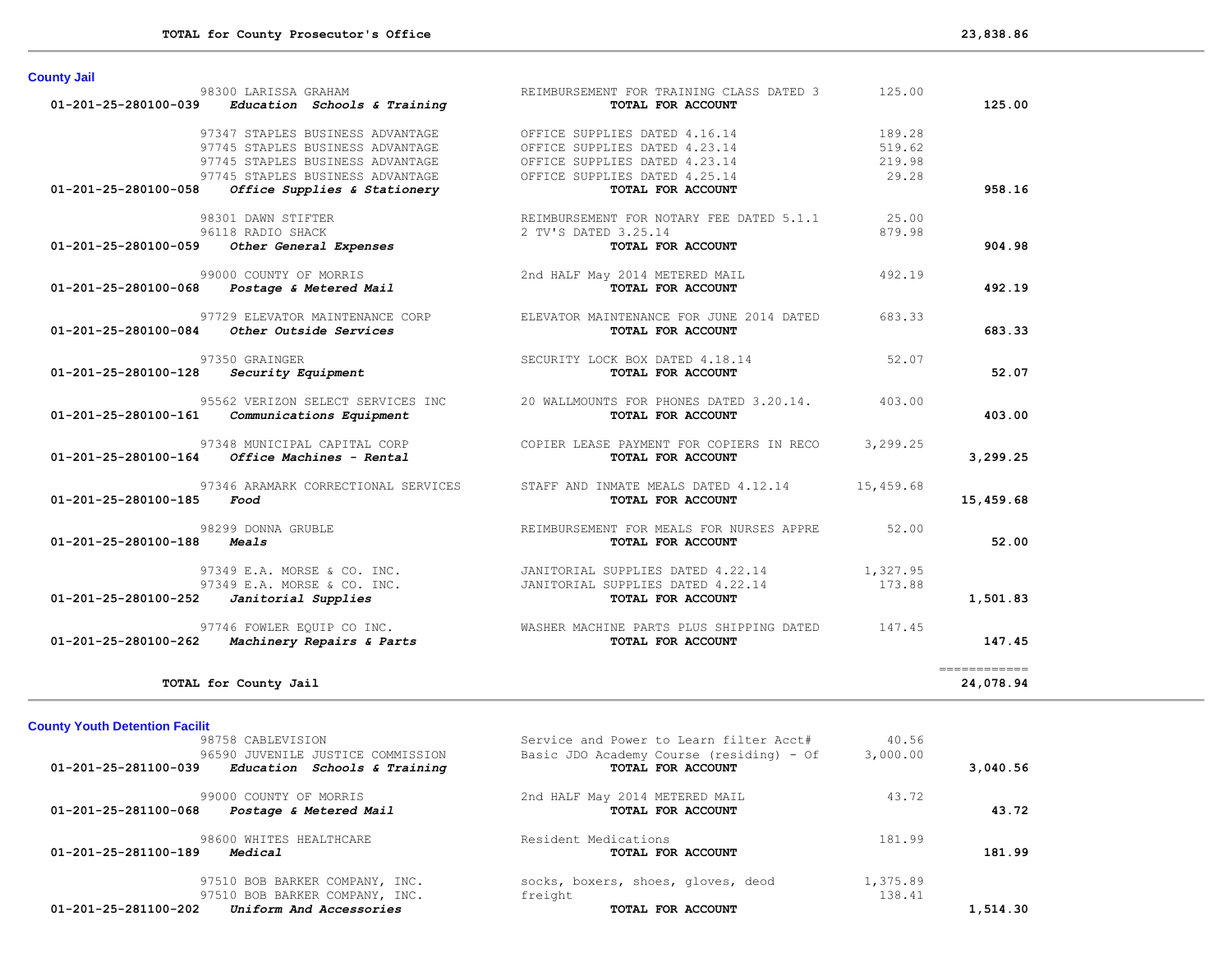| <b>County Jail</b>                                   |                                                 |          |              |
|------------------------------------------------------|-------------------------------------------------|----------|--------------|
| 98300 LARISSA GRAHAM                                 | REIMBURSEMENT FOR TRAINING CLASS DATED 3        | 125.00   |              |
| Education Schools & Training<br>01-201-25-280100-039 | TOTAL FOR ACCOUNT                               |          | 125.00       |
| 97347 STAPLES BUSINESS ADVANTAGE                     | OFFICE SUPPLIES DATED 4.16.14                   | 189.28   |              |
| 97745 STAPLES BUSINESS ADVANTAGE                     | OFFICE SUPPLIES DATED 4.23.14                   | 519.62   |              |
| 97745 STAPLES BUSINESS ADVANTAGE                     | OFFICE SUPPLIES DATED 4.23.14                   | 219.98   |              |
| 97745 STAPLES BUSINESS ADVANTAGE                     | OFFICE SUPPLIES DATED 4.25.14                   | 29.28    |              |
| 01-201-25-280100-058<br>Office Supplies & Stationery | TOTAL FOR ACCOUNT                               |          | 958.16       |
| 98301 DAWN STIFTER                                   | REIMBURSEMENT FOR NOTARY FEE DATED 5.1.1        | 25.00    |              |
| 96118 RADIO SHACK                                    | 2 TV'S DATED 3.25.14                            | 879.98   |              |
| Other General Expenses<br>01-201-25-280100-059       | TOTAL FOR ACCOUNT                               |          | 904.98       |
| 99000 COUNTY OF MORRIS                               | 2nd HALF May 2014 METERED MAIL                  | 492.19   |              |
| Postage & Metered Mail<br>01-201-25-280100-068       | TOTAL FOR ACCOUNT                               |          | 492.19       |
| 97729 ELEVATOR MAINTENANCE CORP                      | ELEVATOR MAINTENANCE FOR JUNE 2014 DATED        | 683.33   |              |
| Other Outside Services<br>01-201-25-280100-084       | TOTAL FOR ACCOUNT                               |          | 683.33       |
| 97350 GRAINGER                                       | SECURITY LOCK BOX DATED 4.18.14                 | 52.07    |              |
| 01-201-25-280100-128<br>Security Equipment           | TOTAL FOR ACCOUNT                               |          | 52.07        |
| 95562 VERIZON SELECT SERVICES INC                    | 20 WALLMOUNTS FOR PHONES DATED 3.20.14.         | 403.00   |              |
| 01-201-25-280100-161<br>Communications Equipment     | TOTAL FOR ACCOUNT                               |          | 403.00       |
| 97348 MUNICIPAL CAPITAL CORP                         | COPIER LEASE PAYMENT FOR COPIERS IN RECO        | 3,299.25 |              |
| Office Machines - Rental<br>01-201-25-280100-164     | TOTAL FOR ACCOUNT                               |          | 3,299.25     |
| 97346 ARAMARK CORRECTIONAL SERVICES                  | STAFF AND INMATE MEALS DATED 4.12.14 15,459.68  |          |              |
| 01-201-25-280100-185<br>Food                         | TOTAL FOR ACCOUNT                               |          | 15,459.68    |
| 98299 DONNA GRUBLE                                   | REIMBURSEMENT FOR MEALS FOR NURSES APPRE        | 52.00    |              |
| 01-201-25-280100-188<br>Meals                        | TOTAL FOR ACCOUNT                               |          | 52.00        |
| 97349 E.A. MORSE & CO. INC.                          | JANITORIAL SUPPLIES DATED 4.22.14               | 1,327.95 |              |
| 97349 E.A. MORSE & CO. INC.                          | JANITORIAL SUPPLIES DATED 4.22.14               | 173.88   |              |
| 01-201-25-280100-252<br>Janitorial Supplies          | TOTAL FOR ACCOUNT                               |          | 1,501.83     |
| 97746 FOWLER EQUIP CO INC.                           | WASHER MACHINE PARTS PLUS SHIPPING DATED 147.45 |          |              |
| Machinery Repairs & Parts<br>01-201-25-280100-262    | TOTAL FOR ACCOUNT                               |          | 147.45       |
|                                                      |                                                 |          | ============ |
| TOTAL for County Jail                                |                                                 |          | 24,078.94    |

# **County Youth Detention Facilit**

| 98758 CABLEVISION                                    | Service and Power to Learn filter Acct#  | 40.56    |          |
|------------------------------------------------------|------------------------------------------|----------|----------|
| 96590 JUVENILE JUSTICE COMMISSION                    | Basic JDO Academy Course (residing) - Of | 3,000.00 |          |
| 01-201-25-281100-039<br>Education Schools & Training | TOTAL FOR ACCOUNT                        |          | 3,040.56 |
| 99000 COUNTY OF MORRIS                               | 2nd HALF May 2014 METERED MAIL           | 43.72    |          |
| 01-201-25-281100-068<br>Postage & Metered Mail       | TOTAL FOR ACCOUNT                        |          | 43.72    |
| 98600 WHITES HEALTHCARE                              | Resident Medications                     | 181.99   |          |
| 01-201-25-281100-189<br>Medical                      | TOTAL FOR ACCOUNT                        |          | 181.99   |
| 97510 BOB BARKER COMPANY, INC.                       | socks, boxers, shoes, gloves, deod       | 1,375.89 |          |
| 97510 BOB BARKER COMPANY, INC.                       | freight                                  | 138.41   |          |
| 01-201-25-281100-202<br>Uniform And Accessories      | TOTAL FOR ACCOUNT                        |          | 1,514.30 |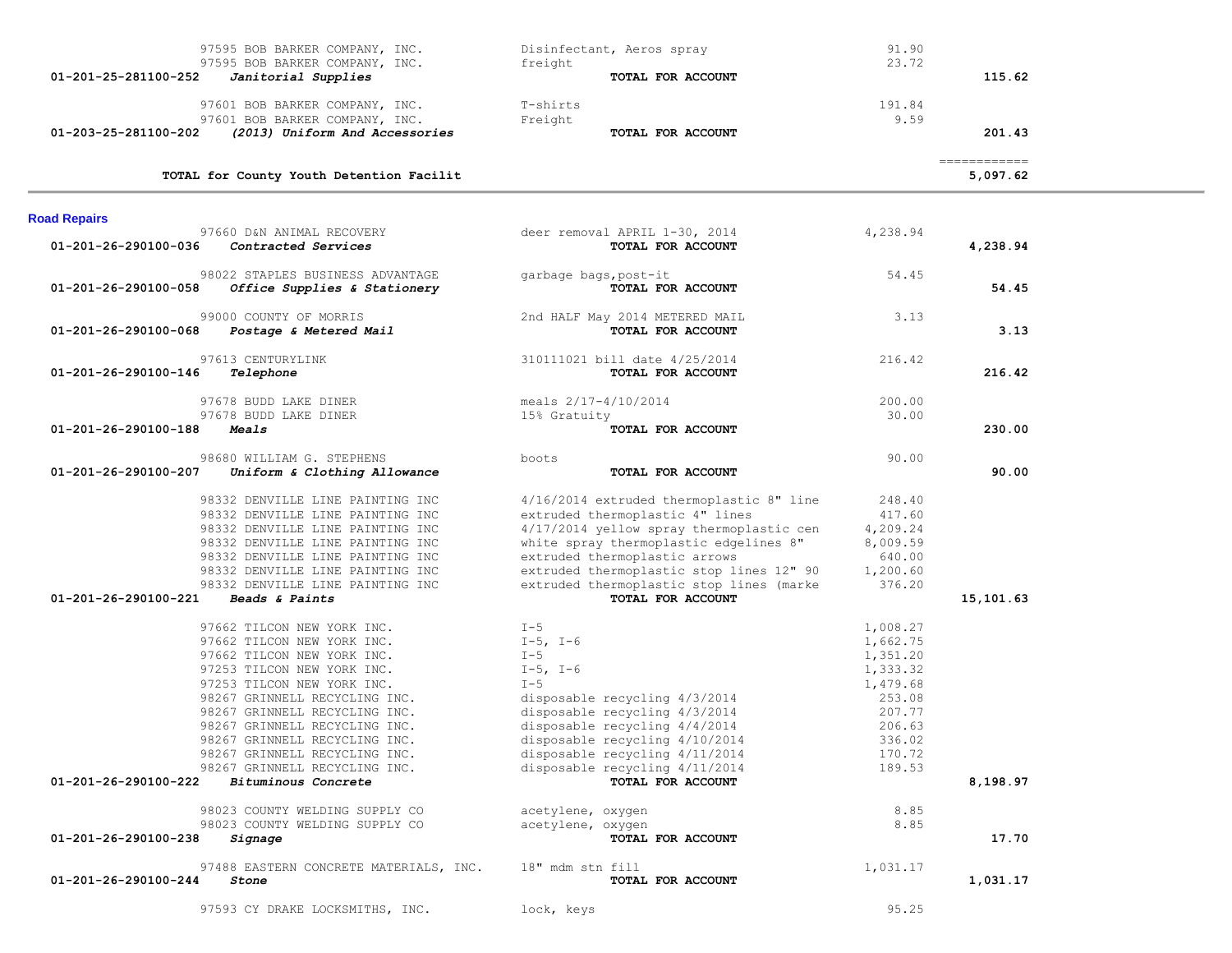| 97595 BOB BARKER COMPANY, INC.                                                                                                                                                                                                                                                                                                                                                                          | Disinfectant, Aeros spray                                                                                                                                                                                                                                                                                       | 91.90<br>23.72                                                                                                       |                                         |  |
|---------------------------------------------------------------------------------------------------------------------------------------------------------------------------------------------------------------------------------------------------------------------------------------------------------------------------------------------------------------------------------------------------------|-----------------------------------------------------------------------------------------------------------------------------------------------------------------------------------------------------------------------------------------------------------------------------------------------------------------|----------------------------------------------------------------------------------------------------------------------|-----------------------------------------|--|
| 97595 BOB BARKER COMPANY, INC.<br>01-201-25-281100-252<br>Janitorial Supplies                                                                                                                                                                                                                                                                                                                           | freight<br>TOTAL FOR ACCOUNT                                                                                                                                                                                                                                                                                    |                                                                                                                      | 115.62                                  |  |
| 97601 BOB BARKER COMPANY, INC.                                                                                                                                                                                                                                                                                                                                                                          | T-shirts                                                                                                                                                                                                                                                                                                        | 191.84                                                                                                               |                                         |  |
| 97601 BOB BARKER COMPANY, INC.                                                                                                                                                                                                                                                                                                                                                                          | Freight                                                                                                                                                                                                                                                                                                         | 9.59                                                                                                                 |                                         |  |
| (2013) Uniform And Accessories<br>01-203-25-281100-202                                                                                                                                                                                                                                                                                                                                                  | TOTAL FOR ACCOUNT                                                                                                                                                                                                                                                                                               |                                                                                                                      | 201.43                                  |  |
| TOTAL for County Youth Detention Facilit                                                                                                                                                                                                                                                                                                                                                                |                                                                                                                                                                                                                                                                                                                 |                                                                                                                      | $=$ = = = = = = = = = = = =<br>5,097.62 |  |
| <b>Road Repairs</b>                                                                                                                                                                                                                                                                                                                                                                                     |                                                                                                                                                                                                                                                                                                                 |                                                                                                                      |                                         |  |
| 97660 D&N ANIMAL RECOVERY<br>01-201-26-290100-036<br>Contracted Services                                                                                                                                                                                                                                                                                                                                | deer removal APRIL 1-30, 2014<br>TOTAL FOR ACCOUNT                                                                                                                                                                                                                                                              | 4,238.94                                                                                                             | 4,238.94                                |  |
| 98022 STAPLES BUSINESS ADVANTAGE<br>01-201-26-290100-058<br>Office Supplies & Stationery                                                                                                                                                                                                                                                                                                                | garbage bags, post-it<br>TOTAL FOR ACCOUNT                                                                                                                                                                                                                                                                      | 54.45                                                                                                                | 54.45                                   |  |
| 99000 COUNTY OF MORRIS<br><i>Postage &amp; Metered Mail</i><br>01-201-26-290100-068                                                                                                                                                                                                                                                                                                                     | 2nd HALF May 2014 METERED MAIL<br>TOTAL FOR ACCOUNT                                                                                                                                                                                                                                                             | 3.13                                                                                                                 | 3.13                                    |  |
| 97613 CENTURYLINK<br>01-201-26-290100-146<br>Telephone                                                                                                                                                                                                                                                                                                                                                  | 310111021 bill date 4/25/2014<br>TOTAL FOR ACCOUNT                                                                                                                                                                                                                                                              | 216.42                                                                                                               | 216.42                                  |  |
| 97678 BUDD LAKE DINER                                                                                                                                                                                                                                                                                                                                                                                   | meals $2/17-4/10/2014$                                                                                                                                                                                                                                                                                          | 200.00                                                                                                               |                                         |  |
| 97678 BUDD LAKE DINER<br>01-201-26-290100-188<br><i><b>Meals</b></i>                                                                                                                                                                                                                                                                                                                                    | 15% Gratuity<br>TOTAL FOR ACCOUNT                                                                                                                                                                                                                                                                               | 30.00                                                                                                                | 230.00                                  |  |
| 98680 WILLIAM G. STEPHENS<br>01-201-26-290100-207<br>Uniform & Clothing Allowance                                                                                                                                                                                                                                                                                                                       | boots<br>TOTAL FOR ACCOUNT                                                                                                                                                                                                                                                                                      | 90.00                                                                                                                | 90.00                                   |  |
| 98332 DENVILLE LINE PAINTING INC<br>98332 DENVILLE LINE PAINTING INC<br>98332 DENVILLE LINE PAINTING INC<br>98332 DENVILLE LINE PAINTING INC<br>98332 DENVILLE LINE PAINTING INC<br>98332 DENVILLE LINE PAINTING INC<br>98332 DENVILLE LINE PAINTING INC<br>01-201-26-290100-221<br>Beads & Paints                                                                                                      | 4/16/2014 extruded thermoplastic 8" line<br>extruded thermoplastic 4" lines<br>4/17/2014 yellow spray thermoplastic cen<br>white spray thermoplastic edgelines 8"<br>extruded thermoplastic arrows<br>extruded thermoplastic stop lines 12" 90<br>extruded thermoplastic stop lines (marke<br>TOTAL FOR ACCOUNT | 248.40<br>417.60<br>4,209.24<br>8,009.59<br>640.00<br>1,200.60<br>376.20                                             | 15,101.63                               |  |
| 97662 TILCON NEW YORK INC.<br>97662 TILCON NEW YORK INC.<br>97662 TILCON NEW YORK INC.<br>97253 TILCON NEW YORK INC.<br>97253 TILCON NEW YORK INC.<br>98267 GRINNELL RECYCLING INC.<br>98267 GRINNELL RECYCLING INC.<br>98267 GRINNELL RECYCLING INC.<br>98267 GRINNELL RECYCLING INC.<br>98267 GRINNELL RECYCLING INC.<br>98267 GRINNELL RECYCLING INC.<br>Bituminous Concrete<br>01-201-26-290100-222 | $I - 5$<br>$I-5$ , $I-6$<br>$I - 5$<br>$I-5$ , $I-6$<br>$I - 5$<br>disposable recycling 4/3/2014<br>disposable recycling 4/3/2014<br>disposable recycling $4/4/2014$<br>disposable recycling 4/10/2014<br>disposable recycling 4/11/2014<br>disposable recycling 4/11/2014<br>TOTAL FOR ACCOUNT                 | 1,008.27<br>1,662.75<br>1,351.20<br>1,333.32<br>1,479.68<br>253.08<br>207.77<br>206.63<br>336.02<br>170.72<br>189.53 | 8,198.97                                |  |
| 98023 COUNTY WELDING SUPPLY CO<br>98023 COUNTY WELDING SUPPLY CO                                                                                                                                                                                                                                                                                                                                        | acetylene, oxygen<br>acetylene, oxygen                                                                                                                                                                                                                                                                          | 8.85<br>8.85                                                                                                         |                                         |  |
| 01-201-26-290100-238<br>Signage                                                                                                                                                                                                                                                                                                                                                                         | TOTAL FOR ACCOUNT                                                                                                                                                                                                                                                                                               |                                                                                                                      | 17.70                                   |  |
| 97488 EASTERN CONCRETE MATERIALS, INC.<br>01-201-26-290100-244<br>Stone                                                                                                                                                                                                                                                                                                                                 | 18" mdm stn fill<br>TOTAL FOR ACCOUNT                                                                                                                                                                                                                                                                           | 1,031.17                                                                                                             | 1,031.17                                |  |
| 97593 CY DRAKE LOCKSMITHS, INC.                                                                                                                                                                                                                                                                                                                                                                         | lock, keys                                                                                                                                                                                                                                                                                                      | 95.25                                                                                                                |                                         |  |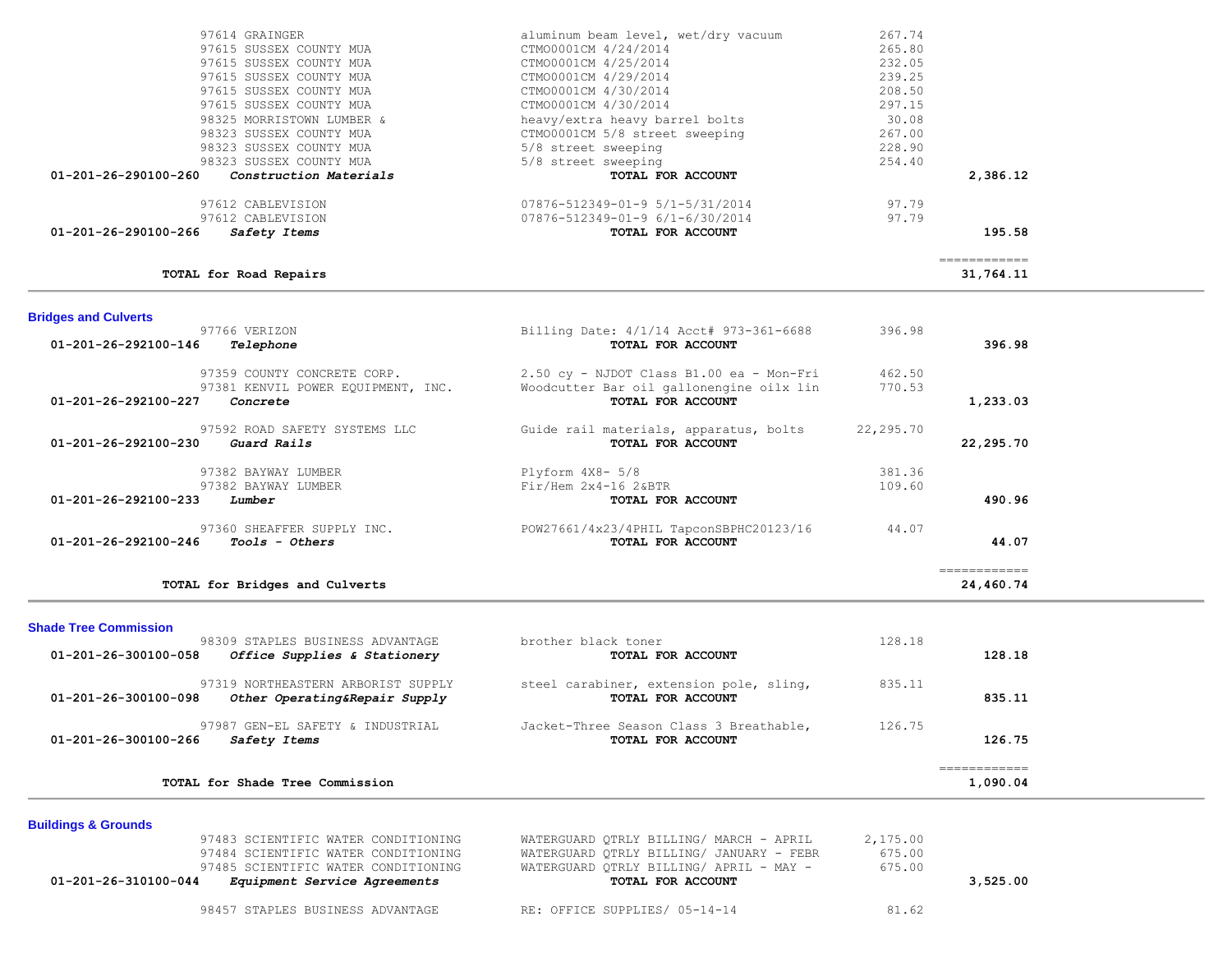| 97614 GRAINGER                                                                    | aluminum beam level, wet/dry vacuum                          | 267.74    |              |
|-----------------------------------------------------------------------------------|--------------------------------------------------------------|-----------|--------------|
| 97615 SUSSEX COUNTY MUA                                                           | CTM00001CM 4/24/2014                                         | 265.80    |              |
| 97615 SUSSEX COUNTY MUA                                                           | CTM00001CM 4/25/2014                                         | 232.05    |              |
| 97615 SUSSEX COUNTY MUA                                                           | CTM00001CM 4/29/2014                                         | 239.25    |              |
| 97615 SUSSEX COUNTY MUA                                                           | CTM00001CM 4/30/2014                                         | 208.50    |              |
| 97615 SUSSEX COUNTY MUA                                                           | CTM00001CM 4/30/2014                                         | 297.15    |              |
| 98325 MORRISTOWN LUMBER &                                                         | heavy/extra heavy barrel bolts                               | 30.08     |              |
| 98323 SUSSEX COUNTY MUA                                                           | CTM00001CM 5/8 street sweeping                               | 267.00    |              |
| 98323 SUSSEX COUNTY MUA                                                           | 5/8 street sweeping                                          | 228.90    |              |
| 98323 SUSSEX COUNTY MUA<br>Construction Materials<br>01-201-26-290100-260         | 5/8 street sweeping<br>TOTAL FOR ACCOUNT                     | 254.40    | 2,386.12     |
|                                                                                   |                                                              |           |              |
| 97612 CABLEVISION                                                                 | 07876-512349-01-9 5/1-5/31/2014                              | 97.79     |              |
| 97612 CABLEVISION                                                                 | 07876-512349-01-9 6/1-6/30/2014                              | 97.79     |              |
| 01-201-26-290100-266<br>Safety Items                                              | TOTAL FOR ACCOUNT                                            |           | 195.58       |
|                                                                                   |                                                              |           | ============ |
| TOTAL for Road Repairs                                                            |                                                              |           | 31,764.11    |
| <b>Bridges and Culverts</b><br>97766 VERIZON<br>01-201-26-292100-146<br>Telephone | Billing Date: 4/1/14 Acct# 973-361-6688<br>TOTAL FOR ACCOUNT | 396.98    | 396.98       |
| 97359 COUNTY CONCRETE CORP.                                                       | 2.50 cy - NJDOT Class B1.00 ea - Mon-Fri                     | 462.50    |              |
| 97381 KENVIL POWER EQUIPMENT, INC.                                                | Woodcutter Bar oil gallonengine oilx lin                     | 770.53    |              |
| 01-201-26-292100-227<br>Concrete                                                  | TOTAL FOR ACCOUNT                                            |           | 1,233.03     |
| 97592 ROAD SAFETY SYSTEMS LLC                                                     | Guide rail materials, apparatus, bolts                       | 22,295.70 |              |
| Guard Rails<br>$01 - 201 - 26 - 292100 - 230$                                     | TOTAL FOR ACCOUNT                                            |           | 22,295.70    |
| 97382 BAYWAY LUMBER                                                               | Plyform 4X8- 5/8                                             | 381.36    |              |
| 97382 BAYWAY LUMBER                                                               | $Fix/$ Hem $2x4-16$ $2xBTR$                                  | 109.60    |              |
| 01-201-26-292100-233<br>Lumber                                                    | TOTAL FOR ACCOUNT                                            |           | 490.96       |
| 97360 SHEAFFER SUPPLY INC.                                                        | POW27661/4x23/4PHIL TapconSBPHC20123/16                      | 44.07     |              |
| 01-201-26-292100-246<br><i>Tools - Others</i>                                     | TOTAL FOR ACCOUNT                                            |           | 44.07        |
|                                                                                   |                                                              |           | ============ |

#### **Shade Tree Commission**

| TOTAL for Shade Tree Commission                                                             |                                                              |        | 1,090.04 |  |
|---------------------------------------------------------------------------------------------|--------------------------------------------------------------|--------|----------|--|
| 97987 GEN-EL SAFETY & INDUSTRIAL<br>01-201-26-300100-266<br><i>Safety Items</i>             | Jacket-Three Season Class 3 Breathable,<br>TOTAL FOR ACCOUNT | 126.75 | 126.75   |  |
| 97319 NORTHEASTERN ARBORIST SUPPLY<br>01-201-26-300100-098<br>Other Operating&Repair Supply | steel carabiner, extension pole, sling,<br>TOTAL FOR ACCOUNT | 835.11 | 835.11   |  |
| 98309 STAPLES BUSINESS ADVANTAGE<br>Office Supplies & Stationery<br>01-201-26-300100-058    | brother black toner<br>TOTAL FOR ACCOUNT                     | 128.18 | 128.18   |  |

## **Buildings & Grounds**

| 97483 SCIENTIFIC WATER CONDITIONING                         | WATERGUARD OTRLY BILLING/ MARCH - APRIL  | 2,175.00 |
|-------------------------------------------------------------|------------------------------------------|----------|
| 97484 SCIENTIFIC WATER CONDITIONING                         | WATERGUARD OTRLY BILLING/ JANUARY - FEBR | 675.00   |
| 97485 SCIENTIFIC WATER CONDITIONING                         | WATERGUARD OTRLY BILLING/ APRIL - MAY -  | 675.00   |
| 01-201-26-310100-044<br><i>Equipment Service Agreements</i> | TOTAL FOR ACCOUNT                        | 3.525.00 |
| 98457 STAPLES BUSINESS ADVANTAGE                            | RE: OFFICE SUPPLIES/ 05-14-14            | 81.62    |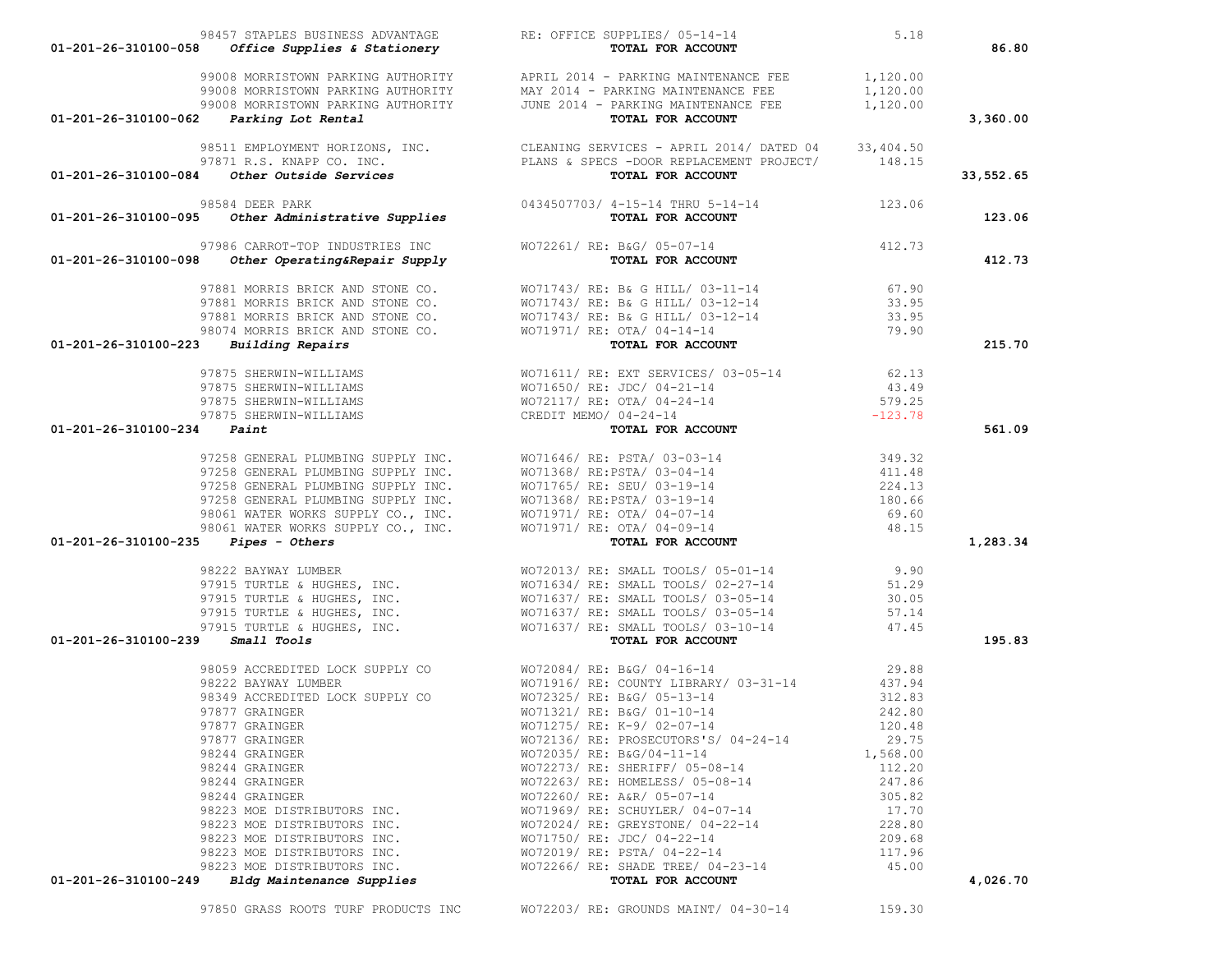| 01-201-26-310100-058                            | Office Supplies & Stationery                                                          | TOTAL FOR ACCOUNT                                                                                                                                                                                                                                         |                  | 86.80     |
|-------------------------------------------------|---------------------------------------------------------------------------------------|-----------------------------------------------------------------------------------------------------------------------------------------------------------------------------------------------------------------------------------------------------------|------------------|-----------|
|                                                 | 01-201-26-310100-062 Parking Lot Rental                                               | 99008 MORRISTOWN PARKING AUTHORITY APRIL 2014 - PARKING MAINTENANCE FEE 1,120.00<br>99008 MORRISTOWN PARKING AUTHORITY MAY 2014 - PARKING MAINTENANCE FEE 1,120.00<br>99008 MORRISTOWN PARKING AUTHORITY JUNE 2014 - PARKING MAINTEN<br>TOTAL FOR ACCOUNT |                  | 3,360.00  |
|                                                 |                                                                                       |                                                                                                                                                                                                                                                           |                  |           |
|                                                 |                                                                                       | 98511 EMPLOYMENT HORIZONS, INC.<br>97871 R.S. KNAPP CO. INC.<br><b>01-201-26-310100-084 <i>Other Outside Services</i></b> PLANS & SPECS -DOOR REPLACEMENT PROJECT/<br><b>01-201-26-310100-084 <i>Other Outside Services PLANS &amp; SPECS -DOOR R</i></b> |                  | 33,552.65 |
|                                                 |                                                                                       | 98584 DEER PARK 98584 DEER PARK 0434507703/ 4-15-14 THRU 5-14-14 98584 DEER PARK 01-201-26-310100-095 other Administrative Supplies                                                                                                                       |                  | 123.06    |
| 01-201-26-310100-098                            | Other Operating&Repair Supply                                                         | 97986 CARROT-TOP INDUSTRIES INC WO72261/ RE: B&G/ 05-07-14 412.73<br>TOTAL FOR ACCOUNT                                                                                                                                                                    |                  | 412.73    |
|                                                 |                                                                                       |                                                                                                                                                                                                                                                           |                  |           |
|                                                 |                                                                                       |                                                                                                                                                                                                                                                           |                  |           |
|                                                 |                                                                                       |                                                                                                                                                                                                                                                           |                  |           |
|                                                 |                                                                                       |                                                                                                                                                                                                                                                           |                  |           |
| $01 - 201 - 26 - 310100 - 223$ Building Repairs |                                                                                       | 97881 MORRIS BRICK AND STONE CO.<br>97881 MORRIS BRICK AND STONE CO.<br>97881 MORRIS BRICK AND STONE CO.<br>97881 MORRIS BRICK AND STONE CO.<br>98074 MORRIS BRICK AND STONE CO.<br>98074 MORRIS BRICK AND STONE CO.<br>98074 MORRIS BRICK                |                  | 215.70    |
|                                                 |                                                                                       | 97875 SHERWIN-WILLIAMS<br>97875 SHERWIN-WILLIAMS<br>97875 SHERWIN-WILLIAMS<br>97875 SHERWIN-WILLIAMS<br>97875 SHERWIN-WILLIAMS<br>97875 SHERWIN-WILLIAMS<br>97875 SHERWIN-WILLIAMS CREDIT MEMO / 04-24-14<br><b>Paint Por ACCOUNT</b><br>97               |                  |           |
|                                                 |                                                                                       |                                                                                                                                                                                                                                                           |                  |           |
|                                                 |                                                                                       |                                                                                                                                                                                                                                                           |                  |           |
|                                                 |                                                                                       |                                                                                                                                                                                                                                                           |                  |           |
| $01 - 201 - 26 - 310100 - 234$ Paint            |                                                                                       |                                                                                                                                                                                                                                                           |                  | 561.09    |
|                                                 |                                                                                       | 97258 GENERAL PLUMBING SUPPLY INC.<br>97258 GENERAL PLUMBING SUPPLY INC.<br>97258 GENERAL PLUMBING SUPPLY INC.<br>97258 GENERAL PLUMBING SUPPLY INC.<br>97258 GENERAL PLUMBING SUPPLY INC.<br>98061 WATER WORKS SUPPLY CO., INC.<br>98061                 |                  |           |
|                                                 |                                                                                       |                                                                                                                                                                                                                                                           |                  |           |
|                                                 |                                                                                       |                                                                                                                                                                                                                                                           |                  |           |
|                                                 |                                                                                       |                                                                                                                                                                                                                                                           |                  |           |
|                                                 |                                                                                       |                                                                                                                                                                                                                                                           |                  |           |
|                                                 |                                                                                       |                                                                                                                                                                                                                                                           |                  |           |
| $01-201-26-310100-235$ Pipes - Others           |                                                                                       |                                                                                                                                                                                                                                                           |                  | 1,283.34  |
|                                                 |                                                                                       |                                                                                                                                                                                                                                                           |                  |           |
|                                                 |                                                                                       |                                                                                                                                                                                                                                                           |                  |           |
|                                                 |                                                                                       |                                                                                                                                                                                                                                                           |                  |           |
|                                                 |                                                                                       |                                                                                                                                                                                                                                                           |                  |           |
| $01 - 201 - 26 - 310100 - 239$ Small Tools      |                                                                                       | 98222 BAYWAY LUMBER<br>97915 TURTLE & HUGHES, INC.<br>97915 TURTLE & HUGHES, INC.<br>97915 TURTLE & HUGHES, INC.<br>97915 TURTLE & HUGHES, INC.<br>97915 TURTLE & HUGHES, INC.<br>97915 TURTLE & HUGHES, INC.<br>97915 TURTLE & HUGHES, INC               |                  | 195.83    |
|                                                 |                                                                                       |                                                                                                                                                                                                                                                           |                  |           |
|                                                 | 98059 ACCREDITED LOCK SUPPLY CO<br>98222 BAYWAY LUMBER<br>WO71916/ RE: COUNTY LIBRARY | WO72084/RE: B&G/ 04-16-14<br>WO71916/RE: COUNTY LIBRARY/ 03-31-14 437.94                                                                                                                                                                                  |                  |           |
|                                                 |                                                                                       |                                                                                                                                                                                                                                                           |                  |           |
|                                                 |                                                                                       |                                                                                                                                                                                                                                                           | 312.83           |           |
|                                                 | 98349 ACCREDITED LOCK SUPPLY CO<br>97877 GRAINGER<br>97877 GRAINGER<br>97877 GRAINGER | WO72325/ RE: B&G/ 05-13-14<br>WO71321/ RE: B&G/ 01-10-14<br>WO71275/ RE: K-9/ 02-07-14                                                                                                                                                                    | 242.80<br>120.48 |           |
|                                                 | 97877 GRAINGER                                                                        | WO72136/ RE: PROSECUTORS'S/ 04-24-14 29.75                                                                                                                                                                                                                |                  |           |
|                                                 | 98244 GRAINGER                                                                        | WO72035/ RE: B&G/04-11-14                                                                                                                                                                                                                                 | 1,568.00         |           |
|                                                 | 98244 GRAINGER                                                                        | WO72273/ RE: SHERIFF/ 05-08-14                                                                                                                                                                                                                            | 112.20           |           |
|                                                 | 98244 GRAINGER                                                                        | WO72263/ RE: HOMELESS/ 05-08-14                                                                                                                                                                                                                           | 247.86           |           |
|                                                 | 98244 GRAINGER                                                                        | WO72260/ RE: A&R/ 05-07-14                                                                                                                                                                                                                                | 305.82           |           |
|                                                 | 98223 MOE DISTRIBUTORS INC.                                                           | WO71969/ RE: SCHUYLER/ 04-07-14                                                                                                                                                                                                                           | 17.70            |           |
|                                                 | 98223 MOE DISTRIBUTORS INC.                                                           | WO72024/ RE: GREYSTONE/ 04-22-14                                                                                                                                                                                                                          | 228.80           |           |
|                                                 | 98223 MOE DISTRIBUTORS INC.                                                           | WO71750/ RE: JDC/ 04-22-14                                                                                                                                                                                                                                | 209.68           |           |
|                                                 | 98223 MOE DISTRIBUTORS INC.                                                           | WO72019/ RE: PSTA/ 04-22-14                                                                                                                                                                                                                               | 117.96           |           |
|                                                 | 98223 MOE DISTRIBUTORS INC.<br>01-201-26-310100-249 Bldg Maintenance Supplies         | WO72266/ RE: SHADE TREE/ 04-23-14<br>TOTAL FOR ACCOUNT                                                                                                                                                                                                    | 45.00            | 4,026.70  |
|                                                 |                                                                                       |                                                                                                                                                                                                                                                           |                  |           |
|                                                 |                                                                                       | 97850 GRASS ROOTS TURF PRODUCTS INC WO72203/ RE: GROUNDS MAINT/ 04-30-14 159.30                                                                                                                                                                           |                  |           |

98457 STAPLES BUSINESS ADVANTAGE RE: OFFICE SUPPLIES/ 05-14-14 5.18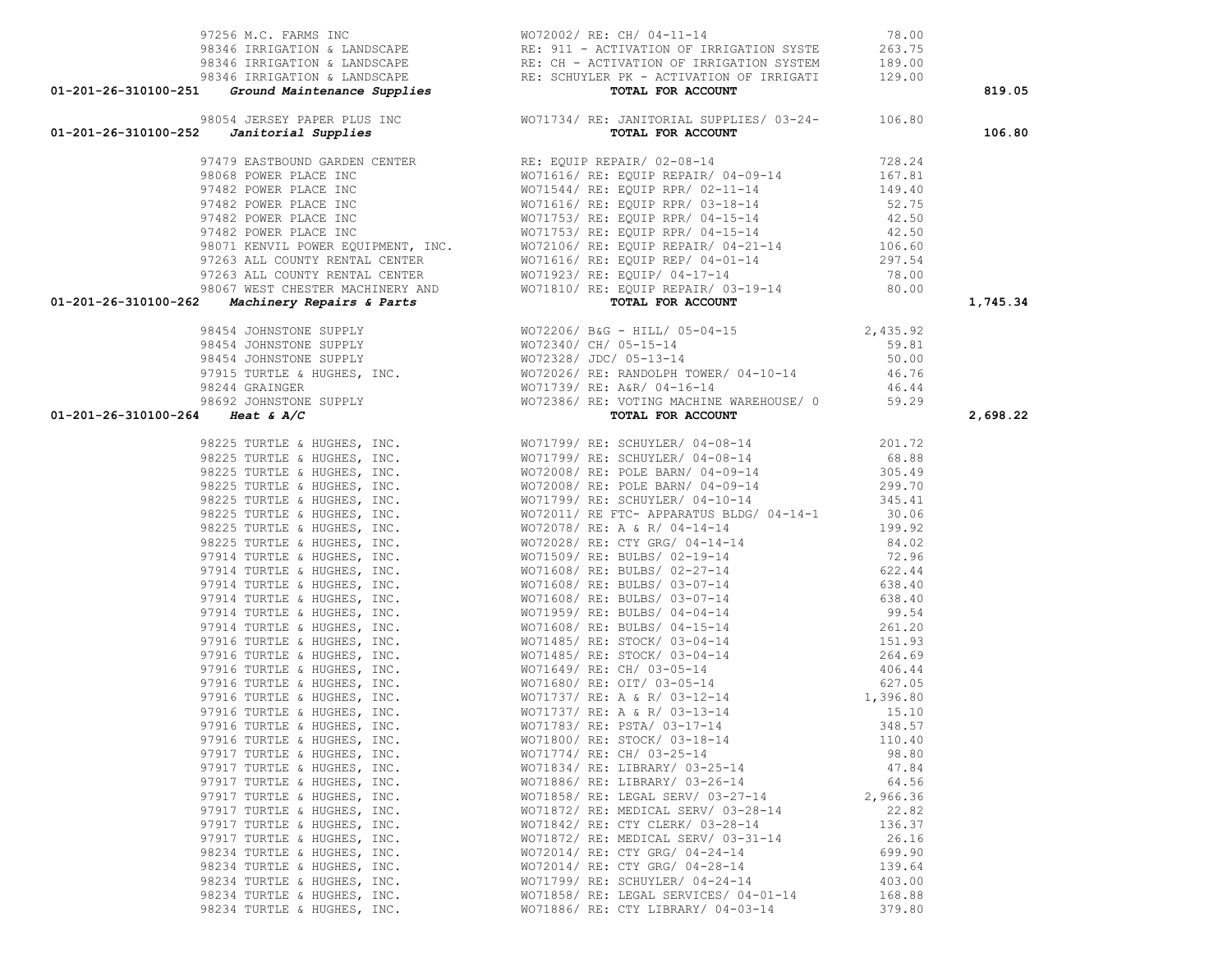| 98346 IRRIGATION & LANDSCAPE RE: 911 - ACTIVATION OF IRRIGATION SYSTE<br>98346 IRRIGATION & LANDSCAPE RE: CH - ACTIVATION OF IRRIGATION SYSTE<br>98346 IRRIGATION & LANDSCAPE RE: SCHUYLER PK - ACTIVATION OF IRRIGATI<br>98346 IRRIGA<br>91211-26-110100-2011 (1990-1101) (1991-1201) (1991-1201) (1991-1201) (1991-1201) (1991-1201-26-1101) (1991-271) (1991-271) (1991-271) (1991-271) (1991-271) (1991-271) (1991-271) (1991-271) (1991-271) (1991-271) (1991-271) |                                       |          | 819.05   |
|-------------------------------------------------------------------------------------------------------------------------------------------------------------------------------------------------------------------------------------------------------------------------------------------------------------------------------------------------------------------------------------------------------------------------------------------------------------------------|---------------------------------------|----------|----------|
|                                                                                                                                                                                                                                                                                                                                                                                                                                                                         |                                       |          |          |
|                                                                                                                                                                                                                                                                                                                                                                                                                                                                         |                                       |          | 106.80   |
|                                                                                                                                                                                                                                                                                                                                                                                                                                                                         |                                       |          |          |
|                                                                                                                                                                                                                                                                                                                                                                                                                                                                         |                                       |          |          |
|                                                                                                                                                                                                                                                                                                                                                                                                                                                                         |                                       |          |          |
|                                                                                                                                                                                                                                                                                                                                                                                                                                                                         |                                       |          |          |
|                                                                                                                                                                                                                                                                                                                                                                                                                                                                         |                                       |          |          |
|                                                                                                                                                                                                                                                                                                                                                                                                                                                                         |                                       |          |          |
|                                                                                                                                                                                                                                                                                                                                                                                                                                                                         |                                       |          |          |
|                                                                                                                                                                                                                                                                                                                                                                                                                                                                         |                                       |          |          |
|                                                                                                                                                                                                                                                                                                                                                                                                                                                                         |                                       |          |          |
|                                                                                                                                                                                                                                                                                                                                                                                                                                                                         |                                       |          |          |
|                                                                                                                                                                                                                                                                                                                                                                                                                                                                         |                                       |          | 1,745.34 |
|                                                                                                                                                                                                                                                                                                                                                                                                                                                                         |                                       |          |          |
|                                                                                                                                                                                                                                                                                                                                                                                                                                                                         |                                       |          |          |
|                                                                                                                                                                                                                                                                                                                                                                                                                                                                         |                                       |          |          |
|                                                                                                                                                                                                                                                                                                                                                                                                                                                                         |                                       |          |          |
|                                                                                                                                                                                                                                                                                                                                                                                                                                                                         |                                       |          |          |
|                                                                                                                                                                                                                                                                                                                                                                                                                                                                         |                                       |          |          |
|                                                                                                                                                                                                                                                                                                                                                                                                                                                                         |                                       |          | 2,698.22 |
|                                                                                                                                                                                                                                                                                                                                                                                                                                                                         |                                       |          |          |
|                                                                                                                                                                                                                                                                                                                                                                                                                                                                         |                                       |          |          |
|                                                                                                                                                                                                                                                                                                                                                                                                                                                                         |                                       |          |          |
|                                                                                                                                                                                                                                                                                                                                                                                                                                                                         |                                       |          |          |
|                                                                                                                                                                                                                                                                                                                                                                                                                                                                         |                                       |          |          |
|                                                                                                                                                                                                                                                                                                                                                                                                                                                                         |                                       |          |          |
|                                                                                                                                                                                                                                                                                                                                                                                                                                                                         |                                       |          |          |
|                                                                                                                                                                                                                                                                                                                                                                                                                                                                         |                                       |          |          |
|                                                                                                                                                                                                                                                                                                                                                                                                                                                                         |                                       |          |          |
|                                                                                                                                                                                                                                                                                                                                                                                                                                                                         |                                       |          |          |
|                                                                                                                                                                                                                                                                                                                                                                                                                                                                         |                                       |          |          |
|                                                                                                                                                                                                                                                                                                                                                                                                                                                                         |                                       |          |          |
|                                                                                                                                                                                                                                                                                                                                                                                                                                                                         |                                       |          |          |
|                                                                                                                                                                                                                                                                                                                                                                                                                                                                         |                                       |          |          |
|                                                                                                                                                                                                                                                                                                                                                                                                                                                                         |                                       |          |          |
|                                                                                                                                                                                                                                                                                                                                                                                                                                                                         |                                       |          |          |
|                                                                                                                                                                                                                                                                                                                                                                                                                                                                         |                                       |          |          |
|                                                                                                                                                                                                                                                                                                                                                                                                                                                                         |                                       |          |          |
|                                                                                                                                                                                                                                                                                                                                                                                                                                                                         |                                       |          |          |
|                                                                                                                                                                                                                                                                                                                                                                                                                                                                         |                                       |          |          |
|                                                                                                                                                                                                                                                                                                                                                                                                                                                                         |                                       |          |          |
|                                                                                                                                                                                                                                                                                                                                                                                                                                                                         |                                       |          |          |
| 97917 TURTLE & HUGHES, INC.                                                                                                                                                                                                                                                                                                                                                                                                                                             | WO71774/ RE: CH/ 03-25-14             | 98.80    |          |
| 97917 TURTLE & HUGHES, INC.                                                                                                                                                                                                                                                                                                                                                                                                                                             | WO71834/ RE: LIBRARY/ 03-25-14        | 47.84    |          |
| 97917 TURTLE & HUGHES, INC.                                                                                                                                                                                                                                                                                                                                                                                                                                             | WO71886/ RE: LIBRARY/ 03-26-14        | 64.56    |          |
| 97917 TURTLE & HUGHES, INC.                                                                                                                                                                                                                                                                                                                                                                                                                                             | WO71858/ RE: LEGAL SERV/ 03-27-14     | 2,966.36 |          |
| 97917 TURTLE & HUGHES, INC.                                                                                                                                                                                                                                                                                                                                                                                                                                             | WO71872/ RE: MEDICAL SERV/ 03-28-14   | 22.82    |          |
| 97917 TURTLE & HUGHES, INC.                                                                                                                                                                                                                                                                                                                                                                                                                                             | WO71842/ RE: CTY CLERK/ 03-28-14      | 136.37   |          |
| 97917 TURTLE & HUGHES, INC.                                                                                                                                                                                                                                                                                                                                                                                                                                             | WO71872/ RE: MEDICAL SERV/ 03-31-14   | 26.16    |          |
| 98234 TURTLE & HUGHES, INC.                                                                                                                                                                                                                                                                                                                                                                                                                                             | WO72014/ RE: CTY GRG/ 04-24-14        | 699.90   |          |
| 98234 TURTLE & HUGHES, INC.                                                                                                                                                                                                                                                                                                                                                                                                                                             | WO72014/ RE: CTY GRG/ 04-28-14        | 139.64   |          |
| 98234 TURTLE & HUGHES, INC.                                                                                                                                                                                                                                                                                                                                                                                                                                             | WO71799/ RE: SCHUYLER/ 04-24-14       | 403.00   |          |
| 98234 TURTLE & HUGHES, INC.                                                                                                                                                                                                                                                                                                                                                                                                                                             | WO71858/ RE: LEGAL SERVICES/ 04-01-14 | 168.88   |          |
| 98234 TURTLE & HUGHES, INC.                                                                                                                                                                                                                                                                                                                                                                                                                                             | WO71886/ RE: CTY LIBRARY/ 04-03-14    | 379.80   |          |

97256 M.C. FARMS INC WO72002/ RE: CH/ 04-11-14 78.00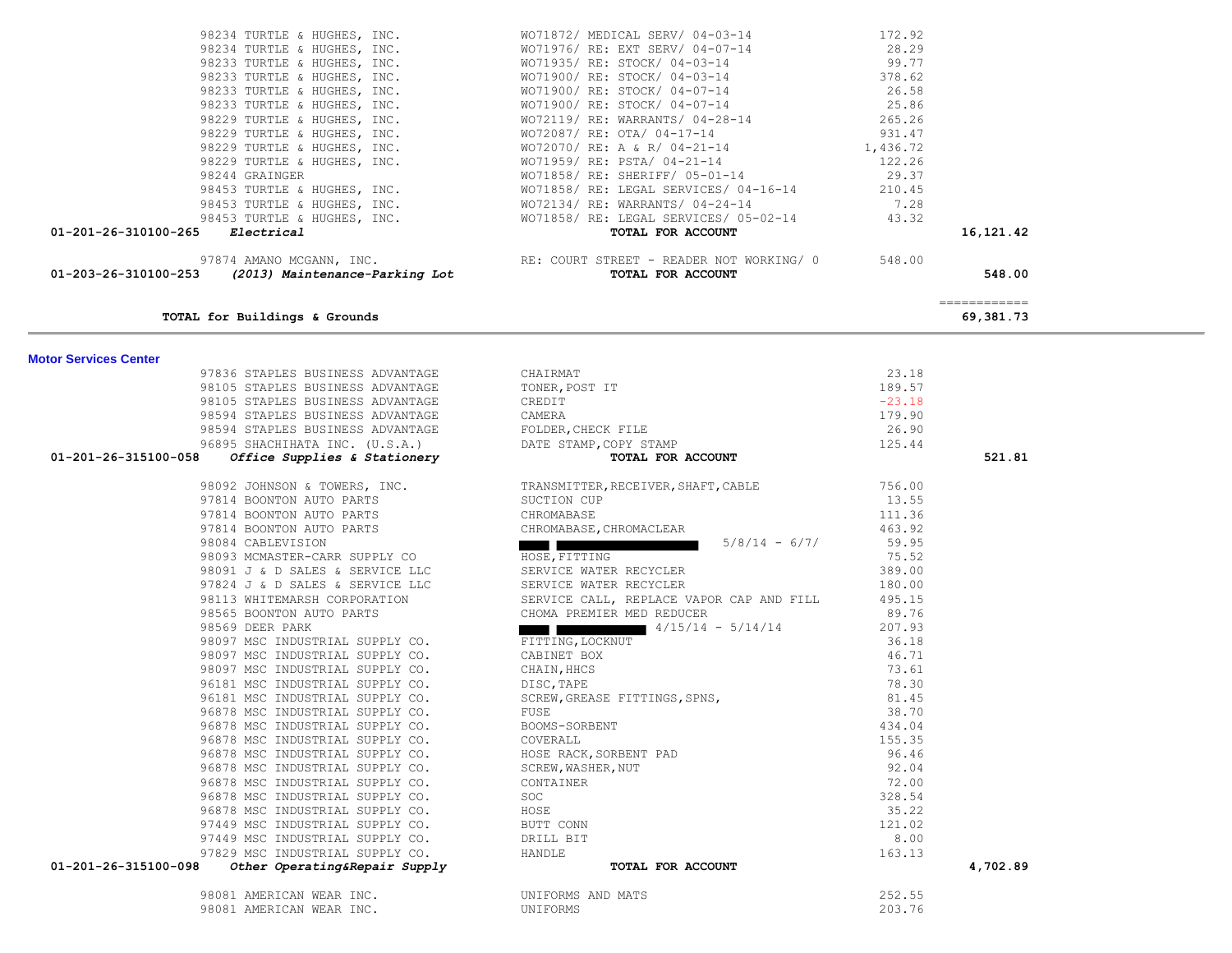| 01-201-26-310100-265 Electrical                                                                                                                                                                                                            |                                                                                                                                                                                                                                              |                  | 16,121.42                                                                                                                                                                                                                                                                                                                                                                                                                                                                              |  |
|--------------------------------------------------------------------------------------------------------------------------------------------------------------------------------------------------------------------------------------------|----------------------------------------------------------------------------------------------------------------------------------------------------------------------------------------------------------------------------------------------|------------------|----------------------------------------------------------------------------------------------------------------------------------------------------------------------------------------------------------------------------------------------------------------------------------------------------------------------------------------------------------------------------------------------------------------------------------------------------------------------------------------|--|
| 97874 AMANO MCGANN, INC.<br><b>01-203-26-310100-253</b> (2013) Maintenance-Parking Lot RE: COURT STREET - READER NOT WORKING/ 0 548.00                                                                                                     |                                                                                                                                                                                                                                              |                  |                                                                                                                                                                                                                                                                                                                                                                                                                                                                                        |  |
|                                                                                                                                                                                                                                            |                                                                                                                                                                                                                                              |                  | 548.00                                                                                                                                                                                                                                                                                                                                                                                                                                                                                 |  |
|                                                                                                                                                                                                                                            |                                                                                                                                                                                                                                              |                  |                                                                                                                                                                                                                                                                                                                                                                                                                                                                                        |  |
|                                                                                                                                                                                                                                            |                                                                                                                                                                                                                                              |                  | $\begin{array}{cccccccccc} \multicolumn{2}{c}{} & \multicolumn{2}{c}{} & \multicolumn{2}{c}{} & \multicolumn{2}{c}{} & \multicolumn{2}{c}{} & \multicolumn{2}{c}{} & \multicolumn{2}{c}{} & \multicolumn{2}{c}{} & \multicolumn{2}{c}{} & \multicolumn{2}{c}{} & \multicolumn{2}{c}{} & \multicolumn{2}{c}{} & \multicolumn{2}{c}{} & \multicolumn{2}{c}{} & \multicolumn{2}{c}{} & \multicolumn{2}{c}{} & \multicolumn{2}{c}{} & \multicolumn{2}{c}{} & \multicolumn{2}{c}{} & \mult$ |  |
| TOTAL for Buildings & Grounds                                                                                                                                                                                                              |                                                                                                                                                                                                                                              |                  | 69,381.73                                                                                                                                                                                                                                                                                                                                                                                                                                                                              |  |
|                                                                                                                                                                                                                                            |                                                                                                                                                                                                                                              |                  |                                                                                                                                                                                                                                                                                                                                                                                                                                                                                        |  |
| <b>Motor Services Center</b>                                                                                                                                                                                                               |                                                                                                                                                                                                                                              |                  |                                                                                                                                                                                                                                                                                                                                                                                                                                                                                        |  |
|                                                                                                                                                                                                                                            |                                                                                                                                                                                                                                              | 23.18            |                                                                                                                                                                                                                                                                                                                                                                                                                                                                                        |  |
|                                                                                                                                                                                                                                            |                                                                                                                                                                                                                                              | 189.57           |                                                                                                                                                                                                                                                                                                                                                                                                                                                                                        |  |
|                                                                                                                                                                                                                                            |                                                                                                                                                                                                                                              | $-23.18$         |                                                                                                                                                                                                                                                                                                                                                                                                                                                                                        |  |
|                                                                                                                                                                                                                                            |                                                                                                                                                                                                                                              | 179.90           |                                                                                                                                                                                                                                                                                                                                                                                                                                                                                        |  |
|                                                                                                                                                                                                                                            |                                                                                                                                                                                                                                              | 26.90            |                                                                                                                                                                                                                                                                                                                                                                                                                                                                                        |  |
|                                                                                                                                                                                                                                            |                                                                                                                                                                                                                                              | 125.44           |                                                                                                                                                                                                                                                                                                                                                                                                                                                                                        |  |
| 97836 STAPLES BUSINESS ADVANTAGE<br>98105 STAPLES BUSINESS ADVANTAGE<br>98105 STAPLES BUSINESS ADVANTAGE<br>98594 STAPLES BUSINESS ADVANTAGE<br>98594 STAPLES BUSINESS ADVANTAGE<br>96895 SHACHIHATA INC. (U.S.A.)<br>01-201-26-315100-058 |                                                                                                                                                                                                                                              |                  | 521.81                                                                                                                                                                                                                                                                                                                                                                                                                                                                                 |  |
|                                                                                                                                                                                                                                            |                                                                                                                                                                                                                                              | 756.00           |                                                                                                                                                                                                                                                                                                                                                                                                                                                                                        |  |
|                                                                                                                                                                                                                                            | 98092 JOHNSON & TOWERS, INC.<br>97814 BOONTON AUTO PARTS SUCTION CUPS SUCTION CUP                                                                                                                                                            | 13.55            |                                                                                                                                                                                                                                                                                                                                                                                                                                                                                        |  |
|                                                                                                                                                                                                                                            |                                                                                                                                                                                                                                              | 111.36           |                                                                                                                                                                                                                                                                                                                                                                                                                                                                                        |  |
| 97814 BOONTON AUTO PARTS CHROMABASE CHROMABASE STRONACLEAR STRONAGLER                                                                                                                                                                      |                                                                                                                                                                                                                                              | 463.92           |                                                                                                                                                                                                                                                                                                                                                                                                                                                                                        |  |
|                                                                                                                                                                                                                                            | $5/8/14 - 6/7/$<br><u> Tanzania (m. 1878)</u>                                                                                                                                                                                                | 59.95            |                                                                                                                                                                                                                                                                                                                                                                                                                                                                                        |  |
| 98084 CABLEVISION<br>98093 MCMASTER-CARR SUPPLY CO HOSE, FITTING                                                                                                                                                                           |                                                                                                                                                                                                                                              | 75.52            |                                                                                                                                                                                                                                                                                                                                                                                                                                                                                        |  |
|                                                                                                                                                                                                                                            |                                                                                                                                                                                                                                              | 389.00           |                                                                                                                                                                                                                                                                                                                                                                                                                                                                                        |  |
|                                                                                                                                                                                                                                            |                                                                                                                                                                                                                                              | 180.00           |                                                                                                                                                                                                                                                                                                                                                                                                                                                                                        |  |
|                                                                                                                                                                                                                                            |                                                                                                                                                                                                                                              | 495.15           |                                                                                                                                                                                                                                                                                                                                                                                                                                                                                        |  |
|                                                                                                                                                                                                                                            |                                                                                                                                                                                                                                              | 89.76            |                                                                                                                                                                                                                                                                                                                                                                                                                                                                                        |  |
|                                                                                                                                                                                                                                            | 98091 J & D SALES & SERVICE LLC<br>98091 J & D SALES & SERVICE LLC<br>97824 J & D SALES & SERVICE LLC<br>98113 WHITEMARSH CORPORATION<br>98565 BOONTON AUTO PARTS<br>98569 DEER PARK<br>98097 MSC INDUSTRIAL SUPPLY CO.<br>98097 MSC INDUSTR | 207.93           |                                                                                                                                                                                                                                                                                                                                                                                                                                                                                        |  |
|                                                                                                                                                                                                                                            |                                                                                                                                                                                                                                              | 36.18            |                                                                                                                                                                                                                                                                                                                                                                                                                                                                                        |  |
| 98097 MSC INDUSTRIAL SUPPLY CO.                                                                                                                                                                                                            | CABINET BOX                                                                                                                                                                                                                                  | 46.71            |                                                                                                                                                                                                                                                                                                                                                                                                                                                                                        |  |
| 98097 MSC INDUSTRIAL SUPPLY CO.                                                                                                                                                                                                            | CABINEI BOX<br>CHAIN, HHCS<br>DISC, TAPE<br>SCREW, GREASE FITTINGS, SPNS,<br>FUSE<br>CHAIN, HHCS                                                                                                                                             | 73.61            |                                                                                                                                                                                                                                                                                                                                                                                                                                                                                        |  |
| 96181 MSC INDUSTRIAL SUPPLY CO.                                                                                                                                                                                                            | DISC, TAPE                                                                                                                                                                                                                                   | 78.30            |                                                                                                                                                                                                                                                                                                                                                                                                                                                                                        |  |
| 96181 MSC INDUSTRIAL SUPPLY CO.                                                                                                                                                                                                            |                                                                                                                                                                                                                                              | 81.45            |                                                                                                                                                                                                                                                                                                                                                                                                                                                                                        |  |
| 96878 MSC INDUSTRIAL SUPPLY CO.                                                                                                                                                                                                            | FUSE                                                                                                                                                                                                                                         | 38.70            |                                                                                                                                                                                                                                                                                                                                                                                                                                                                                        |  |
| 96878 MSC INDUSTRIAL SUPPLY CO.                                                                                                                                                                                                            | BOOMS-SORBENT<br>COVERALL                                                                                                                                                                                                                    | 434.04<br>155.35 |                                                                                                                                                                                                                                                                                                                                                                                                                                                                                        |  |
| 96878 MSC INDUSTRIAL SUPPLY CO.<br>96878 MSC INDUSTRIAL SUPPLY CO.                                                                                                                                                                         | HOSE RACK, SORBENT PAD                                                                                                                                                                                                                       | 96.46            |                                                                                                                                                                                                                                                                                                                                                                                                                                                                                        |  |
| 96878 MSC INDUSTRIAL SUPPLY CO.                                                                                                                                                                                                            | SCREW, WASHER, NUT                                                                                                                                                                                                                           | 92.04            |                                                                                                                                                                                                                                                                                                                                                                                                                                                                                        |  |
| 96878 MSC INDUSTRIAL SUPPLY CO.                                                                                                                                                                                                            | CONTAINER                                                                                                                                                                                                                                    | 72.00            |                                                                                                                                                                                                                                                                                                                                                                                                                                                                                        |  |
| 96878 MSC INDUSTRIAL SUPPLY CO.                                                                                                                                                                                                            | <b>SOC</b>                                                                                                                                                                                                                                   | 328.54           |                                                                                                                                                                                                                                                                                                                                                                                                                                                                                        |  |
| 96878 MSC INDUSTRIAL SUPPLY CO.                                                                                                                                                                                                            | HOSE                                                                                                                                                                                                                                         | 35.22            |                                                                                                                                                                                                                                                                                                                                                                                                                                                                                        |  |
| 97449 MSC INDUSTRIAL SUPPLY CO.                                                                                                                                                                                                            | BUTT CONN                                                                                                                                                                                                                                    | 121.02           |                                                                                                                                                                                                                                                                                                                                                                                                                                                                                        |  |
| 97449 MSC INDUSTRIAL SUPPLY CO.                                                                                                                                                                                                            | DRILL BIT                                                                                                                                                                                                                                    | 8.00             |                                                                                                                                                                                                                                                                                                                                                                                                                                                                                        |  |
| 97829 MSC INDUSTRIAL SUPPLY CO.                                                                                                                                                                                                            | HANDLE                                                                                                                                                                                                                                       | 163.13           |                                                                                                                                                                                                                                                                                                                                                                                                                                                                                        |  |
| 01-201-26-315100-098<br>Other Operating&Repair Supply                                                                                                                                                                                      | TOTAL FOR ACCOUNT                                                                                                                                                                                                                            |                  | 4,702.89                                                                                                                                                                                                                                                                                                                                                                                                                                                                               |  |
|                                                                                                                                                                                                                                            |                                                                                                                                                                                                                                              |                  |                                                                                                                                                                                                                                                                                                                                                                                                                                                                                        |  |
| 98081 AMERICAN WEAR INC.                                                                                                                                                                                                                   | UNIFORMS AND MATS                                                                                                                                                                                                                            | 252.55           |                                                                                                                                                                                                                                                                                                                                                                                                                                                                                        |  |
| 98081 AMERICAN WEAR INC.                                                                                                                                                                                                                   | UNIFORMS                                                                                                                                                                                                                                     | 203.76           |                                                                                                                                                                                                                                                                                                                                                                                                                                                                                        |  |

×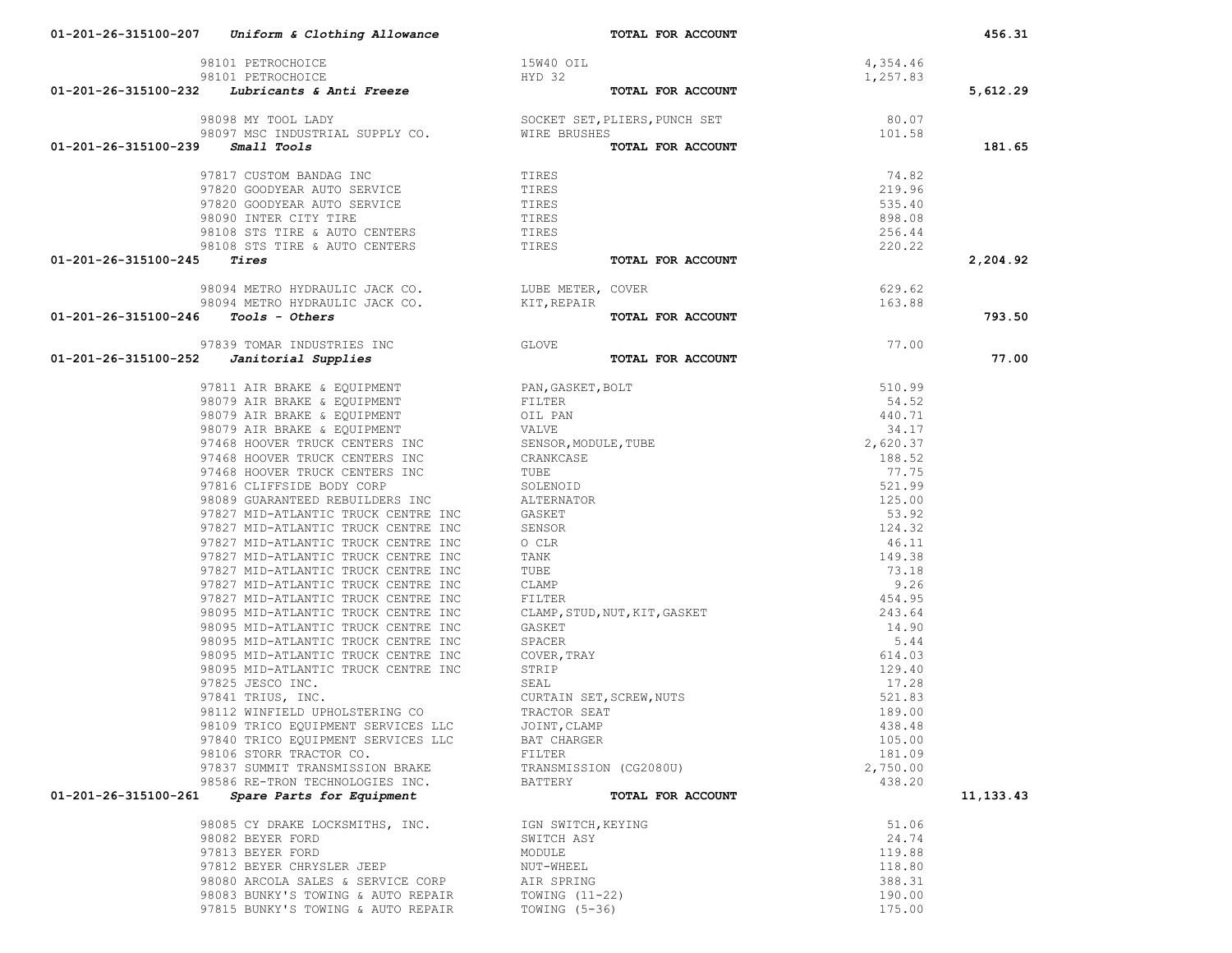| 98101 PETROCHOICE 15W40<br>98101 PETROCHOICE 98101 PETROCHOICE HYD 32<br><b>01-201-26-315100-232</b> Lubricants & Anti Freeze                                                                                                                     | 15W40 OIL                                                                                                                              | 4,354.46 |           |
|---------------------------------------------------------------------------------------------------------------------------------------------------------------------------------------------------------------------------------------------------|----------------------------------------------------------------------------------------------------------------------------------------|----------|-----------|
|                                                                                                                                                                                                                                                   | HYD 32                                                                                                                                 | 1,257.83 |           |
|                                                                                                                                                                                                                                                   | TOTAL FOR ACCOUNT                                                                                                                      |          | 5,612.29  |
|                                                                                                                                                                                                                                                   | 98098 MY TOOL LADY SOCKET SET, PLIERS, PUNCH SET 80.07<br>98097 MSC INDUSTRIAL SUPPLY CO. WIRE BRUSHES <b>TOTAL FOR ACCOUNT</b> 101.58 |          |           |
|                                                                                                                                                                                                                                                   |                                                                                                                                        |          |           |
| $01 - 201 - 26 - 315100 - 239$ Small Tools                                                                                                                                                                                                        |                                                                                                                                        |          | 181.65    |
|                                                                                                                                                                                                                                                   |                                                                                                                                        |          |           |
| $\begin{tabular}{lllllllllll} 97817 & CUSTOM BANDAG & INC & & & & \text{TIRES} \\ 97820 & GODYEAR \textit{AUTO} SERVICE & & & \text{TIRES} \end{tabular}$                                                                                         |                                                                                                                                        | 74.82    |           |
|                                                                                                                                                                                                                                                   |                                                                                                                                        | 219.96   |           |
| 97820 GOODYEAR AUTO SERVICE TIRES<br>98090 INTER CITY TIRE TIRES                                                                                                                                                                                  |                                                                                                                                        | 535.40   |           |
|                                                                                                                                                                                                                                                   |                                                                                                                                        | 898.08   |           |
|                                                                                                                                                                                                                                                   |                                                                                                                                        | 256.44   |           |
| 98108 STS TIRE & AUTO CENTERS<br>98108 STS TIRE & AUTO CENTERS<br>5 Tires                                                                                                                                                                         |                                                                                                                                        | 220.22   |           |
| $01-201-26-315100-245$ Tires                                                                                                                                                                                                                      | TOTAL FOR ACCOUNT                                                                                                                      |          | 2,204.92  |
|                                                                                                                                                                                                                                                   | COVER 629.62<br>TOTAL FOR ACCOUNT $163.88$                                                                                             |          |           |
|                                                                                                                                                                                                                                                   |                                                                                                                                        |          |           |
| $01-201-26-315100-246$ Tools - Others                                                                                                                                                                                                             |                                                                                                                                        |          | 793.50    |
|                                                                                                                                                                                                                                                   |                                                                                                                                        |          |           |
| 97839 TOMAR INDUSTRIES INC<br>97839 TOMAR INDUSTRIES INC<br><b>O1-201-26-315100-252</b> Janitorial Supplies<br>97811 AIR BRAKE & EQUIPMENT<br>98079 AIR BRAKE & EQUIPMENT<br>98079 AIR BRAKE & EQUIPMENT<br>98079 AIR BRAKE & EQUIPMENT<br>OIL PA |                                                                                                                                        | 77.00    |           |
|                                                                                                                                                                                                                                                   | TOTAL FOR ACCOUNT                                                                                                                      |          | 77.00     |
|                                                                                                                                                                                                                                                   |                                                                                                                                        |          |           |
|                                                                                                                                                                                                                                                   |                                                                                                                                        |          |           |
|                                                                                                                                                                                                                                                   |                                                                                                                                        |          |           |
|                                                                                                                                                                                                                                                   |                                                                                                                                        |          |           |
|                                                                                                                                                                                                                                                   |                                                                                                                                        |          |           |
|                                                                                                                                                                                                                                                   |                                                                                                                                        |          |           |
|                                                                                                                                                                                                                                                   |                                                                                                                                        |          |           |
|                                                                                                                                                                                                                                                   |                                                                                                                                        |          |           |
|                                                                                                                                                                                                                                                   |                                                                                                                                        |          |           |
|                                                                                                                                                                                                                                                   |                                                                                                                                        |          |           |
|                                                                                                                                                                                                                                                   |                                                                                                                                        |          |           |
|                                                                                                                                                                                                                                                   |                                                                                                                                        |          |           |
|                                                                                                                                                                                                                                                   |                                                                                                                                        |          |           |
|                                                                                                                                                                                                                                                   |                                                                                                                                        |          |           |
|                                                                                                                                                                                                                                                   |                                                                                                                                        |          |           |
|                                                                                                                                                                                                                                                   |                                                                                                                                        |          |           |
|                                                                                                                                                                                                                                                   |                                                                                                                                        |          |           |
|                                                                                                                                                                                                                                                   |                                                                                                                                        |          |           |
|                                                                                                                                                                                                                                                   |                                                                                                                                        |          |           |
|                                                                                                                                                                                                                                                   |                                                                                                                                        |          |           |
|                                                                                                                                                                                                                                                   |                                                                                                                                        |          |           |
|                                                                                                                                                                                                                                                   |                                                                                                                                        |          |           |
|                                                                                                                                                                                                                                                   |                                                                                                                                        |          |           |
|                                                                                                                                                                                                                                                   |                                                                                                                                        |          |           |
|                                                                                                                                                                                                                                                   |                                                                                                                                        |          |           |
| 97840 TRICO EQUIPMENT SERVICES LLC BAT CHARGER                                                                                                                                                                                                    |                                                                                                                                        | 105.00   |           |
| 98106 STORR TRACTOR CO.                                                                                                                                                                                                                           | FILTER                                                                                                                                 | 181.09   |           |
| 97837 SUMMIT TRANSMISSION BRAKE                                                                                                                                                                                                                   | TRANSMISSION (CG2080U)                                                                                                                 | 2,750.00 |           |
| 98586 RE-TRON TECHNOLOGIES INC.                                                                                                                                                                                                                   | BATTERY                                                                                                                                | 438.20   |           |
| 01-201-26-315100-261<br>Spare Parts for Equipment                                                                                                                                                                                                 | TOTAL FOR ACCOUNT                                                                                                                      |          | 11,133.43 |
| 98085 CY DRAKE LOCKSMITHS, INC.                                                                                                                                                                                                                   | IGN SWITCH, KEYING                                                                                                                     | 51.06    |           |
| 98082 BEYER FORD                                                                                                                                                                                                                                  | SWITCH ASY                                                                                                                             | 24.74    |           |
| 97813 BEYER FORD                                                                                                                                                                                                                                  | MODULE                                                                                                                                 | 119.88   |           |
| 97812 BEYER CHRYSLER JEEP                                                                                                                                                                                                                         | NUT-WHEEL                                                                                                                              | 118.80   |           |
| 98080 ARCOLA SALES & SERVICE CORP                                                                                                                                                                                                                 | AIR SPRING                                                                                                                             | 388.31   |           |
| 98083 BUNKY'S TOWING & AUTO REPAIR                                                                                                                                                                                                                | TOWING $(11-22)$                                                                                                                       | 190.00   |           |
| 97815 BUNKY'S TOWING & AUTO REPAIR                                                                                                                                                                                                                | TOWING (5-36)                                                                                                                          | 175.00   |           |

 **01-201-26-315100-207** *Uniform & Clothing Allowance* **TOTAL FOR ACCOUNT 456.31**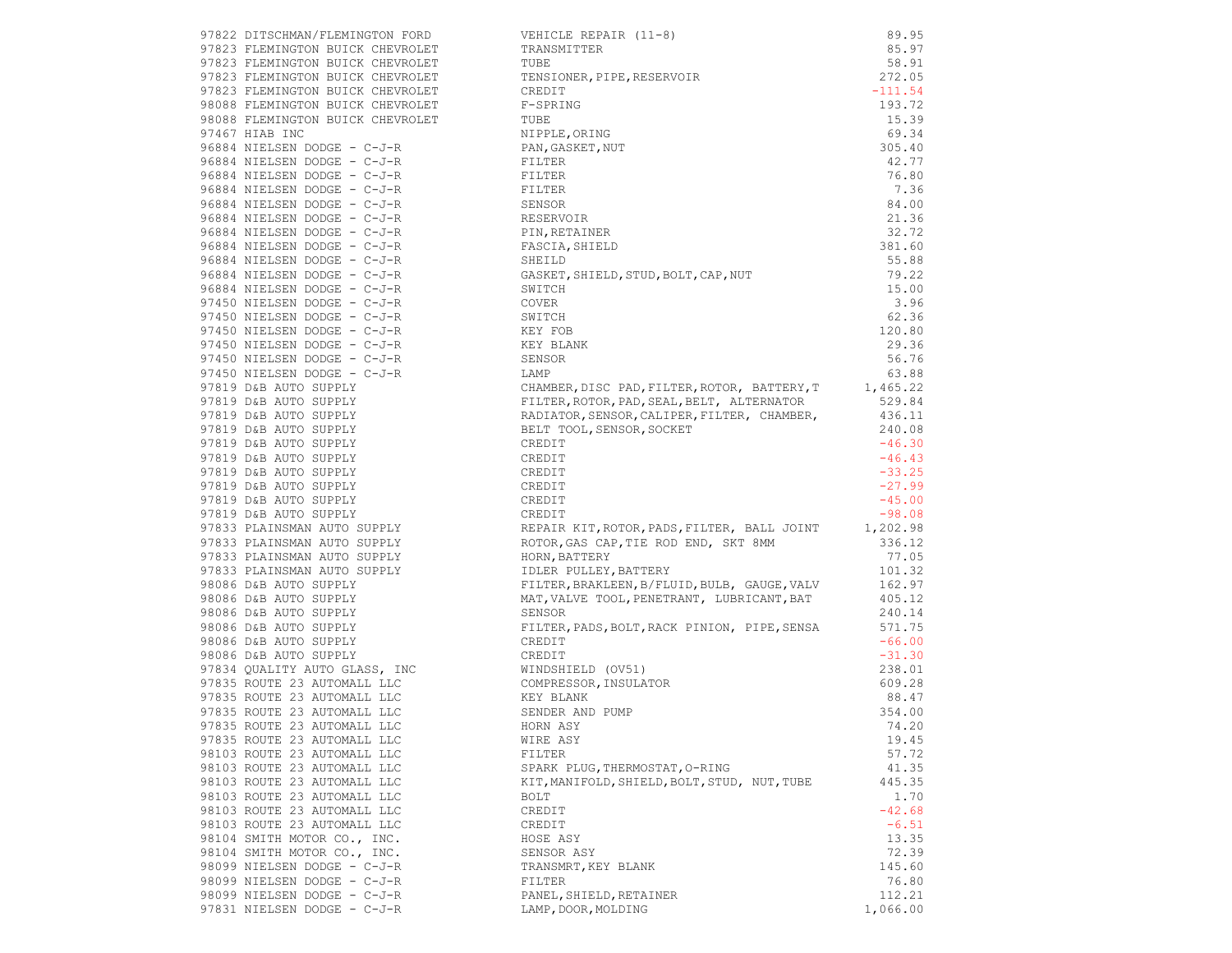|                                                                                                                                                                                                                                                                                                                                            | 97822 DITSCHMAN/FLEMINGTON FORD TERRIT (11–8)<br>97823 PLEMINGTON BUICK CHEVROLET TRANSMITTER (11–8)<br>97823 PLEMINGTON BUICK CHEVROLET TRANSMITTER (11–8)<br>97823 PLEMINGTON BUICK CHEVROLET TERRING<br>97823 PLEMINGTON BUICK CHE            |          |
|--------------------------------------------------------------------------------------------------------------------------------------------------------------------------------------------------------------------------------------------------------------------------------------------------------------------------------------------|--------------------------------------------------------------------------------------------------------------------------------------------------------------------------------------------------------------------------------------------------|----------|
|                                                                                                                                                                                                                                                                                                                                            |                                                                                                                                                                                                                                                  |          |
|                                                                                                                                                                                                                                                                                                                                            |                                                                                                                                                                                                                                                  |          |
|                                                                                                                                                                                                                                                                                                                                            |                                                                                                                                                                                                                                                  |          |
|                                                                                                                                                                                                                                                                                                                                            |                                                                                                                                                                                                                                                  |          |
|                                                                                                                                                                                                                                                                                                                                            |                                                                                                                                                                                                                                                  |          |
|                                                                                                                                                                                                                                                                                                                                            |                                                                                                                                                                                                                                                  |          |
|                                                                                                                                                                                                                                                                                                                                            |                                                                                                                                                                                                                                                  |          |
|                                                                                                                                                                                                                                                                                                                                            |                                                                                                                                                                                                                                                  |          |
|                                                                                                                                                                                                                                                                                                                                            |                                                                                                                                                                                                                                                  |          |
|                                                                                                                                                                                                                                                                                                                                            |                                                                                                                                                                                                                                                  |          |
|                                                                                                                                                                                                                                                                                                                                            |                                                                                                                                                                                                                                                  |          |
|                                                                                                                                                                                                                                                                                                                                            |                                                                                                                                                                                                                                                  |          |
|                                                                                                                                                                                                                                                                                                                                            |                                                                                                                                                                                                                                                  |          |
|                                                                                                                                                                                                                                                                                                                                            |                                                                                                                                                                                                                                                  |          |
|                                                                                                                                                                                                                                                                                                                                            |                                                                                                                                                                                                                                                  |          |
|                                                                                                                                                                                                                                                                                                                                            |                                                                                                                                                                                                                                                  | 55.88    |
|                                                                                                                                                                                                                                                                                                                                            |                                                                                                                                                                                                                                                  | 79.22    |
|                                                                                                                                                                                                                                                                                                                                            |                                                                                                                                                                                                                                                  |          |
|                                                                                                                                                                                                                                                                                                                                            |                                                                                                                                                                                                                                                  |          |
|                                                                                                                                                                                                                                                                                                                                            |                                                                                                                                                                                                                                                  | 62.36    |
| $\begin{tabular}{lllllllllll} 97450 & NIELSEN & DOOGE &-C-J-R & & & \multicolumn{2}{c}{SWITCH} \\ 97450 & NIELSEN & DOOGE &-C-J-R & & KEY\ FOB \\ 97450 & NIELSEN & DOOGE &-C-J-R & & KEY\ BIANK \\ 97450 & NIELSEN & DOOGE &-C-J-R & & & KEY\ BLANK \\ 97450 & NIELSEN & DOOGE &-C-J-R & & & \multicolumn{2}{c}{SENSOR} \\ \end{tabular}$ |                                                                                                                                                                                                                                                  | 120.80   |
|                                                                                                                                                                                                                                                                                                                                            |                                                                                                                                                                                                                                                  | 29.36    |
|                                                                                                                                                                                                                                                                                                                                            |                                                                                                                                                                                                                                                  | 56.76    |
|                                                                                                                                                                                                                                                                                                                                            |                                                                                                                                                                                                                                                  |          |
|                                                                                                                                                                                                                                                                                                                                            |                                                                                                                                                                                                                                                  |          |
|                                                                                                                                                                                                                                                                                                                                            |                                                                                                                                                                                                                                                  |          |
|                                                                                                                                                                                                                                                                                                                                            |                                                                                                                                                                                                                                                  |          |
|                                                                                                                                                                                                                                                                                                                                            |                                                                                                                                                                                                                                                  |          |
|                                                                                                                                                                                                                                                                                                                                            |                                                                                                                                                                                                                                                  |          |
|                                                                                                                                                                                                                                                                                                                                            |                                                                                                                                                                                                                                                  |          |
|                                                                                                                                                                                                                                                                                                                                            |                                                                                                                                                                                                                                                  |          |
|                                                                                                                                                                                                                                                                                                                                            |                                                                                                                                                                                                                                                  |          |
|                                                                                                                                                                                                                                                                                                                                            |                                                                                                                                                                                                                                                  |          |
|                                                                                                                                                                                                                                                                                                                                            |                                                                                                                                                                                                                                                  |          |
|                                                                                                                                                                                                                                                                                                                                            |                                                                                                                                                                                                                                                  |          |
|                                                                                                                                                                                                                                                                                                                                            |                                                                                                                                                                                                                                                  |          |
|                                                                                                                                                                                                                                                                                                                                            |                                                                                                                                                                                                                                                  |          |
|                                                                                                                                                                                                                                                                                                                                            |                                                                                                                                                                                                                                                  |          |
|                                                                                                                                                                                                                                                                                                                                            |                                                                                                                                                                                                                                                  |          |
|                                                                                                                                                                                                                                                                                                                                            |                                                                                                                                                                                                                                                  |          |
|                                                                                                                                                                                                                                                                                                                                            |                                                                                                                                                                                                                                                  |          |
|                                                                                                                                                                                                                                                                                                                                            |                                                                                                                                                                                                                                                  |          |
|                                                                                                                                                                                                                                                                                                                                            | FILTER, PADS, BOLT, RACK PINION, PIPE, SENSA 571.75<br>CREDIT -66.00                                                                                                                                                                             |          |
|                                                                                                                                                                                                                                                                                                                                            |                                                                                                                                                                                                                                                  |          |
|                                                                                                                                                                                                                                                                                                                                            |                                                                                                                                                                                                                                                  | $-31.30$ |
|                                                                                                                                                                                                                                                                                                                                            |                                                                                                                                                                                                                                                  | 238.01   |
|                                                                                                                                                                                                                                                                                                                                            |                                                                                                                                                                                                                                                  | 609.28   |
|                                                                                                                                                                                                                                                                                                                                            |                                                                                                                                                                                                                                                  | 88.47    |
|                                                                                                                                                                                                                                                                                                                                            | 98086 D&B AUTO SUPPLY<br>98086 D&B AUTO SUPPLY<br>98086 D&B AUTO SUPPLY<br>98086 D&B AUTO SUPPLY<br>98086 D&B AUTO SUPPLY<br>98086 D&B AUTO SUPPLY<br>98086 D&B AUTO SUPPLY<br>97835 ROUTE 23 AUTOMALL LLC<br>97835 ROUTE 23 AUTOMALL LLC<br>978 | 354.00   |
| 97835 ROUTE 23 AUTOMALL LLC MORN ASY                                                                                                                                                                                                                                                                                                       |                                                                                                                                                                                                                                                  | 74.20    |
| 97835 ROUTE 23 AUTOMALL LLC                                                                                                                                                                                                                                                                                                                | WIRE ASY                                                                                                                                                                                                                                         | 19.45    |
| 98103 ROUTE 23 AUTOMALL LLC                                                                                                                                                                                                                                                                                                                | FILTER                                                                                                                                                                                                                                           | 57.72    |
| 98103 ROUTE 23 AUTOMALL LLC                                                                                                                                                                                                                                                                                                                | SPARK PLUG, THERMOSTAT, O-RING                                                                                                                                                                                                                   | 41.35    |
| 98103 ROUTE 23 AUTOMALL LLC                                                                                                                                                                                                                                                                                                                | KIT, MANIFOLD, SHIELD, BOLT, STUD, NUT, TUBE                                                                                                                                                                                                     | 445.35   |
| 98103 ROUTE 23 AUTOMALL LLC                                                                                                                                                                                                                                                                                                                | BOLT                                                                                                                                                                                                                                             | 1.70     |
| 98103 ROUTE 23 AUTOMALL LLC                                                                                                                                                                                                                                                                                                                | CREDIT                                                                                                                                                                                                                                           | $-42.68$ |
| 98103 ROUTE 23 AUTOMALL LLC                                                                                                                                                                                                                                                                                                                | CREDIT                                                                                                                                                                                                                                           | $-6.51$  |
| 98104 SMITH MOTOR CO., INC.                                                                                                                                                                                                                                                                                                                | HOSE ASY                                                                                                                                                                                                                                         | 13.35    |
| 98104 SMITH MOTOR CO., INC.                                                                                                                                                                                                                                                                                                                | SENSOR ASY                                                                                                                                                                                                                                       | 72.39    |
| 98099 NIELSEN DODGE - C-J-R                                                                                                                                                                                                                                                                                                                | TRANSMRT, KEY BLANK                                                                                                                                                                                                                              | 145.60   |
| 98099 NIELSEN DODGE - C-J-R                                                                                                                                                                                                                                                                                                                | FILTER                                                                                                                                                                                                                                           | 76.80    |
| 98099 NIELSEN DODGE - C-J-R                                                                                                                                                                                                                                                                                                                | PANEL, SHIELD, RETAINER                                                                                                                                                                                                                          | 112.21   |
| 97831 NIELSEN DODGE - C-J-R                                                                                                                                                                                                                                                                                                                | LAMP, DOOR, MOLDING                                                                                                                                                                                                                              | 1,066.00 |

|                                                            | 97822 DITSCHMAIN PLEMINGTON FORD<br>97823 PLEMINGTON BUICK CHEVROLET TRANSMITTER (11–8)<br>97823 PLEMINGTON BUICK CHEVROLET TUBE<br>97823 PLEMINGTON BUICK CHEVROLET TUBE<br>97823 PLEMINGTON BUICK CHEVROLET TENSIONER, PIPE, RESERV          |           |
|------------------------------------------------------------|------------------------------------------------------------------------------------------------------------------------------------------------------------------------------------------------------------------------------------------------|-----------|
|                                                            |                                                                                                                                                                                                                                                |           |
|                                                            |                                                                                                                                                                                                                                                | $-111.54$ |
|                                                            |                                                                                                                                                                                                                                                |           |
|                                                            |                                                                                                                                                                                                                                                |           |
|                                                            |                                                                                                                                                                                                                                                |           |
|                                                            |                                                                                                                                                                                                                                                |           |
|                                                            |                                                                                                                                                                                                                                                |           |
|                                                            |                                                                                                                                                                                                                                                |           |
|                                                            |                                                                                                                                                                                                                                                |           |
|                                                            |                                                                                                                                                                                                                                                |           |
|                                                            |                                                                                                                                                                                                                                                |           |
|                                                            |                                                                                                                                                                                                                                                |           |
|                                                            |                                                                                                                                                                                                                                                |           |
|                                                            |                                                                                                                                                                                                                                                |           |
|                                                            |                                                                                                                                                                                                                                                |           |
|                                                            |                                                                                                                                                                                                                                                |           |
|                                                            |                                                                                                                                                                                                                                                |           |
| 97450 NIELSEN DODGE - C-J-R<br>97450 NIELSEN DODGE - C-J-R | COVER                                                                                                                                                                                                                                          | 3.96      |
|                                                            |                                                                                                                                                                                                                                                |           |
|                                                            |                                                                                                                                                                                                                                                |           |
|                                                            |                                                                                                                                                                                                                                                |           |
|                                                            |                                                                                                                                                                                                                                                |           |
|                                                            |                                                                                                                                                                                                                                                |           |
|                                                            |                                                                                                                                                                                                                                                |           |
|                                                            |                                                                                                                                                                                                                                                |           |
|                                                            |                                                                                                                                                                                                                                                |           |
|                                                            |                                                                                                                                                                                                                                                |           |
|                                                            |                                                                                                                                                                                                                                                |           |
|                                                            |                                                                                                                                                                                                                                                |           |
|                                                            |                                                                                                                                                                                                                                                |           |
|                                                            |                                                                                                                                                                                                                                                |           |
|                                                            | 97450 NIELSEN DOOG – C-J-R<br>97450 NIELSEN DOOG – C-J-R<br>97450 NIELSEN DOOG – C-J-R<br>97450 NIELSEN DOOG – C-J-R<br>97450 NIELSEN DOOG – C-J-R<br>97450 NIELSEN DOOG – C-J-R<br>97450 NIELSEN DOOG – C-J-R<br>97450 NIELSEN DOOG – C-J-    |           |
|                                                            |                                                                                                                                                                                                                                                |           |
|                                                            |                                                                                                                                                                                                                                                |           |
|                                                            |                                                                                                                                                                                                                                                |           |
|                                                            |                                                                                                                                                                                                                                                |           |
|                                                            | 97833 PLAINSMAN AUTO SUPPLY<br>97833 PLAINSMAN AUTO SUPPLY<br>97833 PLAINSMAN AUTO SUPPLY<br>97833 PLAINSMAN AUTO SUPPLY<br>97833 PLAINSMAN AUTO SUPPLY<br>97833 PLAINSMAN AUTO SUPPLY<br>98086 D&B AUTO SUPPLY<br>98086 D&B AUTO SUPPLY<br>98 |           |
|                                                            |                                                                                                                                                                                                                                                |           |
|                                                            |                                                                                                                                                                                                                                                |           |
|                                                            |                                                                                                                                                                                                                                                |           |
|                                                            |                                                                                                                                                                                                                                                |           |
|                                                            |                                                                                                                                                                                                                                                |           |
|                                                            |                                                                                                                                                                                                                                                |           |
|                                                            |                                                                                                                                                                                                                                                |           |
|                                                            |                                                                                                                                                                                                                                                |           |
|                                                            |                                                                                                                                                                                                                                                |           |
|                                                            |                                                                                                                                                                                                                                                |           |
|                                                            |                                                                                                                                                                                                                                                |           |
|                                                            | 98086 D&B AUTO SUPPLY<br>97834 QUALITY AUTO GLASS, INC<br>97835 ROUTE 23 AUTOMALL LLC<br>97835 ROUTE 23 AUTOMALL LLC<br>97835 ROUTE 23 AUTOMALL LLC<br>97835 ROUTE 23 AUTOMALL LLC<br>97835 ROUTE 23 AUTOMALL LLC<br>97835 ROUTE 23 AUTOMALL   | 354.00    |
|                                                            |                                                                                                                                                                                                                                                |           |
| 97835 ROUTE 23 AUTOMALL LLC                                | WIRE ASY                                                                                                                                                                                                                                       | 19.45     |
| 98103 ROUTE 23 AUTOMALL LLC                                | FILTER                                                                                                                                                                                                                                         | 57.72     |
| 98103 ROUTE 23 AUTOMALL LLC                                | SPARK PLUG, THERMOSTAT, O-RING                                                                                                                                                                                                                 | 41.35     |
| 98103 ROUTE 23 AUTOMALL LLC                                | KIT, MANIFOLD, SHIELD, BOLT, STUD, NUT, TUBE                                                                                                                                                                                                   | 445.35    |
| 98103 ROUTE 23 AUTOMALL LLC                                | BOLT                                                                                                                                                                                                                                           | 1.70      |
|                                                            |                                                                                                                                                                                                                                                |           |
| 98103 ROUTE 23 AUTOMALL LLC                                | CREDIT                                                                                                                                                                                                                                         | $-42.68$  |
| 98103 ROUTE 23 AUTOMALL LLC                                | CREDIT                                                                                                                                                                                                                                         | $-6.51$   |
| 98104 SMITH MOTOR CO., INC.                                | HOSE ASY                                                                                                                                                                                                                                       | 13.35     |
| 98104 SMITH MOTOR CO., INC.                                | SENSOR ASY                                                                                                                                                                                                                                     | 72.39     |
| 98099 NIELSEN DODGE - C-J-R                                | TRANSMRT, KEY BLANK                                                                                                                                                                                                                            | 145.60    |
| 98099 NIELSEN DODGE - C-J-R                                | FILTER                                                                                                                                                                                                                                         | 76.80     |
| 98099 NIELSEN DODGE - C-J-R                                | PANEL, SHIELD, RETAINER                                                                                                                                                                                                                        | 112.21    |
| 97831 NIELSEN DODGE - C-J-R                                | LAMP, DOOR, MOLDING                                                                                                                                                                                                                            | 1,066.00  |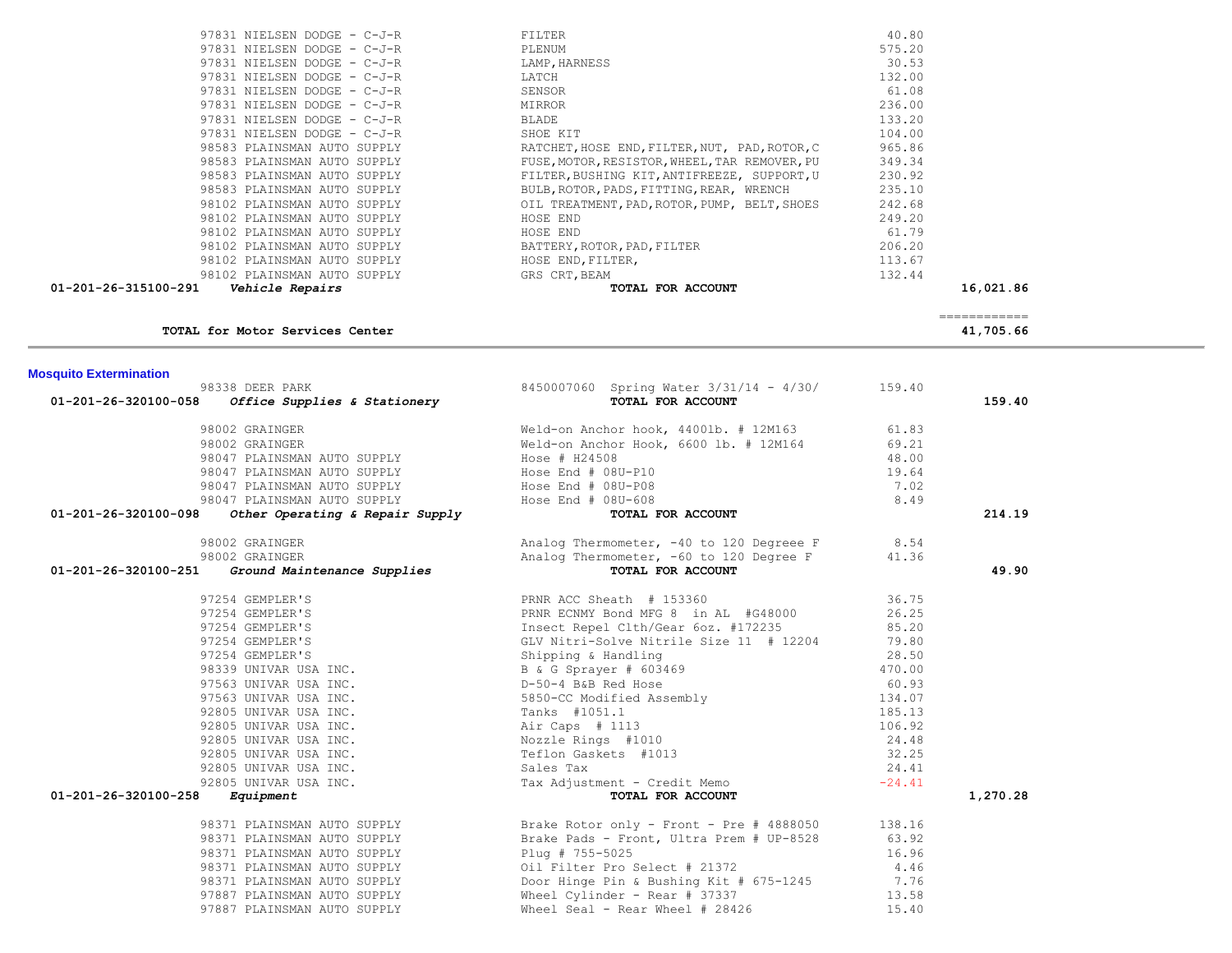| TOIAL TOL MOLOL SELVICES CENTER                     |                                                                                                                                                                                                                                              |       | 41, <b>103.00</b> |  |
|-----------------------------------------------------|----------------------------------------------------------------------------------------------------------------------------------------------------------------------------------------------------------------------------------------------|-------|-------------------|--|
| <b>Mosquito Extermination</b>                       |                                                                                                                                                                                                                                              |       |                   |  |
| 98338 DEER PARK                                     | 8450007060 Spring Water $3/31/14 - 4/30/$ 159.40                                                                                                                                                                                             |       |                   |  |
| $01-201-26-320100-058$ Office Supplies & Stationery | TOTAL FOR ACCOUNT                                                                                                                                                                                                                            |       | 159.40            |  |
| 98002 GRAINGER                                      | Weld-on Anchor hook, 4400lb. # 12M163 61.83                                                                                                                                                                                                  |       |                   |  |
| 98002 GRAINGER                                      | Weld-on Anchor Hook, 6600 lb. # 12M164 69.21                                                                                                                                                                                                 |       |                   |  |
|                                                     |                                                                                                                                                                                                                                              | 48.00 |                   |  |
|                                                     |                                                                                                                                                                                                                                              | 19.64 |                   |  |
|                                                     |                                                                                                                                                                                                                                              | 7.02  |                   |  |
|                                                     |                                                                                                                                                                                                                                              | 8.49  |                   |  |
| 01-201-26-320100-098                                | 98047 PLAINSMAN AUTO SUPPLY<br>98047 PLAINSMAN AUTO SUPPLY<br>98047 PLAINSMAN AUTO SUPPLY<br>98047 PLAINSMAN AUTO SUPPLY<br>98047 PLAINSMAN AUTO SUPPLY<br>98047 PLAINSMAN AUTO SUPPLY<br>98047 PLAINSMAN AUTO SUPPLY<br>98047 PLAINSMAN AUT |       | 214.19            |  |
| 98002 GRAINGER                                      | Analog Thermometer, $-40$ to 120 Degreee F $8.54$<br>Analog Thermometer, $-60$ to 120 Degree F $41.36$                                                                                                                                       |       |                   |  |
| 98002 GRAINGER                                      |                                                                                                                                                                                                                                              |       |                   |  |
| 01-201-26-320100-251 Ground Maintenance Supplies    | TOTAL FOR ACCOUNT                                                                                                                                                                                                                            |       | 49.90             |  |
|                                                     |                                                                                                                                                                                                                                              |       |                   |  |
|                                                     |                                                                                                                                                                                                                                              |       |                   |  |
|                                                     |                                                                                                                                                                                                                                              |       |                   |  |
|                                                     |                                                                                                                                                                                                                                              |       |                   |  |
|                                                     |                                                                                                                                                                                                                                              |       |                   |  |
|                                                     |                                                                                                                                                                                                                                              |       |                   |  |
|                                                     |                                                                                                                                                                                                                                              |       |                   |  |
|                                                     |                                                                                                                                                                                                                                              |       |                   |  |
|                                                     |                                                                                                                                                                                                                                              |       |                   |  |
|                                                     |                                                                                                                                                                                                                                              |       |                   |  |
|                                                     |                                                                                                                                                                                                                                              |       |                   |  |
|                                                     |                                                                                                                                                                                                                                              |       |                   |  |
|                                                     |                                                                                                                                                                                                                                              |       |                   |  |
|                                                     |                                                                                                                                                                                                                                              |       |                   |  |
| 01-201-26-320100-258                                |                                                                                                                                                                                                                                              |       | 1,270.28          |  |
|                                                     | 98371 PLAINSMAN AUTO SUPPLY <b>Brake Rotor only - Front - Pre # 4888050</b> 138.16                                                                                                                                                           |       |                   |  |
| 98371 PLAINSMAN AUTO SUPPLY                         | Brake Pads - Front, Ultra Prem # UP-8528 63.92                                                                                                                                                                                               |       |                   |  |
| 98371 PLAINSMAN AUTO SUPPLY                         | Plug # 755-5025                                                                                                                                                                                                                              | 16.96 |                   |  |
| 98371 PLAINSMAN AUTO SUPPLY                         | Oil Filter Pro Select # 21372                                                                                                                                                                                                                | 4.46  |                   |  |
|                                                     | 98371 PLAINSMAN AUTO SUPPLY Door Hinge Pin & Bushing Kit # 675-1245 7.76                                                                                                                                                                     |       |                   |  |
| 97887 PLAINSMAN AUTO SUPPLY                         | Wheel Cylinder - Rear # 37337                                                                                                                                                                                                                | 13.58 |                   |  |
| 97887 PLAINSMAN AUTO SUPPLY                         | Wheel Seal - Rear Wheel # 28426                                                                                                                                                                                                              | 15.40 |                   |  |

| TOTAL for Motor Services Center         |                                               | 41,705.66                 |
|-----------------------------------------|-----------------------------------------------|---------------------------|
| 01-201-26-315100-291<br>Vehicle Repairs | TOTAL FOR ACCOUNT                             | 16,021.86<br>------------ |
| 98102 PLAINSMAN AUTO SUPPLY             | GRS CRT, BEAM                                 | 132.44                    |
| 98102 PLAINSMAN AUTO SUPPLY             | HOSE END, FILTER,                             | 113.67                    |
| 98102 PLAINSMAN AUTO SUPPLY             | BATTERY, ROTOR, PAD, FILTER                   | 206.20                    |
| 98102 PLAINSMAN AUTO SUPPLY             | HOSE END                                      | 61.79                     |
| 98102 PLAINSMAN AUTO SUPPLY             | HOSE END                                      | 249.20                    |
| 98102 PLAINSMAN AUTO SUPPLY             | OIL TREATMENT, PAD, ROTOR, PUMP, BELT, SHOES  | 242.68                    |
| 98583 PLAINSMAN AUTO SUPPLY             | BULB, ROTOR, PADS, FITTING, REAR, WRENCH      | 235.10                    |
| 98583 PLAINSMAN AUTO SUPPLY             | FILTER, BUSHING KIT, ANTIFREEZE, SUPPORT, U   | 230.92                    |
| 98583 PLAINSMAN AUTO SUPPLY             | FUSE, MOTOR, RESISTOR, WHEEL, TAR REMOVER, PU | 349.34                    |
| 98583 PLAINSMAN AUTO SUPPLY             | RATCHET, HOSE END, FILTER, NUT, PAD, ROTOR, C | 965.86                    |
| 97831 NIELSEN DODGE - C-J-R             | SHOE KIT                                      | 104.00                    |
| 97831 NIELSEN DODGE - C-J-R             | BLADE                                         | 133.20                    |
| 97831 NIELSEN DODGE - C-J-R             | MIRROR                                        | 236.00                    |
| 97831 NIELSEN DODGE - C-J-R             | SENSOR                                        | 61.08                     |

 97831 NIELSEN DODGE - C-J-R FILTER 40.80 97831 NIELSEN DODGE - C-J-R PLENUM 575.20 97831 NIELSEN DODGE - C-J-R LAMP,HARNESS 30.53

97831 NIELSEN DODGE - C-J-R LATCH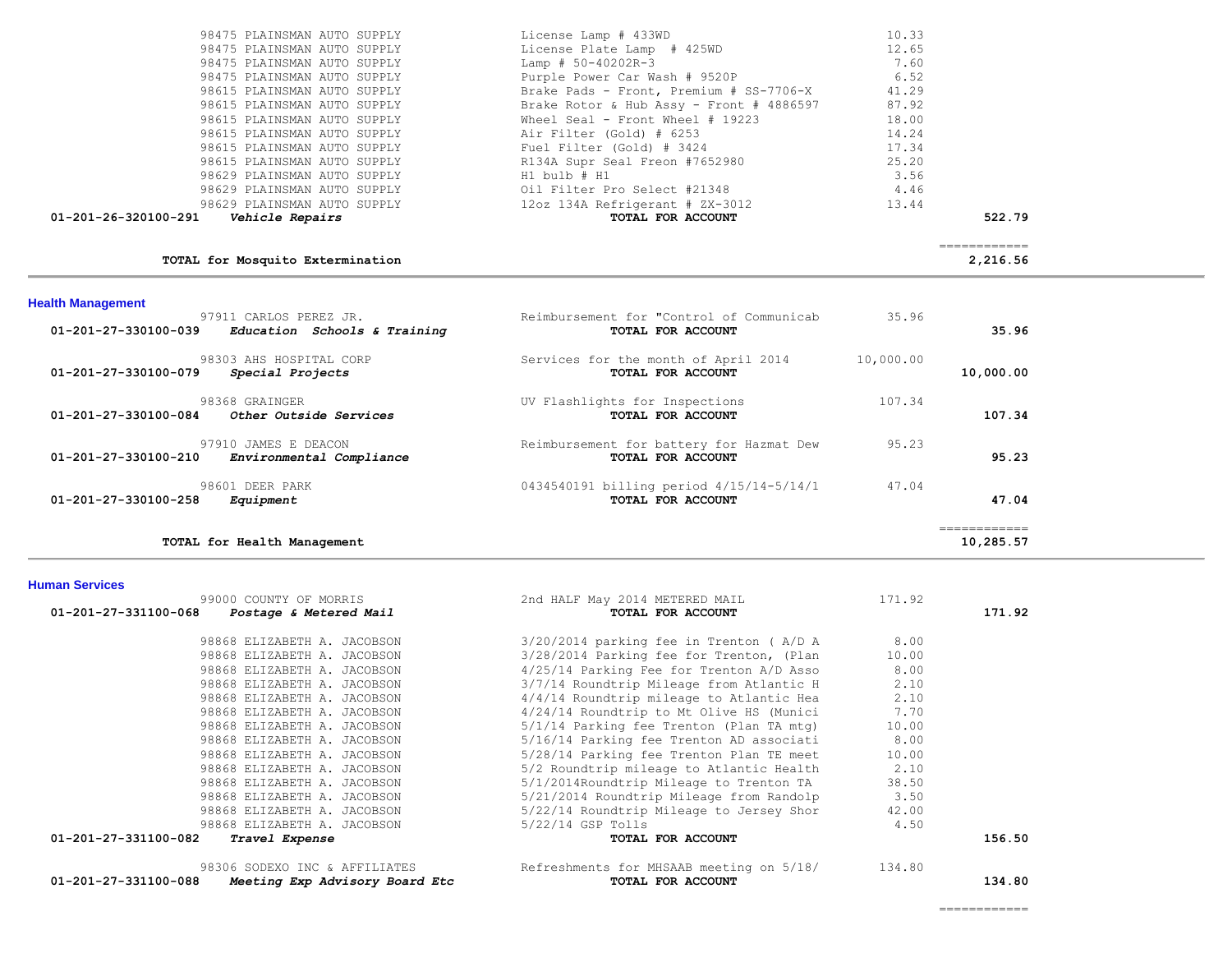| $01 - 201 - 26 - 320100 - 291$ Vehicle Repairs | TOTAL FOR ACCOUNT                                        |       | 522.79 |
|------------------------------------------------|----------------------------------------------------------|-------|--------|
| 98629 PLAINSMAN AUTO SUPPLY                    | 12oz 134A Refrigerant # ZX-3012                          | 13.44 |        |
|                                                | 98629 PLAINSMAN AUTO SUPPLY 601 Filter Pro Select #21348 | 4.46  |        |
| 98629 PLAINSMAN AUTO SUPPLY                    | H1 bulb # H1                                             | 3.56  |        |
| 98615 PLAINSMAN AUTO SUPPLY                    | R134A Supr Seal Freon #7652980                           | 25.20 |        |
| 98615 PLAINSMAN AUTO SUPPLY                    | Fuel Filter (Gold) # 3424                                | 17.34 |        |
| 98615 PLAINSMAN AUTO SUPPLY                    | Air Filter (Gold) # 6253                                 | 14.24 |        |
| 98615 PLAINSMAN AUTO SUPPLY                    | Wheel Seal - Front Wheel # 19223                         | 18.00 |        |
| 98615 PLAINSMAN AUTO SUPPLY                    | Brake Rotor & Hub Assy - Front # 4886597                 | 87.92 |        |
| 98615 PLAINSMAN AUTO SUPPLY                    | Brake Pads - Front, Premium # SS-7706-X                  | 41.29 |        |
| 98475 PLAINSMAN AUTO SUPPLY                    | Purple Power Car Wash # 9520P                            | 6.52  |        |
| 98475 PLAINSMAN AUTO SUPPLY                    | Lamp # 50-40202R-3                                       | 7.60  |        |
| 98475 PLAINSMAN AUTO SUPPLY                    | License Plate Lamp # 425WD                               | 12.65 |        |
| 98475 PLAINSMAN AUTO SUPPLY                    | License Lamp # 433WD                                     | 10.33 |        |

## **TOTAL for Mosquito Extermination 2,216.56**

============

| <b>Health Management</b>                                                           |                                                               |           |           |
|------------------------------------------------------------------------------------|---------------------------------------------------------------|-----------|-----------|
| 97911 CARLOS PEREZ JR.<br>01-201-27-330100-039<br>Education Schools & Training     | Reimbursement for "Control of Communicab<br>TOTAL FOR ACCOUNT | 35.96     | 35.96     |
| 98303 AHS HOSPITAL CORP<br>$01 - 201 - 27 - 330100 - 079$<br>Special Projects      | Services for the month of April 2014<br>TOTAL FOR ACCOUNT     | 10,000.00 | 10,000.00 |
| 98368 GRAINGER<br>01-201-27-330100-084<br>Other Outside Services                   | UV Flashlights for Inspections<br><b>TOTAL FOR ACCOUNT</b>    | 107.34    | 107.34    |
| 97910 JAMES E DEACON<br>$01 - 201 - 27 - 330100 - 210$<br>Environmental Compliance | Reimbursement for battery for Hazmat Dew<br>TOTAL FOR ACCOUNT | 95.23     | 95.23     |
| 98601 DEER PARK<br>01-201-27-330100-258<br>Equipment                               | 0434540191 billing period 4/15/14-5/14/1<br>TOTAL FOR ACCOUNT | 47.04     | 47.04     |
| TOTAL for Health Management                                                        |                                                               |           | 10,285.57 |

# **Human Services**

| 99000 COUNTY OF MORRIS                                 | 2nd HALF May 2014 METERED MAIL            | 171.92 |        |
|--------------------------------------------------------|-------------------------------------------|--------|--------|
| 01-201-27-331100-068<br>Postage & Metered Mail         | TOTAL FOR ACCOUNT                         |        | 171.92 |
| 98868 ELIZABETH A. JACOBSON                            | $3/20/2014$ parking fee in Trenton (A/D A | 8.00   |        |
| 98868 ELIZABETH A. JACOBSON                            | 3/28/2014 Parking fee for Trenton, (Plan  | 10.00  |        |
| 98868 ELIZABETH A. JACOBSON                            | 4/25/14 Parking Fee for Trenton A/D Asso  | 8.00   |        |
| 98868 ELIZABETH A. JACOBSON                            | 3/7/14 Roundtrip Mileage from Atlantic H  | 2.10   |        |
| 98868 ELIZABETH A. JACOBSON                            | 4/4/14 Roundtrip mileage to Atlantic Hea  | 2.10   |        |
| 98868 ELIZABETH A. JACOBSON                            | 4/24/14 Roundtrip to Mt Olive HS (Munici  | 7.70   |        |
| 98868 ELIZABETH A. JACOBSON                            | 5/1/14 Parking fee Trenton (Plan TA mtg)  | 10.00  |        |
| 98868 ELIZABETH A. JACOBSON                            | 5/16/14 Parking fee Trenton AD associati  | 8.00   |        |
| 98868 ELIZABETH A. JACOBSON                            | 5/28/14 Parking fee Trenton Plan TE meet  | 10.00  |        |
| 98868 ELIZABETH A. JACOBSON                            | 5/2 Roundtrip mileage to Atlantic Health  | 2.10   |        |
| 98868 ELIZABETH A. JACOBSON                            | 5/1/2014Roundtrip Mileage to Trenton TA   | 38.50  |        |
| 98868 ELIZABETH A. JACOBSON                            | 5/21/2014 Roundtrip Mileage from Randolp  | 3.50   |        |
| 98868 ELIZABETH A. JACOBSON                            | 5/22/14 Roundtrip Mileage to Jersey Shor  | 42.00  |        |
| 98868 ELIZABETH A. JACOBSON                            | $5/22/14$ GSP Tolls                       | 4.50   |        |
| 01-201-27-331100-082<br>Travel Expense                 | TOTAL FOR ACCOUNT                         |        | 156.50 |
| 98306 SODEXO INC & AFFILIATES                          | Refreshments for MHSAAB meeting on 5/18/  | 134.80 |        |
| 01-201-27-331100-088<br>Meeting Exp Advisory Board Etc | TOTAL FOR ACCOUNT                         |        | 134.80 |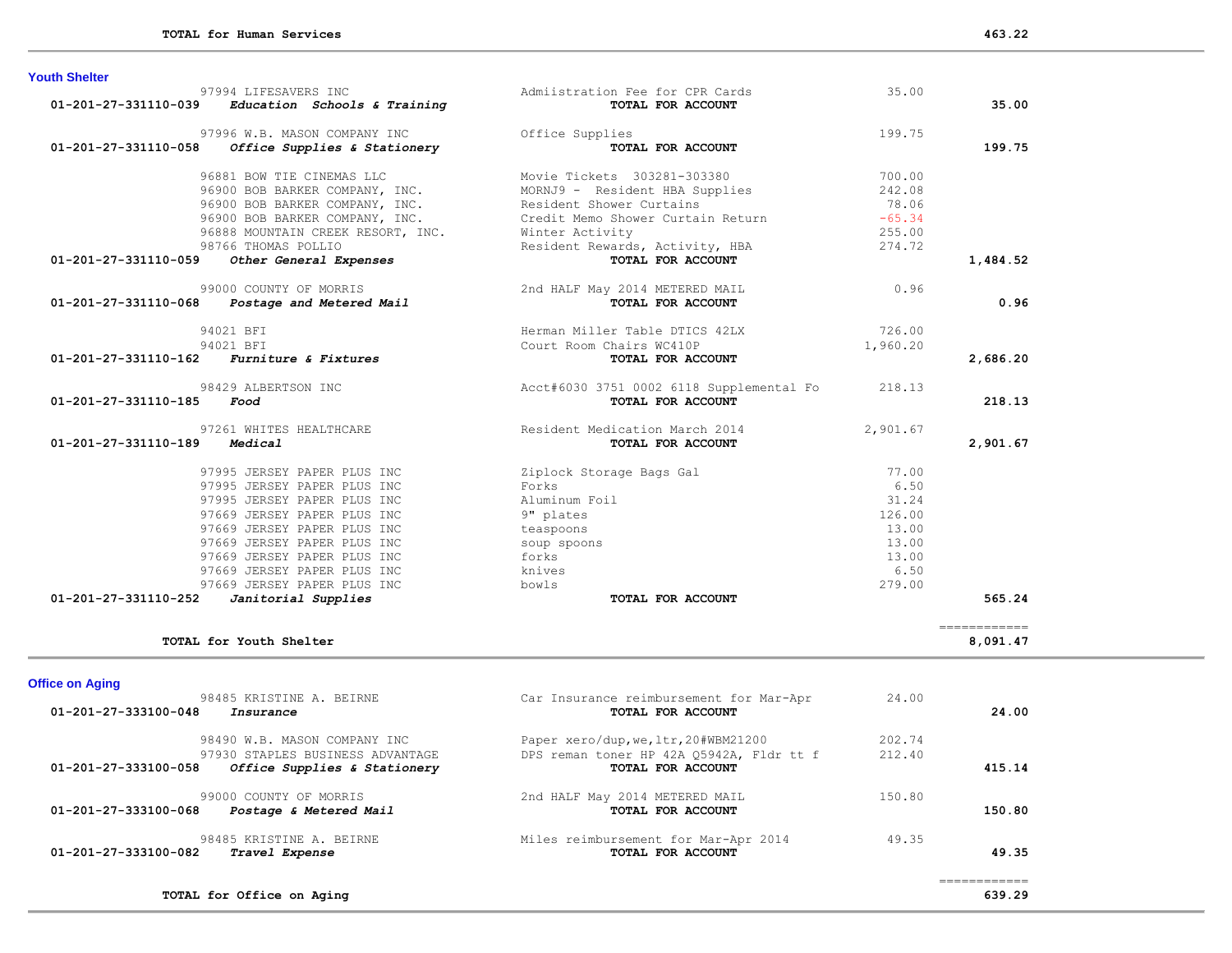| <b>Youth Shelter</b>                |                                                     |                                                 |          |                             |
|-------------------------------------|-----------------------------------------------------|-------------------------------------------------|----------|-----------------------------|
|                                     | 97994 LIFESAVERS INC                                | Admiistration Fee for CPR Cards                 | 35.00    |                             |
|                                     | $01-201-27-331110-039$ Education Schools & Training | TOTAL FOR ACCOUNT                               |          | 35.00                       |
|                                     | 97996 W.B. MASON COMPANY INC                        | Office Supplies                                 | 199.75   |                             |
| 01-201-27-331110-058                | Office Supplies & Stationery                        | TOTAL FOR ACCOUNT                               |          | 199.75                      |
|                                     | 96881 BOW TIE CINEMAS LLC                           | Movie Tickets 303281-303380                     | 700.00   |                             |
|                                     | 96900 BOB BARKER COMPANY, INC.                      | MORNJ9 - Resident HBA Supplies                  | 242.08   |                             |
|                                     | 96900 BOB BARKER COMPANY, INC.                      | Resident Shower Curtains                        | 78.06    |                             |
|                                     | 96900 BOB BARKER COMPANY, INC.                      | Credit Memo Shower Curtain Return               | $-65.34$ |                             |
|                                     | 96888 MOUNTAIN CREEK RESORT, INC.                   | Winter Activity                                 | 255.00   |                             |
|                                     | 98766 THOMAS POLLIO                                 | Resident Rewards, Activity, HBA                 | 274.72   |                             |
| 01-201-27-331110-059                | Other General Expenses                              | TOTAL FOR ACCOUNT                               |          | 1,484.52                    |
|                                     | 99000 COUNTY OF MORRIS                              | 2nd HALF May 2014 METERED MAIL                  | 0.96     |                             |
|                                     | 01-201-27-331110-068 Postage and Metered Mail       | TOTAL FOR ACCOUNT                               |          | 0.96                        |
|                                     | 94021 BFI                                           | Herman Miller Table DTICS 42LX                  | 726.00   |                             |
|                                     | 94021 BFI                                           | Court Room Chairs WC410P                        | 1,960.20 |                             |
| 01-201-27-331110-162                | <b>Furniture &amp; Fixtures</b>                     | TOTAL FOR ACCOUNT                               |          | 2,686.20                    |
|                                     | 98429 ALBERTSON INC                                 | Acct#6030 3751 0002 6118 Supplemental Fo 218.13 |          |                             |
| $01 - 201 - 27 - 331110 - 185$ Food |                                                     | TOTAL FOR ACCOUNT                               |          | 218.13                      |
|                                     | 97261 WHITES HEALTHCARE                             | Resident Medication March 2014                  | 2,901.67 |                             |
| 01-201-27-331110-189                | Medical                                             | TOTAL FOR ACCOUNT                               |          | 2,901.67                    |
|                                     | 97995 JERSEY PAPER PLUS INC                         | Ziplock Storage Bags Gal                        | 77.00    |                             |
|                                     | 97995 JERSEY PAPER PLUS INC                         | Forks                                           | 6.50     |                             |
|                                     | 97995 JERSEY PAPER PLUS INC                         | Aluminum Foil                                   | 31.24    |                             |
|                                     | 97669 JERSEY PAPER PLUS INC                         | 9" plates                                       | 126.00   |                             |
|                                     | 97669 JERSEY PAPER PLUS INC                         | teaspoons                                       | 13.00    |                             |
|                                     | 97669 JERSEY PAPER PLUS INC                         | soup spoons                                     | 13.00    |                             |
|                                     | 97669 JERSEY PAPER PLUS INC                         | forks                                           | 13.00    |                             |
|                                     | 97669 JERSEY PAPER PLUS INC                         | knives                                          | 6.50     |                             |
|                                     | 97669 JERSEY PAPER PLUS INC                         | bowls                                           | 279.00   |                             |
| 01-201-27-331110-252                | Janitorial Supplies                                 | TOTAL FOR ACCOUNT                               |          | 565.24                      |
|                                     |                                                     |                                                 |          | $=$ = = = = = = = = = = = = |
|                                     | TOTAL for Youth Shelter                             |                                                 |          | 8,091.47                    |
| <b>Office on Aging</b>              |                                                     |                                                 |          |                             |
|                                     | 98485 KRISTINE A. BEIRNE                            | Car Insurance reimbursement for Mar-Apr         | 24.00    |                             |
| 01-201-27-333100-048                | Insurance                                           | TOTAL FOR ACCOUNT                               |          | 24.00                       |
|                                     | 98490 W.B. MASON COMPANY INC                        | Paper xero/dup, we, ltr, 20#WBM21200            | 202.74   |                             |
|                                     | 97930 STAPLES BUSINESS ADVANTAGE                    | DPS reman toner HP 42A Q5942A, Fldr tt f        | 212.40   |                             |
| 01-201-27-333100-058                | Office Supplies & Stationery                        | TOTAL FOR ACCOUNT                               |          | 415.14                      |

 99000 COUNTY OF MORRIS 2nd HALF May 2014 METERED MAIL 150.80  **01-201-27-333100-068** *Postage & Metered Mail* **TOTAL FOR ACCOUNT 150.80**

98485 KRISTINE A. BEIRNE Miles reimbursement for Mar-Apr 2014 49.35<br>2 **Travel Expense Miles reimbursement for ACCOUNT 01-201-27-333100-082** *Travel Expense* **TOTAL FOR ACCOUNT 49.35**

============

**TOTAL for Office on Aging 639.29**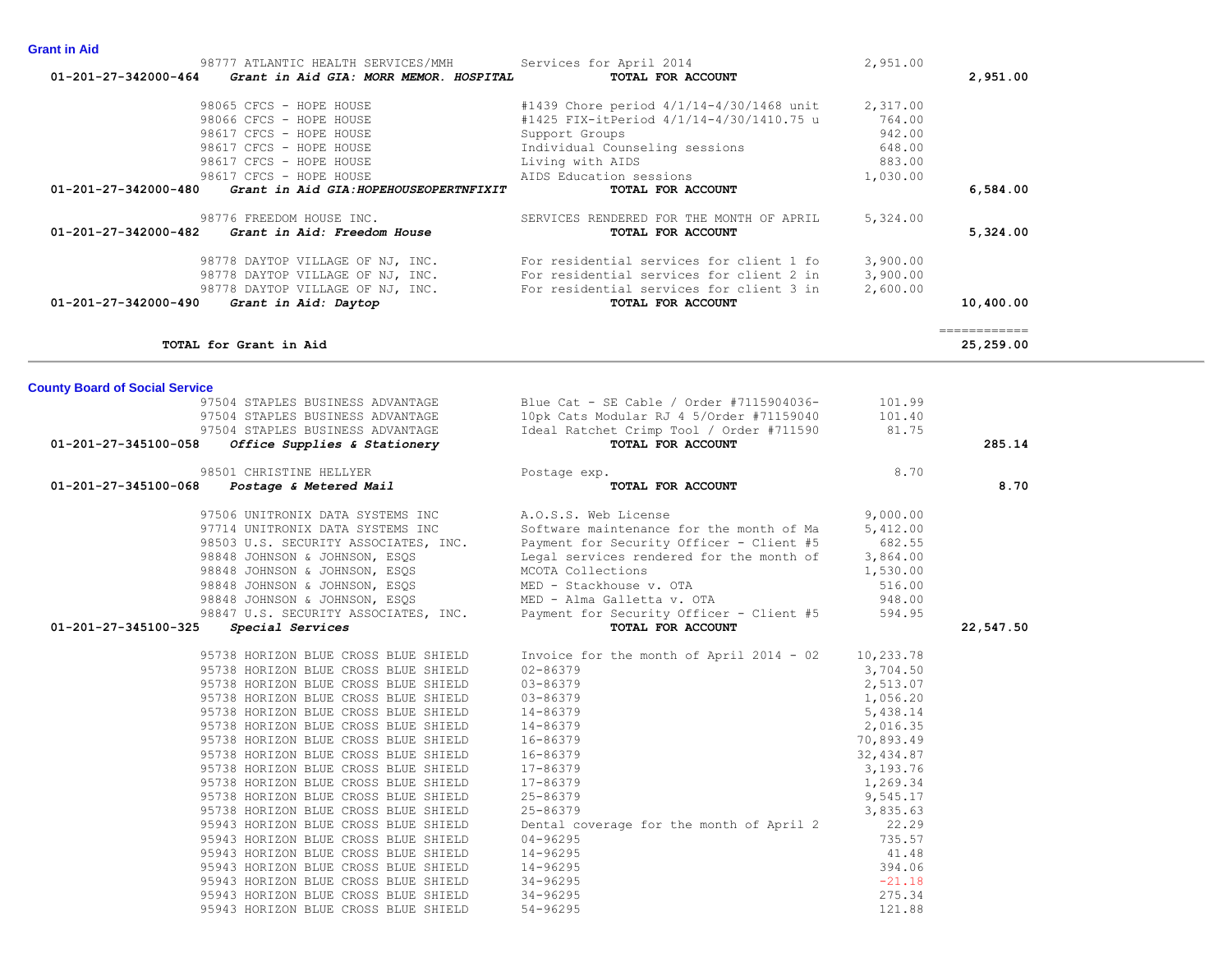| n Aid |                                               |
|-------|-----------------------------------------------|
|       | $\mathbf{a} \mathbf{a} \mathbf{b} \mathbf{b}$ |

| שות ווו חושוט                                                                                        |                                                               |           |               |
|------------------------------------------------------------------------------------------------------|---------------------------------------------------------------|-----------|---------------|
| 98777 ATLANTIC HEALTH SERVICES/MMH<br>01-201-27-342000-464<br>Grant in Aid GIA: MORR MEMOR. HOSPITAL | Services for April 2014<br>TOTAL FOR ACCOUNT                  | 2,951.00  | 2,951.00      |
|                                                                                                      |                                                               |           |               |
| 98065 CFCS - HOPE HOUSE                                                                              | #1439 Chore period 4/1/14-4/30/1468 unit                      | 2,317.00  |               |
| 98066 CFCS - HOPE HOUSE                                                                              | #1425 FIX-itPeriod 4/1/14-4/30/1410.75 u                      | 764.00    |               |
| 98617 CFCS - HOPE HOUSE                                                                              | Support Groups                                                | 942.00    |               |
| 98617 CFCS - HOPE HOUSE                                                                              | Individual Counseling sessions                                | 648.00    |               |
| 98617 CFCS - HOPE HOUSE                                                                              | Living with AIDS                                              | 883.00    |               |
| 98617 CFCS - HOPE HOUSE                                                                              | AIDS Education sessions                                       | 1,030.00  |               |
| 01-201-27-342000-480<br>Grant in Aid GIA: HOPEHOUSEOPERTNFIXIT                                       | TOTAL FOR ACCOUNT                                             |           | 6,584.00      |
| 98776 FREEDOM HOUSE INC.                                                                             | SERVICES RENDERED FOR THE MONTH OF APRIL                      | 5,324.00  |               |
| 01-201-27-342000-482<br>Grant in Aid: Freedom House                                                  | TOTAL FOR ACCOUNT                                             |           | 5,324.00      |
| 98778 DAYTOP VILLAGE OF NJ, INC.                                                                     | For residential services for client 1 fo                      | 3,900.00  |               |
| 98778 DAYTOP VILLAGE OF NJ, INC.                                                                     | For residential services for client 2 in                      | 3,900.00  |               |
| 98778 DAYTOP VILLAGE OF NJ, INC.                                                                     | For residential services for client 3 in                      | 2,600.00  |               |
| Grant in Aid: Daytop<br>01-201-27-342000-490                                                         | TOTAL FOR ACCOUNT                                             |           | 10,400.00     |
|                                                                                                      |                                                               |           | ------------- |
| TOTAL for Grant in Aid                                                                               |                                                               |           | 25,259.00     |
|                                                                                                      |                                                               |           |               |
| <b>County Board of Social Service</b>                                                                |                                                               |           |               |
| 97504 STAPLES BUSINESS ADVANTAGE                                                                     | Blue Cat - SE Cable / Order #7115904036-                      | 101.99    |               |
| 97504 STAPLES BUSINESS ADVANTAGE                                                                     | 10pk Cats Modular RJ 4 5/Order #71159040                      | 101.40    |               |
| 97504 STAPLES BUSINESS ADVANTAGE<br>01-201-27-345100-058                                             | Ideal Ratchet Crimp Tool / Order #711590<br>TOTAL FOR ACCOUNT | 81.75     | 285.14        |
| Office Supplies & Stationery                                                                         |                                                               |           |               |
| 98501 CHRISTINE HELLYER                                                                              | Postage exp.                                                  | 8.70      |               |
| 01-201-27-345100-068<br>Postage & Metered Mail                                                       | TOTAL FOR ACCOUNT                                             |           | 8.70          |
| 97506 UNITRONIX DATA SYSTEMS INC                                                                     | A.O.S.S. Web License                                          | 9,000.00  |               |
| 97714 UNITRONIX DATA SYSTEMS INC                                                                     | Software maintenance for the month of Ma                      | 5,412.00  |               |
| 98503 U.S. SECURITY ASSOCIATES, INC.                                                                 | Payment for Security Officer - Client #5                      | 682.55    |               |
| 98848 JOHNSON & JOHNSON, ESQS                                                                        | Legal services rendered for the month of                      | 3,864.00  |               |
| 98848 JOHNSON & JOHNSON, ESOS                                                                        | MCOTA Collections                                             | 1,530.00  |               |
| 98848 JOHNSON & JOHNSON, ESQS                                                                        | MED - Stackhouse v. OTA                                       | 516.00    |               |
| 98848 JOHNSON & JOHNSON, ESQS                                                                        | MED - Alma Galletta v. OTA                                    | 948.00    |               |
| 98847 U.S. SECURITY ASSOCIATES, INC.                                                                 | Payment for Security Officer - Client #5                      | 594.95    |               |
| 01-201-27-345100-325<br>Special Services                                                             | TOTAL FOR ACCOUNT                                             |           | 22,547.50     |
| 95738 HORIZON BLUE CROSS BLUE SHIELD                                                                 | Invoice for the month of April 2014 - 02                      | 10,233.78 |               |
| 95738 HORIZON BLUE CROSS BLUE SHIELD                                                                 | $02 - 86379$                                                  | 3,704.50  |               |
| 95738 HORIZON BLUE CROSS BLUE SHIELD                                                                 | 03-86379                                                      | 2,513.07  |               |
| 95738 HORIZON BLUE CROSS BLUE SHIELD                                                                 | 03-86379                                                      | 1,056.20  |               |
| 95738 HORIZON BLUE CROSS BLUE SHIELD                                                                 | 14-86379                                                      | 5,438.14  |               |
| 95738 HORIZON BLUE CROSS BLUE SHIELD                                                                 | 14-86379                                                      | 2,016.35  |               |
| 95738 HORIZON BLUE CROSS BLUE SHIELD                                                                 | 16-86379                                                      | 70,893.49 |               |
| 95738 HORIZON BLUE CROSS BLUE SHIELD                                                                 | 16-86379                                                      | 32,434.87 |               |
| 95738 HORIZON BLUE CROSS BLUE SHIELD                                                                 | $17 - 86379$                                                  | 3,193.76  |               |

95738 HORIZON BLUE CROSS BLUE SHIELD 17-86379 3,193.76 95738 HORIZON BLUE CROSS BLUE SHIELD 17-86379 1,269.34 95738 HORIZON BLUE CROSS BLUE SHIELD 25-86379<br>95738 HORIZON BLUE CROSS BLUE SHIELD 25-86379 3,835.63

 95943 HORIZON BLUE CROSS BLUE SHIELD 14-96295 41.48 95943 HORIZON BLUE CROSS BLUE SHIELD 14-96295<br>95943 HORIZON BLUE CROSS BLUE SHIELD 34-96295<br>95943 HORIZON BLUE CROSS BLUE SHIELD 34-96295 95943 HORIZON BLUE CROSS BLUE SHIELD 34-96295 -21.18 95943 HORIZON BLUE CROSS BLUE SHIELD 34-96295 275.34 95943 HORIZON BLUE CROSS BLUE SHIELD 54-96295 121.88

95738 HORIZON BLUE CROSS BLUE SHIELD 25-86379 3,835.63 95943 HORIZON BLUE CROSS BLUE SHIELD Dental coverage for the month of April 2 22.29 95943 HORIZON BLUE CROSS BLUE SHIELD 04-96295 735.57

**Grant in**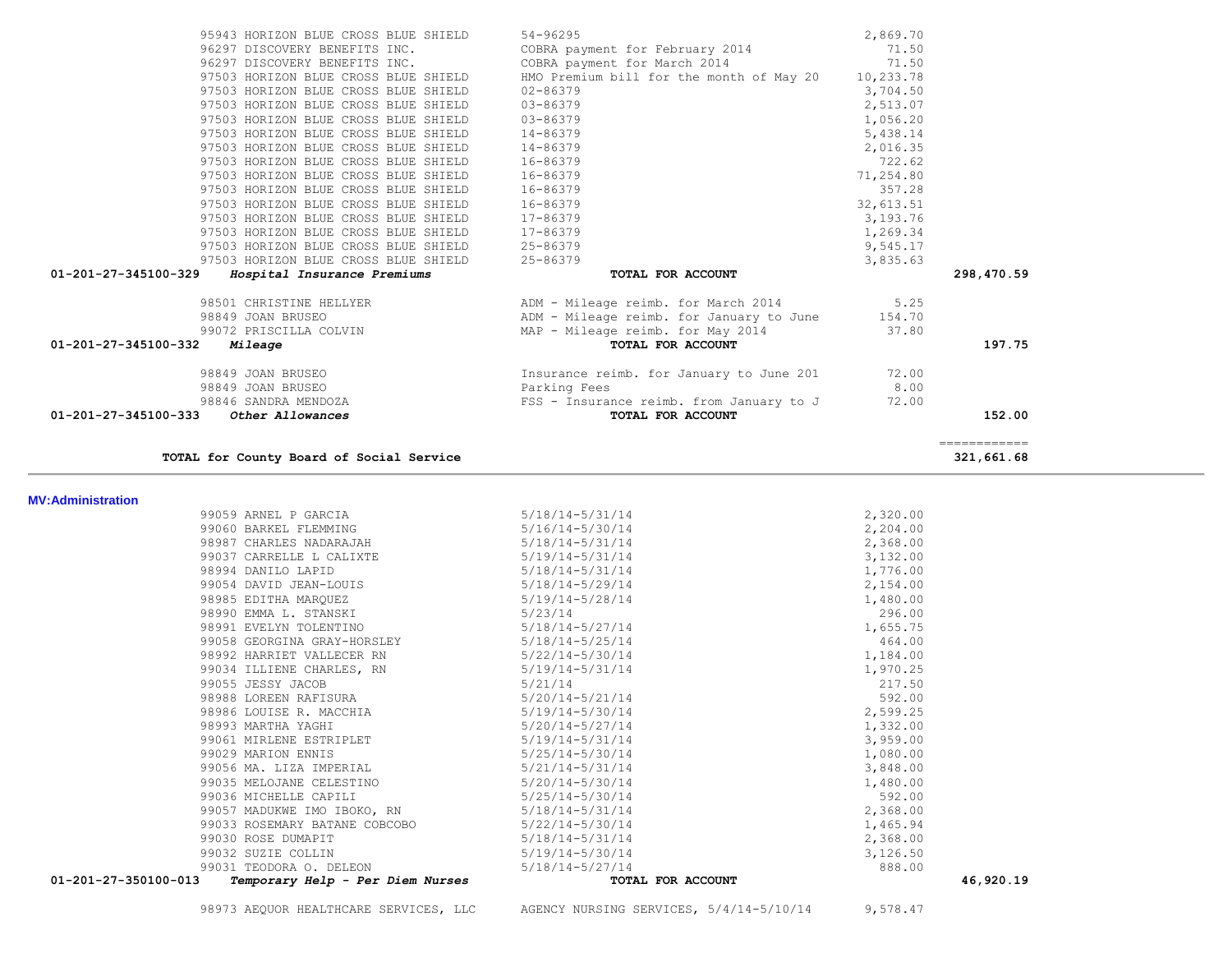98973 AEQUOR HEALTHCARE SERVICES, LLC AGENCY NURSING SERVICES, 5/4/14-5/10/14 9,578.47

| 99057 MADUKWE IMO IBOKO, RN 5/18/14-5/31/14<br>99033 ROSEMARY BATANE COBCOBO<br>99030 ROSE DUMAPIT<br>99032 SUZIE COLLIN<br>99031 TEODORA O. DELEON<br>01-201-27-350100-013<br>Temporary Help - Per Diem Nurses | $5/22/14 - 5/30/14$<br>$5/18/14-5/31/14$<br>5/19/14-5/30/14<br>5/18/14-5/27/14<br>TOTAL FOR ACCOUNT | 2,368.00<br>1,465.94<br>2,368.00<br>3,126.50<br>888.00<br>46,920.19                                                                                                                                                               |                                                        |
|-----------------------------------------------------------------------------------------------------------------------------------------------------------------------------------------------------------------|-----------------------------------------------------------------------------------------------------|-----------------------------------------------------------------------------------------------------------------------------------------------------------------------------------------------------------------------------------|--------------------------------------------------------|
|                                                                                                                                                                                                                 |                                                                                                     |                                                                                                                                                                                                                                   |                                                        |
|                                                                                                                                                                                                                 |                                                                                                     |                                                                                                                                                                                                                                   |                                                        |
|                                                                                                                                                                                                                 |                                                                                                     |                                                                                                                                                                                                                                   |                                                        |
|                                                                                                                                                                                                                 |                                                                                                     |                                                                                                                                                                                                                                   |                                                        |
|                                                                                                                                                                                                                 |                                                                                                     |                                                                                                                                                                                                                                   |                                                        |
| 99036 MICHELLE CAPILI                                                                                                                                                                                           | 5/25/14-5/30/14                                                                                     |                                                                                                                                                                                                                                   |                                                        |
| 99035 MELOJANE CELESTINO                                                                                                                                                                                        |                                                                                                     | 1,480.00                                                                                                                                                                                                                          |                                                        |
| 99056 MA. LIZA IMPERIAL                                                                                                                                                                                         |                                                                                                     | 3,848.00                                                                                                                                                                                                                          |                                                        |
| 99029 MARION ENNIS                                                                                                                                                                                              | 5/25/14-5/30/14                                                                                     | 1,080.00                                                                                                                                                                                                                          |                                                        |
| 99061 MIRLENE ESTRIPLET                                                                                                                                                                                         |                                                                                                     | 3,959.00                                                                                                                                                                                                                          |                                                        |
| 98993 MARTHA YAGHI                                                                                                                                                                                              | 5/20/14-5/27/14                                                                                     |                                                                                                                                                                                                                                   |                                                        |
| 98986 LOUISE R. MACCHIA                                                                                                                                                                                         |                                                                                                     | 2,599.25                                                                                                                                                                                                                          |                                                        |
| 98988 LOREEN RAFISURA                                                                                                                                                                                           | 5/20/14-5/21/14                                                                                     | 592.00                                                                                                                                                                                                                            |                                                        |
| 99055 JESSY JACOB                                                                                                                                                                                               |                                                                                                     | 217.50                                                                                                                                                                                                                            |                                                        |
| 99034 ILLIENE CHARLES, RN                                                                                                                                                                                       |                                                                                                     | 1,970.25                                                                                                                                                                                                                          |                                                        |
| 98992 HARRIET VALLECER RN                                                                                                                                                                                       |                                                                                                     | 1,184.00                                                                                                                                                                                                                          |                                                        |
| 99058 GEORGINA GRAY-HORSLEY                                                                                                                                                                                     |                                                                                                     | 464.00                                                                                                                                                                                                                            |                                                        |
| 98991 EVELYN TOLENTINO                                                                                                                                                                                          | 5/18/14-5/27/14                                                                                     | 1,655.75                                                                                                                                                                                                                          |                                                        |
| 98990 EMMA L. STANSKI                                                                                                                                                                                           | 5/23/14                                                                                             | 296.00                                                                                                                                                                                                                            |                                                        |
| 98985 EDITHA MARQUEZ                                                                                                                                                                                            | 5/19/14-5/28/14                                                                                     | 1,480.00                                                                                                                                                                                                                          |                                                        |
| 99054 DAVID JEAN-LOUIS                                                                                                                                                                                          | 5/18/14-5/29/14                                                                                     |                                                                                                                                                                                                                                   |                                                        |
| 98994 DANILO LAPID                                                                                                                                                                                              |                                                                                                     | 1,776.00                                                                                                                                                                                                                          |                                                        |
| 99037 CARRELLE L CALIXTE                                                                                                                                                                                        |                                                                                                     |                                                                                                                                                                                                                                   |                                                        |
| 98987 CHARLES NADARAJAH                                                                                                                                                                                         |                                                                                                     | 2,368.00                                                                                                                                                                                                                          |                                                        |
| 99060 BARKEL FLEMMING                                                                                                                                                                                           | 5/16/14-5/30/14                                                                                     | 2,204.00                                                                                                                                                                                                                          |                                                        |
| 99059 ARNEL P GARCIA                                                                                                                                                                                            | 5/18/14-5/31/14                                                                                     |                                                                                                                                                                                                                                   |                                                        |
|                                                                                                                                                                                                                 |                                                                                                     | 5/18/14-5/31/14<br>$5/19/14 - 5/31/14$<br>$5/18/14 - 5/31/14$<br>$5/18/14 - 5/25/14$<br>$5/22/14 - 5/30/14$<br>$5/19/14 - 5/31/14$<br>5/21/14<br>5/19/14-5/30/14<br>$5/19/14 - 5/31/14$<br>$5/21/14-5/31/14$<br>$5/20/14-5/30/14$ | 2,320.00<br>3,132.00<br>2,154.00<br>1,332.00<br>592.00 |

#### **MV:Adr**

| 97503 HORIZON BLUE CROSS BLUE SHIELD                | HMO Premium bill for the month of May 20        | 10,233.78 |              |
|-----------------------------------------------------|-------------------------------------------------|-----------|--------------|
| 97503 HORIZON BLUE CROSS BLUE SHIELD                | 02-86379                                        | 3,704.50  |              |
| 97503 HORIZON BLUE CROSS BLUE SHIELD                | 03-86379                                        | 2,513.07  |              |
| 97503 HORIZON BLUE CROSS BLUE SHIELD                | 03-86379                                        | 1,056.20  |              |
| 97503 HORIZON BLUE CROSS BLUE SHIELD                | 14-86379                                        | 5,438.14  |              |
| 97503 HORIZON BLUE CROSS BLUE SHIELD                | 14-86379                                        | 2,016.35  |              |
| 97503 HORIZON BLUE CROSS BLUE SHIELD                | 16-86379                                        | 722.62    |              |
| 97503 HORIZON BLUE CROSS BLUE SHIELD                | 16-86379                                        | 71,254.80 |              |
| 97503 HORIZON BLUE CROSS BLUE SHIELD                | 16-86379                                        | 357.28    |              |
| 97503 HORIZON BLUE CROSS BLUE SHIELD                | 16-86379                                        | 32,613.51 |              |
| 97503 HORIZON BLUE CROSS BLUE SHIELD                | 17-86379                                        | 3,193.76  |              |
| 97503 HORIZON BLUE CROSS BLUE SHIELD                | 17-86379                                        | 1,269.34  |              |
| 97503 HORIZON BLUE CROSS BLUE SHIELD                | 25-86379                                        | 9,545.17  |              |
| 97503 HORIZON BLUE CROSS BLUE SHIELD                | 25-86379                                        | 3,835.63  |              |
| 01-201-27-345100-329<br>Hospital Insurance Premiums | TOTAL FOR ACCOUNT                               |           | 298,470.59   |
| 98501 CHRISTINE HELLYER                             | ADM - Mileage reimb. for March 2014             | 5.25      |              |
| 98849 JOAN BRUSEO                                   | ADM - Mileage reimb. for January to June 154.70 |           |              |
| 99072 PRISCILLA COLVIN                              | MAP - Mileage reimb. for May 2014               | 37.80     |              |
| 01-201-27-345100-332<br><i>Mileage</i>              | TOTAL FOR ACCOUNT                               |           | 197.75       |
| 98849 JOAN BRUSEO                                   | Insurance reimb. for January to June 201        | 72.00     |              |
| 98849 JOAN BRUSEO                                   | Parking Fees                                    | 8.00      |              |
| 98846 SANDRA MENDOZA                                | FSS - Insurance reimb. from January to J        | 72.00     |              |
| 01-201-27-345100-333<br>Other Allowances            | TOTAL FOR ACCOUNT                               |           | 152.00       |
|                                                     |                                                 |           | ------------ |
| TOTAL for County Board of Social Service            |                                                 |           | 321,661.68   |

95943 HORIZON BLUE CROSS BLUE SHIELD 54-96295 2,869.70

96297 DISCOVERY BENEFITS INC. COBRA payment for February 2014 71.50 96297 DISCOVERY BENEFITS INC. COBRA payment for March 2014 71.50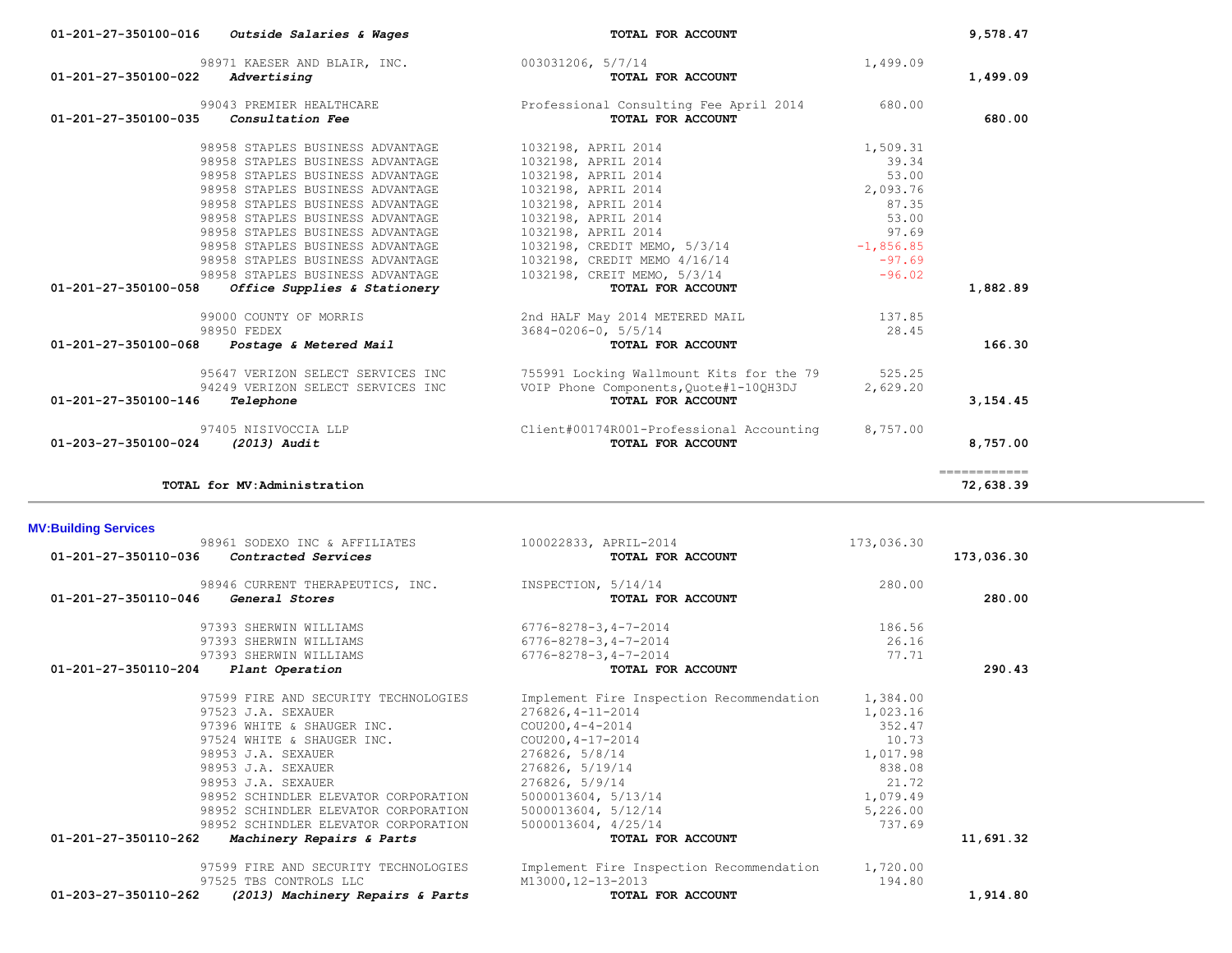|                             | 98971 KAESER AND BLAIR, INC. 003031206, 5/7/14                             |                                                                   | 1,499.09    |                           |
|-----------------------------|----------------------------------------------------------------------------|-------------------------------------------------------------------|-------------|---------------------------|
| 01-201-27-350100-022        | Advertising                                                                | TOTAL FOR ACCOUNT                                                 |             | 1,499.09                  |
|                             | 99043 PREMIER HEALTHCARE                                                   | Professional Consulting Fee April 2014                            | 680.00      |                           |
| 01-201-27-350100-035        | Consultation Fee                                                           | TOTAL FOR ACCOUNT                                                 |             | 680.00                    |
|                             |                                                                            |                                                                   |             |                           |
|                             | 98958 STAPLES BUSINESS ADVANTAGE                                           | 1032198, APRIL 2014                                               | 1,509.31    |                           |
|                             | 98958 STAPLES BUSINESS ADVANTAGE                                           | 1032198, APRIL 2014                                               | 39.34       |                           |
|                             | 98958 STAPLES BUSINESS ADVANTAGE                                           | 1032198, APRIL 2014                                               | 53.00       |                           |
|                             | 98958 STAPLES BUSINESS ADVANTAGE                                           | 1032198, APRIL 2014                                               | 2,093.76    |                           |
|                             | 98958 STAPLES BUSINESS ADVANTAGE                                           | 1032198, APRIL 2014                                               | 87.35       |                           |
|                             | 98958 STAPLES BUSINESS ADVANTAGE                                           | 1032198, APRIL 2014                                               | 53.00       |                           |
|                             | 98958 STAPLES BUSINESS ADVANTAGE                                           | 1032198, APRIL 2014                                               | 97.69       |                           |
|                             | 98958 STAPLES BUSINESS ADVANTAGE                                           | 1032198, CREDIT MEMO, 5/3/14                                      | $-1,856.85$ |                           |
|                             | 98958 STAPLES BUSINESS ADVANTAGE                                           | 1032198, CREDIT MEMO 4/16/14                                      | $-97.69$    |                           |
|                             | 98958 STAPLES BUSINESS ADVANTAGE                                           | 1032198, CREIT MEMO, 5/3/14                                       | $-96.02$    |                           |
| 01-201-27-350100-058        | Office Supplies & Stationery                                               | TOTAL FOR ACCOUNT                                                 |             | 1,882.89                  |
|                             | 99000 COUNTY OF MORRIS                                                     | 2nd HALF May 2014 METERED MAIL                                    | 137.85      |                           |
|                             | 98950 FEDEX                                                                | $3684 - 0206 - 0, 5/5/14$                                         | 28.45       |                           |
| 01-201-27-350100-068        | Postage & Metered Mail                                                     | TOTAL FOR ACCOUNT                                                 |             | 166.30                    |
|                             |                                                                            |                                                                   |             |                           |
|                             | 95647 VERIZON SELECT SERVICES INC                                          | 755991 Locking Wallmount Kits for the 79 525.25                   |             |                           |
|                             | 94249 VERIZON SELECT SERVICES INC                                          | VOIP Phone Components, Quote#1-10QH3DJ                            | 2,629.20    |                           |
| 01-201-27-350100-146        | Telephone                                                                  | TOTAL FOR ACCOUNT                                                 |             | 3,154.45                  |
|                             | 97405 NISIVOCCIA LLP                                                       | Client#00174R001-Professional Accounting                          | 8,757.00    |                           |
| 01-203-27-350100-024        | $(2013)$ Audit                                                             | TOTAL FOR ACCOUNT                                                 |             | 8,757.00                  |
|                             |                                                                            |                                                                   |             |                           |
|                             | TOTAL for MV:Administration                                                |                                                                   |             | ============<br>72,638.39 |
|                             |                                                                            |                                                                   |             |                           |
| <b>MV:Building Services</b> |                                                                            |                                                                   |             |                           |
| 01-201-27-350110-036        | 98961 SODEXO INC & AFFILIATES 100022833, APRIL-2014<br>Contracted Services | TOTAL FOR ACCOUNT                                                 | 173,036.30  | 173,036.30                |
|                             |                                                                            |                                                                   |             |                           |
|                             | 98946 CURRENT THERAPEUTICS, INC. INSPECTION, 5/14/14                       |                                                                   | 280.00      |                           |
| 01-201-27-350110-046        | General Stores                                                             | TOTAL FOR ACCOUNT                                                 |             | 280.00                    |
|                             | 97393 SHERWIN WILLIAMS                                                     | $6776 - 8278 - 3, 4 - 7 - 2014$                                   | 186.56      |                           |
|                             | 97393 SHERWIN WILLIAMS                                                     | $6776 - 8278 - 3, 4 - 7 - 2014$                                   | 26.16       |                           |
|                             | 97393 SHERWIN WILLIAMS                                                     | $6776 - 8278 - 3, 4 - 7 - 2014$                                   | 77.71       |                           |
| 01-201-27-350110-204        | Plant Operation                                                            | TOTAL FOR ACCOUNT                                                 |             | 290.43                    |
|                             | 97599 FIRE AND SECURITY TECHNOLOGIES                                       | Implement Fire Inspection Recommendation                          | 1,384.00    |                           |
|                             | 97523 J.A. SEXAUER                                                         | $276826, 4-11-2014$                                               | 1,023.16    |                           |
|                             | 97396 WHITE & SHAUGER INC.                                                 | $COU200, 4-4-2014$                                                | 352.47      |                           |
|                             | 97524 WHITE & SHAUGER INC.                                                 | $COU200, 4-17-2014$                                               | 10.73       |                           |
|                             | 98953 J.A. SEXAUER                                                         |                                                                   | 1,017.98    |                           |
|                             | 98953 J.A. SEXAUER                                                         | $276826, 5/8/14$<br>$276826, 5/19/14$                             | 838.08      |                           |
|                             | 98953 J.A. SEXAUER                                                         |                                                                   | 21.72       |                           |
|                             | 98952 SCHINDLER ELEVATOR CORPORATION                                       |                                                                   | 1,079.49    |                           |
|                             | 98952 SCHINDLER ELEVATOR CORPORATION                                       | 276826, $5/9/14$<br>5000013604, $5/13/14$<br>100013604, $5/12/14$ | 5,226.00    |                           |
|                             |                                                                            |                                                                   |             |                           |
|                             |                                                                            |                                                                   | 737.69      |                           |
| 01-201-27-350110-262        | 98952 SCHINDLER ELEVATOR CORPORATION<br>Machinery Repairs & Parts          | 5000013604, 4/25/14<br>TOTAL FOR ACCOUNT                          |             | 11,691.32                 |

 **01-201-27-350100-016** *Outside Salaries & Wages* **TOTAL FOR ACCOUNT 9,578.47**

97599 FIRE AND SECURITY TECHNOLOGIES Implement Fire Inspection Recommendation 1,720.00<br>194.80 M13000,12-13-2013 97525 TBS CONTROLS LLC 13 = 97525 M13000,12-13-2013<br>**01-203-27-350110-262** (2013) Machinery Repairs & Parts 1978L FOR ACCOUNT  **01-203-27-350110-262** *(2013) Machinery Repairs & Parts* **TOTAL FOR ACCOUNT 1,914.80**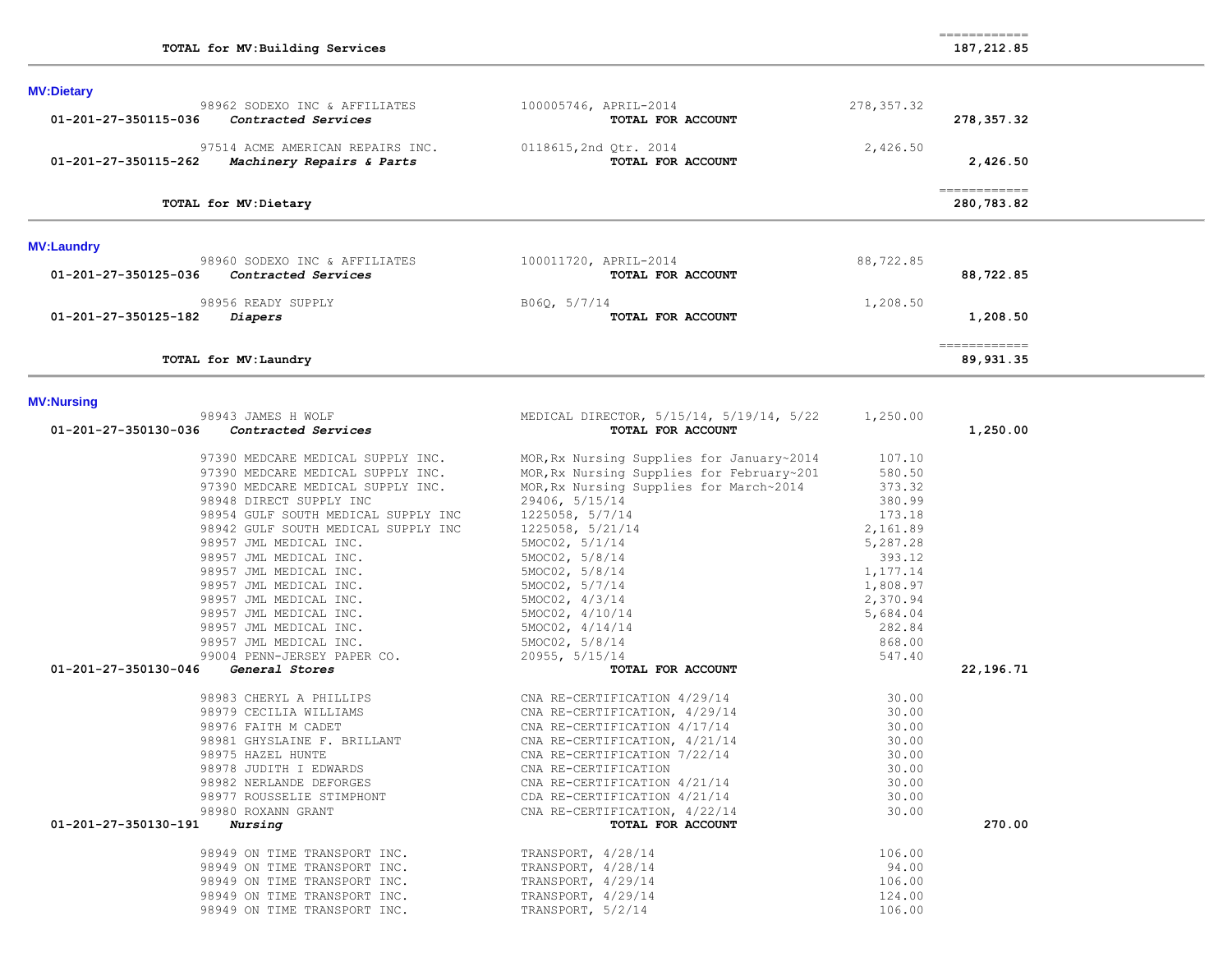============

| <b>MV:Dietary</b>                                                            |                                                               |                    |                            |
|------------------------------------------------------------------------------|---------------------------------------------------------------|--------------------|----------------------------|
| 98962 SODEXO INC & AFFILIATES                                                | 100005746, APRIL-2014                                         | 278, 357.32        |                            |
| 01-201-27-350115-036<br>Contracted Services                                  | TOTAL FOR ACCOUNT                                             |                    | 278, 357.32                |
| 97514 ACME AMERICAN REPAIRS INC.                                             | 0118615, 2nd Qtr. 2014                                        | 2,426.50           |                            |
| 01-201-27-350115-262<br>Machinery Repairs & Parts                            | TOTAL FOR ACCOUNT                                             |                    | 2,426.50                   |
| TOTAL for MV:Dietary                                                         |                                                               |                    | ------------<br>280,783.82 |
|                                                                              |                                                               |                    |                            |
| <b>MV:Laundry</b>                                                            |                                                               |                    |                            |
| 98960 SODEXO INC & AFFILIATES<br>01-201-27-350125-036<br>Contracted Services | 100011720, APRIL-2014<br>TOTAL FOR ACCOUNT                    | 88,722.85          | 88,722.85                  |
| 98956 READY SUPPLY                                                           | B06Q, 5/7/14                                                  | 1,208.50           |                            |
| 01-201-27-350125-182<br><i>Diapers</i>                                       | TOTAL FOR ACCOUNT                                             |                    | 1,208.50                   |
| TOTAL for MV: Laundry                                                        |                                                               |                    | -------------<br>89,931.35 |
|                                                                              |                                                               |                    |                            |
| <b>MV:Nursing</b><br>98943 JAMES H WOLF                                      | MEDICAL DIRECTOR, 5/15/14, 5/19/14, 5/22                      | 1,250.00           |                            |
| 01-201-27-350130-036<br>Contracted Services                                  | TOTAL FOR ACCOUNT                                             |                    | 1,250.00                   |
| 97390 MEDCARE MEDICAL SUPPLY INC.                                            | MOR, Rx Nursing Supplies for January~2014                     | 107.10             |                            |
| 97390 MEDCARE MEDICAL SUPPLY INC.                                            | MOR, Rx Nursing Supplies for February~201                     | 580.50             |                            |
| 97390 MEDCARE MEDICAL SUPPLY INC.                                            | MOR, Rx Nursing Supplies for March~2014                       | 373.32             |                            |
| 98948 DIRECT SUPPLY INC                                                      | 29406, 5/15/14                                                | 380.99             |                            |
| 98954 GULF SOUTH MEDICAL SUPPLY INC                                          | 1225058, 5/7/14                                               | 173.18             |                            |
| 98942 GULF SOUTH MEDICAL SUPPLY INC                                          | 1225058, 5/21/14                                              | 2,161.89           |                            |
| 98957 JML MEDICAL INC.                                                       | 5MOC02, 5/1/14                                                | 5,287.28           |                            |
| 98957 JML MEDICAL INC.                                                       | 5MOC02, 5/8/14                                                | 393.12             |                            |
| 98957 JML MEDICAL INC.                                                       | 5MOC02, 5/8/14                                                | 1,177.14           |                            |
| 98957 JML MEDICAL INC.                                                       | 5MOC02, 5/7/14                                                | 1,808.97           |                            |
| 98957 JML MEDICAL INC.                                                       | 5MOC02, 4/3/14                                                | 2,370.94           |                            |
| 98957 JML MEDICAL INC.<br>98957 JML MEDICAL INC.                             | 5MOC02, 4/10/14<br>5MOC02, 4/14/14                            | 5,684.04<br>282.84 |                            |
| 98957 JML MEDICAL INC.                                                       | 5MOC02, 5/8/14                                                | 868.00             |                            |
| 99004 PENN-JERSEY PAPER CO.                                                  | 20955, 5/15/14                                                | 547.40             |                            |
| 01-201-27-350130-046<br>General Stores                                       | TOTAL FOR ACCOUNT                                             |                    | 22,196.71                  |
| 98983 CHERYL A PHILLIPS                                                      |                                                               | 30.00              |                            |
| 98979 CECILIA WILLIAMS                                                       | CNA RE-CERTIFICATION 4/29/14<br>CNA RE-CERTIFICATION, 4/29/14 | 30.00              |                            |
| 98976 FAITH M CADET                                                          | CNA RE-CERTIFICATION 4/17/14                                  | 30.00              |                            |
| 98981 GHYSLAINE F. BRILLANT                                                  | CNA RE-CERTIFICATION, 4/21/14                                 | 30.00              |                            |
| 98975 HAZEL HUNTE                                                            | CNA RE-CERTIFICATION 7/22/14                                  | 30.00              |                            |
| 98978 JUDITH I EDWARDS                                                       | CNA RE-CERTIFICATION                                          | 30.00              |                            |
| 98982 NERLANDE DEFORGES                                                      | CNA RE-CERTIFICATION 4/21/14                                  | 30.00              |                            |
| 98977 ROUSSELIE STIMPHONT                                                    | CDA RE-CERTIFICATION 4/21/14                                  | 30.00              |                            |
| 98980 ROXANN GRANT                                                           | CNA RE-CERTIFICATION, 4/22/14                                 | 30.00              |                            |
| 01-201-27-350130-191<br>Nursing                                              | TOTAL FOR ACCOUNT                                             |                    | 270.00                     |
| 98949 ON TIME TRANSPORT INC.                                                 | TRANSPORT, 4/28/14                                            | 106.00             |                            |
| 98949 ON TIME TRANSPORT INC.                                                 | TRANSPORT, 4/28/14                                            | 94.00              |                            |
| 98949 ON TIME TRANSPORT INC.                                                 | TRANSPORT, 4/29/14                                            | 106.00             |                            |
| 98949 ON TIME TRANSPORT INC.                                                 | TRANSPORT, 4/29/14                                            | 124.00             |                            |
| 98949 ON TIME TRANSPORT INC.                                                 | TRANSPORT, 5/2/14                                             | 106.00             |                            |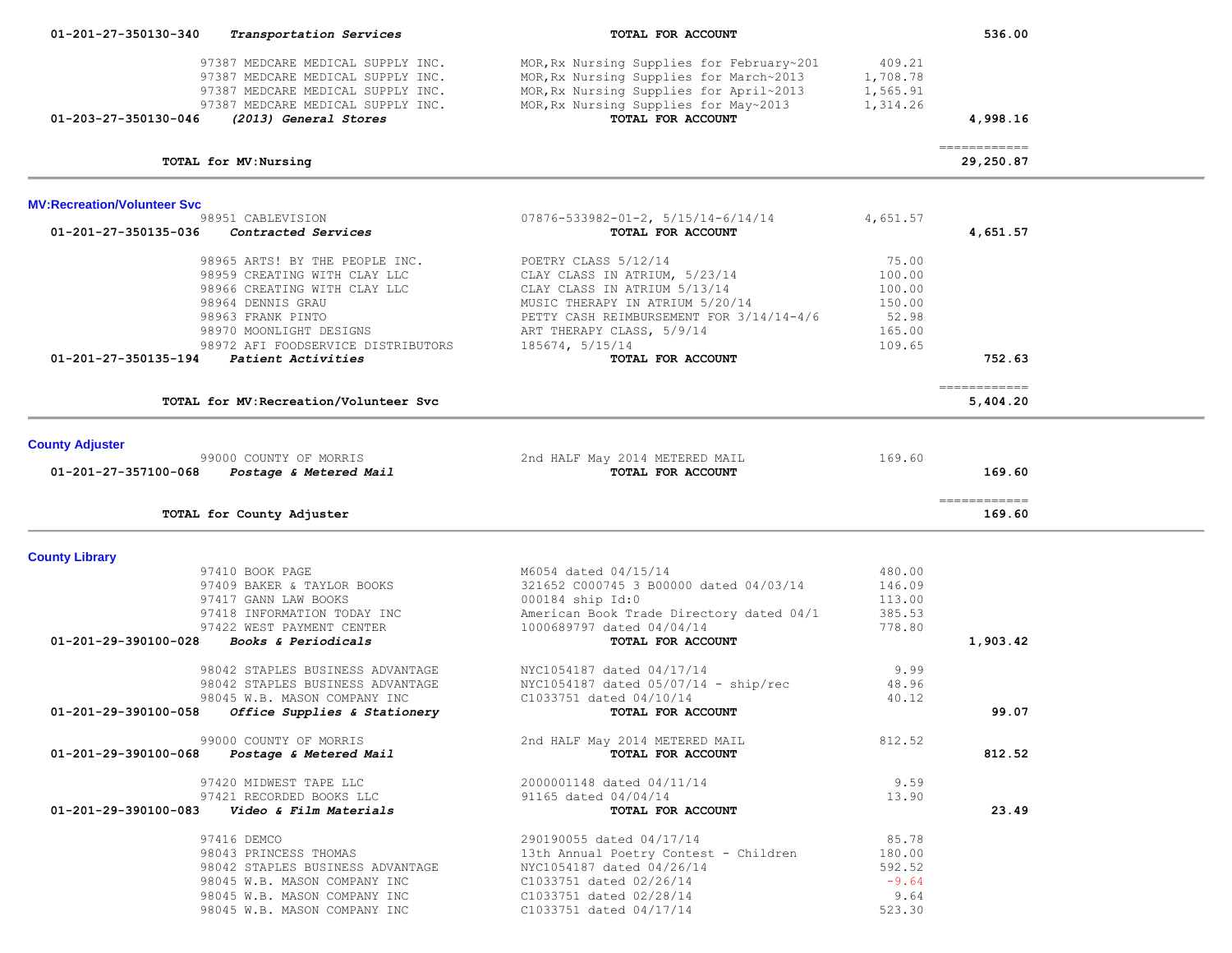| 01-201-27-350130-340               | Transportation Services                                                                                                                                                  | TOTAL FOR ACCOUNT                                                                                                                                                                                 |                                                                  | 536.00                                                                                                                                                                                                                                                                                                                                                                                                                                                                                           |  |
|------------------------------------|--------------------------------------------------------------------------------------------------------------------------------------------------------------------------|---------------------------------------------------------------------------------------------------------------------------------------------------------------------------------------------------|------------------------------------------------------------------|--------------------------------------------------------------------------------------------------------------------------------------------------------------------------------------------------------------------------------------------------------------------------------------------------------------------------------------------------------------------------------------------------------------------------------------------------------------------------------------------------|--|
|                                    | 97387 MEDCARE MEDICAL SUPPLY INC.<br>97387 MEDCARE MEDICAL SUPPLY INC.<br>97387 MEDCARE MEDICAL SUPPLY INC.                                                              | MOR, Rx Nursing Supplies for February~201<br>MOR, Rx Nursing Supplies for March~2013<br>MOR, Rx Nursing Supplies for April~2013                                                                   | 409.21<br>1,708.78<br>1,565.91                                   |                                                                                                                                                                                                                                                                                                                                                                                                                                                                                                  |  |
| 01-203-27-350130-046               | 97387 MEDCARE MEDICAL SUPPLY INC.<br>(2013) General Stores                                                                                                               | MOR, Rx Nursing Supplies for May~2013<br>TOTAL FOR ACCOUNT                                                                                                                                        | 1,314.26                                                         | 4,998.16                                                                                                                                                                                                                                                                                                                                                                                                                                                                                         |  |
|                                    | TOTAL for MV: Nursing                                                                                                                                                    |                                                                                                                                                                                                   |                                                                  | -------------<br>29,250.87                                                                                                                                                                                                                                                                                                                                                                                                                                                                       |  |
| <b>MV:Recreation/Volunteer Svc</b> |                                                                                                                                                                          |                                                                                                                                                                                                   |                                                                  |                                                                                                                                                                                                                                                                                                                                                                                                                                                                                                  |  |
| 01-201-27-350135-036               | 98951 CABLEVISION<br>Contracted Services                                                                                                                                 | $07876 - 533982 - 01 - 2, 5/15/14 - 6/14/14$<br>TOTAL FOR ACCOUNT                                                                                                                                 | 4,651.57                                                         | 4,651.57                                                                                                                                                                                                                                                                                                                                                                                                                                                                                         |  |
|                                    | 98965 ARTS! BY THE PEOPLE INC.<br>98959 CREATING WITH CLAY LLC<br>98966 CREATING WITH CLAY LLC<br>98964 DENNIS GRAU<br>98963 FRANK PINTO<br>98970 MOONLIGHT DESIGNS      | POETRY CLASS 5/12/14<br>CLAY CLASS IN ATRIUM, 5/23/14<br>CLAY CLASS IN ATRIUM 5/13/14<br>MUSIC THERAPY IN ATRIUM 5/20/14<br>PETTY CASH REIMBURSEMENT FOR 3/14/14-4/6<br>ART THERAPY CLASS, 5/9/14 | 75.00<br>100.00<br>100.00<br>150.00<br>52.98<br>165.00<br>109.65 |                                                                                                                                                                                                                                                                                                                                                                                                                                                                                                  |  |
| 01-201-27-350135-194               | 98972 AFI FOODSERVICE DISTRIBUTORS<br>Patient Activities                                                                                                                 | 185674, 5/15/14<br>TOTAL FOR ACCOUNT                                                                                                                                                              |                                                                  | 752.63                                                                                                                                                                                                                                                                                                                                                                                                                                                                                           |  |
|                                    | TOTAL for MV: Recreation/Volunteer Svc                                                                                                                                   |                                                                                                                                                                                                   |                                                                  | ------------<br>5,404.20                                                                                                                                                                                                                                                                                                                                                                                                                                                                         |  |
| <b>County Adjuster</b>             | 99000 COUNTY OF MORRIS                                                                                                                                                   | 2nd HALF May 2014 METERED MAIL                                                                                                                                                                    | 169.60                                                           |                                                                                                                                                                                                                                                                                                                                                                                                                                                                                                  |  |
| 01-201-27-357100-068               | Postage & Metered Mail                                                                                                                                                   | TOTAL FOR ACCOUNT                                                                                                                                                                                 |                                                                  | 169.60                                                                                                                                                                                                                                                                                                                                                                                                                                                                                           |  |
|                                    | TOTAL for County Adjuster                                                                                                                                                |                                                                                                                                                                                                   |                                                                  | $\begin{array}{cccccccccc} \multicolumn{2}{c}{} & \multicolumn{2}{c}{} & \multicolumn{2}{c}{} & \multicolumn{2}{c}{} & \multicolumn{2}{c}{} & \multicolumn{2}{c}{} & \multicolumn{2}{c}{} & \multicolumn{2}{c}{} & \multicolumn{2}{c}{} & \multicolumn{2}{c}{} & \multicolumn{2}{c}{} & \multicolumn{2}{c}{} & \multicolumn{2}{c}{} & \multicolumn{2}{c}{} & \multicolumn{2}{c}{} & \multicolumn{2}{c}{} & \multicolumn{2}{c}{} & \multicolumn{2}{c}{} & \multicolumn{2}{c}{} & \mult$<br>169.60 |  |
| <b>County Library</b>              |                                                                                                                                                                          |                                                                                                                                                                                                   |                                                                  |                                                                                                                                                                                                                                                                                                                                                                                                                                                                                                  |  |
|                                    | 97410 BOOK PAGE<br>97409 BAKER & TAYLOR BOOKS<br>97417 GANN LAW BOOKS<br>97418 INFORMATION TODAY INC<br>97422 WEST PAYMENT CENTER                                        | M6054 dated 04/15/14<br>321652 C000745 3 B00000 dated 04/03/14<br>000184 ship Id:0<br>American Book Trade Directory dated 04/1<br>1000689797 dated 04/04/14                                       | 480.00<br>146.09<br>113.00<br>385.53<br>778.80                   |                                                                                                                                                                                                                                                                                                                                                                                                                                                                                                  |  |
| $01 - 201 - 29 - 390100 - 028$     | Books & Periodicals                                                                                                                                                      | TOTAL FOR ACCOUNT                                                                                                                                                                                 |                                                                  | 1,903.42                                                                                                                                                                                                                                                                                                                                                                                                                                                                                         |  |
| 01-201-29-390100-058               | 98042 STAPLES BUSINESS ADVANTAGE<br>98042 STAPLES BUSINESS ADVANTAGE<br>98045 W.B. MASON COMPANY INC<br>Office Supplies & Stationery                                     | NYC1054187 dated 04/17/14<br>NYC1054187 dated $05/07/14$ - ship/rec<br>C1033751 dated 04/10/14<br>TOTAL FOR ACCOUNT                                                                               | 9.99<br>48.96<br>40.12                                           | 99.07                                                                                                                                                                                                                                                                                                                                                                                                                                                                                            |  |
|                                    | 99000 COUNTY OF MORRIS<br>01-201-29-390100-068 Postage & Metered Mail                                                                                                    | 2nd HALF May 2014 METERED MAIL<br>TOTAL FOR ACCOUNT                                                                                                                                               | 812.52                                                           | 812.52                                                                                                                                                                                                                                                                                                                                                                                                                                                                                           |  |
| 01-201-29-390100-083               | 97420 MIDWEST TAPE LLC<br>97421 RECORDED BOOKS LLC<br>Video & Film Materials                                                                                             | 2000001148 dated 04/11/14<br>91165 dated 04/04/14<br>TOTAL FOR ACCOUNT                                                                                                                            | 9.59<br>13.90                                                    | 23.49                                                                                                                                                                                                                                                                                                                                                                                                                                                                                            |  |
|                                    | 97416 DEMCO<br>98043 PRINCESS THOMAS<br>98042 STAPLES BUSINESS ADVANTAGE<br>98045 W.B. MASON COMPANY INC<br>98045 W.B. MASON COMPANY INC<br>98045 W.B. MASON COMPANY INC | 290190055 dated 04/17/14<br>13th Annual Poetry Contest - Children<br>NYC1054187 dated 04/26/14<br>C1033751 dated 02/26/14<br>C1033751 dated 02/28/14<br>C1033751 dated 04/17/14                   | 85.78<br>180.00<br>592.52<br>$-9.64$<br>9.64<br>523.30           |                                                                                                                                                                                                                                                                                                                                                                                                                                                                                                  |  |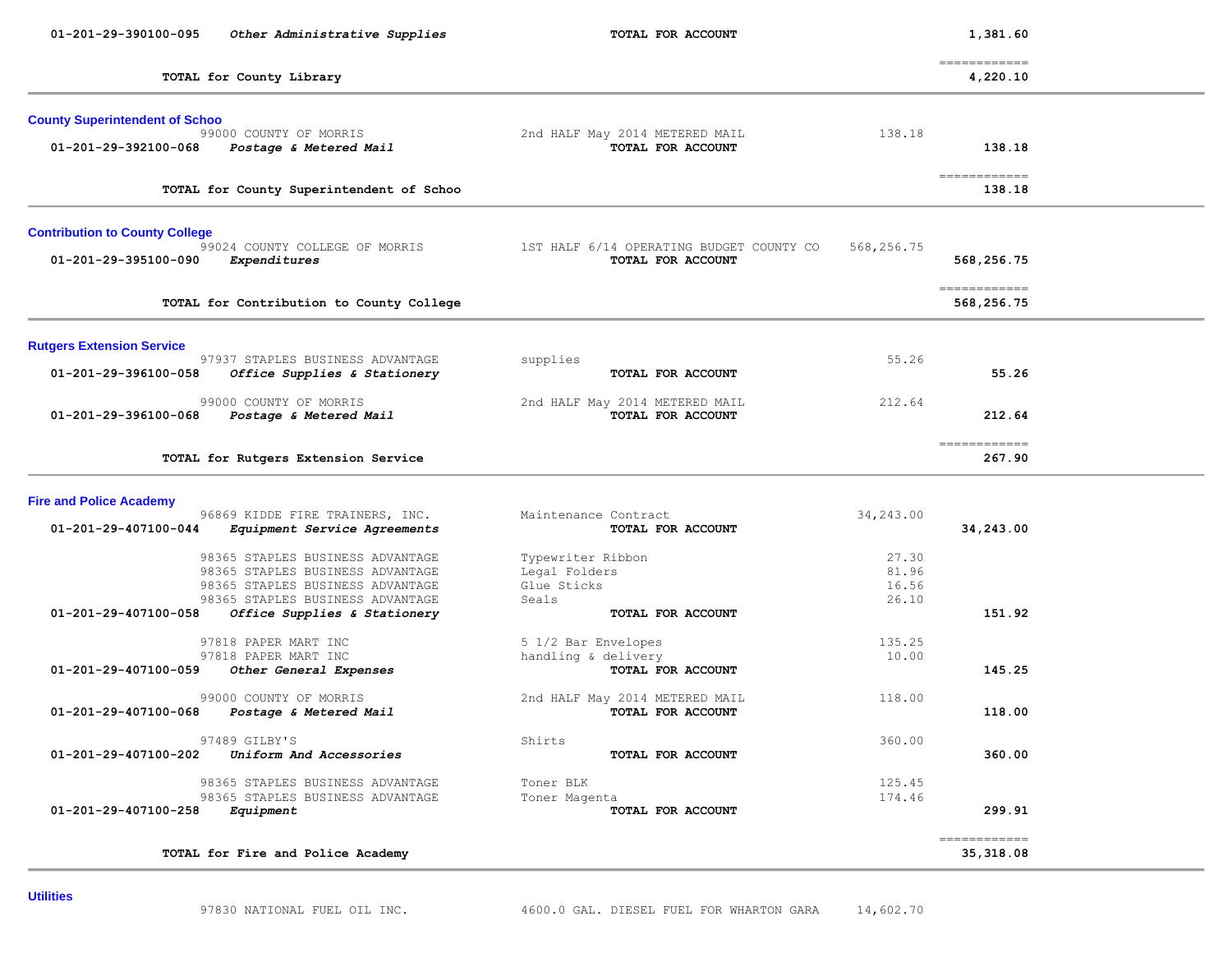| 01-201-29-390100-095                                          | Other Administrative Supplies                                                                                                                                                | TOTAL FOR ACCOUNT                                                               |                                  | 1,381.60                                                                                                                                                                                                                                                                                                                                                                                                                                                                                         |  |
|---------------------------------------------------------------|------------------------------------------------------------------------------------------------------------------------------------------------------------------------------|---------------------------------------------------------------------------------|----------------------------------|--------------------------------------------------------------------------------------------------------------------------------------------------------------------------------------------------------------------------------------------------------------------------------------------------------------------------------------------------------------------------------------------------------------------------------------------------------------------------------------------------|--|
|                                                               | TOTAL for County Library                                                                                                                                                     |                                                                                 |                                  | $=$ = = = = = = = = = = = =<br>4,220.10                                                                                                                                                                                                                                                                                                                                                                                                                                                          |  |
| <b>County Superintendent of Schoo</b><br>01-201-29-392100-068 | 99000 COUNTY OF MORRIS<br>Postage & Metered Mail                                                                                                                             | 2nd HALF May 2014 METERED MAIL<br>TOTAL FOR ACCOUNT                             | 138.18                           | 138.18                                                                                                                                                                                                                                                                                                                                                                                                                                                                                           |  |
|                                                               | TOTAL for County Superintendent of Schoo                                                                                                                                     |                                                                                 |                                  | $\begin{array}{cccccccccc} \multicolumn{2}{c}{} & \multicolumn{2}{c}{} & \multicolumn{2}{c}{} & \multicolumn{2}{c}{} & \multicolumn{2}{c}{} & \multicolumn{2}{c}{} & \multicolumn{2}{c}{} & \multicolumn{2}{c}{} & \multicolumn{2}{c}{} & \multicolumn{2}{c}{} & \multicolumn{2}{c}{} & \multicolumn{2}{c}{} & \multicolumn{2}{c}{} & \multicolumn{2}{c}{} & \multicolumn{2}{c}{} & \multicolumn{2}{c}{} & \multicolumn{2}{c}{} & \multicolumn{2}{c}{} & \multicolumn{2}{c}{} & \mult$<br>138.18 |  |
| <b>Contribution to County College</b><br>01-201-29-395100-090 | 99024 COUNTY COLLEGE OF MORRIS<br>Expenditures                                                                                                                               | 1ST HALF 6/14 OPERATING BUDGET COUNTY CO<br>TOTAL FOR ACCOUNT                   | 568,256.75                       | 568,256.75                                                                                                                                                                                                                                                                                                                                                                                                                                                                                       |  |
|                                                               | TOTAL for Contribution to County College                                                                                                                                     |                                                                                 |                                  | -------------<br>568,256.75                                                                                                                                                                                                                                                                                                                                                                                                                                                                      |  |
| <b>Rutgers Extension Service</b><br>01-201-29-396100-058      | 97937 STAPLES BUSINESS ADVANTAGE<br>Office Supplies & Stationery                                                                                                             | supplies<br>TOTAL FOR ACCOUNT                                                   | 55.26                            | 55.26                                                                                                                                                                                                                                                                                                                                                                                                                                                                                            |  |
| 01-201-29-396100-068                                          | 99000 COUNTY OF MORRIS<br>Postage & Metered Mail                                                                                                                             | 2nd HALF May 2014 METERED MAIL<br>TOTAL FOR ACCOUNT                             | 212.64                           | 212.64                                                                                                                                                                                                                                                                                                                                                                                                                                                                                           |  |
|                                                               | TOTAL for Rutgers Extension Service                                                                                                                                          |                                                                                 |                                  | $=$ = = = = = = = = = = = =<br>267.90                                                                                                                                                                                                                                                                                                                                                                                                                                                            |  |
| <b>Fire and Police Academy</b><br>01-201-29-407100-044        | 96869 KIDDE FIRE TRAINERS, INC.<br>Equipment Service Agreements                                                                                                              | Maintenance Contract<br>TOTAL FOR ACCOUNT                                       | 34,243.00                        | 34,243.00                                                                                                                                                                                                                                                                                                                                                                                                                                                                                        |  |
| 01-201-29-407100-058                                          | 98365 STAPLES BUSINESS ADVANTAGE<br>98365 STAPLES BUSINESS ADVANTAGE<br>98365 STAPLES BUSINESS ADVANTAGE<br>98365 STAPLES BUSINESS ADVANTAGE<br>Office Supplies & Stationery | Typewriter Ribbon<br>Legal Folders<br>Glue Sticks<br>Seals<br>TOTAL FOR ACCOUNT | 27.30<br>81.96<br>16.56<br>26.10 | 151.92                                                                                                                                                                                                                                                                                                                                                                                                                                                                                           |  |
| 01-201-29-407100-059                                          | 97818 PAPER MART INC<br>97818 PAPER MART INC<br>Other General Expenses                                                                                                       | 5 1/2 Bar Envelopes<br>handling & delivery<br>TOTAL FOR ACCOUNT                 | 135.25<br>10.00                  | 145.25                                                                                                                                                                                                                                                                                                                                                                                                                                                                                           |  |
| 01-201-29-407100-068                                          | 99000 COUNTY OF MORRIS<br>Postage & Metered Mail                                                                                                                             | 2nd HALF May 2014 METERED MAIL<br>TOTAL FOR ACCOUNT                             | 118.00                           | 118.00                                                                                                                                                                                                                                                                                                                                                                                                                                                                                           |  |
| 01-201-29-407100-202                                          | 97489 GILBY'S<br>Uniform And Accessories                                                                                                                                     | Shirts<br>TOTAL FOR ACCOUNT                                                     | 360.00                           | 360.00                                                                                                                                                                                                                                                                                                                                                                                                                                                                                           |  |
| 01-201-29-407100-258                                          | 98365 STAPLES BUSINESS ADVANTAGE<br>98365 STAPLES BUSINESS ADVANTAGE<br>Equipment                                                                                            | Toner BLK<br>Toner Magenta<br>TOTAL FOR ACCOUNT                                 | 125.45<br>174.46                 | 299.91                                                                                                                                                                                                                                                                                                                                                                                                                                                                                           |  |
|                                                               | TOTAL for Fire and Police Academy                                                                                                                                            |                                                                                 |                                  | -------------<br>35,318.08                                                                                                                                                                                                                                                                                                                                                                                                                                                                       |  |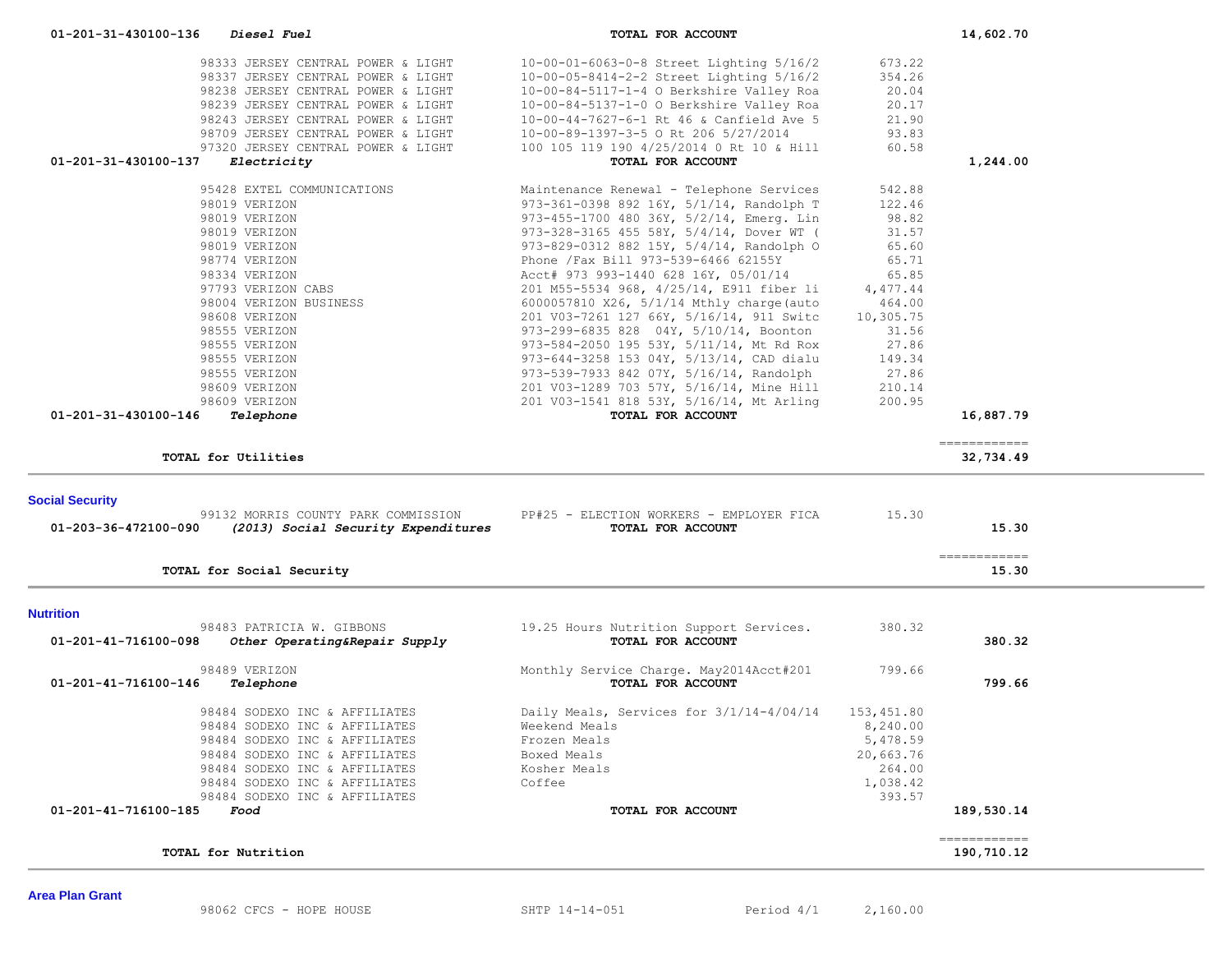|                        | Diesel Fuel                                                | TOTAL FOR ACCOUNT                                            |            | 14,602.70                   |  |
|------------------------|------------------------------------------------------------|--------------------------------------------------------------|------------|-----------------------------|--|
|                        |                                                            |                                                              |            |                             |  |
|                        | 98333 JERSEY CENTRAL POWER & LIGHT                         | 10-00-01-6063-0-8 Street Lighting 5/16/2                     | 673.22     |                             |  |
|                        | 98337 JERSEY CENTRAL POWER & LIGHT                         | 10-00-05-8414-2-2 Street Lighting 5/16/2                     | 354.26     |                             |  |
|                        | 98238 JERSEY CENTRAL POWER & LIGHT                         | 10-00-84-5117-1-4 O Berkshire Valley Roa                     | 20.04      |                             |  |
|                        | 98239 JERSEY CENTRAL POWER & LIGHT                         | 10-00-84-5137-1-0 O Berkshire Valley Roa                     | 20.17      |                             |  |
|                        | 98243 JERSEY CENTRAL POWER & LIGHT                         | 10-00-44-7627-6-1 Rt 46 & Canfield Ave 5                     | 21.90      |                             |  |
|                        | 98709 JERSEY CENTRAL POWER & LIGHT                         | 10-00-89-1397-3-5 O Rt 206 5/27/2014                         | 93.83      |                             |  |
|                        | 97320 JERSEY CENTRAL POWER & LIGHT                         | 100 105 119 190 4/25/2014 0 Rt 10 & Hill                     | 60.58      |                             |  |
| 01-201-31-430100-137   | Electricity                                                | TOTAL FOR ACCOUNT                                            |            | 1,244.00                    |  |
|                        | 95428 EXTEL COMMUNICATIONS                                 | Maintenance Renewal - Telephone Services                     | 542.88     |                             |  |
|                        | 98019 VERIZON                                              | 973-361-0398 892 16Y, 5/1/14, Randolph T                     | 122.46     |                             |  |
|                        | 98019 VERIZON                                              | 973-455-1700 480 36Y, 5/2/14, Emerg. Lin                     | 98.82      |                             |  |
|                        | 98019 VERIZON                                              | 973-328-3165 455 58Y, 5/4/14, Dover WT (                     | 31.57      |                             |  |
|                        | 98019 VERIZON                                              | 973-829-0312 882 15Y, 5/4/14, Randolph O                     | 65.60      |                             |  |
|                        | 98774 VERIZON                                              | Phone /Fax Bill 973-539-6466 62155Y                          | 65.71      |                             |  |
|                        | 98334 VERIZON                                              | Acct# 973 993-1440 628 16Y, 05/01/14                         | 65.85      |                             |  |
|                        | 97793 VERIZON CABS                                         | 201 M55-5534 968, 4/25/14, E911 fiber li                     | 4,477.44   |                             |  |
|                        | 98004 VERIZON BUSINESS                                     | 6000057810 X26, 5/1/14 Mthly charge (auto                    | 464.00     |                             |  |
|                        | 98608 VERIZON                                              | 201 V03-7261 127 66Y, 5/16/14, 911 Switc                     | 10,305.75  |                             |  |
|                        | 98555 VERIZON                                              | 973-299-6835 828 04Y, 5/10/14, Boonton                       | 31.56      |                             |  |
|                        | 98555 VERIZON                                              | 973-584-2050 195 53Y, 5/11/14, Mt Rd Rox                     | 27.86      |                             |  |
|                        | 98555 VERIZON                                              | 973-644-3258 153 04Y, 5/13/14, CAD dialu                     | 149.34     |                             |  |
|                        | 98555 VERIZON                                              | 973-539-7933 842 07Y, 5/16/14, Randolph                      | 27.86      |                             |  |
|                        | 98609 VERIZON                                              | 201 V03-1289 703 57Y, 5/16/14, Mine Hill                     | 210.14     |                             |  |
|                        | 98609 VERIZON                                              | 201 V03-1541 818 53Y, 5/16/14, Mt Arling                     | 200.95     |                             |  |
| 01-201-31-430100-146   | Telephone                                                  | TOTAL FOR ACCOUNT                                            |            | 16,887.79                   |  |
|                        |                                                            |                                                              |            |                             |  |
|                        |                                                            |                                                              |            | $=$ = = = = = = = = = = = = |  |
|                        |                                                            |                                                              |            |                             |  |
|                        | TOTAL for Utilities                                        |                                                              |            | 32,734.49                   |  |
|                        |                                                            |                                                              |            |                             |  |
| <b>Social Security</b> |                                                            |                                                              |            |                             |  |
|                        | 99132 MORRIS COUNTY PARK COMMISSION                        | PP#25 - ELECTION WORKERS - EMPLOYER FICA                     | 15.30      |                             |  |
|                        | $01-203-36-472100-090$ (2013) Social Security Expenditures | TOTAL FOR ACCOUNT                                            |            | 15.30                       |  |
|                        |                                                            |                                                              |            |                             |  |
|                        | TOTAL for Social Security                                  |                                                              |            | -------------<br>15.30      |  |
|                        |                                                            |                                                              |            |                             |  |
|                        |                                                            |                                                              |            |                             |  |
|                        |                                                            |                                                              | 380.32     |                             |  |
| 01-201-41-716100-098   | 98483 PATRICIA W. GIBBONS                                  | 19.25 Hours Nutrition Support Services.<br>TOTAL FOR ACCOUNT |            | 380.32                      |  |
| <b>Nutrition</b>       | Other Operating&Repair Supply                              |                                                              |            |                             |  |
|                        | 98489 VERIZON                                              | Monthly Service Charge. May2014Acct#201                      | 799.66     |                             |  |
| 01-201-41-716100-146   | Telephone                                                  | TOTAL FOR ACCOUNT                                            |            | 799.66                      |  |
|                        |                                                            |                                                              |            |                             |  |
|                        | 98484 SODEXO INC & AFFILIATES                              | Daily Meals, Services for 3/1/14-4/04/14                     | 153,451.80 |                             |  |
|                        | 98484 SODEXO INC & AFFILIATES                              | Weekend Meals                                                | 8,240.00   |                             |  |
|                        | 98484 SODEXO INC & AFFILIATES                              | Frozen Meals                                                 | 5,478.59   |                             |  |
|                        | 98484 SODEXO INC & AFFILIATES                              | Boxed Meals                                                  | 20,663.76  |                             |  |
|                        | 98484 SODEXO INC & AFFILIATES                              | Kosher Meals                                                 | 264.00     |                             |  |
|                        | 98484 SODEXO INC & AFFILIATES                              | Coffee                                                       | 1,038.42   |                             |  |
|                        | 98484 SODEXO INC & AFFILIATES                              |                                                              | 393.57     |                             |  |
| 01-201-41-716100-185   | Food                                                       | TOTAL FOR ACCOUNT                                            |            | 189,530.14                  |  |
|                        |                                                            |                                                              |            | ============                |  |

**Area Plan Grant**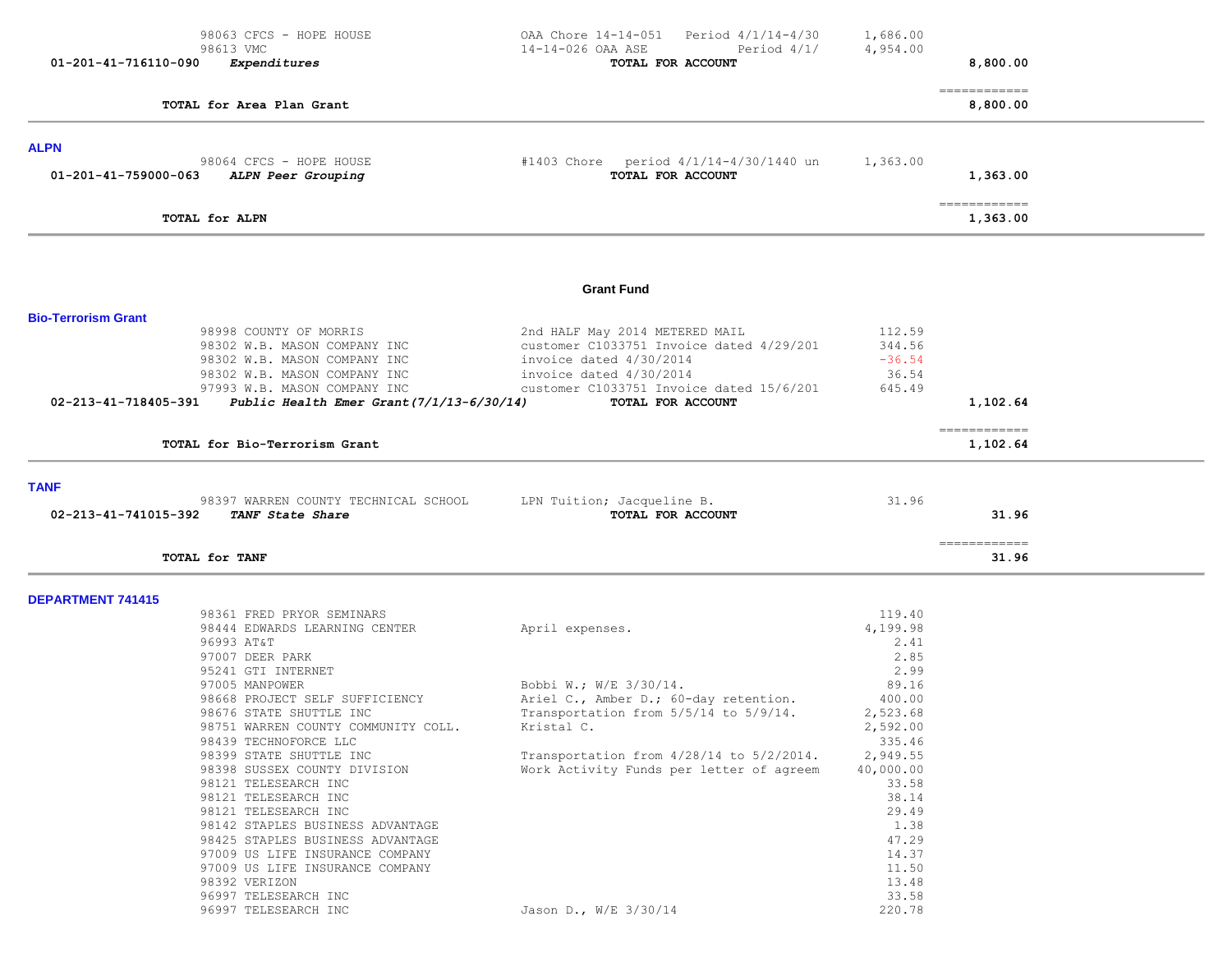| 98063 CFCS - HOPE HOUSE                                                                                                                                                                                                                                                                                                                                                                             | OAA Chore 14-14-051<br>Period 4/1/14-4/30                                                                                                                                                                                              | 1,686.00                                                                                                                                            |                           |  |
|-----------------------------------------------------------------------------------------------------------------------------------------------------------------------------------------------------------------------------------------------------------------------------------------------------------------------------------------------------------------------------------------------------|----------------------------------------------------------------------------------------------------------------------------------------------------------------------------------------------------------------------------------------|-----------------------------------------------------------------------------------------------------------------------------------------------------|---------------------------|--|
| 98613 VMC<br>01-201-41-716110-090<br>Expenditures                                                                                                                                                                                                                                                                                                                                                   | 14-14-026 OAA ASE<br>Period $4/1/$<br>TOTAL FOR ACCOUNT                                                                                                                                                                                | 4,954.00                                                                                                                                            | 8,800.00                  |  |
| TOTAL for Area Plan Grant                                                                                                                                                                                                                                                                                                                                                                           |                                                                                                                                                                                                                                        |                                                                                                                                                     | -------------<br>8,800.00 |  |
| <b>ALPN</b>                                                                                                                                                                                                                                                                                                                                                                                         |                                                                                                                                                                                                                                        |                                                                                                                                                     |                           |  |
| 98064 CFCS - HOPE HOUSE<br>01-201-41-759000-063<br>ALPN Peer Grouping                                                                                                                                                                                                                                                                                                                               | #1403 Chore period 4/1/14-4/30/1440 un<br>TOTAL FOR ACCOUNT                                                                                                                                                                            | 1,363.00                                                                                                                                            | 1,363.00                  |  |
| TOTAL for ALPN                                                                                                                                                                                                                                                                                                                                                                                      |                                                                                                                                                                                                                                        |                                                                                                                                                     | -------------<br>1,363.00 |  |
|                                                                                                                                                                                                                                                                                                                                                                                                     | <b>Grant Fund</b>                                                                                                                                                                                                                      |                                                                                                                                                     |                           |  |
|                                                                                                                                                                                                                                                                                                                                                                                                     |                                                                                                                                                                                                                                        |                                                                                                                                                     |                           |  |
| <b>Bio-Terrorism Grant</b><br>98998 COUNTY OF MORRIS<br>98302 W.B. MASON COMPANY INC<br>98302 W.B. MASON COMPANY INC<br>98302 W.B. MASON COMPANY INC<br>97993 W.B. MASON COMPANY INC<br>Public Health Emer Grant (7/1/13-6/30/14)<br>02-213-41-718405-391                                                                                                                                           | 2nd HALF May 2014 METERED MAIL<br>customer C1033751 Invoice dated 4/29/201<br>invoice dated 4/30/2014<br>invoice dated 4/30/2014<br>customer C1033751 Invoice dated 15/6/201<br>TOTAL FOR ACCOUNT                                      | 112.59<br>344.56<br>$-36.54$<br>36.54<br>645.49                                                                                                     | 1,102.64                  |  |
| TOTAL for Bio-Terrorism Grant                                                                                                                                                                                                                                                                                                                                                                       |                                                                                                                                                                                                                                        |                                                                                                                                                     | ============<br>1,102.64  |  |
| <b>TANF</b><br>98397 WARREN COUNTY TECHNICAL SCHOOL<br>02-213-41-741015-392<br>TANF State Share                                                                                                                                                                                                                                                                                                     | LPN Tuition; Jacqueline B.<br>TOTAL FOR ACCOUNT                                                                                                                                                                                        | 31.96                                                                                                                                               | 31.96                     |  |
| TOTAL for TANF                                                                                                                                                                                                                                                                                                                                                                                      |                                                                                                                                                                                                                                        |                                                                                                                                                     | -------------<br>31.96    |  |
| <b>DEPARTMENT 741415</b>                                                                                                                                                                                                                                                                                                                                                                            |                                                                                                                                                                                                                                        |                                                                                                                                                     |                           |  |
| 98361 FRED PRYOR SEMINARS<br>98444 EDWARDS LEARNING CENTER<br>96993 AT&T<br>97007 DEER PARK<br>95241 GTI INTERNET<br>97005 MANPOWER<br>98668 PROJECT SELF SUFFICIENCY<br>98676 STATE SHUTTLE INC<br>98751 WARREN COUNTY COMMUNITY COLL.<br>98439 TECHNOFORCE LLC<br>98399 STATE SHUTTLE INC<br>98398 SUSSEX COUNTY DIVISION<br>98121 TELESEARCH INC<br>98121 TELESEARCH INC<br>98121 TELESEARCH INC | April expenses.<br>Bobbi W.; W/E 3/30/14.<br>Ariel C., Amber D.; 60-day retention.<br>Transportation from 5/5/14 to 5/9/14.<br>Kristal C.<br>Transportation from $4/28/14$ to $5/2/2014$ .<br>Work Activity Funds per letter of agreem | 119.40<br>4,199.98<br>2.41<br>2.85<br>2.99<br>89.16<br>400.00<br>2,523.68<br>2,592.00<br>335.46<br>2,949.55<br>40,000.00<br>33.58<br>38.14<br>29.49 |                           |  |
| 98142 STAPLES BUSINESS ADVANTAGE<br>98425 STAPLES BUSINESS ADVANTAGE<br>97009 US LIFE INSURANCE COMPANY<br>97009 US LIFE INSURANCE COMPANY<br>98392 VERIZON<br>96997 TELESEARCH INC<br>96997 TELESEARCH INC                                                                                                                                                                                         | Jason D., W/E 3/30/14                                                                                                                                                                                                                  | 1.38<br>47.29<br>14.37<br>11.50<br>13.48<br>33.58<br>220.78                                                                                         |                           |  |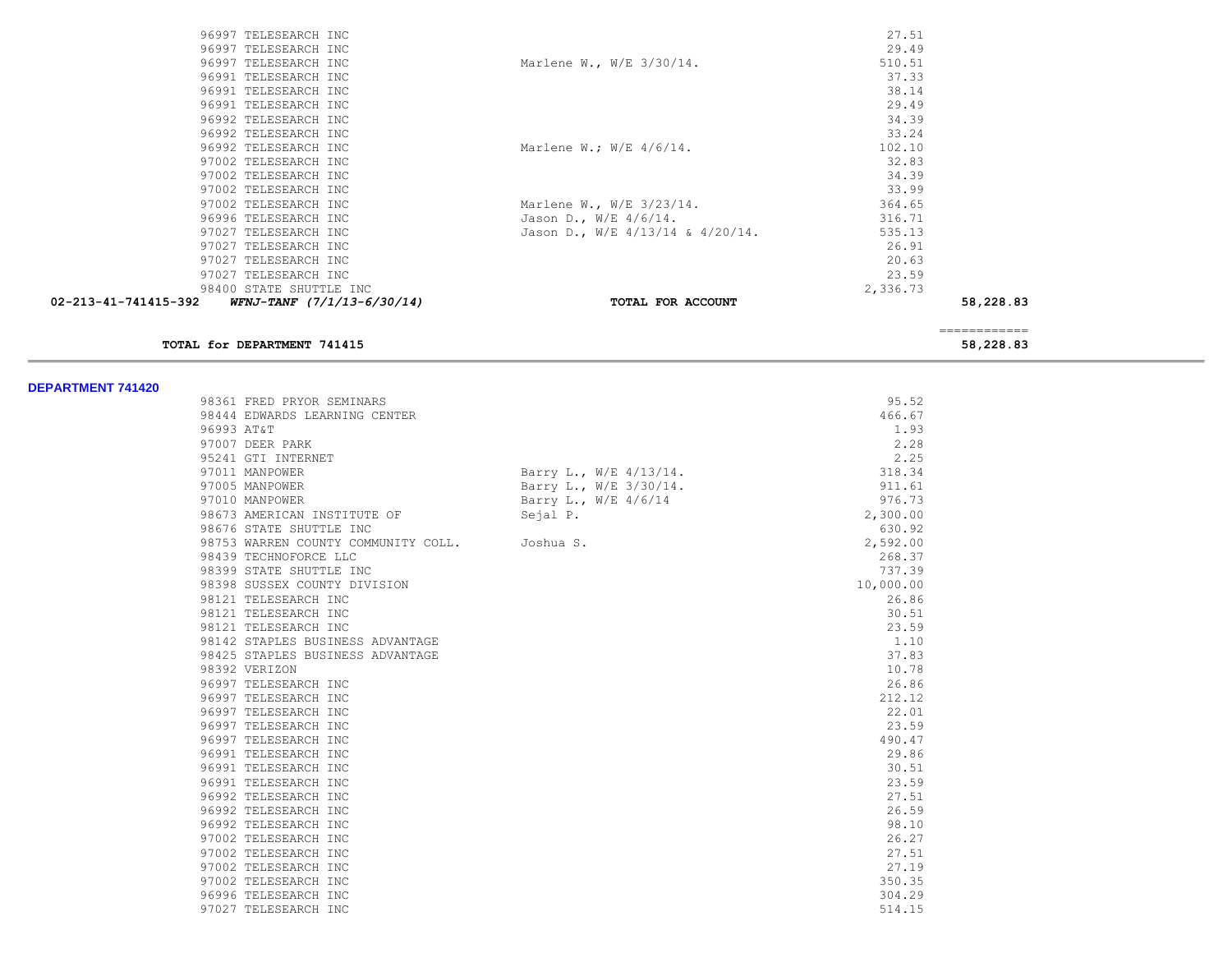| 02-213-41-741415-392<br>WFNJ-TANF (7/1/13-6/30/14) | TOTAL FOR ACCOUNT                     | 58,228.83 |
|----------------------------------------------------|---------------------------------------|-----------|
| 98400 STATE SHUTTLE INC                            |                                       | 2,336.73  |
| 97027 TELESEARCH INC                               |                                       | 23.59     |
| 97027 TELESEARCH INC                               |                                       | 20.63     |
| 97027 TELESEARCH INC                               |                                       | 26.91     |
| 97027 TELESEARCH INC                               | Jason D., W/E $4/13/14$ & $4/20/14$ . | 535.13    |
| 96996 TELESEARCH INC                               | Jason D., W/E $4/6/14$ .              | 316.71    |
| 97002 TELESEARCH INC                               | Marlene W., $W/E$ 3/23/14.            | 364.65    |
| 97002 TELESEARCH INC                               |                                       | 33.99     |
| 97002 TELESEARCH INC                               |                                       | 34.39     |
| 97002 TELESEARCH INC                               |                                       | 32.83     |
| 96992 TELESEARCH INC                               | Marlene W.; $W/E$ 4/6/14.             | 102.10    |
| 96992 TELESEARCH INC                               |                                       | 33.24     |
| 96992 TELESEARCH INC                               |                                       | 34.39     |
| 96991 TELESEARCH INC                               |                                       | 29.49     |
| 96991 TELESEARCH INC                               |                                       | 38.14     |
| 96991 TELESEARCH INC                               |                                       | 37.33     |
| 96997 TELESEARCH INC                               | Marlene W., W/E 3/30/14.              | 510.51    |
| 96997 TELESEARCH INC                               |                                       | 29.49     |
| 96997 TELESEARCH INC                               |                                       | 27.51     |

#### **TOTAL for DEPARTMENT 741415 58,228.83**

============

| 98361 FRED PRYOR SEMINARS           |                        | 95.52     |
|-------------------------------------|------------------------|-----------|
| 98444 EDWARDS LEARNING CENTER       |                        | 466.67    |
| 96993 AT&T                          |                        | 1.93      |
| 97007 DEER PARK                     |                        | 2.28      |
| 95241 GTI INTERNET                  |                        | 2.25      |
| 97011 MANPOWER                      | Barry L., W/E 4/13/14. | 318.34    |
| 97005 MANPOWER                      | Barry L., W/E 3/30/14. | 911.61    |
| 97010 MANPOWER                      | Barry L., W/E 4/6/14   | 976.73    |
| 98673 AMERICAN INSTITUTE OF         | Sejal P.               | 2,300.00  |
| 98676 STATE SHUTTLE INC             |                        | 630.92    |
| 98753 WARREN COUNTY COMMUNITY COLL. | Joshua S.              | 2,592.00  |
| 98439 TECHNOFORCE LLC               |                        | 268.37    |
| 98399 STATE SHUTTLE INC             |                        | 737.39    |
| 98398 SUSSEX COUNTY DIVISION        |                        | 10,000.00 |
| 98121 TELESEARCH INC                |                        | 26.86     |
| 98121 TELESEARCH INC                |                        | 30.51     |
| 98121 TELESEARCH INC                |                        | 23.59     |
| 98142 STAPLES BUSINESS ADVANTAGE    |                        | 1.10      |
| 98425 STAPLES BUSINESS ADVANTAGE    |                        | 37.83     |
| 98392 VERIZON                       |                        | 10.78     |
| 96997 TELESEARCH INC                |                        | 26.86     |
| 96997 TELESEARCH INC                |                        | 212.12    |
| 96997 TELESEARCH INC                |                        | 22.01     |
| 96997 TELESEARCH INC                |                        | 23.59     |
| 96997 TELESEARCH INC                |                        | 490.47    |
| 96991 TELESEARCH INC                |                        | 29.86     |
| 96991 TELESEARCH INC                |                        | 30.51     |
| 96991 TELESEARCH INC                |                        | 23.59     |
| 96992 TELESEARCH INC                |                        | 27.51     |
| 96992 TELESEARCH INC                |                        | 26.59     |
| 96992 TELESEARCH INC                |                        | 98.10     |
| 97002 TELESEARCH INC                |                        | 26.27     |
| 97002 TELESEARCH INC                |                        | 27.51     |
| 97002 TELESEARCH INC                |                        | 27.19     |
| 97002 TELESEARCH INC                |                        | 350.35    |
| 96996 TELESEARCH INC                |                        | 304.29    |
| 97027 TELESEARCH INC                |                        | 514.15    |
|                                     |                        |           |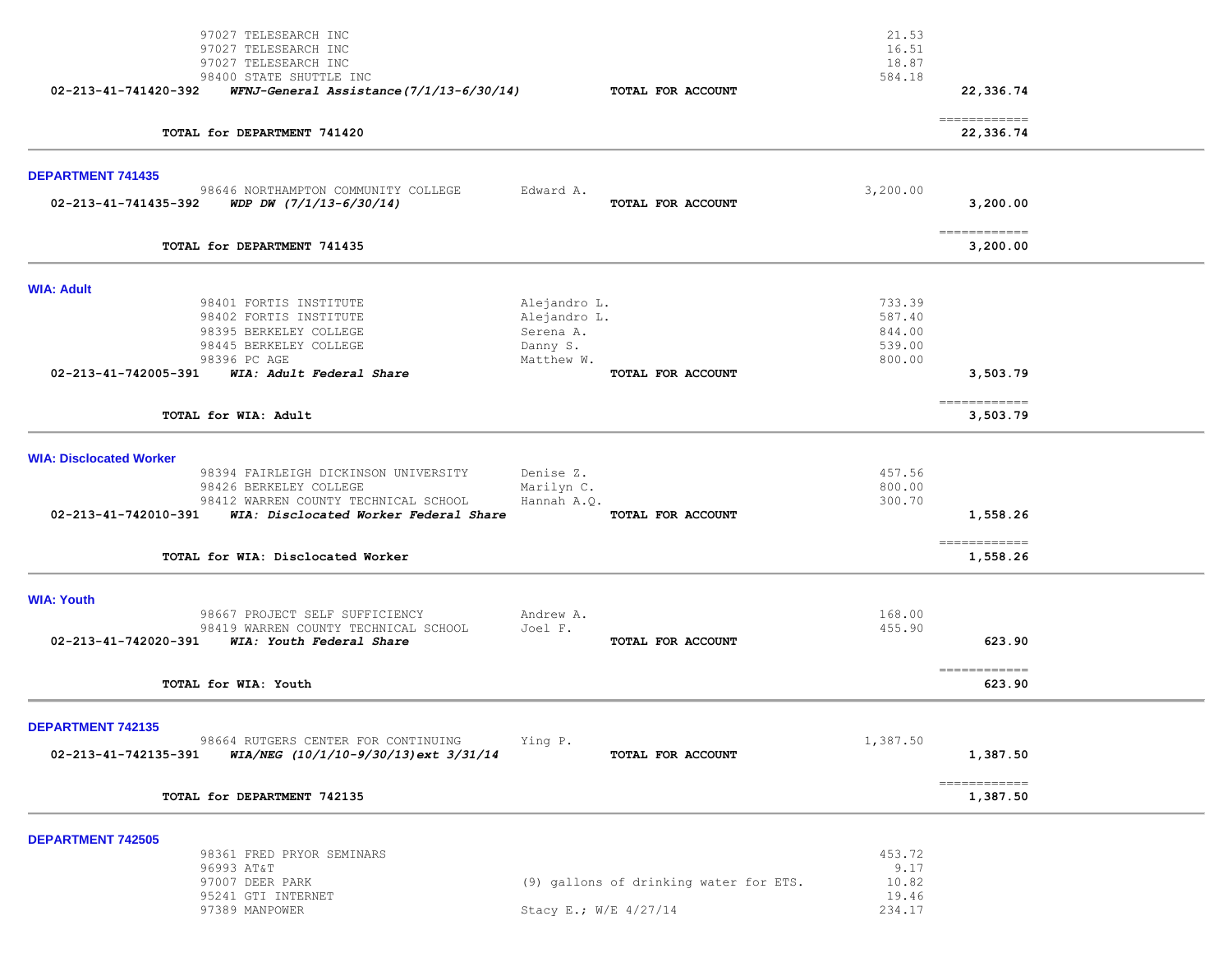|                                | 97027 TELESEARCH INC<br>97027 TELESEARCH INC<br>97027 TELESEARCH INC               |                              |                                        | 21.53<br>16.51<br>18.87 |                            |  |
|--------------------------------|------------------------------------------------------------------------------------|------------------------------|----------------------------------------|-------------------------|----------------------------|--|
| 02-213-41-741420-392           | 98400 STATE SHUTTLE INC<br>WFNJ-General Assistance (7/1/13-6/30/14)                |                              | TOTAL FOR ACCOUNT                      | 584.18                  | 22,336.74                  |  |
|                                | TOTAL for DEPARTMENT 741420                                                        |                              |                                        |                         | -------------<br>22,336.74 |  |
| <b>DEPARTMENT 741435</b>       |                                                                                    |                              |                                        |                         |                            |  |
| 02-213-41-741435-392           | 98646 NORTHAMPTON COMMUNITY COLLEGE<br>WDP DW $(7/1/13-6/30/14)$                   | Edward A.                    | TOTAL FOR ACCOUNT                      | 3,200.00                | 3,200.00                   |  |
|                                | TOTAL for DEPARTMENT 741435                                                        |                              |                                        |                         | -------------<br>3,200.00  |  |
| <b>WIA: Adult</b>              |                                                                                    |                              |                                        |                         |                            |  |
|                                | 98401 FORTIS INSTITUTE<br>98402 FORTIS INSTITUTE                                   | Alejandro L.<br>Alejandro L. |                                        | 733.39<br>587.40        |                            |  |
|                                | 98395 BERKELEY COLLEGE                                                             | Serena A.                    |                                        | 844.00                  |                            |  |
|                                | 98445 BERKELEY COLLEGE                                                             | Danny S.                     |                                        | 539.00                  |                            |  |
|                                | 98396 PC AGE                                                                       | Matthew W.                   |                                        | 800.00                  |                            |  |
| 02-213-41-742005-391           | WIA: Adult Federal Share                                                           |                              | TOTAL FOR ACCOUNT                      |                         | 3,503.79                   |  |
|                                | TOTAL for WIA: Adult                                                               |                              |                                        |                         | -------------<br>3,503.79  |  |
| <b>WIA: Disclocated Worker</b> |                                                                                    |                              |                                        |                         |                            |  |
|                                | 98394 FAIRLEIGH DICKINSON UNIVERSITY<br>98426 BERKELEY COLLEGE                     | Denise Z.                    |                                        | 457.56<br>800.00        |                            |  |
|                                | 98412 WARREN COUNTY TECHNICAL SCHOOL                                               | Marilyn C.<br>Hannah A.O.    |                                        | 300.70                  |                            |  |
| 02-213-41-742010-391           | WIA: Disclocated Worker Federal Share                                              |                              | TOTAL FOR ACCOUNT                      |                         | 1,558.26                   |  |
|                                | TOTAL for WIA: Disclocated Worker                                                  |                              |                                        |                         | ============<br>1,558.26   |  |
| <b>WIA: Youth</b>              |                                                                                    |                              |                                        |                         |                            |  |
|                                | 98667 PROJECT SELF SUFFICIENCY                                                     | Andrew A.                    |                                        | 168.00                  |                            |  |
| 02-213-41-742020-391           | 98419 WARREN COUNTY TECHNICAL SCHOOL<br>WIA: Youth Federal Share                   | Joel F.                      | TOTAL FOR ACCOUNT                      | 455.90                  | 623.90                     |  |
|                                | TOTAL for WIA: Youth                                                               |                              |                                        |                         | ------------<br>623.90     |  |
| DEPARTMENT 742135              |                                                                                    |                              |                                        |                         |                            |  |
| 02-213-41-742135-391           | 98664 RUTGERS CENTER FOR CONTINUING<br>$WIA/NEG$ $(10/1/10-9/30/13)$ ext $3/31/14$ | Ying P.                      | TOTAL FOR ACCOUNT                      | 1,387.50                | 1,387.50                   |  |
|                                | TOTAL for DEPARTMENT 742135                                                        |                              |                                        |                         | ============<br>1,387.50   |  |
|                                |                                                                                    |                              |                                        |                         |                            |  |
| <b>DEPARTMENT 742505</b>       | 98361 FRED PRYOR SEMINARS                                                          |                              |                                        | 453.72                  |                            |  |
|                                | 96993 AT&T                                                                         |                              |                                        | 9.17                    |                            |  |
|                                | 97007 DEER PARK                                                                    |                              | (9) gallons of drinking water for ETS. | 10.82                   |                            |  |
|                                | 95241 GTI INTERNET                                                                 |                              |                                        | 19.46                   |                            |  |
|                                | 97389 MANPOWER                                                                     | Stacy E.; W/E 4/27/14        |                                        | 234.17                  |                            |  |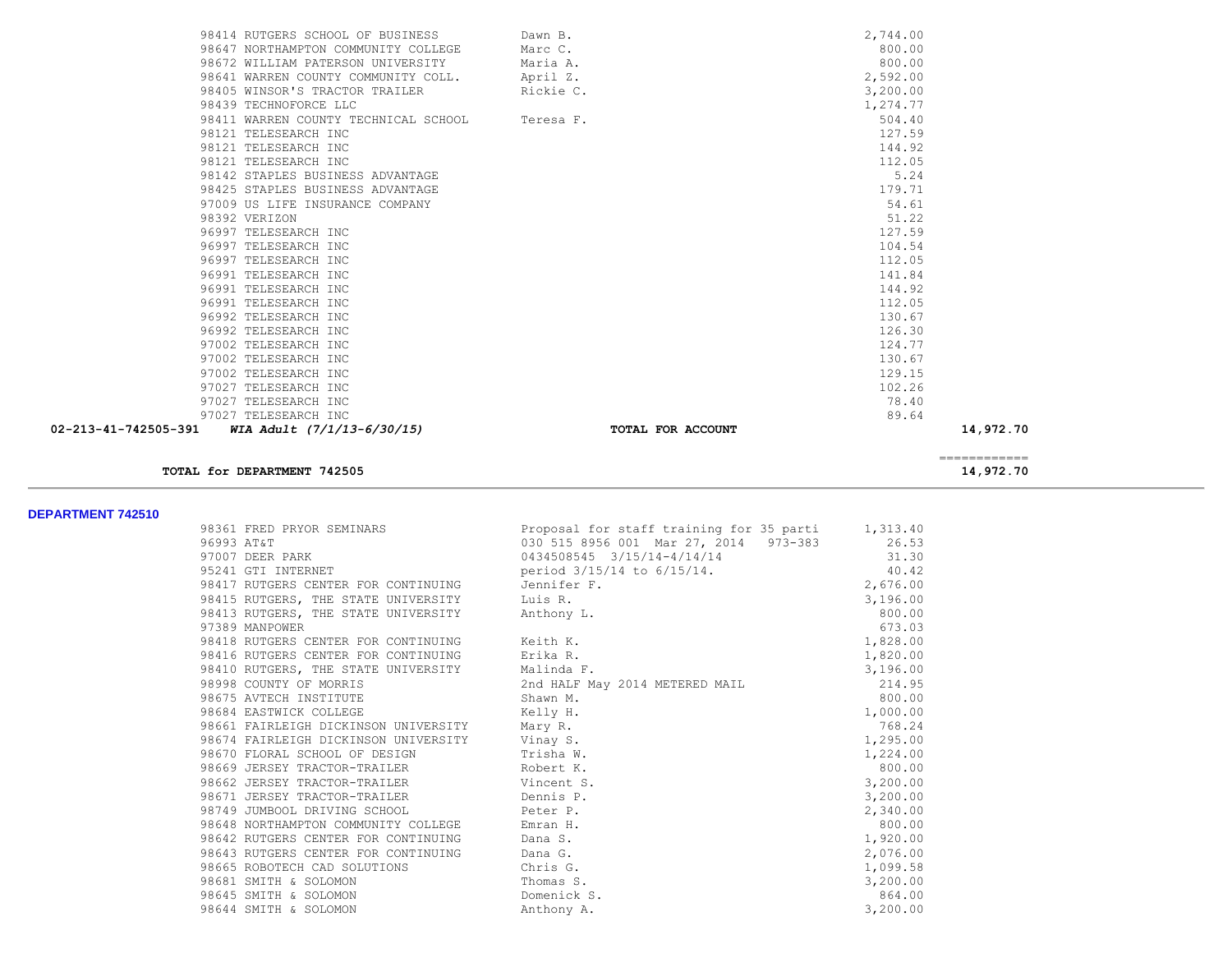| TOTAL for DEPARTMENT 742505                                                |                   | 14,972.70          |
|----------------------------------------------------------------------------|-------------------|--------------------|
|                                                                            |                   | ------------       |
| 97027 TELESEARCH INC<br>02-213-41-742505-391<br>WIA Adult (7/1/13-6/30/15) | TOTAL FOR ACCOUNT | 89.64<br>14,972.70 |
| 97027 TELESEARCH INC                                                       |                   | 78.40              |
| 97027 TELESEARCH INC                                                       |                   | 102.26             |
| 97002 TELESEARCH INC                                                       |                   | 129.15             |
| 97002 TELESEARCH INC                                                       |                   | 130.67             |
| 97002 TELESEARCH INC                                                       |                   | 124.77             |
| 96992 TELESEARCH INC                                                       |                   | 126.30             |
| 96992 TELESEARCH INC                                                       |                   | 130.67             |
| 96991 TELESEARCH INC                                                       |                   | 112.05             |
| 96991 TELESEARCH INC                                                       |                   | 144.92             |
| 96991 TELESEARCH INC                                                       |                   | 141.84             |
| 96997 TELESEARCH INC                                                       |                   | 112.05             |
| 96997 TELESEARCH INC                                                       |                   | 104.54             |
| 96997 TELESEARCH INC                                                       |                   | 127.59             |
| 98392 VERIZON                                                              |                   | 51.22              |
| 97009 US LIFE INSURANCE COMPANY                                            |                   | 54.61              |
| 98425 STAPLES BUSINESS ADVANTAGE                                           |                   | 179.71             |
| 98142 STAPLES BUSINESS ADVANTAGE                                           |                   | 5.24               |
| 98121 TELESEARCH INC                                                       |                   | 112.05             |
| 98121 TELESEARCH INC                                                       |                   | 144.92             |
| 98121 TELESEARCH INC                                                       |                   | 127.59             |
| 98411 WARREN COUNTY TECHNICAL SCHOOL                                       | Teresa F.         | 504.40             |
| 98439 TECHNOFORCE LLC                                                      |                   | 1,274.77           |
| 98405 WINSOR'S TRACTOR TRAILER                                             | Rickie C.         | 3,200.00           |
| 98641 WARREN COUNTY COMMUNITY COLL.                                        | April Z.          | 2,592.00           |
| 98672 WILLIAM PATERSON UNIVERSITY                                          | Maria A.          | 800.00             |
| 98647 NORTHAMPTON COMMUNITY COLLEGE                                        | Marc C.           | 800.00             |
| 98414 RUTGERS SCHOOL OF BUSINESS                                           | Dawn B.           | 2,744.00           |

| DEPARTMENT 742510 |                                                 |                                                                             |          |
|-------------------|-------------------------------------------------|-----------------------------------------------------------------------------|----------|
|                   |                                                 | 98361 FRED PRYOR SEMINARS Proposal for staff training for 35 parti 1,313.40 |          |
|                   | 96993 AT&T                                      | 030 515 8956 001 Mar 27, 2014 973-383 26.53                                 |          |
|                   | 97007 DEER PARK                                 | 0434508545 3/15/14-4/14/14                                                  | 31.30    |
|                   |                                                 | 95241 GTI INTERNET $period 3/15/14$ to $6/15/14$ .                          | 40.42    |
|                   | 98417 RUTGERS CENTER FOR CONTINUING Jennifer F. |                                                                             | 2,676.00 |
|                   | 98415 RUTGERS, THE STATE UNIVERSITY Luis R.     |                                                                             | 3,196.00 |
|                   | 98413 RUTGERS, THE STATE UNIVERSITY Anthony L.  |                                                                             | 800.00   |
|                   | 97389 MANPOWER                                  |                                                                             | 673.03   |
|                   | 98418 RUTGERS CENTER FOR CONTINUING Keith K.    |                                                                             | 1,828.00 |
|                   | 98416 RUTGERS CENTER FOR CONTINUING Erika R.    |                                                                             | 1,820.00 |
|                   | 98410 RUTGERS, THE STATE UNIVERSITY Malinda F.  |                                                                             | 3,196.00 |
|                   | 98998 COUNTY OF MORRIS                          | 2nd HALF May 2014 METERED MAIL 214.95                                       |          |
|                   | 98675 AVTECH INSTITUTE                          | Shawn M.                                                                    | 800.00   |
|                   | Kelly H.<br>98684 EASTWICK COLLEGE              |                                                                             | 1,000.00 |
|                   | 98661 FAIRLEIGH DICKINSON UNIVERSITY Mary R.    |                                                                             | 768.24   |
|                   | 98674 FAIRLEIGH DICKINSON UNIVERSITY Vinay S.   |                                                                             | 1,295.00 |
|                   | 98670 FLORAL SCHOOL OF DESIGN Trisha W.         |                                                                             | 1,224.00 |
|                   | 98669 JERSEY TRACTOR-TRAILER Robert K.          |                                                                             | 800.00   |
|                   | 98662 JERSEY TRACTOR-TRAILER Vincent S.         |                                                                             | 3,200.00 |
|                   | 98671 JERSEY TRACTOR-TRAILER Dennis P.          |                                                                             | 3,200.00 |
|                   | 98749 JUMBOOL DRIVING SCHOOL CHOOL Peter P.     |                                                                             | 2,340.00 |
|                   | 98648 NORTHAMPTON COMMUNITY COLLEGE Emran H.    |                                                                             | 800.00   |
|                   | 98642 RUTGERS CENTER FOR CONTINUING Dana S.     |                                                                             | 1,920.00 |
|                   | 98643 RUTGERS CENTER FOR CONTINUING Dana G.     |                                                                             | 2,076.00 |
|                   | 98665 ROBOTECH CAD SOLUTIONS Chris G.           |                                                                             | 1,099.58 |
|                   | 98681 SMITH & SOLOMON                           | Thomas S.                                                                   | 3,200.00 |
|                   | 98645 SMITH & SOLOMON                           | Domenick S.                                                                 | 864.00   |
|                   | 98644 SMITH & SOLOMON                           | Anthony A.                                                                  | 3,200.00 |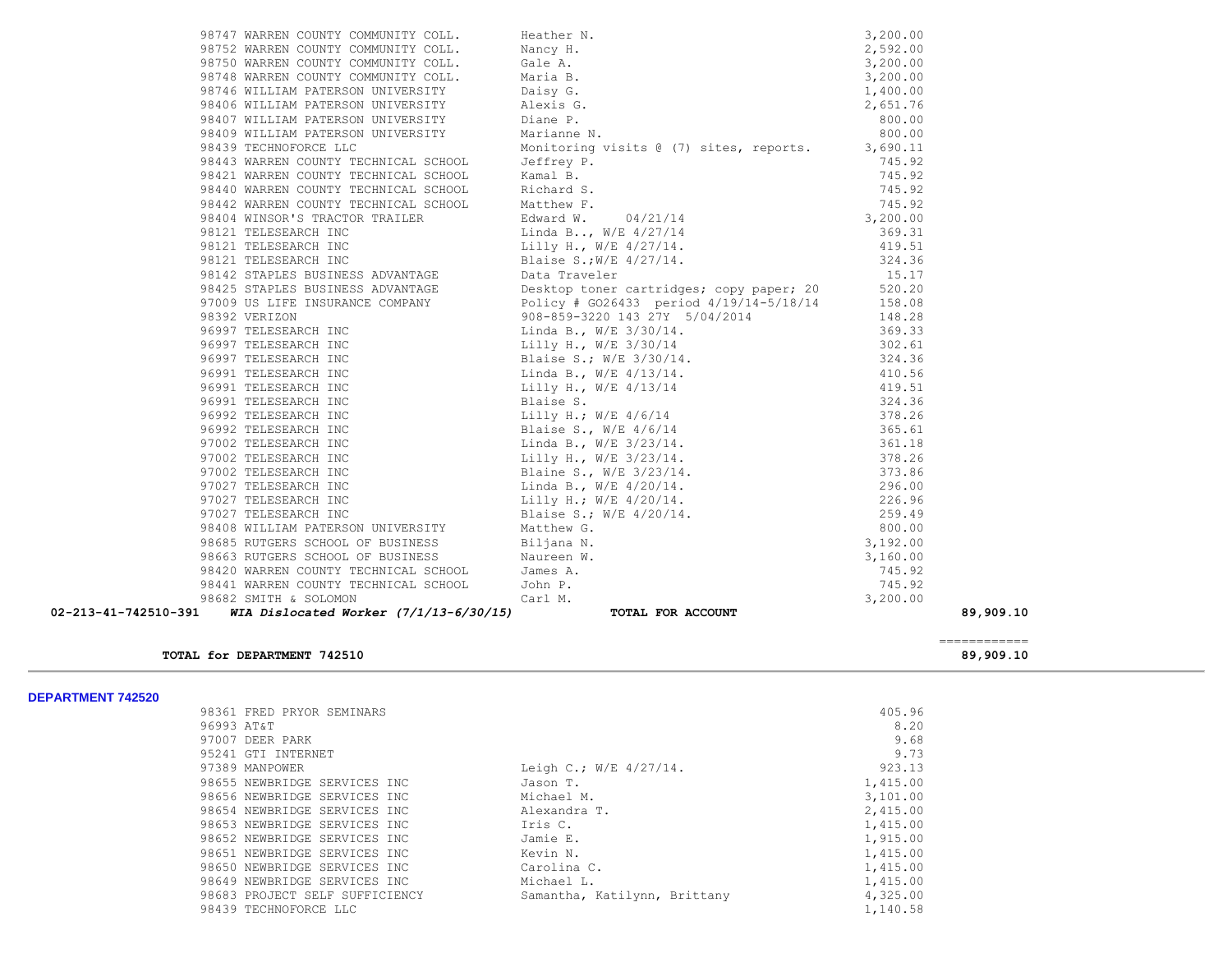| 02-213-41-742510-391 |                                                                                                                                                                                                                                       | 89,909.10 |
|----------------------|---------------------------------------------------------------------------------------------------------------------------------------------------------------------------------------------------------------------------------------|-----------|
|                      |                                                                                                                                                                                                                                       |           |
|                      |                                                                                                                                                                                                                                       |           |
|                      |                                                                                                                                                                                                                                       |           |
|                      |                                                                                                                                                                                                                                       |           |
|                      |                                                                                                                                                                                                                                       |           |
|                      |                                                                                                                                                                                                                                       |           |
|                      |                                                                                                                                                                                                                                       |           |
|                      |                                                                                                                                                                                                                                       |           |
|                      |                                                                                                                                                                                                                                       |           |
|                      | 96777 WARREN CONNITY COMINITY COLL. Heather 8.<br>96775 WARREN COMINITY COMINITY (2011, Heather 8.<br>96775 WARREN CONTROLL (2014 ARTS) 4.600,000<br>96766 WARREN CONTROLL (2014 ARTS) 2.592.000<br>96766 WARREN ULLIMA FATERDON UNIV |           |
|                      |                                                                                                                                                                                                                                       |           |
|                      |                                                                                                                                                                                                                                       |           |
|                      |                                                                                                                                                                                                                                       |           |
|                      |                                                                                                                                                                                                                                       |           |
|                      |                                                                                                                                                                                                                                       |           |
|                      |                                                                                                                                                                                                                                       |           |
|                      |                                                                                                                                                                                                                                       |           |
|                      |                                                                                                                                                                                                                                       |           |
|                      |                                                                                                                                                                                                                                       |           |
|                      |                                                                                                                                                                                                                                       |           |
|                      |                                                                                                                                                                                                                                       |           |
|                      |                                                                                                                                                                                                                                       |           |
|                      |                                                                                                                                                                                                                                       |           |
|                      |                                                                                                                                                                                                                                       |           |
|                      |                                                                                                                                                                                                                                       |           |
|                      |                                                                                                                                                                                                                                       |           |
|                      |                                                                                                                                                                                                                                       |           |
|                      |                                                                                                                                                                                                                                       |           |
|                      |                                                                                                                                                                                                                                       |           |
|                      |                                                                                                                                                                                                                                       |           |
|                      |                                                                                                                                                                                                                                       |           |
|                      |                                                                                                                                                                                                                                       |           |
|                      |                                                                                                                                                                                                                                       |           |
|                      |                                                                                                                                                                                                                                       |           |
|                      |                                                                                                                                                                                                                                       |           |
|                      |                                                                                                                                                                                                                                       |           |
|                      |                                                                                                                                                                                                                                       |           |
|                      |                                                                                                                                                                                                                                       |           |
|                      |                                                                                                                                                                                                                                       |           |
|                      |                                                                                                                                                                                                                                       |           |
|                      |                                                                                                                                                                                                                                       |           |
|                      |                                                                                                                                                                                                                                       |           |

#### ============ **TOTAL for DEPARTMENT 742510 89,909.10**

| 405.96   |
|----------|
| 8.20     |
| 9.68     |
| 9.73     |
| 923.13   |
| 1,415.00 |
| 3,101.00 |
| 2,415.00 |
| 1,415.00 |
| 1,915.00 |
| 1,415.00 |
| 1,415.00 |
| 1,415.00 |
| 4,325.00 |
| 1,140.58 |
|          |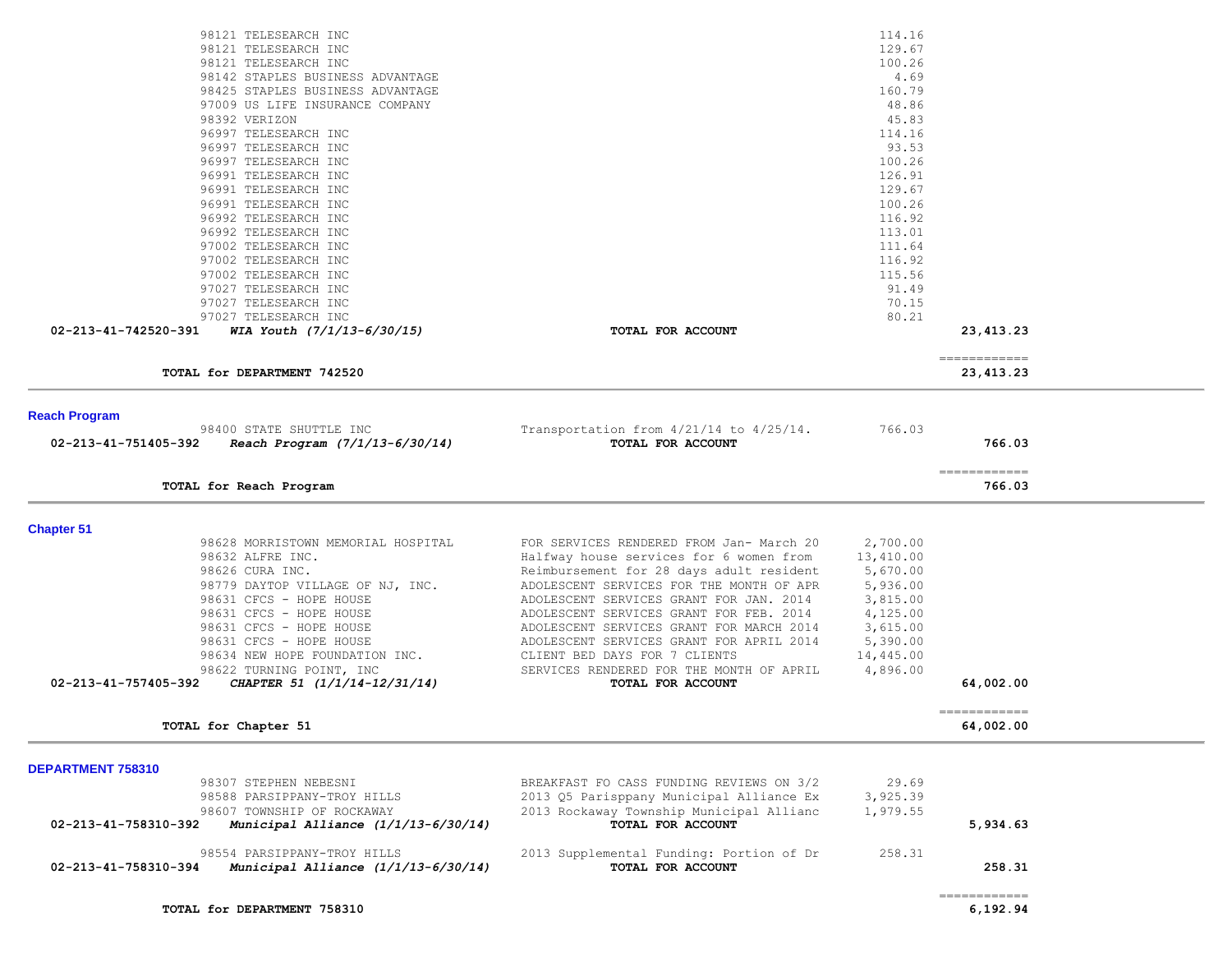| 98121 TELESEARCH INC<br>98121 TELESEARCH INC<br>98121 TELESEARCH INC<br>98142 STAPLES BUSINESS ADVANTAGE<br>98425 STAPLES BUSINESS ADVANTAGE<br>97009 US LIFE INSURANCE COMPANY<br>98392 VERIZON<br>96997 TELESEARCH INC<br>96997 TELESEARCH INC<br>96997 TELESEARCH INC<br>96991 TELESEARCH INC<br>96991 TELESEARCH INC<br>96991 TELESEARCH INC<br>96992 TELESEARCH INC<br>96992 TELESEARCH INC<br>97002 TELESEARCH INC<br>97002 TELESEARCH INC |                                                                                      | 114.16<br>129.67<br>100.26<br>4.69<br>160.79<br>48.86<br>45.83<br>114.16<br>93.53<br>100.26<br>126.91<br>129.67<br>100.26<br>116.92<br>113.01<br>111.64<br>116.92 |                           |  |
|--------------------------------------------------------------------------------------------------------------------------------------------------------------------------------------------------------------------------------------------------------------------------------------------------------------------------------------------------------------------------------------------------------------------------------------------------|--------------------------------------------------------------------------------------|-------------------------------------------------------------------------------------------------------------------------------------------------------------------|---------------------------|--|
| 97002 TELESEARCH INC                                                                                                                                                                                                                                                                                                                                                                                                                             |                                                                                      | 115.56                                                                                                                                                            |                           |  |
| 97027 TELESEARCH INC<br>97027 TELESEARCH INC                                                                                                                                                                                                                                                                                                                                                                                                     |                                                                                      | 91.49<br>70.15                                                                                                                                                    |                           |  |
| 97027 TELESEARCH INC                                                                                                                                                                                                                                                                                                                                                                                                                             |                                                                                      | 80.21                                                                                                                                                             |                           |  |
| 02-213-41-742520-391<br>WIA Youth $(7/1/13-6/30/15)$                                                                                                                                                                                                                                                                                                                                                                                             | TOTAL FOR ACCOUNT                                                                    |                                                                                                                                                                   | 23, 413. 23               |  |
|                                                                                                                                                                                                                                                                                                                                                                                                                                                  |                                                                                      |                                                                                                                                                                   | ------------              |  |
| TOTAL for DEPARTMENT 742520                                                                                                                                                                                                                                                                                                                                                                                                                      |                                                                                      |                                                                                                                                                                   | 23,413.23                 |  |
| <b>Reach Program</b>                                                                                                                                                                                                                                                                                                                                                                                                                             |                                                                                      |                                                                                                                                                                   |                           |  |
| 98400 STATE SHUTTLE INC                                                                                                                                                                                                                                                                                                                                                                                                                          | Transportation from $4/21/14$ to $4/25/14$ .                                         | 766.03                                                                                                                                                            |                           |  |
| Reach Program (7/1/13-6/30/14)<br>02-213-41-751405-392                                                                                                                                                                                                                                                                                                                                                                                           | TOTAL FOR ACCOUNT                                                                    |                                                                                                                                                                   | 766.03                    |  |
| TOTAL for Reach Program                                                                                                                                                                                                                                                                                                                                                                                                                          |                                                                                      |                                                                                                                                                                   | -------------<br>766.03   |  |
|                                                                                                                                                                                                                                                                                                                                                                                                                                                  |                                                                                      |                                                                                                                                                                   |                           |  |
| <b>Chapter 51</b>                                                                                                                                                                                                                                                                                                                                                                                                                                |                                                                                      |                                                                                                                                                                   |                           |  |
| 98628 MORRISTOWN MEMORIAL HOSPITAL                                                                                                                                                                                                                                                                                                                                                                                                               | FOR SERVICES RENDERED FROM Jan- March 20                                             | 2,700.00                                                                                                                                                          |                           |  |
| 98632 ALFRE INC.<br>98626 CURA INC.                                                                                                                                                                                                                                                                                                                                                                                                              | Halfway house services for 6 women from<br>Reimbursement for 28 days adult resident  | 13,410.00<br>5,670.00                                                                                                                                             |                           |  |
| 98779 DAYTOP VILLAGE OF NJ, INC.                                                                                                                                                                                                                                                                                                                                                                                                                 | ADOLESCENT SERVICES FOR THE MONTH OF APR                                             | 5,936.00                                                                                                                                                          |                           |  |
| 98631 CFCS - HOPE HOUSE                                                                                                                                                                                                                                                                                                                                                                                                                          | ADOLESCENT SERVICES GRANT FOR JAN. 2014                                              | 3,815.00                                                                                                                                                          |                           |  |
| 98631 CFCS - HOPE HOUSE                                                                                                                                                                                                                                                                                                                                                                                                                          | ADOLESCENT SERVICES GRANT FOR FEB. 2014                                              | 4,125.00                                                                                                                                                          |                           |  |
| 98631 CFCS - HOPE HOUSE                                                                                                                                                                                                                                                                                                                                                                                                                          | ADOLESCENT SERVICES GRANT FOR MARCH 2014                                             | 3,615.00                                                                                                                                                          |                           |  |
| 98631 CFCS - HOPE HOUSE                                                                                                                                                                                                                                                                                                                                                                                                                          | ADOLESCENT SERVICES GRANT FOR APRIL 2014                                             | 5,390.00                                                                                                                                                          |                           |  |
| 98634 NEW HOPE FOUNDATION INC.                                                                                                                                                                                                                                                                                                                                                                                                                   | CLIENT BED DAYS FOR 7 CLIENTS                                                        | 14,445.00                                                                                                                                                         |                           |  |
| 98622 TURNING POINT, INC<br>02-213-41-757405-392<br>CHAPTER 51 (1/1/14-12/31/14)                                                                                                                                                                                                                                                                                                                                                                 | SERVICES RENDERED FOR THE MONTH OF APRIL<br>TOTAL FOR ACCOUNT                        | 4,896.00                                                                                                                                                          | 64,002.00                 |  |
|                                                                                                                                                                                                                                                                                                                                                                                                                                                  |                                                                                      |                                                                                                                                                                   |                           |  |
| TOTAL for Chapter 51                                                                                                                                                                                                                                                                                                                                                                                                                             |                                                                                      |                                                                                                                                                                   | ------------<br>64,002.00 |  |
|                                                                                                                                                                                                                                                                                                                                                                                                                                                  |                                                                                      |                                                                                                                                                                   |                           |  |
| DEPARTMENT 758310                                                                                                                                                                                                                                                                                                                                                                                                                                |                                                                                      | 29.69                                                                                                                                                             |                           |  |
| 98307 STEPHEN NEBESNI<br>98588 PARSIPPANY-TROY HILLS                                                                                                                                                                                                                                                                                                                                                                                             | BREAKFAST FO CASS FUNDING REVIEWS ON 3/2<br>2013 Q5 Parisppany Municipal Alliance Ex | 3,925.39                                                                                                                                                          |                           |  |
| 98607 TOWNSHIP OF ROCKAWAY                                                                                                                                                                                                                                                                                                                                                                                                                       | 2013 Rockaway Township Municipal Allianc                                             | 1,979.55                                                                                                                                                          |                           |  |
| 02-213-41-758310-392<br>Municipal Alliance $(1/1/13-6/30/14)$                                                                                                                                                                                                                                                                                                                                                                                    | TOTAL FOR ACCOUNT                                                                    |                                                                                                                                                                   | 5,934.63                  |  |
| 98554 PARSIPPANY-TROY HILLS                                                                                                                                                                                                                                                                                                                                                                                                                      | 2013 Supplemental Funding: Portion of Dr                                             | 258.31                                                                                                                                                            |                           |  |
| 02-213-41-758310-394<br>Municipal Alliance $(1/1/13-6/30/14)$                                                                                                                                                                                                                                                                                                                                                                                    | TOTAL FOR ACCOUNT                                                                    |                                                                                                                                                                   | 258.31                    |  |
|                                                                                                                                                                                                                                                                                                                                                                                                                                                  |                                                                                      |                                                                                                                                                                   | ------------              |  |
| TOTAL for DEPARTMENT 758310                                                                                                                                                                                                                                                                                                                                                                                                                      |                                                                                      |                                                                                                                                                                   | 6,192.94                  |  |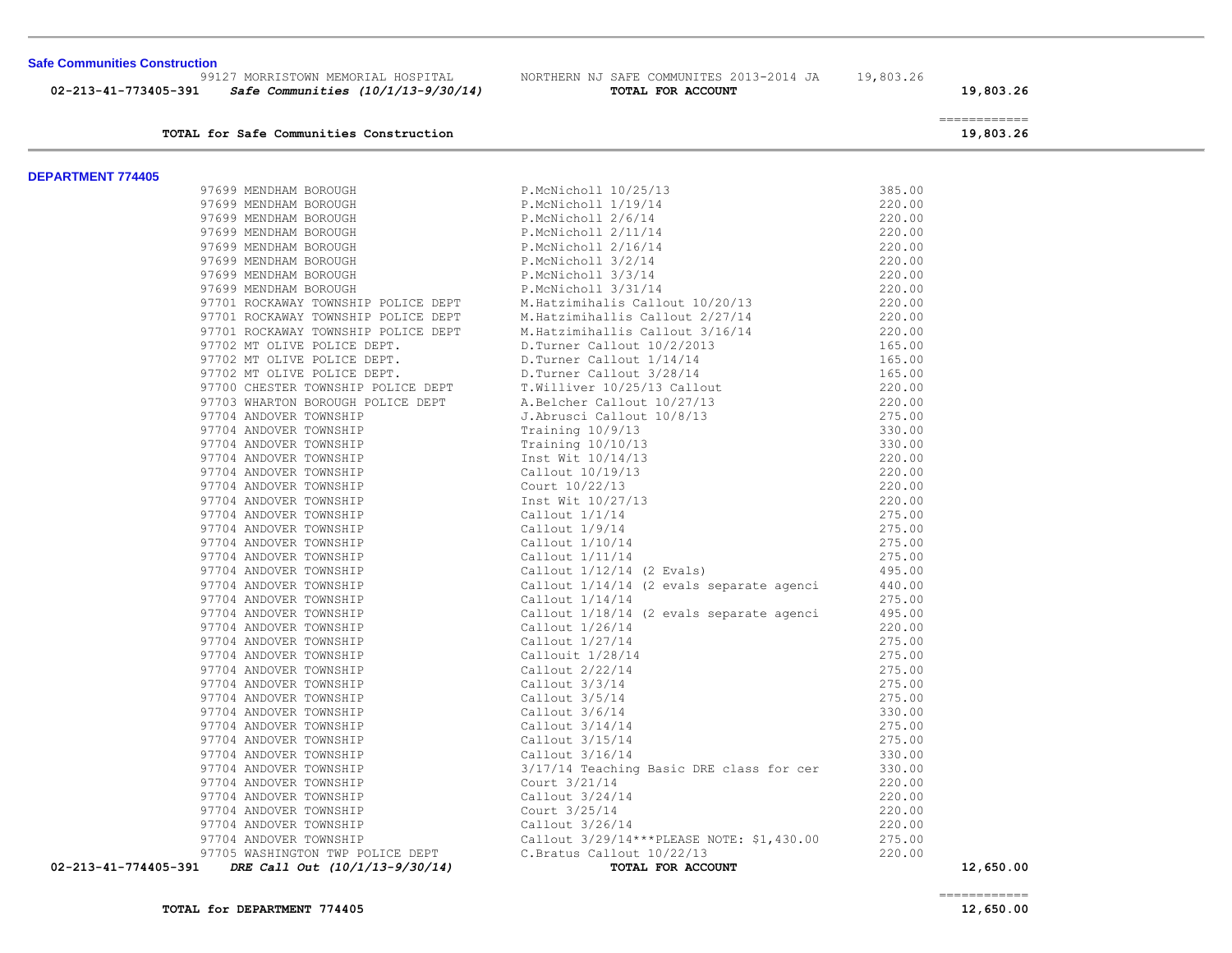| <b>Safe Communities Construction</b><br>99127 MORRISTOWN MEMORIAL HOSPITAL | NORTHERN NJ SAFE COMMUNITES 2013-2014 JA   | 19,803.26 |                           |
|----------------------------------------------------------------------------|--------------------------------------------|-----------|---------------------------|
| 02-213-41-773405-391<br>Safe Communities (10/1/13-9/30/14)                 | TOTAL FOR ACCOUNT                          |           | 19,803.26                 |
| TOTAL for Safe Communities Construction                                    |                                            |           | ------------<br>19,803.26 |
| <b>DEPARTMENT 774405</b>                                                   |                                            |           |                           |
| 97699 MENDHAM BOROUGH                                                      | P.McNicholl 10/25/13                       | 385.00    |                           |
| 97699 MENDHAM BOROUGH                                                      | P.McNicholl 1/19/14                        | 220.00    |                           |
| 97699 MENDHAM BOROUGH                                                      | P.McNicholl 2/6/14                         | 220.00    |                           |
| 97699 MENDHAM BOROUGH                                                      | P.McNicholl 2/11/14                        | 220.00    |                           |
| 97699 MENDHAM BOROUGH                                                      | P.McNicholl 2/16/14                        | 220.00    |                           |
| 97699 MENDHAM BOROUGH                                                      | P.McNicholl 3/2/14                         | 220.00    |                           |
| 97699 MENDHAM BOROUGH                                                      | P.McNicholl 3/3/14                         | 220.00    |                           |
| 97699 MENDHAM BOROUGH                                                      | P.McNicholl 3/31/14                        | 220.00    |                           |
| 97701 ROCKAWAY TOWNSHIP POLICE DEPT                                        | M.Hatzimihalis Callout 10/20/13            | 220.00    |                           |
| 97701 ROCKAWAY TOWNSHIP POLICE DEPT                                        | M.Hatzimihallis Callout 2/27/14            | 220.00    |                           |
| 97701 ROCKAWAY TOWNSHIP POLICE DEPT                                        | M.Hatzimihallis Callout 3/16/14            | 220.00    |                           |
|                                                                            |                                            |           |                           |
| 97702 MT OLIVE POLICE DEPT.                                                | D. Turner Callout 10/2/2013                | 165.00    |                           |
| 97702 MT OLIVE POLICE DEPT.                                                | D. Turner Callout 1/14/14                  | 165.00    |                           |
| 97702 MT OLIVE POLICE DEPT.                                                | D.Turner Callout 3/28/14                   | 165.00    |                           |
| 97700 CHESTER TOWNSHIP POLICE DEPT                                         | T.Williver 10/25/13 Callout                | 220.00    |                           |
| 97703 WHARTON BOROUGH POLICE DEPT                                          | A.Belcher Callout 10/27/13                 | 220.00    |                           |
| 97704 ANDOVER TOWNSHIP                                                     | J.Abrusci Callout 10/8/13                  | 275.00    |                           |
| 97704 ANDOVER TOWNSHIP                                                     | Training 10/9/13                           | 330.00    |                           |
| 97704 ANDOVER TOWNSHIP                                                     | Training $10/10/13$                        | 330.00    |                           |
| 97704 ANDOVER TOWNSHIP                                                     | Inst Wit 10/14/13                          | 220.00    |                           |
| 97704 ANDOVER TOWNSHIP                                                     | Callout 10/19/13                           | 220.00    |                           |
| 97704 ANDOVER TOWNSHIP                                                     | Court 10/22/13                             | 220.00    |                           |
| 97704 ANDOVER TOWNSHIP                                                     | Inst Wit 10/27/13                          | 220.00    |                           |
| 97704 ANDOVER TOWNSHIP                                                     | Callout $1/1/14$                           | 275.00    |                           |
| 97704 ANDOVER TOWNSHIP                                                     | Callout $1/9/14$                           | 275.00    |                           |
| 97704 ANDOVER TOWNSHIP                                                     | Callout 1/10/14                            | 275.00    |                           |
| 97704 ANDOVER TOWNSHIP                                                     | Callout $1/11/14$                          | 275.00    |                           |
| 97704 ANDOVER TOWNSHIP                                                     | Callout 1/12/14 (2 Evals)                  | 495.00    |                           |
| 97704 ANDOVER TOWNSHIP                                                     | Callout $1/14/14$ (2 evals separate agenci | 440.00    |                           |
| 97704 ANDOVER TOWNSHIP                                                     | Callout $1/14/14$                          | 275.00    |                           |
| 97704 ANDOVER TOWNSHIP                                                     | Callout $1/18/14$ (2 evals separate agenci | 495.00    |                           |
| 97704 ANDOVER TOWNSHIP                                                     | Callout 1/26/14                            | 220.00    |                           |
| 97704 ANDOVER TOWNSHIP                                                     | Callout 1/27/14                            | 275.00    |                           |
| 97704 ANDOVER TOWNSHIP                                                     | Callouit $1/28/14$                         | 275.00    |                           |
| 97704 ANDOVER TOWNSHIP                                                     | Callout 2/22/14                            | 275.00    |                           |
| 97704 ANDOVER TOWNSHIP                                                     | Callout $3/3/14$                           | 275.00    |                           |
| 97704 ANDOVER TOWNSHIP                                                     | Callout $3/5/14$                           | 275.00    |                           |
| 97704 ANDOVER TOWNSHIP                                                     | Callout 3/6/14                             | 330.00    |                           |
| 97704 ANDOVER TOWNSHIP                                                     | Callout $3/14/14$                          | 275.00    |                           |
| 97704 ANDOVER TOWNSHIP                                                     | Callout $3/15/14$                          | 275.00    |                           |
| 97704 ANDOVER TOWNSHIP                                                     | Callout $3/16/14$                          | 330.00    |                           |
| 97704 ANDOVER TOWNSHIP                                                     | 3/17/14 Teaching Basic DRE class for cer   | 330.00    |                           |
| 97704 ANDOVER TOWNSHIP                                                     | Court 3/21/14                              | 220.00    |                           |
| 97704 ANDOVER TOWNSHIP                                                     | Callout 3/24/14                            | 220.00    |                           |
| 97704 ANDOVER TOWNSHIP                                                     | Court 3/25/14                              | 220.00    |                           |
| 97704 ANDOVER TOWNSHIP                                                     | Callout 3/26/14                            | 220.00    |                           |
| 97704 ANDOVER TOWNSHIP                                                     | Callout 3/29/14***PLEASE NOTE: \$1,430.00  | 275.00    |                           |
| 97705 WASHINGTON TWP POLICE DEPT                                           | C.Bratus Callout 10/22/13                  | 220.00    |                           |
| DRE Call Out (10/1/13-9/30/14)<br>02-213-41-774405-391                     | TOTAL FOR ACCOUNT                          |           | 12,650.00                 |
|                                                                            |                                            |           |                           |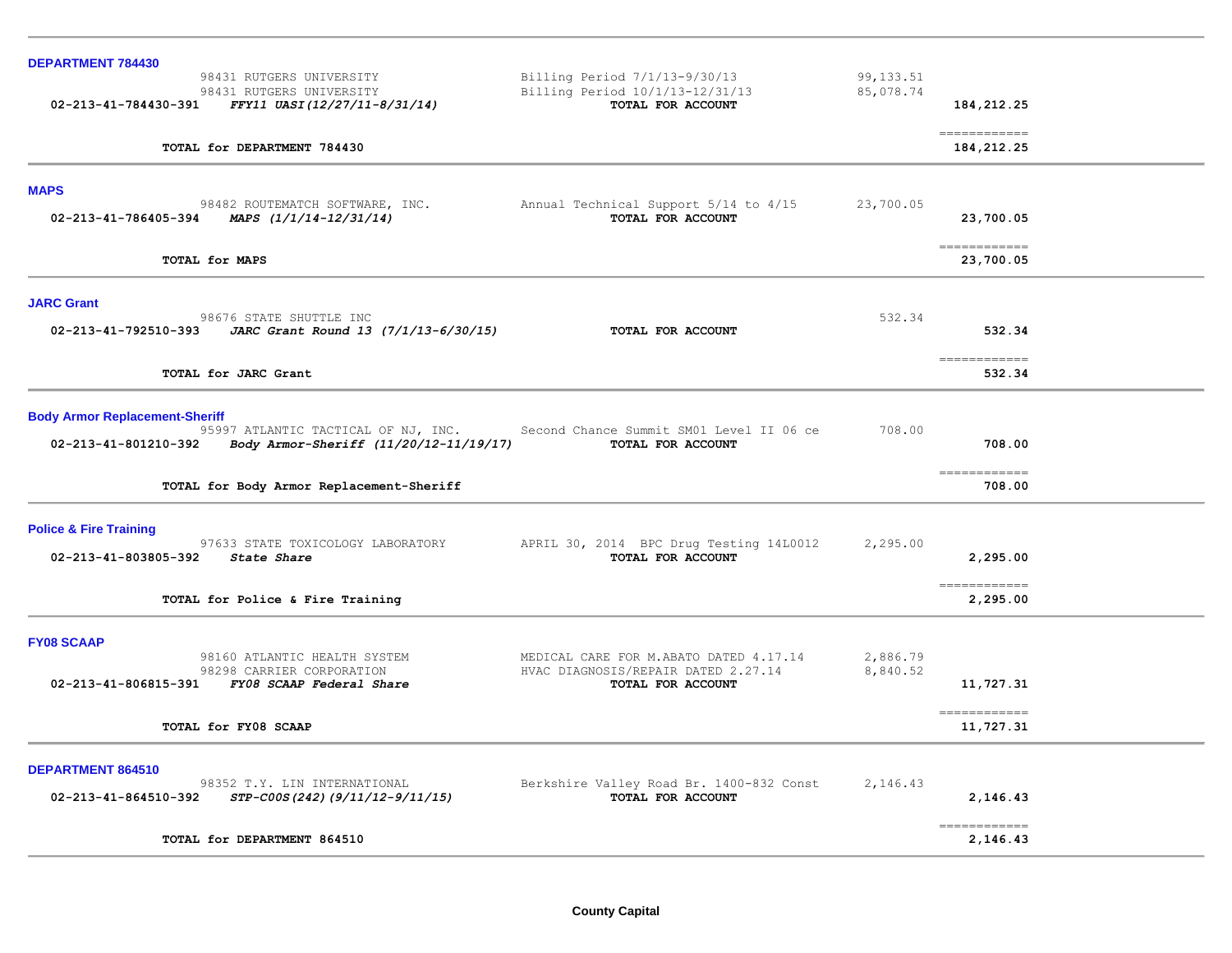| <b>DEPARTMENT 784430</b>                                                                                                                       |                                                                                                    |                         |                                                                                                                                                                                                                                                                                                                                                                                                                                                                                                    |  |
|------------------------------------------------------------------------------------------------------------------------------------------------|----------------------------------------------------------------------------------------------------|-------------------------|----------------------------------------------------------------------------------------------------------------------------------------------------------------------------------------------------------------------------------------------------------------------------------------------------------------------------------------------------------------------------------------------------------------------------------------------------------------------------------------------------|--|
| 98431 RUTGERS UNIVERSITY<br>98431 RUTGERS UNIVERSITY<br>02-213-41-784430-391<br>FFY11 UASI(12/27/11-8/31/14)                                   | Billing Period 7/1/13-9/30/13<br>Billing Period 10/1/13-12/31/13<br>TOTAL FOR ACCOUNT              | 99, 133.51<br>85,078.74 | 184,212.25                                                                                                                                                                                                                                                                                                                                                                                                                                                                                         |  |
| TOTAL for DEPARTMENT 784430                                                                                                                    |                                                                                                    |                         | -------------<br>184, 212, 25                                                                                                                                                                                                                                                                                                                                                                                                                                                                      |  |
| <b>MAPS</b>                                                                                                                                    |                                                                                                    |                         |                                                                                                                                                                                                                                                                                                                                                                                                                                                                                                    |  |
| 98482 ROUTEMATCH SOFTWARE, INC.<br>MAPS (1/1/14-12/31/14)<br>02-213-41-786405-394                                                              | Annual Technical Support 5/14 to 4/15<br>TOTAL FOR ACCOUNT                                         | 23,700.05               | 23,700.05                                                                                                                                                                                                                                                                                                                                                                                                                                                                                          |  |
| TOTAL for MAPS                                                                                                                                 |                                                                                                    |                         | -------------<br>23,700.05                                                                                                                                                                                                                                                                                                                                                                                                                                                                         |  |
| <b>JARC Grant</b>                                                                                                                              |                                                                                                    |                         |                                                                                                                                                                                                                                                                                                                                                                                                                                                                                                    |  |
| 98676 STATE SHUTTLE INC<br>02-213-41-792510-393 JARC Grant Round 13 $(7/1/13-6/30/15)$                                                         | TOTAL FOR ACCOUNT                                                                                  | 532.34                  | 532.34                                                                                                                                                                                                                                                                                                                                                                                                                                                                                             |  |
| TOTAL for JARC Grant                                                                                                                           |                                                                                                    |                         | -------------<br>532.34                                                                                                                                                                                                                                                                                                                                                                                                                                                                            |  |
| <b>Body Armor Replacement-Sheriff</b>                                                                                                          |                                                                                                    |                         |                                                                                                                                                                                                                                                                                                                                                                                                                                                                                                    |  |
| 95997 ATLANTIC TACTICAL OF NJ, INC. Second Chance Summit SM01 Level II 06 ce<br>Body Armor-Sheriff (11/20/12-11/19/17)<br>02-213-41-801210-392 | TOTAL FOR ACCOUNT                                                                                  | 708.00                  | 708.00                                                                                                                                                                                                                                                                                                                                                                                                                                                                                             |  |
| TOTAL for Body Armor Replacement-Sheriff                                                                                                       |                                                                                                    |                         | ------------<br>708.00                                                                                                                                                                                                                                                                                                                                                                                                                                                                             |  |
| <b>Police &amp; Fire Training</b>                                                                                                              |                                                                                                    |                         |                                                                                                                                                                                                                                                                                                                                                                                                                                                                                                    |  |
| 97633 STATE TOXICOLOGY LABORATORY<br>02-213-41-803805-392 State Share                                                                          | APRIL 30, 2014 BPC Drug Testing 14L0012<br>TOTAL FOR ACCOUNT                                       | 2,295.00                | 2,295.00                                                                                                                                                                                                                                                                                                                                                                                                                                                                                           |  |
| TOTAL for Police & Fire Training                                                                                                               |                                                                                                    |                         | $\begin{array}{cccccccccc} \multicolumn{2}{c}{} & \multicolumn{2}{c}{} & \multicolumn{2}{c}{} & \multicolumn{2}{c}{} & \multicolumn{2}{c}{} & \multicolumn{2}{c}{} & \multicolumn{2}{c}{} & \multicolumn{2}{c}{} & \multicolumn{2}{c}{} & \multicolumn{2}{c}{} & \multicolumn{2}{c}{} & \multicolumn{2}{c}{} & \multicolumn{2}{c}{} & \multicolumn{2}{c}{} & \multicolumn{2}{c}{} & \multicolumn{2}{c}{} & \multicolumn{2}{c}{} & \multicolumn{2}{c}{} & \multicolumn{2}{c}{} & \mult$<br>2,295.00 |  |
| <b>FY08 SCAAP</b>                                                                                                                              |                                                                                                    |                         |                                                                                                                                                                                                                                                                                                                                                                                                                                                                                                    |  |
| 98160 ATLANTIC HEALTH SYSTEM<br>98298 CARRIER CORPORATION<br>02-213-41-806815-391 FY08 SCAAP Federal Share                                     | MEDICAL CARE FOR M.ABATO DATED 4.17.14<br>HVAC DIAGNOSIS/REPAIR DATED 2.27.14<br>TOTAL FOR ACCOUNT | 2,886.79<br>8,840.52    | 11,727.31                                                                                                                                                                                                                                                                                                                                                                                                                                                                                          |  |
| TOTAL for FY08 SCAAP                                                                                                                           |                                                                                                    |                         | ============<br>11,727.31                                                                                                                                                                                                                                                                                                                                                                                                                                                                          |  |
| DEPARTMENT 864510                                                                                                                              |                                                                                                    |                         |                                                                                                                                                                                                                                                                                                                                                                                                                                                                                                    |  |
| 98352 T.Y. LIN INTERNATIONAL<br>02-213-41-864510-392<br>STP-C00S(242)(9/11/12-9/11/15)                                                         | Berkshire Valley Road Br. 1400-832 Const<br>TOTAL FOR ACCOUNT                                      | 2,146.43                | 2,146.43                                                                                                                                                                                                                                                                                                                                                                                                                                                                                           |  |
| TOTAL for DEPARTMENT 864510                                                                                                                    |                                                                                                    |                         | ============<br>2,146.43                                                                                                                                                                                                                                                                                                                                                                                                                                                                           |  |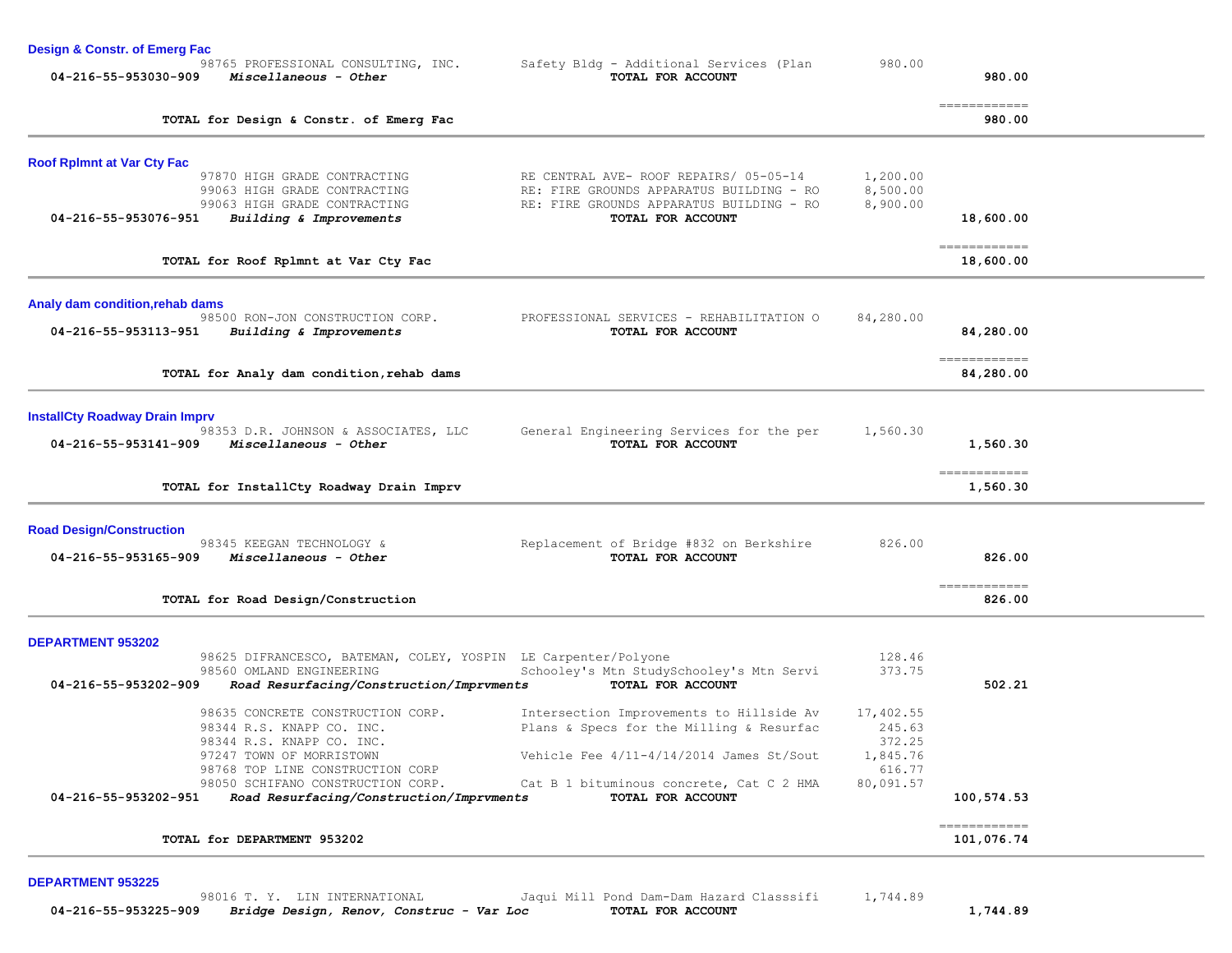| <b>Design &amp; Constr. of Emerg Fac</b>                                                   |                                                               |           |                                                                                                                                                                                                                                                                                                                                                                                                                                                                                                    |  |
|--------------------------------------------------------------------------------------------|---------------------------------------------------------------|-----------|----------------------------------------------------------------------------------------------------------------------------------------------------------------------------------------------------------------------------------------------------------------------------------------------------------------------------------------------------------------------------------------------------------------------------------------------------------------------------------------------------|--|
| 98765 PROFESSIONAL CONSULTING, INC.<br>04-216-55-953030-909<br>Miscellaneous - Other       | Safety Bldg - Additional Services (Plan<br>TOTAL FOR ACCOUNT  | 980.00    | 980.00                                                                                                                                                                                                                                                                                                                                                                                                                                                                                             |  |
| TOTAL for Design & Constr. of Emerg Fac                                                    |                                                               |           | -------------<br>980.00                                                                                                                                                                                                                                                                                                                                                                                                                                                                            |  |
| <b>Roof Rplmnt at Var Cty Fac</b>                                                          |                                                               |           |                                                                                                                                                                                                                                                                                                                                                                                                                                                                                                    |  |
| 97870 HIGH GRADE CONTRACTING                                                               | RE CENTRAL AVE- ROOF REPAIRS/ 05-05-14                        | 1,200.00  |                                                                                                                                                                                                                                                                                                                                                                                                                                                                                                    |  |
| 99063 HIGH GRADE CONTRACTING                                                               | RE: FIRE GROUNDS APPARATUS BUILDING - RO                      | 8,500.00  |                                                                                                                                                                                                                                                                                                                                                                                                                                                                                                    |  |
| 99063 HIGH GRADE CONTRACTING                                                               | RE: FIRE GROUNDS APPARATUS BUILDING - RO                      | 8,900.00  |                                                                                                                                                                                                                                                                                                                                                                                                                                                                                                    |  |
| 04-216-55-953076-951<br>Building & Improvements                                            | TOTAL FOR ACCOUNT                                             |           | 18,600.00                                                                                                                                                                                                                                                                                                                                                                                                                                                                                          |  |
| TOTAL for Roof Rplmnt at Var Cty Fac                                                       |                                                               |           | 18,600.00                                                                                                                                                                                                                                                                                                                                                                                                                                                                                          |  |
|                                                                                            |                                                               |           |                                                                                                                                                                                                                                                                                                                                                                                                                                                                                                    |  |
| Analy dam condition, rehab dams                                                            |                                                               |           |                                                                                                                                                                                                                                                                                                                                                                                                                                                                                                    |  |
| 98500 RON-JON CONSTRUCTION CORP.<br>04-216-55-953113-951<br>Building & Improvements        | PROFESSIONAL SERVICES - REHABILITATION O<br>TOTAL FOR ACCOUNT | 84,280.00 | 84,280.00                                                                                                                                                                                                                                                                                                                                                                                                                                                                                          |  |
|                                                                                            |                                                               |           |                                                                                                                                                                                                                                                                                                                                                                                                                                                                                                    |  |
| TOTAL for Analy dam condition, rehab dams                                                  |                                                               |           | -------------<br>84,280.00                                                                                                                                                                                                                                                                                                                                                                                                                                                                         |  |
|                                                                                            |                                                               |           |                                                                                                                                                                                                                                                                                                                                                                                                                                                                                                    |  |
| <b>InstallCty Roadway Drain Imprv</b>                                                      |                                                               |           |                                                                                                                                                                                                                                                                                                                                                                                                                                                                                                    |  |
| 98353 D.R. JOHNSON & ASSOCIATES, LLC                                                       | General Engineering Services for the per                      | 1,560.30  |                                                                                                                                                                                                                                                                                                                                                                                                                                                                                                    |  |
| 04-216-55-953141-909<br>Miscellaneous - Other                                              | TOTAL FOR ACCOUNT                                             |           | 1,560.30                                                                                                                                                                                                                                                                                                                                                                                                                                                                                           |  |
| TOTAL for InstallCty Roadway Drain Imprv                                                   |                                                               |           | $\begin{array}{cccccccccc} \multicolumn{2}{c}{} & \multicolumn{2}{c}{} & \multicolumn{2}{c}{} & \multicolumn{2}{c}{} & \multicolumn{2}{c}{} & \multicolumn{2}{c}{} & \multicolumn{2}{c}{} & \multicolumn{2}{c}{} & \multicolumn{2}{c}{} & \multicolumn{2}{c}{} & \multicolumn{2}{c}{} & \multicolumn{2}{c}{} & \multicolumn{2}{c}{} & \multicolumn{2}{c}{} & \multicolumn{2}{c}{} & \multicolumn{2}{c}{} & \multicolumn{2}{c}{} & \multicolumn{2}{c}{} & \multicolumn{2}{c}{} & \mult$<br>1,560.30 |  |
|                                                                                            |                                                               |           |                                                                                                                                                                                                                                                                                                                                                                                                                                                                                                    |  |
| <b>Road Design/Construction</b><br>98345 KEEGAN TECHNOLOGY &                               | Replacement of Bridge #832 on Berkshire                       | 826.00    |                                                                                                                                                                                                                                                                                                                                                                                                                                                                                                    |  |
| Miscellaneous - Other<br>04-216-55-953165-909                                              | TOTAL FOR ACCOUNT                                             |           | 826.00                                                                                                                                                                                                                                                                                                                                                                                                                                                                                             |  |
|                                                                                            |                                                               |           |                                                                                                                                                                                                                                                                                                                                                                                                                                                                                                    |  |
| TOTAL for Road Design/Construction                                                         |                                                               |           | ------------<br>826.00                                                                                                                                                                                                                                                                                                                                                                                                                                                                             |  |
|                                                                                            |                                                               |           |                                                                                                                                                                                                                                                                                                                                                                                                                                                                                                    |  |
| <b>DEPARTMENT 953202</b><br>98625 DIFRANCESCO, BATEMAN, COLEY, YOSPIN LE Carpenter/Polyone |                                                               | 128.46    |                                                                                                                                                                                                                                                                                                                                                                                                                                                                                                    |  |
| 98560 OMLAND ENGINEERING                                                                   | Schooley's Mtn StudySchooley's Mtn Servi                      | 373.75    |                                                                                                                                                                                                                                                                                                                                                                                                                                                                                                    |  |
| 04-216-55-953202-909<br>Road Resurfacing/Construction/Imprvments                           | TOTAL FOR ACCOUNT                                             |           | 502.21                                                                                                                                                                                                                                                                                                                                                                                                                                                                                             |  |
| 98635 CONCRETE CONSTRUCTION CORP.                                                          | Intersection Improvements to Hillside Av                      | 17,402.55 |                                                                                                                                                                                                                                                                                                                                                                                                                                                                                                    |  |
| 98344 R.S. KNAPP CO. INC.                                                                  | Plans & Specs for the Milling & Resurfac                      | 245.63    |                                                                                                                                                                                                                                                                                                                                                                                                                                                                                                    |  |
| 98344 R.S. KNAPP CO. INC.                                                                  |                                                               | 372.25    |                                                                                                                                                                                                                                                                                                                                                                                                                                                                                                    |  |
| 97247 TOWN OF MORRISTOWN                                                                   | Vehicle Fee $4/11-4/14/2014$ James St/Sout                    | 1,845.76  |                                                                                                                                                                                                                                                                                                                                                                                                                                                                                                    |  |
| 98768 TOP LINE CONSTRUCTION CORP<br>98050 SCHIFANO CONSTRUCTION CORP.                      |                                                               | 616.77    |                                                                                                                                                                                                                                                                                                                                                                                                                                                                                                    |  |
| Road Resurfacing/Construction/Imprvments<br>04-216-55-953202-951                           | Cat B 1 bituminous concrete, Cat C 2 HMA<br>TOTAL FOR ACCOUNT | 80,091.57 | 100,574.53                                                                                                                                                                                                                                                                                                                                                                                                                                                                                         |  |
|                                                                                            |                                                               |           | -------------                                                                                                                                                                                                                                                                                                                                                                                                                                                                                      |  |
| TOTAL for DEPARTMENT 953202                                                                |                                                               |           | 101,076.74                                                                                                                                                                                                                                                                                                                                                                                                                                                                                         |  |
|                                                                                            |                                                               |           |                                                                                                                                                                                                                                                                                                                                                                                                                                                                                                    |  |
| <b>DEPARTMENT 953225</b><br>98016 T. Y. LIN INTERNATIONAL                                  | Jaqui Mill Pond Dam-Dam Hazard Classsifi                      | 1,744.89  |                                                                                                                                                                                                                                                                                                                                                                                                                                                                                                    |  |

 **04-216-55-953225-909** *Bridge Design, Renov, Construc - Var Loc* **TOTAL FOR ACCOUNT 1,744.89**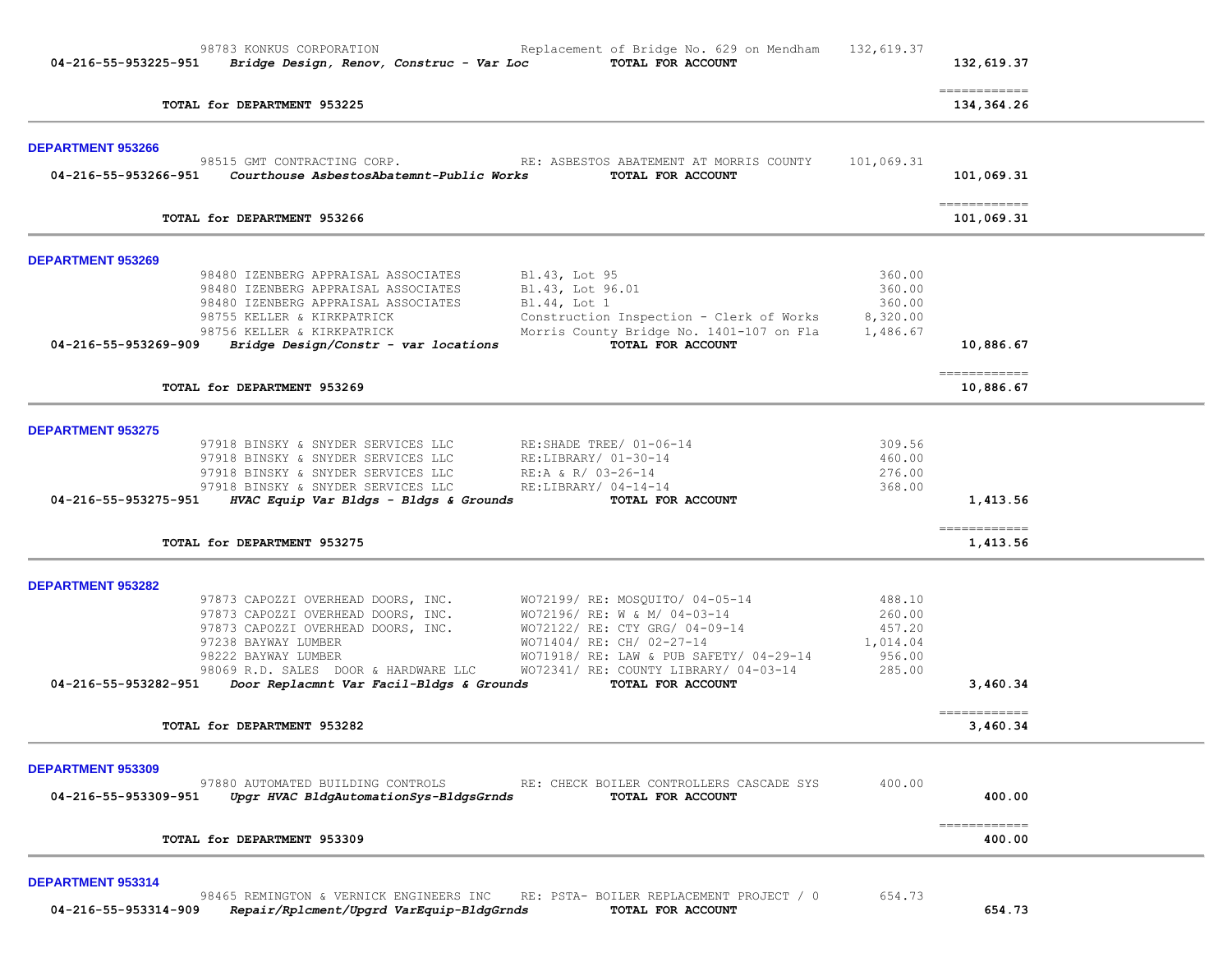|                                                                                                                                  |                    | 132,619.37                                                                                                                                                                                                                                                                                                                                                                                                                                                                                           |
|----------------------------------------------------------------------------------------------------------------------------------|--------------------|------------------------------------------------------------------------------------------------------------------------------------------------------------------------------------------------------------------------------------------------------------------------------------------------------------------------------------------------------------------------------------------------------------------------------------------------------------------------------------------------------|
| TOTAL for DEPARTMENT 953225                                                                                                      |                    | $\begin{array}{cccccccccccccc} \multicolumn{2}{c}{} & \multicolumn{2}{c}{} & \multicolumn{2}{c}{} & \multicolumn{2}{c}{} & \multicolumn{2}{c}{} & \multicolumn{2}{c}{} & \multicolumn{2}{c}{} & \multicolumn{2}{c}{} & \multicolumn{2}{c}{} & \multicolumn{2}{c}{} & \multicolumn{2}{c}{} & \multicolumn{2}{c}{} & \multicolumn{2}{c}{} & \multicolumn{2}{c}{} & \multicolumn{2}{c}{} & \multicolumn{2}{c}{} & \multicolumn{2}{c}{} & \multicolumn{2}{c}{} & \multicolumn{2}{c}{} & \$<br>134,364.26 |
| <b>DEPARTMENT 953266</b><br>98515 GMT CONTRACTING CORP.                                                                          |                    |                                                                                                                                                                                                                                                                                                                                                                                                                                                                                                      |
| RE: ASBESTOS ABATEMENT AT MORRIS COUNTY<br>Courthouse AsbestosAbatemnt-Public Works<br>04-216-55-953266-951<br>TOTAL FOR ACCOUNT | 101,069.31         | 101,069.31                                                                                                                                                                                                                                                                                                                                                                                                                                                                                           |
| TOTAL for DEPARTMENT 953266                                                                                                      |                    | -------------<br>101,069.31                                                                                                                                                                                                                                                                                                                                                                                                                                                                          |
| DEPARTMENT 953269                                                                                                                |                    |                                                                                                                                                                                                                                                                                                                                                                                                                                                                                                      |
| 98480 IZENBERG APPRAISAL ASSOCIATES<br>Bl.43, Lot 95                                                                             | 360.00             |                                                                                                                                                                                                                                                                                                                                                                                                                                                                                                      |
| 98480 IZENBERG APPRAISAL ASSOCIATES<br>Bl.43, Lot 96.01<br>98480 IZENBERG APPRAISAL ASSOCIATES<br>Bl.44, Lot 1                   | 360.00<br>360.00   |                                                                                                                                                                                                                                                                                                                                                                                                                                                                                                      |
| 98755 KELLER & KIRKPATRICK<br>Construction Inspection - Clerk of Works                                                           | 8,320.00           |                                                                                                                                                                                                                                                                                                                                                                                                                                                                                                      |
| 98756 KELLER & KIRKPATRICK<br>Morris County Bridge No. 1401-107 on Fla                                                           | 1,486.67           |                                                                                                                                                                                                                                                                                                                                                                                                                                                                                                      |
| Bridge Design/Constr - var locations<br>TOTAL FOR ACCOUNT<br>04-216-55-953269-909                                                |                    | 10,886.67                                                                                                                                                                                                                                                                                                                                                                                                                                                                                            |
| TOTAL for DEPARTMENT 953269                                                                                                      |                    | $=$ = = = = = = = = = = = =<br>10,886.67                                                                                                                                                                                                                                                                                                                                                                                                                                                             |
| <b>DEPARTMENT 953275</b>                                                                                                         |                    |                                                                                                                                                                                                                                                                                                                                                                                                                                                                                                      |
| 97918 BINSKY & SNYDER SERVICES LLC<br>RE:SHADE TREE/ 01-06-14                                                                    | 309.56             |                                                                                                                                                                                                                                                                                                                                                                                                                                                                                                      |
| 97918 BINSKY & SNYDER SERVICES LLC<br>RE:LIBRARY/ 01-30-14                                                                       | 460.00             |                                                                                                                                                                                                                                                                                                                                                                                                                                                                                                      |
| 97918 BINSKY & SNYDER SERVICES LLC<br>RE:A & R/ 03-26-14<br>97918 BINSKY & SNYDER SERVICES LLC<br>RE:LIBRARY/ 04-14-14           | 276.00<br>368.00   |                                                                                                                                                                                                                                                                                                                                                                                                                                                                                                      |
| HVAC Equip Var Bldgs - Bldgs & Grounds<br>04-216-55-953275-951<br>TOTAL FOR ACCOUNT                                              |                    | 1,413.56                                                                                                                                                                                                                                                                                                                                                                                                                                                                                             |
| TOTAL for DEPARTMENT 953275                                                                                                      |                    | $=$ = = = = = = = = = = = =<br>1,413.56                                                                                                                                                                                                                                                                                                                                                                                                                                                              |
| <b>DEPARTMENT 953282</b>                                                                                                         |                    |                                                                                                                                                                                                                                                                                                                                                                                                                                                                                                      |
| WO72199/ RE: MOSQUITO/ 04-05-14<br>97873 CAPOZZI OVERHEAD DOORS, INC.                                                            | 488.10             |                                                                                                                                                                                                                                                                                                                                                                                                                                                                                                      |
| 97873 CAPOZZI OVERHEAD DOORS, INC.<br>WO72196/ RE: W & M/ 04-03-14                                                               | 260.00             |                                                                                                                                                                                                                                                                                                                                                                                                                                                                                                      |
| WO72122/ RE: CTY GRG/ 04-09-14<br>97873 CAPOZZI OVERHEAD DOORS, INC.                                                             | 457.20             |                                                                                                                                                                                                                                                                                                                                                                                                                                                                                                      |
| WO71404/ RE: CH/ 02-27-14<br>97238 BAYWAY LUMBER<br>98222 BAYWAY LUMBER<br>WO71918/ RE: LAW & PUB SAFETY/ 04-29-14               | 1,014.04<br>956.00 |                                                                                                                                                                                                                                                                                                                                                                                                                                                                                                      |
| WO72341/ RE: COUNTY LIBRARY/ 04-03-14<br>98069 R.D. SALES DOOR & HARDWARE LLC                                                    | 285.00             |                                                                                                                                                                                                                                                                                                                                                                                                                                                                                                      |
| 04-216-55-953282-951<br>Door Replacmnt Var Facil-Bldgs & Grounds<br>TOTAL FOR ACCOUNT                                            |                    | 3,460.34                                                                                                                                                                                                                                                                                                                                                                                                                                                                                             |
| TOTAL for DEPARTMENT 953282                                                                                                      |                    | $=$ = = = = = = = = = = = =<br>3,460.34                                                                                                                                                                                                                                                                                                                                                                                                                                                              |
|                                                                                                                                  |                    |                                                                                                                                                                                                                                                                                                                                                                                                                                                                                                      |
| <b>DEPARTMENT 953309</b><br>97880 AUTOMATED BUILDING CONTROLS<br>RE: CHECK BOILER CONTROLLERS CASCADE SYS                        | 400.00             |                                                                                                                                                                                                                                                                                                                                                                                                                                                                                                      |
| 04-216-55-953309-951<br>Upgr HVAC BldgAutomationSys-BldgsGrnds<br>TOTAL FOR ACCOUNT                                              |                    | 400.00                                                                                                                                                                                                                                                                                                                                                                                                                                                                                               |
| TOTAL for DEPARTMENT 953309                                                                                                      |                    | ------------<br>400.00                                                                                                                                                                                                                                                                                                                                                                                                                                                                               |

98465 REMINGTON & VERNICK ENGINEERS INC RE: PSTA- BOILER REPLACEMENT PROJECT / 0 654.73  **04-216-55-953314-909** *Repair/Rplcment/Upgrd VarEquip-BldgGrnds* **TOTAL FOR ACCOUNT 654.73**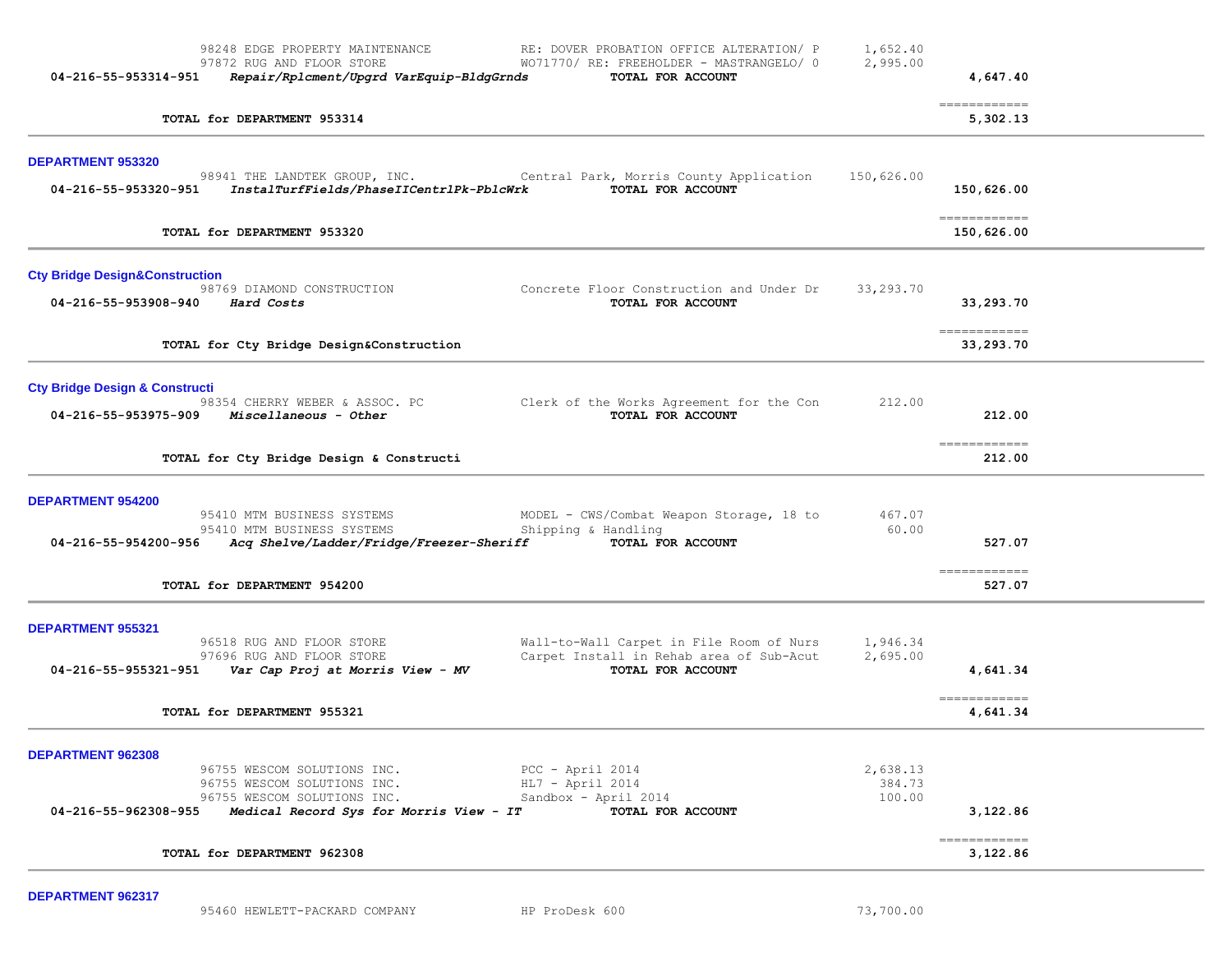| 98248 EDGE PROPERTY MAINTENANCE<br>RE: DOVER PROBATION OFFICE ALTERATION/ P<br>97872 RUG AND FLOOR STORE<br>WO71770/ RE: FREEHOLDER - MASTRANGELO/ 0<br>Repair/Rplcment/Upgrd VarEquip-BldgGrnds<br>TOTAL FOR ACCOUNT<br>04-216-55-953314-951                                   | 1,652.40<br>2,995.00         | 4,647.40                          |  |
|---------------------------------------------------------------------------------------------------------------------------------------------------------------------------------------------------------------------------------------------------------------------------------|------------------------------|-----------------------------------|--|
| TOTAL for DEPARTMENT 953314                                                                                                                                                                                                                                                     |                              | ------------<br>5,302.13          |  |
| DEPARTMENT 953320<br>98941 THE LANDTEK GROUP, INC. The Central Park, Morris County Application<br>InstalTurfFields/PhaseIICentrlPk-PblcWrk<br>TOTAL FOR ACCOUNT<br>04-216-55-953320-951                                                                                         | 150,626.00                   | 150,626.00                        |  |
| TOTAL for DEPARTMENT 953320                                                                                                                                                                                                                                                     |                              | ------------<br>150,626.00        |  |
| <b>Cty Bridge Design&amp;Construction</b><br>98769 DIAMOND CONSTRUCTION<br>Concrete Floor Construction and Under Dr<br>04-216-55-953908-940<br>Hard Costs<br>TOTAL FOR ACCOUNT                                                                                                  | 33,293.70                    | 33,293.70                         |  |
| TOTAL for Cty Bridge Design&Construction                                                                                                                                                                                                                                        |                              | ------------<br>33,293.70         |  |
| <b>Cty Bridge Design &amp; Constructi</b><br>98354 CHERRY WEBER & ASSOC. PC<br>Clerk of the Works Agreement for the Con<br>Miscellaneous - Other<br>TOTAL FOR ACCOUNT<br>04-216-55-953975-909                                                                                   | 212.00                       | 212.00<br>-------------           |  |
| TOTAL for Cty Bridge Design & Constructi                                                                                                                                                                                                                                        |                              | 212.00                            |  |
| <b>DEPARTMENT 954200</b><br>95410 MTM BUSINESS SYSTEMS<br>MODEL - CWS/Combat Weapon Storage, 18 to<br>Shipping & Handling<br>95410 MTM BUSINESS SYSTEMS<br>Acq Shelve/Ladder/Fridge/Freezer-Sheriff<br>04-216-55-954200-956<br>TOTAL FOR ACCOUNT<br>TOTAL for DEPARTMENT 954200 | 467.07<br>60.00              | 527.07<br>-------------<br>527.07 |  |
| <b>DEPARTMENT 955321</b><br>96518 RUG AND FLOOR STORE<br>Wall-to-Wall Carpet in File Room of Nurs<br>Carpet Install in Rehab area of Sub-Acut<br>97696 RUG AND FLOOR STORE<br>$04-216-55-955321-951$ Var Cap Proj at Morris View - MV<br>TOTAL FOR ACCOUNT                      | 1,946.34<br>2,695.00         | 4,641.34<br>-------------         |  |
| TOTAL for DEPARTMENT 955321                                                                                                                                                                                                                                                     |                              | 4,641.34                          |  |
| DEPARTMENT 962308<br>96755 WESCOM SOLUTIONS INC.<br>PCC - April 2014<br>96755 WESCOM SOLUTIONS INC.<br>$HL7 - April 2014$<br>96755 WESCOM SOLUTIONS INC.<br>Sandbox - April 2014<br>Medical Record Sys for Morris View - IT<br>04-216-55-962308-955<br>TOTAL FOR ACCOUNT        | 2,638.13<br>384.73<br>100.00 | 3,122.86                          |  |
| TOTAL for DEPARTMENT 962308                                                                                                                                                                                                                                                     |                              | -------------<br>3,122.86         |  |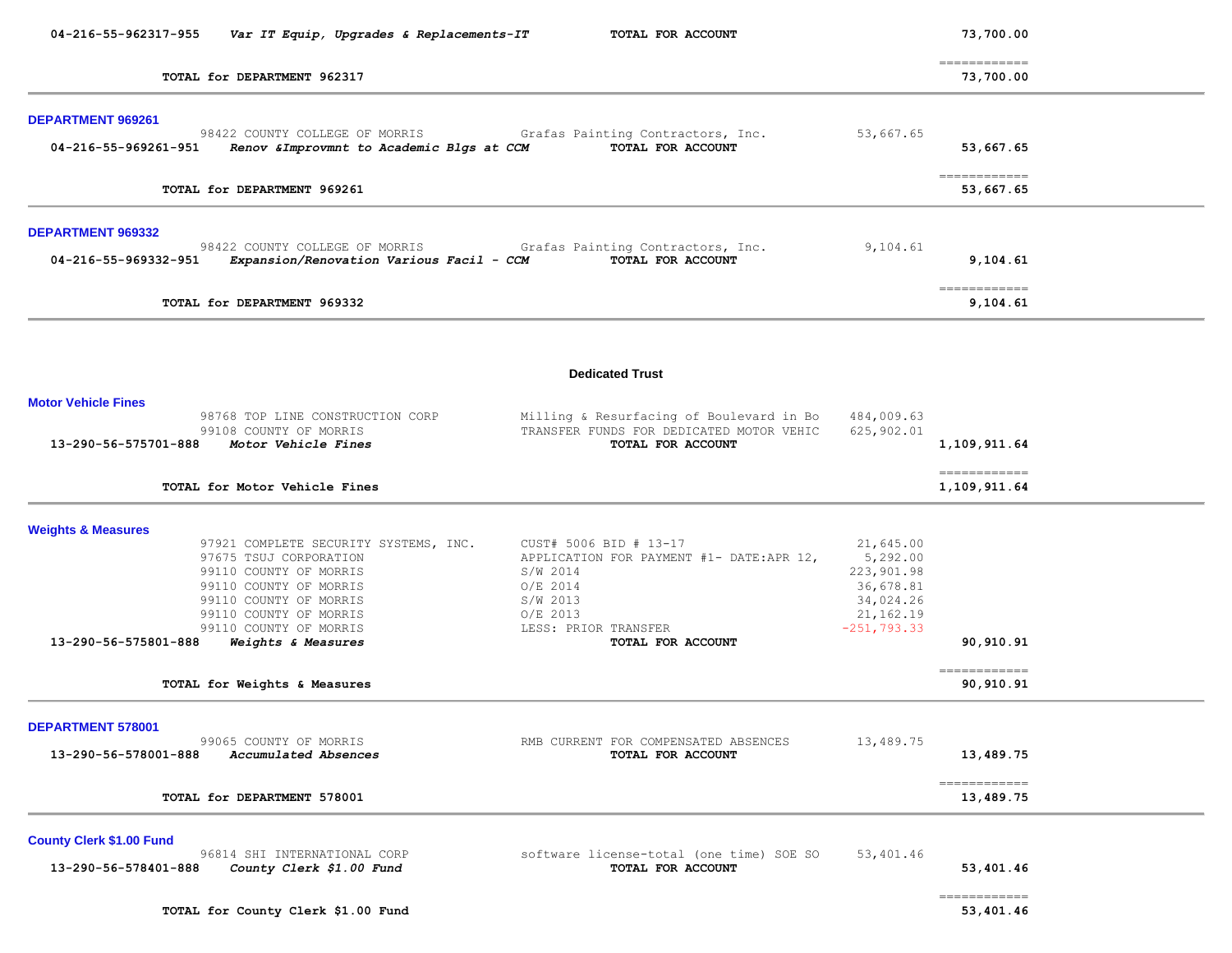| 04-216-55-962317-955                                    | Var IT Equip, Upgrades & Replacements-IT                                                                                                                                                                                | TOTAL FOR ACCOUNT                                                                                                                                                       |                                                                                              | 73,700.00                               |  |
|---------------------------------------------------------|-------------------------------------------------------------------------------------------------------------------------------------------------------------------------------------------------------------------------|-------------------------------------------------------------------------------------------------------------------------------------------------------------------------|----------------------------------------------------------------------------------------------|-----------------------------------------|--|
| TOTAL for DEPARTMENT 962317                             |                                                                                                                                                                                                                         |                                                                                                                                                                         |                                                                                              | ------------<br>73,700.00               |  |
| DEPARTMENT 969261<br>04-216-55-969261-951               | 98422 COUNTY COLLEGE OF MORRIS<br>Renov & Improvmnt to Academic Blgs at CCM                                                                                                                                             | Grafas Painting Contractors, Inc.<br>TOTAL FOR ACCOUNT                                                                                                                  | 53,667.65                                                                                    | 53,667.65                               |  |
|                                                         | TOTAL for DEPARTMENT 969261                                                                                                                                                                                             |                                                                                                                                                                         |                                                                                              | ============<br>53,667.65               |  |
| DEPARTMENT 969332<br>04-216-55-969332-951               | 98422 COUNTY COLLEGE OF MORRIS<br>Expansion/Renovation Various Facil - CCM                                                                                                                                              | Grafas Painting Contractors, Inc.<br>TOTAL FOR ACCOUNT                                                                                                                  | 9,104.61                                                                                     | 9,104.61                                |  |
|                                                         | TOTAL for DEPARTMENT 969332                                                                                                                                                                                             |                                                                                                                                                                         |                                                                                              | $=$ = = = = = = = = = = = =<br>9,104.61 |  |
|                                                         |                                                                                                                                                                                                                         | <b>Dedicated Trust</b>                                                                                                                                                  |                                                                                              |                                         |  |
| <b>Motor Vehicle Fines</b><br>13-290-56-575701-888      | 98768 TOP LINE CONSTRUCTION CORP<br>99108 COUNTY OF MORRIS<br>Motor Vehicle Fines                                                                                                                                       | Milling & Resurfacing of Boulevard in Bo<br>TRANSFER FUNDS FOR DEDICATED MOTOR VEHIC<br>TOTAL FOR ACCOUNT                                                               | 484,009.63<br>625,902.01                                                                     | 1,109,911.64                            |  |
|                                                         | TOTAL for Motor Vehicle Fines                                                                                                                                                                                           |                                                                                                                                                                         |                                                                                              | ------------<br>1,109,911.64            |  |
| <b>Weights &amp; Measures</b><br>13-290-56-575801-888   | 97921 COMPLETE SECURITY SYSTEMS, INC.<br>97675 TSUJ CORPORATION<br>99110 COUNTY OF MORRIS<br>99110 COUNTY OF MORRIS<br>99110 COUNTY OF MORRIS<br>99110 COUNTY OF MORRIS<br>99110 COUNTY OF MORRIS<br>Weights & Measures | CUST# 5006 BID # 13-17<br>APPLICATION FOR PAYMENT #1- DATE:APR 12,<br>$S/W$ 2014<br>$O/E$ 2014<br>$S/W$ 2013<br>$O/E$ 2013<br>LESS: PRIOR TRANSFER<br>TOTAL FOR ACCOUNT | 21,645.00<br>5,292.00<br>223,901.98<br>36,678.81<br>34,024.26<br>21,162.19<br>$-251, 793.33$ | 90,910.91                               |  |
|                                                         | TOTAL for Weights & Measures                                                                                                                                                                                            |                                                                                                                                                                         |                                                                                              | ------------<br>90,910.91               |  |
| DEPARTMENT 578001<br>13-290-56-578001-888               | 99065 COUNTY OF MORRIS<br>Accumulated Absences<br>TOTAL for DEPARTMENT 578001                                                                                                                                           | RMB CURRENT FOR COMPENSATED ABSENCES<br>TOTAL FOR ACCOUNT                                                                                                               | 13,489.75                                                                                    | 13,489.75<br>============<br>13,489.75  |  |
| <b>County Clerk \$1.00 Fund</b><br>13-290-56-578401-888 | 96814 SHI INTERNATIONAL CORP<br>County Clerk \$1.00 Fund                                                                                                                                                                | software license-total (one time) SOE SO<br>TOTAL FOR ACCOUNT                                                                                                           | 53,401.46                                                                                    | 53,401.46                               |  |

============